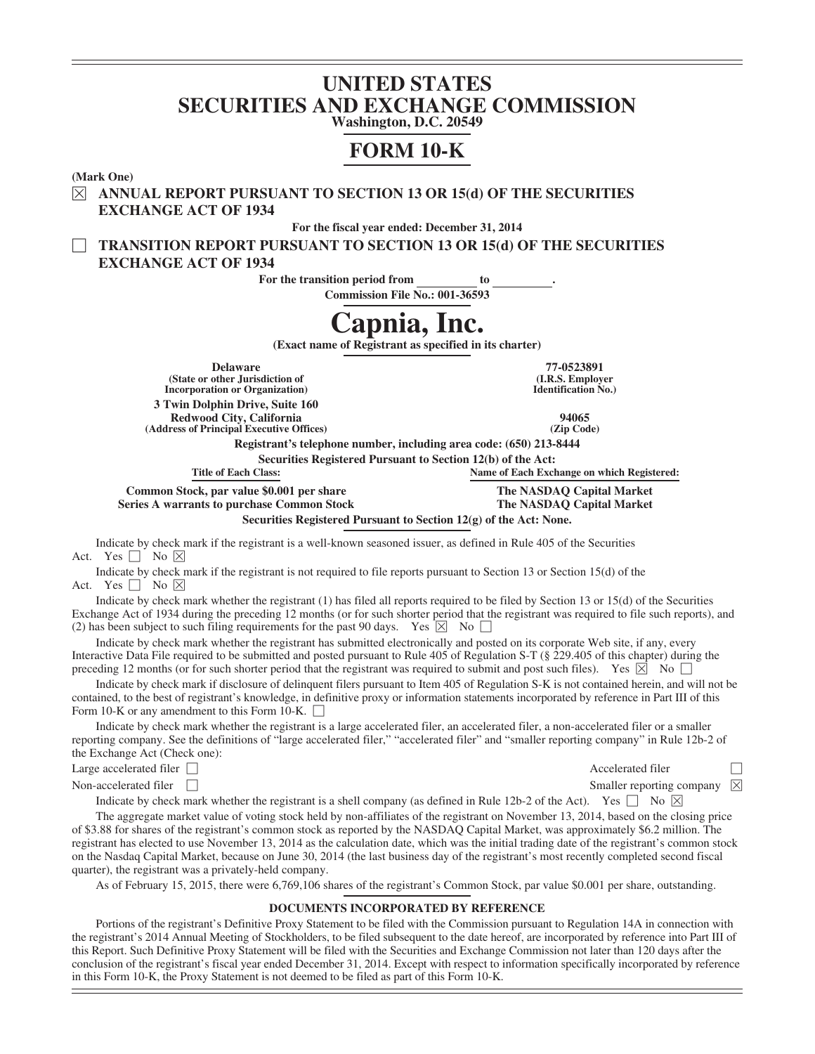# **UNITED STATES SECURITIES AND EXCHANGE COMMISSION**

**Washington, D.C. 20549**

# **FORM 10-K**

**(Mark One)**

È **ANNUAL REPORT PURSUANT TO SECTION 13 OR 15(d) OF THE SECURITIES EXCHANGE ACT OF 1934**

**For the fiscal year ended: December 31, 2014**

' **TRANSITION REPORT PURSUANT TO SECTION 13 OR 15(d) OF THE SECURITIES EXCHANGE ACT OF 1934**

For the transition period from to ...

**Commission File No.: 001-36593**

# **Capnia, Inc.**

**(Exact name of Registrant as specified in its charter)**

**(State or other Jurisdiction of Incorporation or Organization) 3 Twin Dolphin Drive, Suite 160**

**Redwood City, California 94065 (Address of Principal Executive Offices) (Zip Code)**

**Delaware 77-0523891 (I.R.S. Employer Identification No.)**

**Registrant's telephone number, including area code: (650) 213-8444**

**Securities Registered Pursuant to Section 12(b) of the Act:**

**Title of Each Class: Name of Each Exchange on which Registered:**

**The NASDAQ Capital Market**

**Common Stock, par value \$0.001 per share Series A warrants to purchase Common Stock**

**The NASDAQ Capital Market**

**Securities Registered Pursuant to Section 12(g) of the Act: None.**

Indicate by check mark if the registrant is a well-known seasoned issuer, as defined in Rule 405 of the Securities Act. Yes  $\Box$  No  $\boxtimes$ 

Indicate by check mark if the registrant is not required to file reports pursuant to Section 13 or Section 15(d) of the Act. Yes  $\Box$  No  $\boxtimes$ 

Indicate by check mark whether the registrant (1) has filed all reports required to be filed by Section 13 or 15(d) of the Securities Exchange Act of 1934 during the preceding 12 months (or for such shorter period that the registrant was required to file such reports), and (2) has been subject to such filing requirements for the past 90 days. Yes  $\boxtimes$  No  $\Box$ 

Indicate by check mark whether the registrant has submitted electronically and posted on its corporate Web site, if any, every Interactive Data File required to be submitted and posted pursuant to Rule 405 of Regulation S-T (§ 229.405 of this chapter) during the preceding 12 months (or for such shorter period that the registrant was required to submit and post such files). Yes  $\boxtimes$  No  $\Box$ 

Indicate by check mark if disclosure of delinquent filers pursuant to Item 405 of Regulation S-K is not contained herein, and will not be contained, to the best of registrant's knowledge, in definitive proxy or information statements incorporated by reference in Part III of this Form 10-K or any amendment to this Form 10-K.  $\Box$ 

Indicate by check mark whether the registrant is a large accelerated filer, an accelerated filer, a non-accelerated filer or a smaller reporting company. See the definitions of "large accelerated filer," "accelerated filer" and "smaller reporting company" in Rule 12b-2 of the Exchange Act (Check one):

Large accelerated filer  $\Box$ 

Non-accelerated filer  $\Box$ 

Indicate by check mark whether the registrant is a shell company (as defined in Rule 12b-2 of the Act). Yes  $\Box$  No  $\boxtimes$ 

The aggregate market value of voting stock held by non-affiliates of the registrant on November 13, 2014, based on the closing price of \$3.88 for shares of the registrant's common stock as reported by the NASDAQ Capital Market, was approximately \$6.2 million. The registrant has elected to use November 13, 2014 as the calculation date, which was the initial trading date of the registrant's common stock on the Nasdaq Capital Market, because on June 30, 2014 (the last business day of the registrant's most recently completed second fiscal quarter), the registrant was a privately-held company.

As of February 15, 2015, there were 6,769,106 shares of the registrant's Common Stock, par value \$0.001 per share, outstanding.

#### **DOCUMENTS INCORPORATED BY REFERENCE**

Portions of the registrant's Definitive Proxy Statement to be filed with the Commission pursuant to Regulation 14A in connection with the registrant's 2014 Annual Meeting of Stockholders, to be filed subsequent to the date hereof, are incorporated by reference into Part III of this Report. Such Definitive Proxy Statement will be filed with the Securities and Exchange Commission not later than 120 days after the conclusion of the registrant's fiscal year ended December 31, 2014. Except with respect to information specifically incorporated by reference in this Form 10-K, the Proxy Statement is not deemed to be filed as part of this Form 10-K.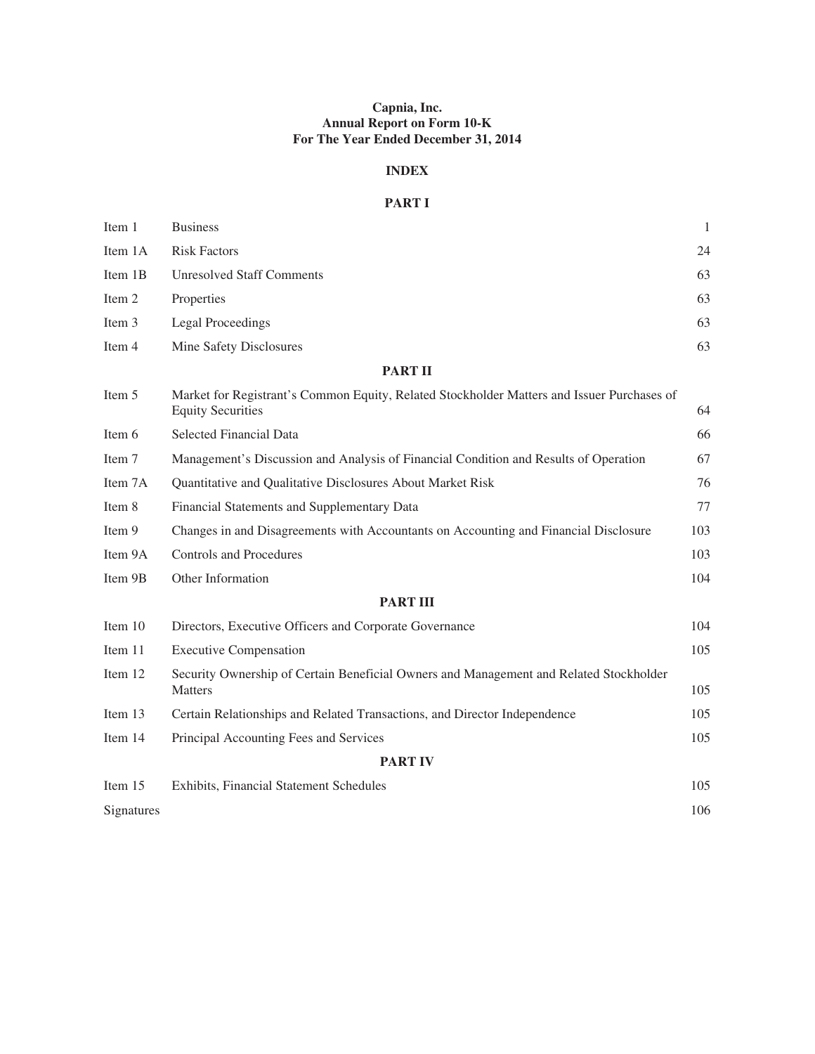# **Capnia, Inc. Annual Report on Form 10-K For The Year Ended December 31, 2014**

# **INDEX**

# **PART I**

| Item 1     | <b>Business</b>                                                                                                        | $\mathbf{1}$ |
|------------|------------------------------------------------------------------------------------------------------------------------|--------------|
| Item 1A    | <b>Risk Factors</b>                                                                                                    | 24           |
| Item 1B    | <b>Unresolved Staff Comments</b>                                                                                       | 63           |
| Item 2     | Properties                                                                                                             | 63           |
| Item 3     | <b>Legal Proceedings</b>                                                                                               | 63           |
| Item 4     | Mine Safety Disclosures                                                                                                | 63           |
|            | <b>PART II</b>                                                                                                         |              |
| Item 5     | Market for Registrant's Common Equity, Related Stockholder Matters and Issuer Purchases of<br><b>Equity Securities</b> | 64           |
| Item 6     | <b>Selected Financial Data</b>                                                                                         | 66           |
| Item 7     | Management's Discussion and Analysis of Financial Condition and Results of Operation                                   | 67           |
| Item 7A    | Quantitative and Qualitative Disclosures About Market Risk                                                             | 76           |
| Item 8     | Financial Statements and Supplementary Data                                                                            | 77           |
| Item 9     | Changes in and Disagreements with Accountants on Accounting and Financial Disclosure                                   | 103          |
| Item 9A    | <b>Controls and Procedures</b>                                                                                         | 103          |
| Item 9B    | Other Information                                                                                                      | 104          |
|            | <b>PART III</b>                                                                                                        |              |
| Item 10    | Directors, Executive Officers and Corporate Governance                                                                 | 104          |
| Item 11    | <b>Executive Compensation</b>                                                                                          | 105          |
| Item 12    | Security Ownership of Certain Beneficial Owners and Management and Related Stockholder<br><b>Matters</b>               | 105          |
| Item 13    | Certain Relationships and Related Transactions, and Director Independence                                              | 105          |
| Item 14    | Principal Accounting Fees and Services                                                                                 | 105          |
|            | <b>PART IV</b>                                                                                                         |              |
| Item 15    | Exhibits, Financial Statement Schedules                                                                                | 105          |
| Signatures |                                                                                                                        | 106          |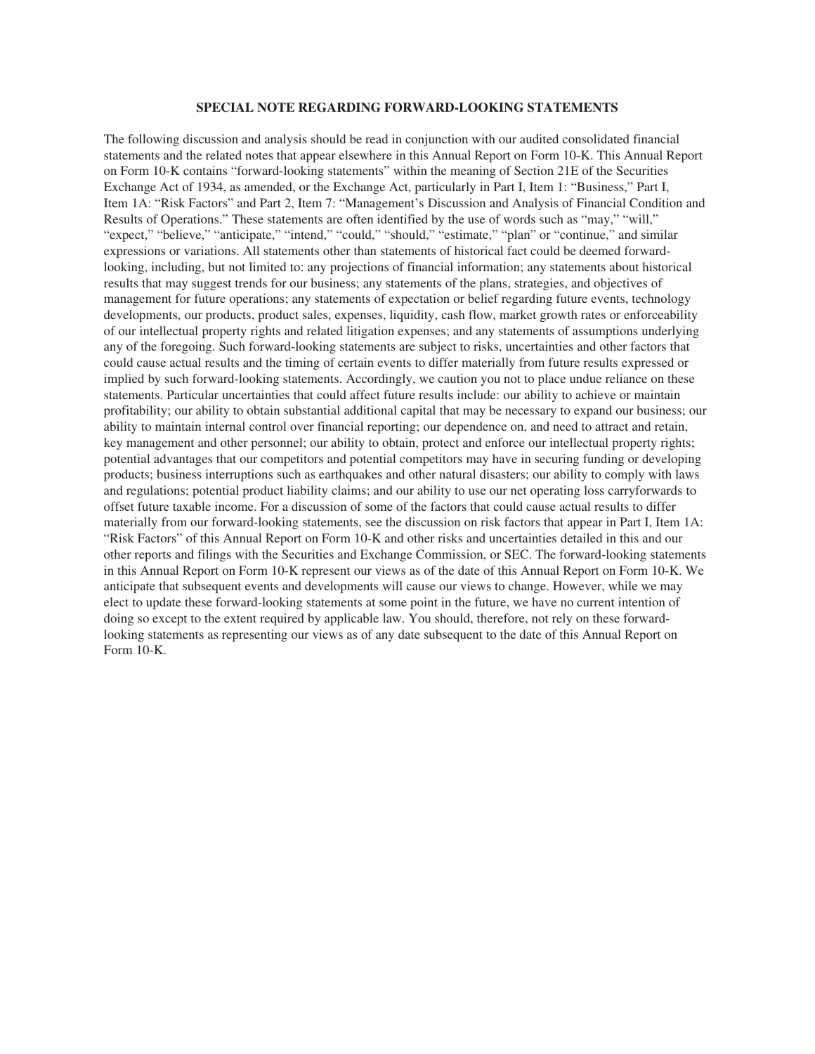#### **SPECIAL NOTE REGARDING FORWARD-LOOKING STATEMENTS**

The following discussion and analysis should be read in conjunction with our audited consolidated financial statements and the related notes that appear elsewhere in this Annual Report on Form 10-K. This Annual Report on Form 10-K contains "forward-looking statements" within the meaning of Section 21E of the Securities Exchange Act of 1934, as amended, or the Exchange Act, particularly in Part I, Item 1: "Business," Part I, Item 1A: "Risk Factors" and Part 2, Item 7: "Management's Discussion and Analysis of Financial Condition and Results of Operations." These statements are often identified by the use of words such as "may," "will," "expect," "believe," "anticipate," "intend," "could," "should," "estimate," "plan" or "continue," and similar expressions or variations. All statements other than statements of historical fact could be deemed forwardlooking, including, but not limited to: any projections of financial information; any statements about historical results that may suggest trends for our business; any statements of the plans, strategies, and objectives of management for future operations; any statements of expectation or belief regarding future events, technology developments, our products, product sales, expenses, liquidity, cash flow, market growth rates or enforceability of our intellectual property rights and related litigation expenses; and any statements of assumptions underlying any of the foregoing. Such forward-looking statements are subject to risks, uncertainties and other factors that could cause actual results and the timing of certain events to differ materially from future results expressed or implied by such forward-looking statements. Accordingly, we caution you not to place undue reliance on these statements. Particular uncertainties that could affect future results include: our ability to achieve or maintain profitability; our ability to obtain substantial additional capital that may be necessary to expand our business; our ability to maintain internal control over financial reporting; our dependence on, and need to attract and retain, key management and other personnel; our ability to obtain, protect and enforce our intellectual property rights; potential advantages that our competitors and potential competitors may have in securing funding or developing products; business interruptions such as earthquakes and other natural disasters; our ability to comply with laws and regulations; potential product liability claims; and our ability to use our net operating loss carryforwards to offset future taxable income. For a discussion of some of the factors that could cause actual results to differ materially from our forward-looking statements, see the discussion on risk factors that appear in Part I, Item 1A: "Risk Factors" of this Annual Report on Form 10-K and other risks and uncertainties detailed in this and our other reports and filings with the Securities and Exchange Commission, or SEC. The forward-looking statements in this Annual Report on Form 10-K represent our views as of the date of this Annual Report on Form 10-K. We anticipate that subsequent events and developments will cause our views to change. However, while we may elect to update these forward-looking statements at some point in the future, we have no current intention of doing so except to the extent required by applicable law. You should, therefore, not rely on these forwardlooking statements as representing our views as of any date subsequent to the date of this Annual Report on Form 10-K.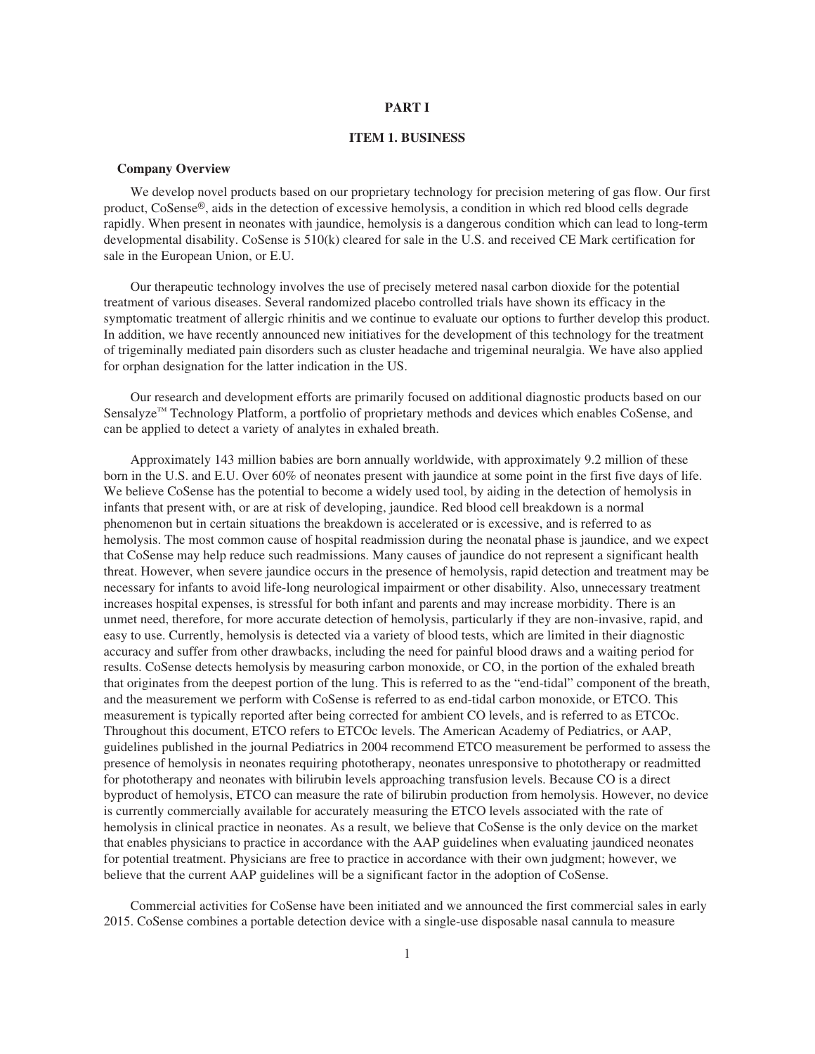#### **PART I**

## **ITEM 1. BUSINESS**

#### **Company Overview**

We develop novel products based on our proprietary technology for precision metering of gas flow. Our first product, CoSense®, aids in the detection of excessive hemolysis, a condition in which red blood cells degrade rapidly. When present in neonates with jaundice, hemolysis is a dangerous condition which can lead to long-term developmental disability. CoSense is 510(k) cleared for sale in the U.S. and received CE Mark certification for sale in the European Union, or E.U.

Our therapeutic technology involves the use of precisely metered nasal carbon dioxide for the potential treatment of various diseases. Several randomized placebo controlled trials have shown its efficacy in the symptomatic treatment of allergic rhinitis and we continue to evaluate our options to further develop this product. In addition, we have recently announced new initiatives for the development of this technology for the treatment of trigeminally mediated pain disorders such as cluster headache and trigeminal neuralgia. We have also applied for orphan designation for the latter indication in the US.

Our research and development efforts are primarily focused on additional diagnostic products based on our Sensalyze™ Technology Platform, a portfolio of proprietary methods and devices which enables CoSense, and can be applied to detect a variety of analytes in exhaled breath.

Approximately 143 million babies are born annually worldwide, with approximately 9.2 million of these born in the U.S. and E.U. Over 60% of neonates present with jaundice at some point in the first five days of life. We believe CoSense has the potential to become a widely used tool, by aiding in the detection of hemolysis in infants that present with, or are at risk of developing, jaundice. Red blood cell breakdown is a normal phenomenon but in certain situations the breakdown is accelerated or is excessive, and is referred to as hemolysis. The most common cause of hospital readmission during the neonatal phase is jaundice, and we expect that CoSense may help reduce such readmissions. Many causes of jaundice do not represent a significant health threat. However, when severe jaundice occurs in the presence of hemolysis, rapid detection and treatment may be necessary for infants to avoid life-long neurological impairment or other disability. Also, unnecessary treatment increases hospital expenses, is stressful for both infant and parents and may increase morbidity. There is an unmet need, therefore, for more accurate detection of hemolysis, particularly if they are non-invasive, rapid, and easy to use. Currently, hemolysis is detected via a variety of blood tests, which are limited in their diagnostic accuracy and suffer from other drawbacks, including the need for painful blood draws and a waiting period for results. CoSense detects hemolysis by measuring carbon monoxide, or CO, in the portion of the exhaled breath that originates from the deepest portion of the lung. This is referred to as the "end-tidal" component of the breath, and the measurement we perform with CoSense is referred to as end-tidal carbon monoxide, or ETCO. This measurement is typically reported after being corrected for ambient CO levels, and is referred to as ETCOc. Throughout this document, ETCO refers to ETCOc levels. The American Academy of Pediatrics, or AAP, guidelines published in the journal Pediatrics in 2004 recommend ETCO measurement be performed to assess the presence of hemolysis in neonates requiring phototherapy, neonates unresponsive to phototherapy or readmitted for phototherapy and neonates with bilirubin levels approaching transfusion levels. Because CO is a direct byproduct of hemolysis, ETCO can measure the rate of bilirubin production from hemolysis. However, no device is currently commercially available for accurately measuring the ETCO levels associated with the rate of hemolysis in clinical practice in neonates. As a result, we believe that CoSense is the only device on the market that enables physicians to practice in accordance with the AAP guidelines when evaluating jaundiced neonates for potential treatment. Physicians are free to practice in accordance with their own judgment; however, we believe that the current AAP guidelines will be a significant factor in the adoption of CoSense.

Commercial activities for CoSense have been initiated and we announced the first commercial sales in early 2015. CoSense combines a portable detection device with a single-use disposable nasal cannula to measure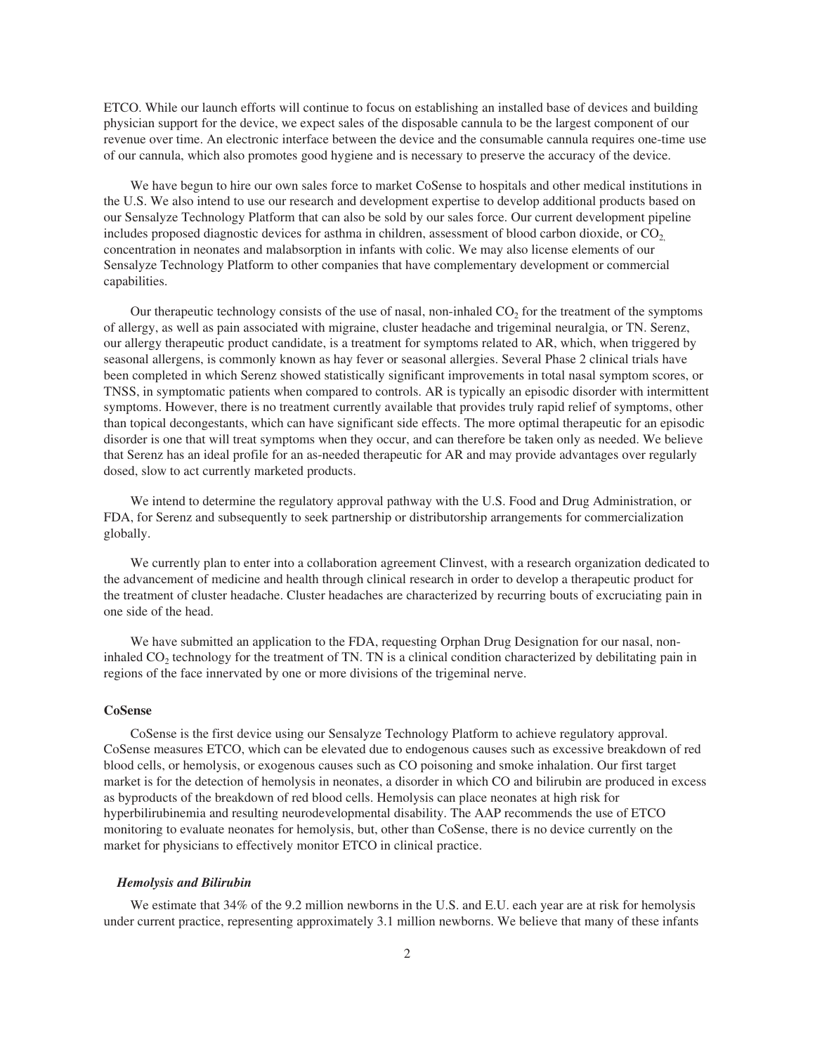ETCO. While our launch efforts will continue to focus on establishing an installed base of devices and building physician support for the device, we expect sales of the disposable cannula to be the largest component of our revenue over time. An electronic interface between the device and the consumable cannula requires one-time use of our cannula, which also promotes good hygiene and is necessary to preserve the accuracy of the device.

We have begun to hire our own sales force to market CoSense to hospitals and other medical institutions in the U.S. We also intend to use our research and development expertise to develop additional products based on our Sensalyze Technology Platform that can also be sold by our sales force. Our current development pipeline includes proposed diagnostic devices for asthma in children, assessment of blood carbon dioxide, or CO<sub>2</sub> concentration in neonates and malabsorption in infants with colic. We may also license elements of our Sensalyze Technology Platform to other companies that have complementary development or commercial capabilities.

Our therapeutic technology consists of the use of nasal, non-inhaled  $CO<sub>2</sub>$  for the treatment of the symptoms of allergy, as well as pain associated with migraine, cluster headache and trigeminal neuralgia, or TN. Serenz, our allergy therapeutic product candidate, is a treatment for symptoms related to AR, which, when triggered by seasonal allergens, is commonly known as hay fever or seasonal allergies. Several Phase 2 clinical trials have been completed in which Serenz showed statistically significant improvements in total nasal symptom scores, or TNSS, in symptomatic patients when compared to controls. AR is typically an episodic disorder with intermittent symptoms. However, there is no treatment currently available that provides truly rapid relief of symptoms, other than topical decongestants, which can have significant side effects. The more optimal therapeutic for an episodic disorder is one that will treat symptoms when they occur, and can therefore be taken only as needed. We believe that Serenz has an ideal profile for an as-needed therapeutic for AR and may provide advantages over regularly dosed, slow to act currently marketed products.

We intend to determine the regulatory approval pathway with the U.S. Food and Drug Administration, or FDA, for Serenz and subsequently to seek partnership or distributorship arrangements for commercialization globally.

We currently plan to enter into a collaboration agreement Clinvest, with a research organization dedicated to the advancement of medicine and health through clinical research in order to develop a therapeutic product for the treatment of cluster headache. Cluster headaches are characterized by recurring bouts of excruciating pain in one side of the head.

We have submitted an application to the FDA, requesting Orphan Drug Designation for our nasal, noninhaled  $CO<sub>2</sub>$  technology for the treatment of TN. TN is a clinical condition characterized by debilitating pain in regions of the face innervated by one or more divisions of the trigeminal nerve.

## **CoSense**

CoSense is the first device using our Sensalyze Technology Platform to achieve regulatory approval. CoSense measures ETCO, which can be elevated due to endogenous causes such as excessive breakdown of red blood cells, or hemolysis, or exogenous causes such as CO poisoning and smoke inhalation. Our first target market is for the detection of hemolysis in neonates, a disorder in which CO and bilirubin are produced in excess as byproducts of the breakdown of red blood cells. Hemolysis can place neonates at high risk for hyperbilirubinemia and resulting neurodevelopmental disability. The AAP recommends the use of ETCO monitoring to evaluate neonates for hemolysis, but, other than CoSense, there is no device currently on the market for physicians to effectively monitor ETCO in clinical practice.

#### *Hemolysis and Bilirubin*

We estimate that 34% of the 9.2 million newborns in the U.S. and E.U. each year are at risk for hemolysis under current practice, representing approximately 3.1 million newborns. We believe that many of these infants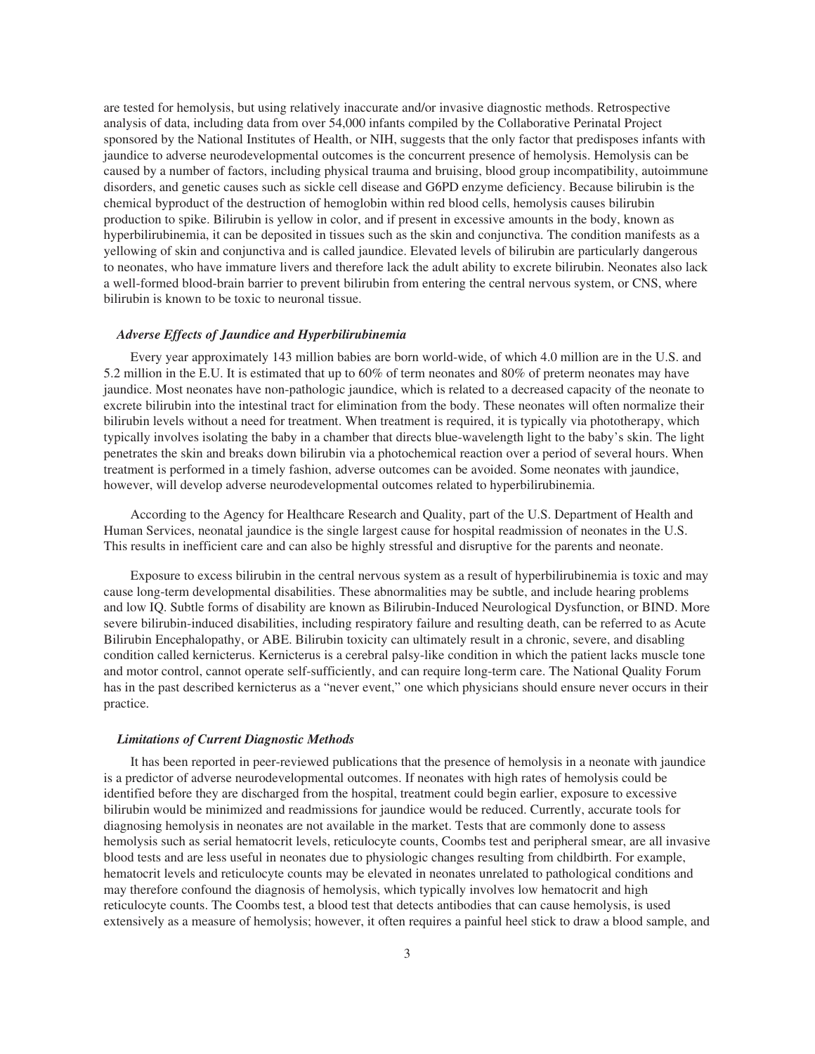are tested for hemolysis, but using relatively inaccurate and/or invasive diagnostic methods. Retrospective analysis of data, including data from over 54,000 infants compiled by the Collaborative Perinatal Project sponsored by the National Institutes of Health, or NIH, suggests that the only factor that predisposes infants with jaundice to adverse neurodevelopmental outcomes is the concurrent presence of hemolysis. Hemolysis can be caused by a number of factors, including physical trauma and bruising, blood group incompatibility, autoimmune disorders, and genetic causes such as sickle cell disease and G6PD enzyme deficiency. Because bilirubin is the chemical byproduct of the destruction of hemoglobin within red blood cells, hemolysis causes bilirubin production to spike. Bilirubin is yellow in color, and if present in excessive amounts in the body, known as hyperbilirubinemia, it can be deposited in tissues such as the skin and conjunctiva. The condition manifests as a yellowing of skin and conjunctiva and is called jaundice. Elevated levels of bilirubin are particularly dangerous to neonates, who have immature livers and therefore lack the adult ability to excrete bilirubin. Neonates also lack a well-formed blood-brain barrier to prevent bilirubin from entering the central nervous system, or CNS, where bilirubin is known to be toxic to neuronal tissue.

#### *Adverse Effects of Jaundice and Hyperbilirubinemia*

Every year approximately 143 million babies are born world-wide, of which 4.0 million are in the U.S. and 5.2 million in the E.U. It is estimated that up to 60% of term neonates and 80% of preterm neonates may have jaundice. Most neonates have non-pathologic jaundice, which is related to a decreased capacity of the neonate to excrete bilirubin into the intestinal tract for elimination from the body. These neonates will often normalize their bilirubin levels without a need for treatment. When treatment is required, it is typically via phototherapy, which typically involves isolating the baby in a chamber that directs blue-wavelength light to the baby's skin. The light penetrates the skin and breaks down bilirubin via a photochemical reaction over a period of several hours. When treatment is performed in a timely fashion, adverse outcomes can be avoided. Some neonates with jaundice, however, will develop adverse neurodevelopmental outcomes related to hyperbilirubinemia.

According to the Agency for Healthcare Research and Quality, part of the U.S. Department of Health and Human Services, neonatal jaundice is the single largest cause for hospital readmission of neonates in the U.S. This results in inefficient care and can also be highly stressful and disruptive for the parents and neonate.

Exposure to excess bilirubin in the central nervous system as a result of hyperbilirubinemia is toxic and may cause long-term developmental disabilities. These abnormalities may be subtle, and include hearing problems and low IQ. Subtle forms of disability are known as Bilirubin-Induced Neurological Dysfunction, or BIND. More severe bilirubin-induced disabilities, including respiratory failure and resulting death, can be referred to as Acute Bilirubin Encephalopathy, or ABE. Bilirubin toxicity can ultimately result in a chronic, severe, and disabling condition called kernicterus. Kernicterus is a cerebral palsy-like condition in which the patient lacks muscle tone and motor control, cannot operate self-sufficiently, and can require long-term care. The National Quality Forum has in the past described kernicterus as a "never event," one which physicians should ensure never occurs in their practice.

#### *Limitations of Current Diagnostic Methods*

It has been reported in peer-reviewed publications that the presence of hemolysis in a neonate with jaundice is a predictor of adverse neurodevelopmental outcomes. If neonates with high rates of hemolysis could be identified before they are discharged from the hospital, treatment could begin earlier, exposure to excessive bilirubin would be minimized and readmissions for jaundice would be reduced. Currently, accurate tools for diagnosing hemolysis in neonates are not available in the market. Tests that are commonly done to assess hemolysis such as serial hematocrit levels, reticulocyte counts, Coombs test and peripheral smear, are all invasive blood tests and are less useful in neonates due to physiologic changes resulting from childbirth. For example, hematocrit levels and reticulocyte counts may be elevated in neonates unrelated to pathological conditions and may therefore confound the diagnosis of hemolysis, which typically involves low hematocrit and high reticulocyte counts. The Coombs test, a blood test that detects antibodies that can cause hemolysis, is used extensively as a measure of hemolysis; however, it often requires a painful heel stick to draw a blood sample, and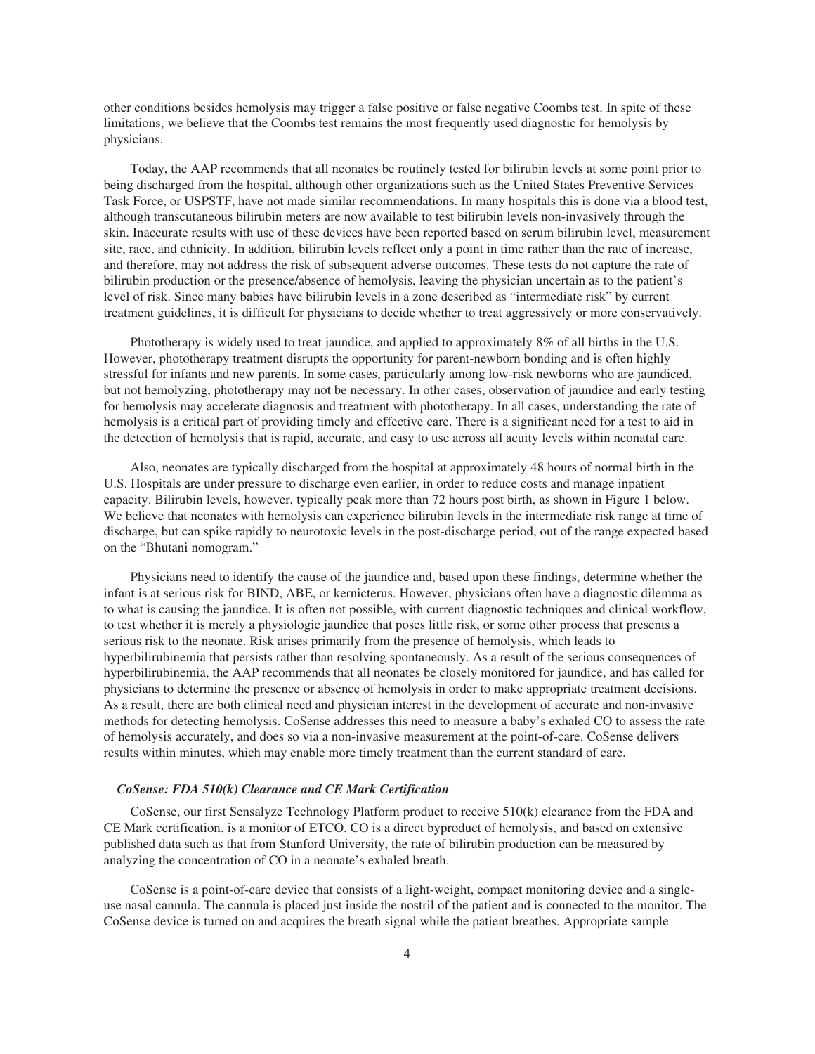other conditions besides hemolysis may trigger a false positive or false negative Coombs test. In spite of these limitations, we believe that the Coombs test remains the most frequently used diagnostic for hemolysis by physicians.

Today, the AAP recommends that all neonates be routinely tested for bilirubin levels at some point prior to being discharged from the hospital, although other organizations such as the United States Preventive Services Task Force, or USPSTF, have not made similar recommendations. In many hospitals this is done via a blood test, although transcutaneous bilirubin meters are now available to test bilirubin levels non-invasively through the skin. Inaccurate results with use of these devices have been reported based on serum bilirubin level, measurement site, race, and ethnicity. In addition, bilirubin levels reflect only a point in time rather than the rate of increase, and therefore, may not address the risk of subsequent adverse outcomes. These tests do not capture the rate of bilirubin production or the presence/absence of hemolysis, leaving the physician uncertain as to the patient's level of risk. Since many babies have bilirubin levels in a zone described as "intermediate risk" by current treatment guidelines, it is difficult for physicians to decide whether to treat aggressively or more conservatively.

Phototherapy is widely used to treat jaundice, and applied to approximately 8% of all births in the U.S. However, phototherapy treatment disrupts the opportunity for parent-newborn bonding and is often highly stressful for infants and new parents. In some cases, particularly among low-risk newborns who are jaundiced, but not hemolyzing, phototherapy may not be necessary. In other cases, observation of jaundice and early testing for hemolysis may accelerate diagnosis and treatment with phototherapy. In all cases, understanding the rate of hemolysis is a critical part of providing timely and effective care. There is a significant need for a test to aid in the detection of hemolysis that is rapid, accurate, and easy to use across all acuity levels within neonatal care.

Also, neonates are typically discharged from the hospital at approximately 48 hours of normal birth in the U.S. Hospitals are under pressure to discharge even earlier, in order to reduce costs and manage inpatient capacity. Bilirubin levels, however, typically peak more than 72 hours post birth, as shown in Figure 1 below. We believe that neonates with hemolysis can experience bilirubin levels in the intermediate risk range at time of discharge, but can spike rapidly to neurotoxic levels in the post-discharge period, out of the range expected based on the "Bhutani nomogram."

Physicians need to identify the cause of the jaundice and, based upon these findings, determine whether the infant is at serious risk for BIND, ABE, or kernicterus. However, physicians often have a diagnostic dilemma as to what is causing the jaundice. It is often not possible, with current diagnostic techniques and clinical workflow, to test whether it is merely a physiologic jaundice that poses little risk, or some other process that presents a serious risk to the neonate. Risk arises primarily from the presence of hemolysis, which leads to hyperbilirubinemia that persists rather than resolving spontaneously. As a result of the serious consequences of hyperbilirubinemia, the AAP recommends that all neonates be closely monitored for jaundice, and has called for physicians to determine the presence or absence of hemolysis in order to make appropriate treatment decisions. As a result, there are both clinical need and physician interest in the development of accurate and non-invasive methods for detecting hemolysis. CoSense addresses this need to measure a baby's exhaled CO to assess the rate of hemolysis accurately, and does so via a non-invasive measurement at the point-of-care. CoSense delivers results within minutes, which may enable more timely treatment than the current standard of care.

#### *CoSense: FDA 510(k) Clearance and CE Mark Certification*

CoSense, our first Sensalyze Technology Platform product to receive 510(k) clearance from the FDA and CE Mark certification, is a monitor of ETCO. CO is a direct byproduct of hemolysis, and based on extensive published data such as that from Stanford University, the rate of bilirubin production can be measured by analyzing the concentration of CO in a neonate's exhaled breath.

CoSense is a point-of-care device that consists of a light-weight, compact monitoring device and a singleuse nasal cannula. The cannula is placed just inside the nostril of the patient and is connected to the monitor. The CoSense device is turned on and acquires the breath signal while the patient breathes. Appropriate sample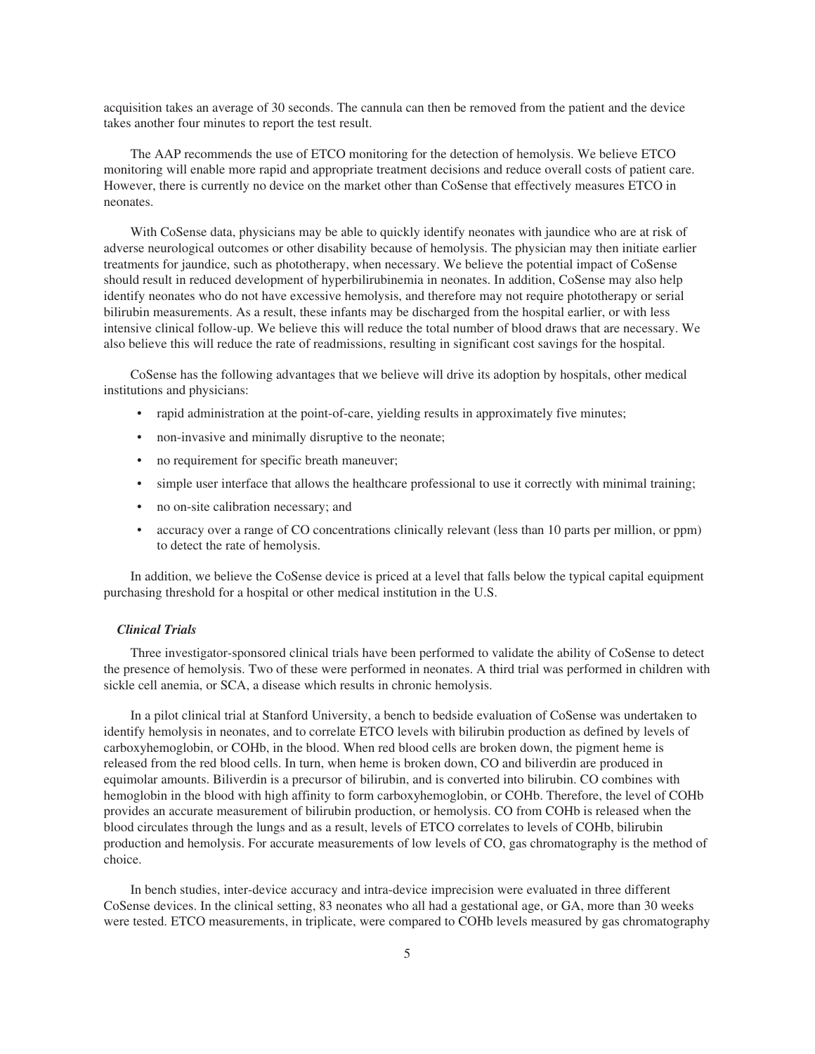acquisition takes an average of 30 seconds. The cannula can then be removed from the patient and the device takes another four minutes to report the test result.

The AAP recommends the use of ETCO monitoring for the detection of hemolysis. We believe ETCO monitoring will enable more rapid and appropriate treatment decisions and reduce overall costs of patient care. However, there is currently no device on the market other than CoSense that effectively measures ETCO in neonates.

With CoSense data, physicians may be able to quickly identify neonates with jaundice who are at risk of adverse neurological outcomes or other disability because of hemolysis. The physician may then initiate earlier treatments for jaundice, such as phototherapy, when necessary. We believe the potential impact of CoSense should result in reduced development of hyperbilirubinemia in neonates. In addition, CoSense may also help identify neonates who do not have excessive hemolysis, and therefore may not require phototherapy or serial bilirubin measurements. As a result, these infants may be discharged from the hospital earlier, or with less intensive clinical follow-up. We believe this will reduce the total number of blood draws that are necessary. We also believe this will reduce the rate of readmissions, resulting in significant cost savings for the hospital.

CoSense has the following advantages that we believe will drive its adoption by hospitals, other medical institutions and physicians:

- rapid administration at the point-of-care, yielding results in approximately five minutes;
- non-invasive and minimally disruptive to the neonate;
- no requirement for specific breath maneuver;
- simple user interface that allows the healthcare professional to use it correctly with minimal training;
- no on-site calibration necessary; and
- accuracy over a range of CO concentrations clinically relevant (less than 10 parts per million, or ppm) to detect the rate of hemolysis.

In addition, we believe the CoSense device is priced at a level that falls below the typical capital equipment purchasing threshold for a hospital or other medical institution in the U.S.

# *Clinical Trials*

Three investigator-sponsored clinical trials have been performed to validate the ability of CoSense to detect the presence of hemolysis. Two of these were performed in neonates. A third trial was performed in children with sickle cell anemia, or SCA, a disease which results in chronic hemolysis.

In a pilot clinical trial at Stanford University, a bench to bedside evaluation of CoSense was undertaken to identify hemolysis in neonates, and to correlate ETCO levels with bilirubin production as defined by levels of carboxyhemoglobin, or COHb, in the blood. When red blood cells are broken down, the pigment heme is released from the red blood cells. In turn, when heme is broken down, CO and biliverdin are produced in equimolar amounts. Biliverdin is a precursor of bilirubin, and is converted into bilirubin. CO combines with hemoglobin in the blood with high affinity to form carboxyhemoglobin, or COHb. Therefore, the level of COHb provides an accurate measurement of bilirubin production, or hemolysis. CO from COHb is released when the blood circulates through the lungs and as a result, levels of ETCO correlates to levels of COHb, bilirubin production and hemolysis. For accurate measurements of low levels of CO, gas chromatography is the method of choice.

In bench studies, inter-device accuracy and intra-device imprecision were evaluated in three different CoSense devices. In the clinical setting, 83 neonates who all had a gestational age, or GA, more than 30 weeks were tested. ETCO measurements, in triplicate, were compared to COHb levels measured by gas chromatography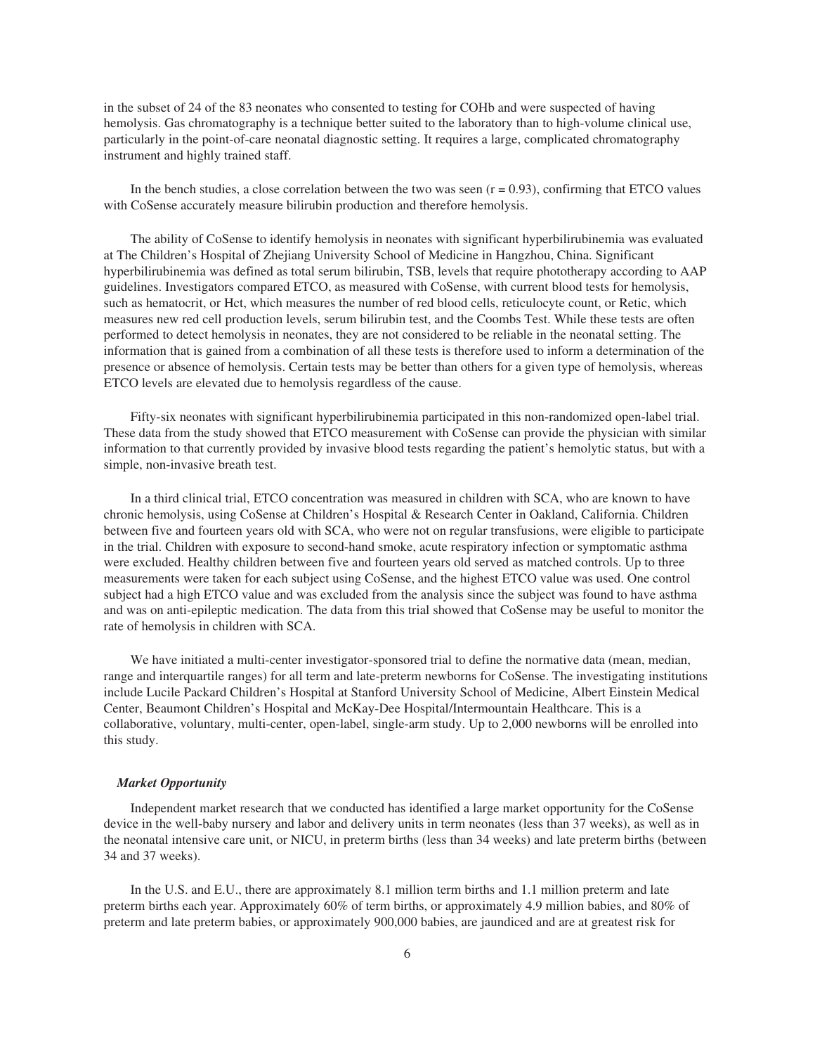in the subset of 24 of the 83 neonates who consented to testing for COHb and were suspected of having hemolysis. Gas chromatography is a technique better suited to the laboratory than to high-volume clinical use, particularly in the point-of-care neonatal diagnostic setting. It requires a large, complicated chromatography instrument and highly trained staff.

In the bench studies, a close correlation between the two was seen  $(r = 0.93)$ , confirming that ETCO values with CoSense accurately measure bilirubin production and therefore hemolysis.

The ability of CoSense to identify hemolysis in neonates with significant hyperbilirubinemia was evaluated at The Children's Hospital of Zhejiang University School of Medicine in Hangzhou, China. Significant hyperbilirubinemia was defined as total serum bilirubin, TSB, levels that require phototherapy according to AAP guidelines. Investigators compared ETCO, as measured with CoSense, with current blood tests for hemolysis, such as hematocrit, or Hct, which measures the number of red blood cells, reticulocyte count, or Retic, which measures new red cell production levels, serum bilirubin test, and the Coombs Test. While these tests are often performed to detect hemolysis in neonates, they are not considered to be reliable in the neonatal setting. The information that is gained from a combination of all these tests is therefore used to inform a determination of the presence or absence of hemolysis. Certain tests may be better than others for a given type of hemolysis, whereas ETCO levels are elevated due to hemolysis regardless of the cause.

Fifty-six neonates with significant hyperbilirubinemia participated in this non-randomized open-label trial. These data from the study showed that ETCO measurement with CoSense can provide the physician with similar information to that currently provided by invasive blood tests regarding the patient's hemolytic status, but with a simple, non-invasive breath test.

In a third clinical trial, ETCO concentration was measured in children with SCA, who are known to have chronic hemolysis, using CoSense at Children's Hospital & Research Center in Oakland, California. Children between five and fourteen years old with SCA, who were not on regular transfusions, were eligible to participate in the trial. Children with exposure to second-hand smoke, acute respiratory infection or symptomatic asthma were excluded. Healthy children between five and fourteen years old served as matched controls. Up to three measurements were taken for each subject using CoSense, and the highest ETCO value was used. One control subject had a high ETCO value and was excluded from the analysis since the subject was found to have asthma and was on anti-epileptic medication. The data from this trial showed that CoSense may be useful to monitor the rate of hemolysis in children with SCA.

We have initiated a multi-center investigator-sponsored trial to define the normative data (mean, median, range and interquartile ranges) for all term and late-preterm newborns for CoSense. The investigating institutions include Lucile Packard Children's Hospital at Stanford University School of Medicine, Albert Einstein Medical Center, Beaumont Children's Hospital and McKay-Dee Hospital/Intermountain Healthcare. This is a collaborative, voluntary, multi-center, open-label, single-arm study. Up to 2,000 newborns will be enrolled into this study.

#### *Market Opportunity*

Independent market research that we conducted has identified a large market opportunity for the CoSense device in the well-baby nursery and labor and delivery units in term neonates (less than 37 weeks), as well as in the neonatal intensive care unit, or NICU, in preterm births (less than 34 weeks) and late preterm births (between 34 and 37 weeks).

In the U.S. and E.U., there are approximately 8.1 million term births and 1.1 million preterm and late preterm births each year. Approximately 60% of term births, or approximately 4.9 million babies, and 80% of preterm and late preterm babies, or approximately 900,000 babies, are jaundiced and are at greatest risk for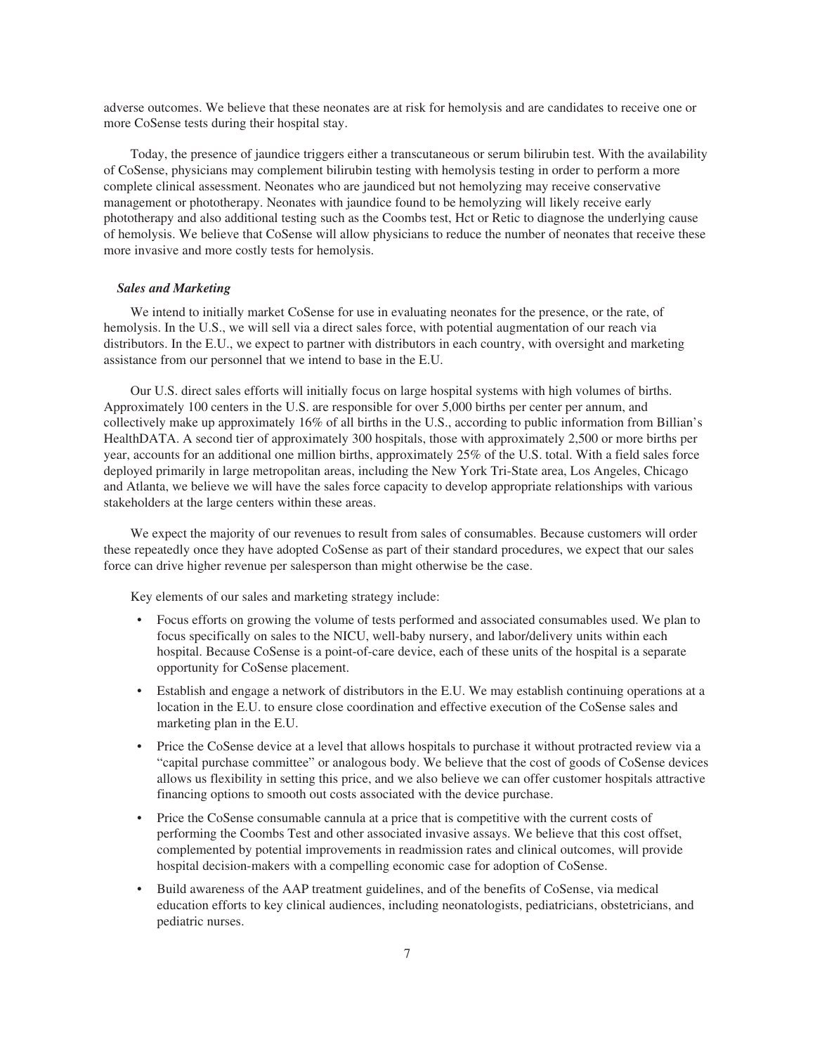adverse outcomes. We believe that these neonates are at risk for hemolysis and are candidates to receive one or more CoSense tests during their hospital stay.

Today, the presence of jaundice triggers either a transcutaneous or serum bilirubin test. With the availability of CoSense, physicians may complement bilirubin testing with hemolysis testing in order to perform a more complete clinical assessment. Neonates who are jaundiced but not hemolyzing may receive conservative management or phototherapy. Neonates with jaundice found to be hemolyzing will likely receive early phototherapy and also additional testing such as the Coombs test, Hct or Retic to diagnose the underlying cause of hemolysis. We believe that CoSense will allow physicians to reduce the number of neonates that receive these more invasive and more costly tests for hemolysis.

#### *Sales and Marketing*

We intend to initially market CoSense for use in evaluating neonates for the presence, or the rate, of hemolysis. In the U.S., we will sell via a direct sales force, with potential augmentation of our reach via distributors. In the E.U., we expect to partner with distributors in each country, with oversight and marketing assistance from our personnel that we intend to base in the E.U.

Our U.S. direct sales efforts will initially focus on large hospital systems with high volumes of births. Approximately 100 centers in the U.S. are responsible for over 5,000 births per center per annum, and collectively make up approximately 16% of all births in the U.S., according to public information from Billian's HealthDATA. A second tier of approximately 300 hospitals, those with approximately 2,500 or more births per year, accounts for an additional one million births, approximately 25% of the U.S. total. With a field sales force deployed primarily in large metropolitan areas, including the New York Tri-State area, Los Angeles, Chicago and Atlanta, we believe we will have the sales force capacity to develop appropriate relationships with various stakeholders at the large centers within these areas.

We expect the majority of our revenues to result from sales of consumables. Because customers will order these repeatedly once they have adopted CoSense as part of their standard procedures, we expect that our sales force can drive higher revenue per salesperson than might otherwise be the case.

Key elements of our sales and marketing strategy include:

- Focus efforts on growing the volume of tests performed and associated consumables used. We plan to focus specifically on sales to the NICU, well-baby nursery, and labor/delivery units within each hospital. Because CoSense is a point-of-care device, each of these units of the hospital is a separate opportunity for CoSense placement.
- Establish and engage a network of distributors in the E.U. We may establish continuing operations at a location in the E.U. to ensure close coordination and effective execution of the CoSense sales and marketing plan in the E.U.
- Price the CoSense device at a level that allows hospitals to purchase it without protracted review via a "capital purchase committee" or analogous body. We believe that the cost of goods of CoSense devices allows us flexibility in setting this price, and we also believe we can offer customer hospitals attractive financing options to smooth out costs associated with the device purchase.
- Price the CoSense consumable cannula at a price that is competitive with the current costs of performing the Coombs Test and other associated invasive assays. We believe that this cost offset, complemented by potential improvements in readmission rates and clinical outcomes, will provide hospital decision-makers with a compelling economic case for adoption of CoSense.
- Build awareness of the AAP treatment guidelines, and of the benefits of CoSense, via medical education efforts to key clinical audiences, including neonatologists, pediatricians, obstetricians, and pediatric nurses.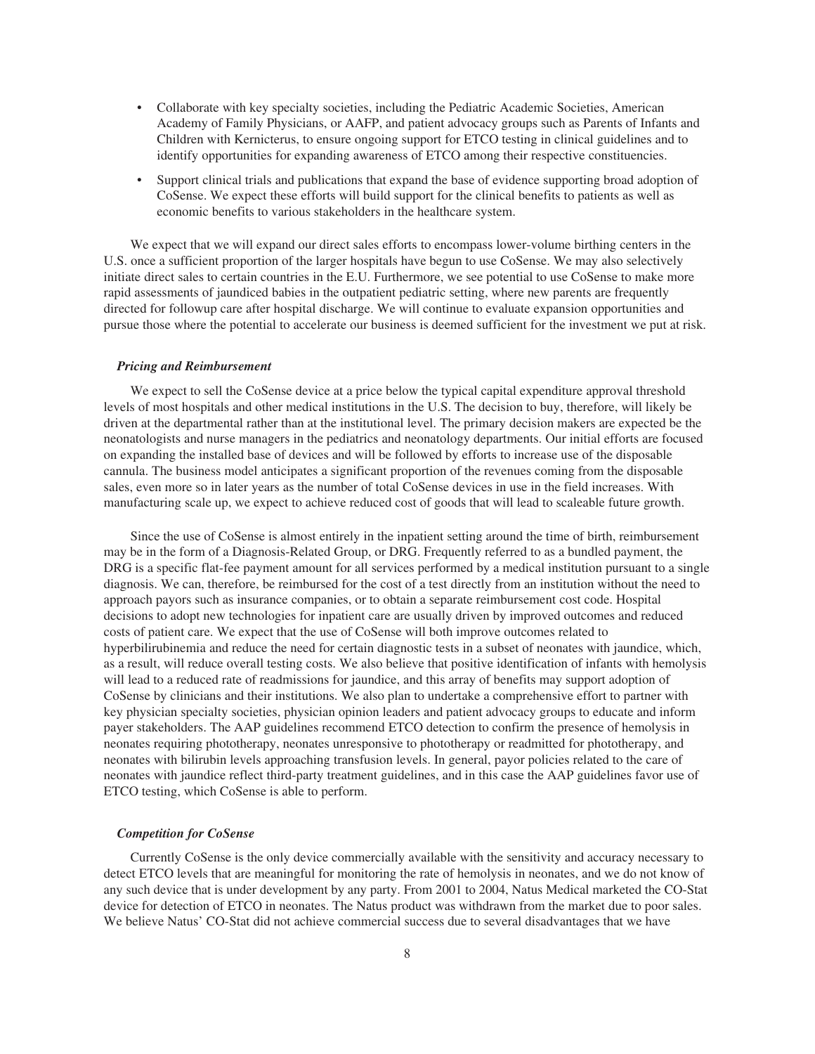- Collaborate with key specialty societies, including the Pediatric Academic Societies, American Academy of Family Physicians, or AAFP, and patient advocacy groups such as Parents of Infants and Children with Kernicterus, to ensure ongoing support for ETCO testing in clinical guidelines and to identify opportunities for expanding awareness of ETCO among their respective constituencies.
- Support clinical trials and publications that expand the base of evidence supporting broad adoption of CoSense. We expect these efforts will build support for the clinical benefits to patients as well as economic benefits to various stakeholders in the healthcare system.

We expect that we will expand our direct sales efforts to encompass lower-volume birthing centers in the U.S. once a sufficient proportion of the larger hospitals have begun to use CoSense. We may also selectively initiate direct sales to certain countries in the E.U. Furthermore, we see potential to use CoSense to make more rapid assessments of jaundiced babies in the outpatient pediatric setting, where new parents are frequently directed for followup care after hospital discharge. We will continue to evaluate expansion opportunities and pursue those where the potential to accelerate our business is deemed sufficient for the investment we put at risk.

#### *Pricing and Reimbursement*

We expect to sell the CoSense device at a price below the typical capital expenditure approval threshold levels of most hospitals and other medical institutions in the U.S. The decision to buy, therefore, will likely be driven at the departmental rather than at the institutional level. The primary decision makers are expected be the neonatologists and nurse managers in the pediatrics and neonatology departments. Our initial efforts are focused on expanding the installed base of devices and will be followed by efforts to increase use of the disposable cannula. The business model anticipates a significant proportion of the revenues coming from the disposable sales, even more so in later years as the number of total CoSense devices in use in the field increases. With manufacturing scale up, we expect to achieve reduced cost of goods that will lead to scaleable future growth.

Since the use of CoSense is almost entirely in the inpatient setting around the time of birth, reimbursement may be in the form of a Diagnosis-Related Group, or DRG. Frequently referred to as a bundled payment, the DRG is a specific flat-fee payment amount for all services performed by a medical institution pursuant to a single diagnosis. We can, therefore, be reimbursed for the cost of a test directly from an institution without the need to approach payors such as insurance companies, or to obtain a separate reimbursement cost code. Hospital decisions to adopt new technologies for inpatient care are usually driven by improved outcomes and reduced costs of patient care. We expect that the use of CoSense will both improve outcomes related to hyperbilirubinemia and reduce the need for certain diagnostic tests in a subset of neonates with jaundice, which, as a result, will reduce overall testing costs. We also believe that positive identification of infants with hemolysis will lead to a reduced rate of readmissions for jaundice, and this array of benefits may support adoption of CoSense by clinicians and their institutions. We also plan to undertake a comprehensive effort to partner with key physician specialty societies, physician opinion leaders and patient advocacy groups to educate and inform payer stakeholders. The AAP guidelines recommend ETCO detection to confirm the presence of hemolysis in neonates requiring phototherapy, neonates unresponsive to phototherapy or readmitted for phototherapy, and neonates with bilirubin levels approaching transfusion levels. In general, payor policies related to the care of neonates with jaundice reflect third-party treatment guidelines, and in this case the AAP guidelines favor use of ETCO testing, which CoSense is able to perform.

#### *Competition for CoSense*

Currently CoSense is the only device commercially available with the sensitivity and accuracy necessary to detect ETCO levels that are meaningful for monitoring the rate of hemolysis in neonates, and we do not know of any such device that is under development by any party. From 2001 to 2004, Natus Medical marketed the CO-Stat device for detection of ETCO in neonates. The Natus product was withdrawn from the market due to poor sales. We believe Natus' CO-Stat did not achieve commercial success due to several disadvantages that we have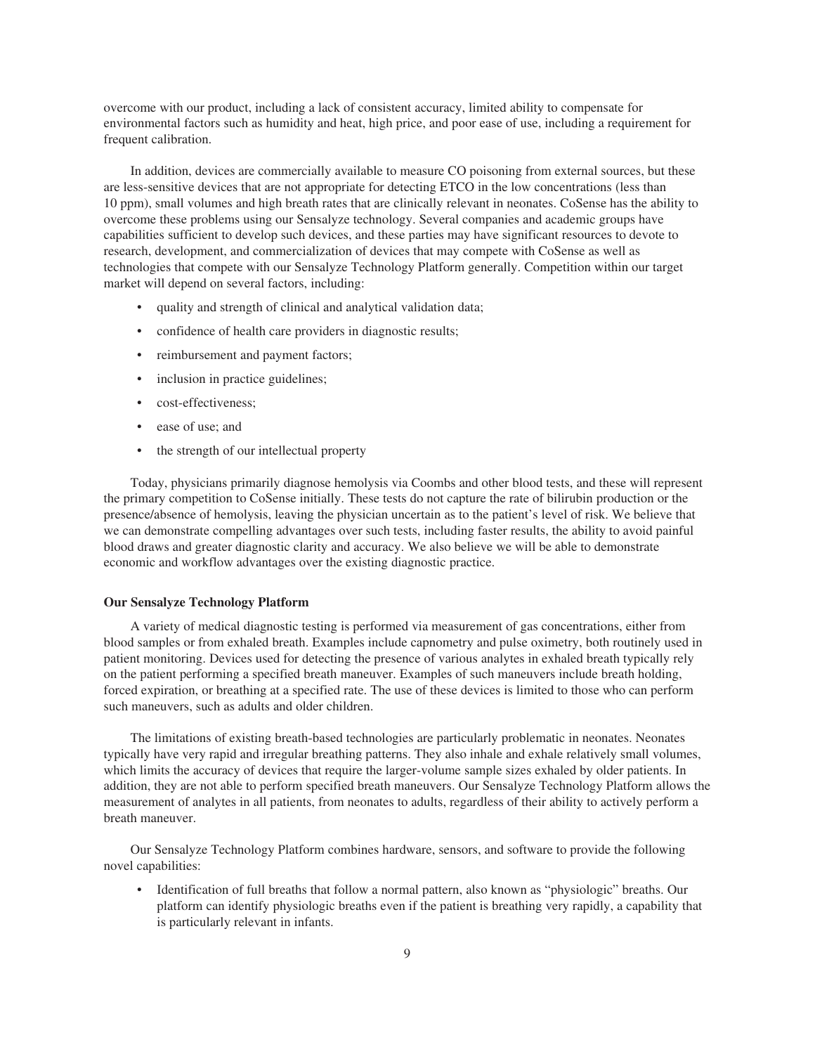overcome with our product, including a lack of consistent accuracy, limited ability to compensate for environmental factors such as humidity and heat, high price, and poor ease of use, including a requirement for frequent calibration.

In addition, devices are commercially available to measure CO poisoning from external sources, but these are less-sensitive devices that are not appropriate for detecting ETCO in the low concentrations (less than 10 ppm), small volumes and high breath rates that are clinically relevant in neonates. CoSense has the ability to overcome these problems using our Sensalyze technology. Several companies and academic groups have capabilities sufficient to develop such devices, and these parties may have significant resources to devote to research, development, and commercialization of devices that may compete with CoSense as well as technologies that compete with our Sensalyze Technology Platform generally. Competition within our target market will depend on several factors, including:

- quality and strength of clinical and analytical validation data;
- confidence of health care providers in diagnostic results;
- reimbursement and payment factors;
- inclusion in practice guidelines;
- cost-effectiveness;
- ease of use; and
- the strength of our intellectual property

Today, physicians primarily diagnose hemolysis via Coombs and other blood tests, and these will represent the primary competition to CoSense initially. These tests do not capture the rate of bilirubin production or the presence/absence of hemolysis, leaving the physician uncertain as to the patient's level of risk. We believe that we can demonstrate compelling advantages over such tests, including faster results, the ability to avoid painful blood draws and greater diagnostic clarity and accuracy. We also believe we will be able to demonstrate economic and workflow advantages over the existing diagnostic practice.

#### **Our Sensalyze Technology Platform**

A variety of medical diagnostic testing is performed via measurement of gas concentrations, either from blood samples or from exhaled breath. Examples include capnometry and pulse oximetry, both routinely used in patient monitoring. Devices used for detecting the presence of various analytes in exhaled breath typically rely on the patient performing a specified breath maneuver. Examples of such maneuvers include breath holding, forced expiration, or breathing at a specified rate. The use of these devices is limited to those who can perform such maneuvers, such as adults and older children.

The limitations of existing breath-based technologies are particularly problematic in neonates. Neonates typically have very rapid and irregular breathing patterns. They also inhale and exhale relatively small volumes, which limits the accuracy of devices that require the larger-volume sample sizes exhaled by older patients. In addition, they are not able to perform specified breath maneuvers. Our Sensalyze Technology Platform allows the measurement of analytes in all patients, from neonates to adults, regardless of their ability to actively perform a breath maneuver.

Our Sensalyze Technology Platform combines hardware, sensors, and software to provide the following novel capabilities:

• Identification of full breaths that follow a normal pattern, also known as "physiologic" breaths. Our platform can identify physiologic breaths even if the patient is breathing very rapidly, a capability that is particularly relevant in infants.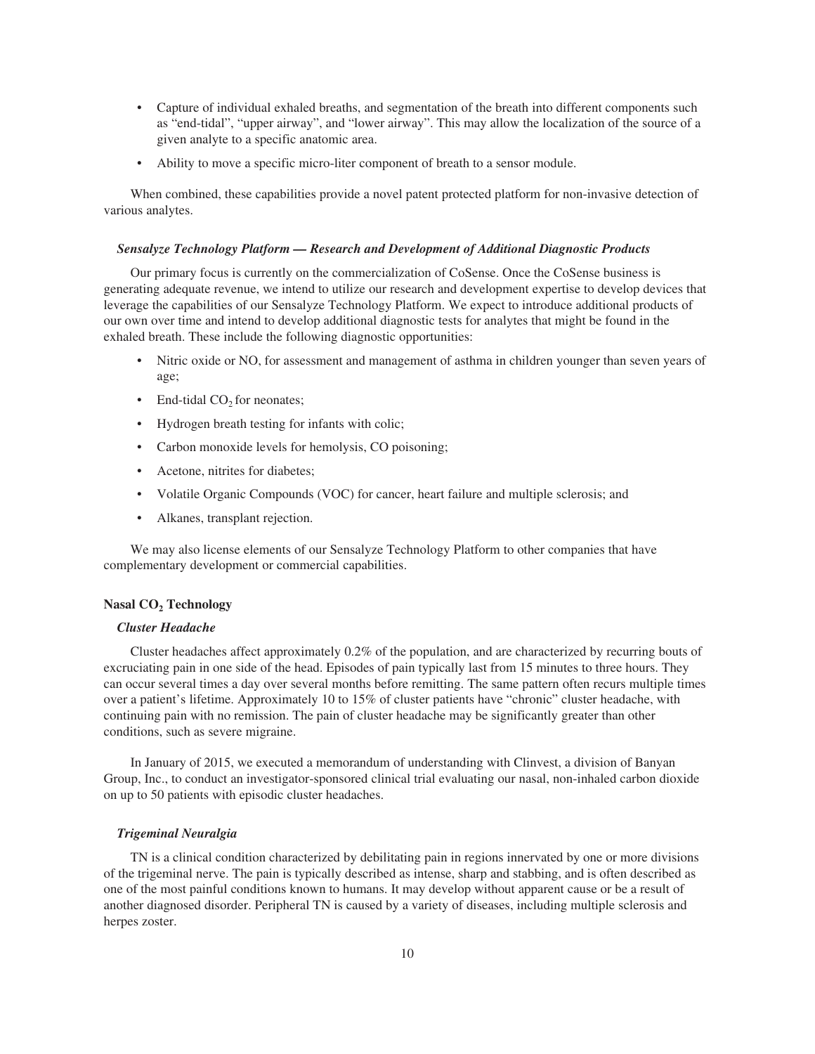- Capture of individual exhaled breaths, and segmentation of the breath into different components such as "end-tidal", "upper airway", and "lower airway". This may allow the localization of the source of a given analyte to a specific anatomic area.
- Ability to move a specific micro-liter component of breath to a sensor module.

When combined, these capabilities provide a novel patent protected platform for non-invasive detection of various analytes.

#### *Sensalyze Technology Platform — Research and Development of Additional Diagnostic Products*

Our primary focus is currently on the commercialization of CoSense. Once the CoSense business is generating adequate revenue, we intend to utilize our research and development expertise to develop devices that leverage the capabilities of our Sensalyze Technology Platform. We expect to introduce additional products of our own over time and intend to develop additional diagnostic tests for analytes that might be found in the exhaled breath. These include the following diagnostic opportunities:

- Nitric oxide or NO, for assessment and management of asthma in children younger than seven years of age;
- End-tidal  $CO<sub>2</sub>$  for neonates;
- Hydrogen breath testing for infants with colic;
- Carbon monoxide levels for hemolysis, CO poisoning;
- Acetone, nitrites for diabetes:
- Volatile Organic Compounds (VOC) for cancer, heart failure and multiple sclerosis; and
- Alkanes, transplant rejection.

We may also license elements of our Sensalyze Technology Platform to other companies that have complementary development or commercial capabilities.

#### **Nasal CO2 Technology**

#### *Cluster Headache*

Cluster headaches affect approximately 0.2% of the population, and are characterized by recurring bouts of excruciating pain in one side of the head. Episodes of pain typically last from 15 minutes to three hours. They can occur several times a day over several months before remitting. The same pattern often recurs multiple times over a patient's lifetime. Approximately 10 to 15% of cluster patients have "chronic" cluster headache, with continuing pain with no remission. The pain of cluster headache may be significantly greater than other conditions, such as severe migraine.

In January of 2015, we executed a memorandum of understanding with Clinvest, a division of Banyan Group, Inc., to conduct an investigator-sponsored clinical trial evaluating our nasal, non-inhaled carbon dioxide on up to 50 patients with episodic cluster headaches.

#### *Trigeminal Neuralgia*

TN is a clinical condition characterized by debilitating pain in regions innervated by one or more divisions of the trigeminal nerve. The pain is typically described as intense, sharp and stabbing, and is often described as one of the most painful conditions known to humans. It may develop without apparent cause or be a result of another diagnosed disorder. Peripheral TN is caused by a variety of diseases, including multiple sclerosis and herpes zoster.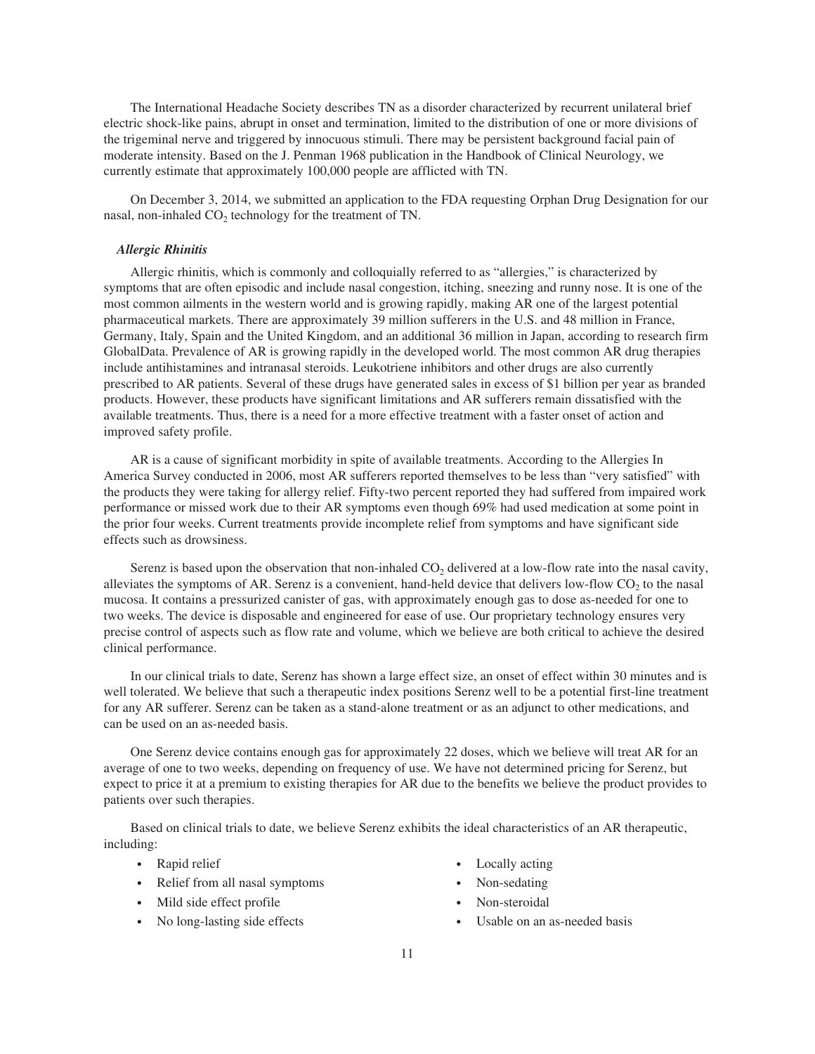The International Headache Society describes TN as a disorder characterized by recurrent unilateral brief electric shock-like pains, abrupt in onset and termination, limited to the distribution of one or more divisions of the trigeminal nerve and triggered by innocuous stimuli. There may be persistent background facial pain of moderate intensity. Based on the J. Penman 1968 publication in the Handbook of Clinical Neurology, we currently estimate that approximately 100,000 people are afflicted with TN.

On December 3, 2014, we submitted an application to the FDA requesting Orphan Drug Designation for our nasal, non-inhaled  $CO<sub>2</sub>$  technology for the treatment of TN.

#### *Allergic Rhinitis*

Allergic rhinitis, which is commonly and colloquially referred to as "allergies," is characterized by symptoms that are often episodic and include nasal congestion, itching, sneezing and runny nose. It is one of the most common ailments in the western world and is growing rapidly, making AR one of the largest potential pharmaceutical markets. There are approximately 39 million sufferers in the U.S. and 48 million in France, Germany, Italy, Spain and the United Kingdom, and an additional 36 million in Japan, according to research firm GlobalData. Prevalence of AR is growing rapidly in the developed world. The most common AR drug therapies include antihistamines and intranasal steroids. Leukotriene inhibitors and other drugs are also currently prescribed to AR patients. Several of these drugs have generated sales in excess of \$1 billion per year as branded products. However, these products have significant limitations and AR sufferers remain dissatisfied with the available treatments. Thus, there is a need for a more effective treatment with a faster onset of action and improved safety profile.

AR is a cause of significant morbidity in spite of available treatments. According to the Allergies In America Survey conducted in 2006, most AR sufferers reported themselves to be less than "very satisfied" with the products they were taking for allergy relief. Fifty-two percent reported they had suffered from impaired work performance or missed work due to their AR symptoms even though 69% had used medication at some point in the prior four weeks. Current treatments provide incomplete relief from symptoms and have significant side effects such as drowsiness.

Serenz is based upon the observation that non-inhaled  $CO<sub>2</sub>$  delivered at a low-flow rate into the nasal cavity, alleviates the symptoms of AR. Serenz is a convenient, hand-held device that delivers low-flow CO<sub>2</sub> to the nasal mucosa. It contains a pressurized canister of gas, with approximately enough gas to dose as-needed for one to two weeks. The device is disposable and engineered for ease of use. Our proprietary technology ensures very precise control of aspects such as flow rate and volume, which we believe are both critical to achieve the desired clinical performance.

In our clinical trials to date, Serenz has shown a large effect size, an onset of effect within 30 minutes and is well tolerated. We believe that such a therapeutic index positions Serenz well to be a potential first-line treatment for any AR sufferer. Serenz can be taken as a stand-alone treatment or as an adjunct to other medications, and can be used on an as-needed basis.

One Serenz device contains enough gas for approximately 22 doses, which we believe will treat AR for an average of one to two weeks, depending on frequency of use. We have not determined pricing for Serenz, but expect to price it at a premium to existing therapies for AR due to the benefits we believe the product provides to patients over such therapies.

Based on clinical trials to date, we believe Serenz exhibits the ideal characteristics of an AR therapeutic, including:

- Rapid relief
- Relief from all nasal symptoms
- Mild side effect profile
- No long-lasting side effects
- Locally acting
- Non-sedating
- Non-steroidal
- Usable on an as-needed basis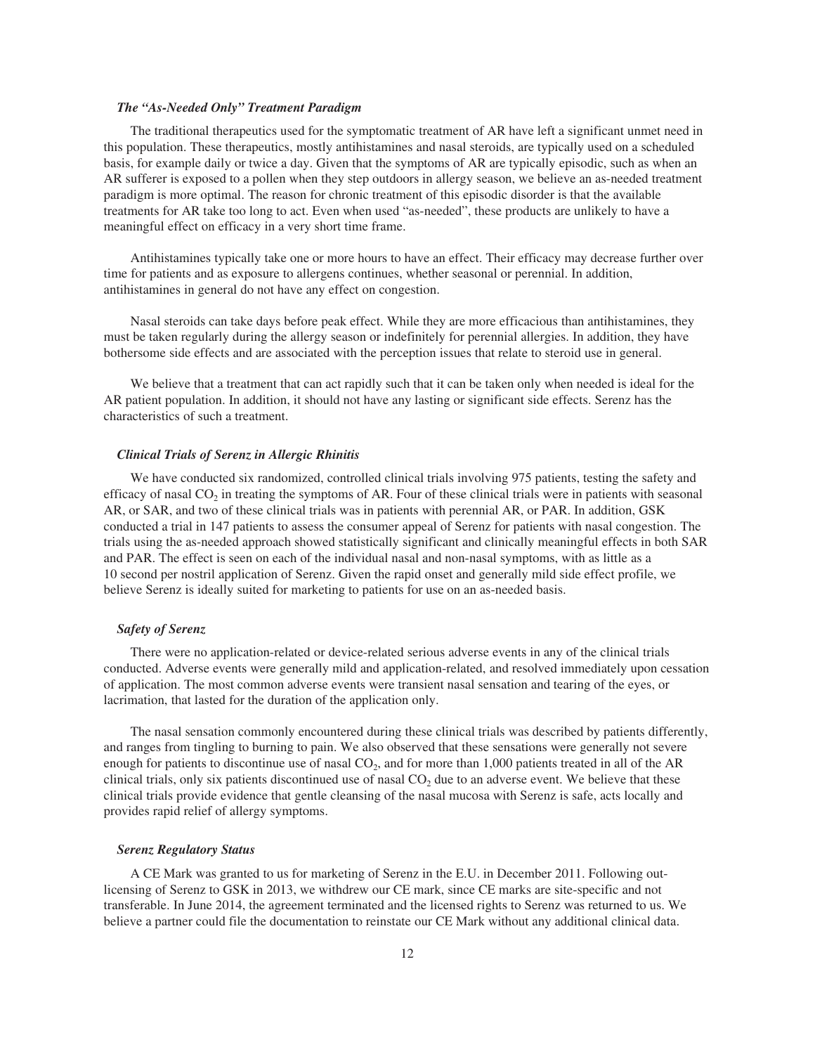#### *The "As-Needed Only" Treatment Paradigm*

The traditional therapeutics used for the symptomatic treatment of AR have left a significant unmet need in this population. These therapeutics, mostly antihistamines and nasal steroids, are typically used on a scheduled basis, for example daily or twice a day. Given that the symptoms of AR are typically episodic, such as when an AR sufferer is exposed to a pollen when they step outdoors in allergy season, we believe an as-needed treatment paradigm is more optimal. The reason for chronic treatment of this episodic disorder is that the available treatments for AR take too long to act. Even when used "as-needed", these products are unlikely to have a meaningful effect on efficacy in a very short time frame.

Antihistamines typically take one or more hours to have an effect. Their efficacy may decrease further over time for patients and as exposure to allergens continues, whether seasonal or perennial. In addition, antihistamines in general do not have any effect on congestion.

Nasal steroids can take days before peak effect. While they are more efficacious than antihistamines, they must be taken regularly during the allergy season or indefinitely for perennial allergies. In addition, they have bothersome side effects and are associated with the perception issues that relate to steroid use in general.

We believe that a treatment that can act rapidly such that it can be taken only when needed is ideal for the AR patient population. In addition, it should not have any lasting or significant side effects. Serenz has the characteristics of such a treatment.

#### *Clinical Trials of Serenz in Allergic Rhinitis*

We have conducted six randomized, controlled clinical trials involving 975 patients, testing the safety and efficacy of nasal  $CO<sub>2</sub>$  in treating the symptoms of AR. Four of these clinical trials were in patients with seasonal AR, or SAR, and two of these clinical trials was in patients with perennial AR, or PAR. In addition, GSK conducted a trial in 147 patients to assess the consumer appeal of Serenz for patients with nasal congestion. The trials using the as-needed approach showed statistically significant and clinically meaningful effects in both SAR and PAR. The effect is seen on each of the individual nasal and non-nasal symptoms, with as little as a 10 second per nostril application of Serenz. Given the rapid onset and generally mild side effect profile, we believe Serenz is ideally suited for marketing to patients for use on an as-needed basis.

#### *Safety of Serenz*

There were no application-related or device-related serious adverse events in any of the clinical trials conducted. Adverse events were generally mild and application-related, and resolved immediately upon cessation of application. The most common adverse events were transient nasal sensation and tearing of the eyes, or lacrimation, that lasted for the duration of the application only.

The nasal sensation commonly encountered during these clinical trials was described by patients differently, and ranges from tingling to burning to pain. We also observed that these sensations were generally not severe enough for patients to discontinue use of nasal  $CO<sub>2</sub>$ , and for more than 1,000 patients treated in all of the AR clinical trials, only six patients discontinued use of nasal  $CO<sub>2</sub>$  due to an adverse event. We believe that these clinical trials provide evidence that gentle cleansing of the nasal mucosa with Serenz is safe, acts locally and provides rapid relief of allergy symptoms.

#### *Serenz Regulatory Status*

A CE Mark was granted to us for marketing of Serenz in the E.U. in December 2011. Following outlicensing of Serenz to GSK in 2013, we withdrew our CE mark, since CE marks are site-specific and not transferable. In June 2014, the agreement terminated and the licensed rights to Serenz was returned to us. We believe a partner could file the documentation to reinstate our CE Mark without any additional clinical data.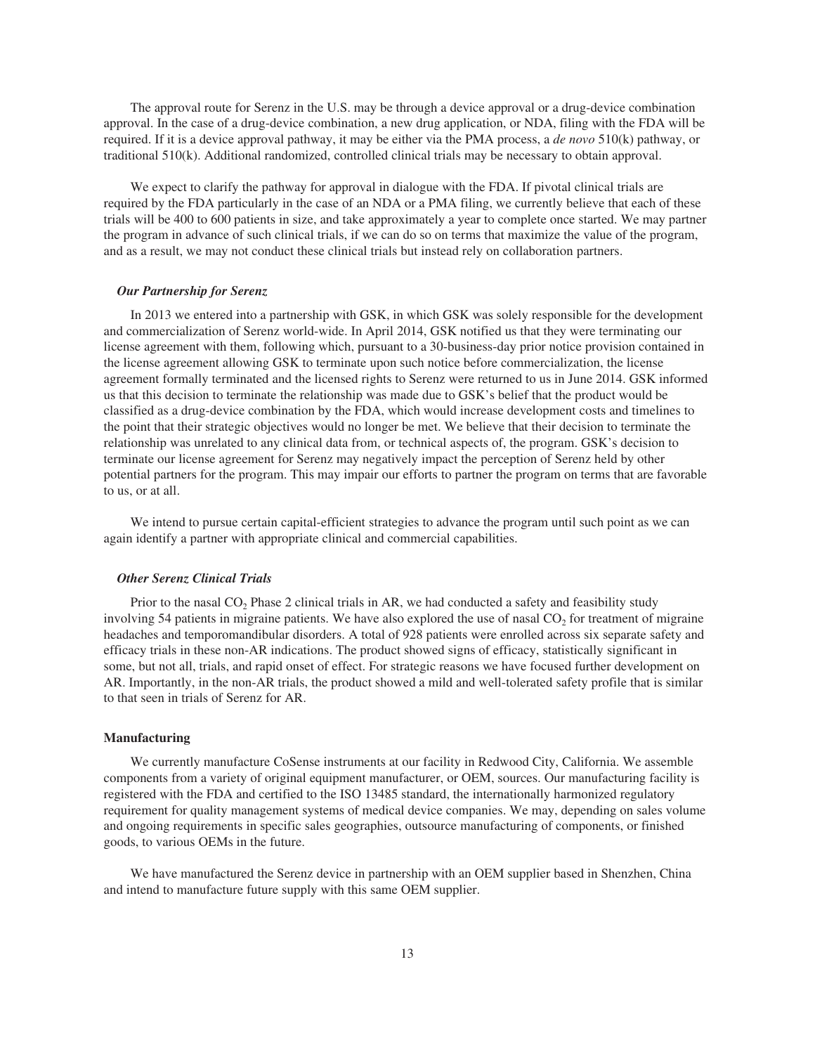The approval route for Serenz in the U.S. may be through a device approval or a drug-device combination approval. In the case of a drug-device combination, a new drug application, or NDA, filing with the FDA will be required. If it is a device approval pathway, it may be either via the PMA process, a *de novo* 510(k) pathway, or traditional 510(k). Additional randomized, controlled clinical trials may be necessary to obtain approval.

We expect to clarify the pathway for approval in dialogue with the FDA. If pivotal clinical trials are required by the FDA particularly in the case of an NDA or a PMA filing, we currently believe that each of these trials will be 400 to 600 patients in size, and take approximately a year to complete once started. We may partner the program in advance of such clinical trials, if we can do so on terms that maximize the value of the program, and as a result, we may not conduct these clinical trials but instead rely on collaboration partners.

#### *Our Partnership for Serenz*

In 2013 we entered into a partnership with GSK, in which GSK was solely responsible for the development and commercialization of Serenz world-wide. In April 2014, GSK notified us that they were terminating our license agreement with them, following which, pursuant to a 30-business-day prior notice provision contained in the license agreement allowing GSK to terminate upon such notice before commercialization, the license agreement formally terminated and the licensed rights to Serenz were returned to us in June 2014. GSK informed us that this decision to terminate the relationship was made due to GSK's belief that the product would be classified as a drug-device combination by the FDA, which would increase development costs and timelines to the point that their strategic objectives would no longer be met. We believe that their decision to terminate the relationship was unrelated to any clinical data from, or technical aspects of, the program. GSK's decision to terminate our license agreement for Serenz may negatively impact the perception of Serenz held by other potential partners for the program. This may impair our efforts to partner the program on terms that are favorable to us, or at all.

We intend to pursue certain capital-efficient strategies to advance the program until such point as we can again identify a partner with appropriate clinical and commercial capabilities.

# *Other Serenz Clinical Trials*

Prior to the nasal  $CO<sub>2</sub>$  Phase 2 clinical trials in AR, we had conducted a safety and feasibility study involving 54 patients in migraine patients. We have also explored the use of nasal  $CO<sub>2</sub>$  for treatment of migraine headaches and temporomandibular disorders. A total of 928 patients were enrolled across six separate safety and efficacy trials in these non-AR indications. The product showed signs of efficacy, statistically significant in some, but not all, trials, and rapid onset of effect. For strategic reasons we have focused further development on AR. Importantly, in the non-AR trials, the product showed a mild and well-tolerated safety profile that is similar to that seen in trials of Serenz for AR.

#### **Manufacturing**

We currently manufacture CoSense instruments at our facility in Redwood City, California. We assemble components from a variety of original equipment manufacturer, or OEM, sources. Our manufacturing facility is registered with the FDA and certified to the ISO 13485 standard, the internationally harmonized regulatory requirement for quality management systems of medical device companies. We may, depending on sales volume and ongoing requirements in specific sales geographies, outsource manufacturing of components, or finished goods, to various OEMs in the future.

We have manufactured the Serenz device in partnership with an OEM supplier based in Shenzhen, China and intend to manufacture future supply with this same OEM supplier.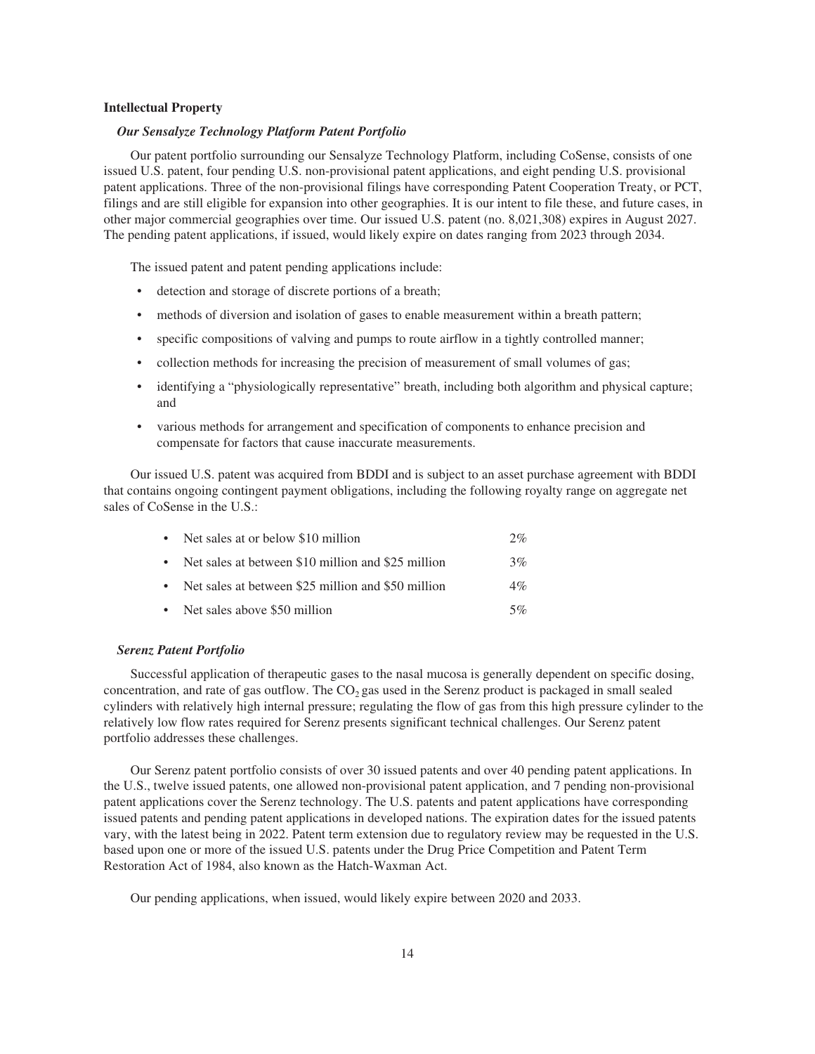#### **Intellectual Property**

#### *Our Sensalyze Technology Platform Patent Portfolio*

Our patent portfolio surrounding our Sensalyze Technology Platform, including CoSense, consists of one issued U.S. patent, four pending U.S. non-provisional patent applications, and eight pending U.S. provisional patent applications. Three of the non-provisional filings have corresponding Patent Cooperation Treaty, or PCT, filings and are still eligible for expansion into other geographies. It is our intent to file these, and future cases, in other major commercial geographies over time. Our issued U.S. patent (no. 8,021,308) expires in August 2027. The pending patent applications, if issued, would likely expire on dates ranging from 2023 through 2034.

The issued patent and patent pending applications include:

- detection and storage of discrete portions of a breath;
- methods of diversion and isolation of gases to enable measurement within a breath pattern;
- specific compositions of valving and pumps to route airflow in a tightly controlled manner;
- collection methods for increasing the precision of measurement of small volumes of gas;
- identifying a "physiologically representative" breath, including both algorithm and physical capture; and
- various methods for arrangement and specification of components to enhance precision and compensate for factors that cause inaccurate measurements.

Our issued U.S. patent was acquired from BDDI and is subject to an asset purchase agreement with BDDI that contains ongoing contingent payment obligations, including the following royalty range on aggregate net sales of CoSense in the U.S.:

| • Net sales at or below \$10 million                 | 2%    |
|------------------------------------------------------|-------|
| • Net sales at between \$10 million and \$25 million | 3%    |
| • Net sales at between \$25 million and \$50 million | $4\%$ |
| • Net sales above \$50 million                       | 5%    |

#### *Serenz Patent Portfolio*

Successful application of therapeutic gases to the nasal mucosa is generally dependent on specific dosing, concentration, and rate of gas outflow. The  $CO<sub>2</sub>$  gas used in the Serenz product is packaged in small sealed cylinders with relatively high internal pressure; regulating the flow of gas from this high pressure cylinder to the relatively low flow rates required for Serenz presents significant technical challenges. Our Serenz patent portfolio addresses these challenges.

Our Serenz patent portfolio consists of over 30 issued patents and over 40 pending patent applications. In the U.S., twelve issued patents, one allowed non-provisional patent application, and 7 pending non-provisional patent applications cover the Serenz technology. The U.S. patents and patent applications have corresponding issued patents and pending patent applications in developed nations. The expiration dates for the issued patents vary, with the latest being in 2022. Patent term extension due to regulatory review may be requested in the U.S. based upon one or more of the issued U.S. patents under the Drug Price Competition and Patent Term Restoration Act of 1984, also known as the Hatch-Waxman Act.

Our pending applications, when issued, would likely expire between 2020 and 2033.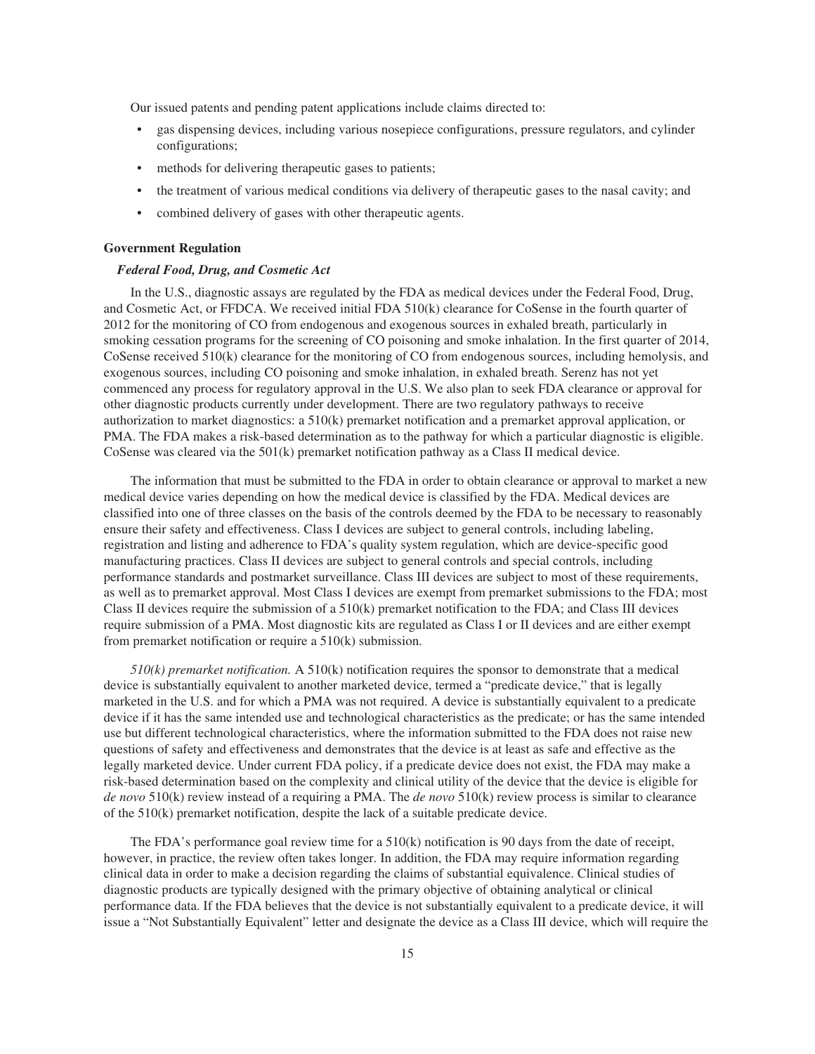Our issued patents and pending patent applications include claims directed to:

- gas dispensing devices, including various nosepiece configurations, pressure regulators, and cylinder configurations;
- methods for delivering therapeutic gases to patients;
- the treatment of various medical conditions via delivery of therapeutic gases to the nasal cavity; and
- combined delivery of gases with other therapeutic agents.

#### **Government Regulation**

#### *Federal Food, Drug, and Cosmetic Act*

In the U.S., diagnostic assays are regulated by the FDA as medical devices under the Federal Food, Drug, and Cosmetic Act, or FFDCA. We received initial FDA 510(k) clearance for CoSense in the fourth quarter of 2012 for the monitoring of CO from endogenous and exogenous sources in exhaled breath, particularly in smoking cessation programs for the screening of CO poisoning and smoke inhalation. In the first quarter of 2014, CoSense received 510(k) clearance for the monitoring of CO from endogenous sources, including hemolysis, and exogenous sources, including CO poisoning and smoke inhalation, in exhaled breath. Serenz has not yet commenced any process for regulatory approval in the U.S. We also plan to seek FDA clearance or approval for other diagnostic products currently under development. There are two regulatory pathways to receive authorization to market diagnostics: a 510(k) premarket notification and a premarket approval application, or PMA. The FDA makes a risk-based determination as to the pathway for which a particular diagnostic is eligible. CoSense was cleared via the 501(k) premarket notification pathway as a Class II medical device.

The information that must be submitted to the FDA in order to obtain clearance or approval to market a new medical device varies depending on how the medical device is classified by the FDA. Medical devices are classified into one of three classes on the basis of the controls deemed by the FDA to be necessary to reasonably ensure their safety and effectiveness. Class I devices are subject to general controls, including labeling, registration and listing and adherence to FDA's quality system regulation, which are device-specific good manufacturing practices. Class II devices are subject to general controls and special controls, including performance standards and postmarket surveillance. Class III devices are subject to most of these requirements, as well as to premarket approval. Most Class I devices are exempt from premarket submissions to the FDA; most Class II devices require the submission of a 510(k) premarket notification to the FDA; and Class III devices require submission of a PMA. Most diagnostic kits are regulated as Class I or II devices and are either exempt from premarket notification or require a 510(k) submission.

*510(k) premarket notification.* A 510(k) notification requires the sponsor to demonstrate that a medical device is substantially equivalent to another marketed device, termed a "predicate device," that is legally marketed in the U.S. and for which a PMA was not required. A device is substantially equivalent to a predicate device if it has the same intended use and technological characteristics as the predicate; or has the same intended use but different technological characteristics, where the information submitted to the FDA does not raise new questions of safety and effectiveness and demonstrates that the device is at least as safe and effective as the legally marketed device. Under current FDA policy, if a predicate device does not exist, the FDA may make a risk-based determination based on the complexity and clinical utility of the device that the device is eligible for *de novo* 510(k) review instead of a requiring a PMA. The *de novo* 510(k) review process is similar to clearance of the 510(k) premarket notification, despite the lack of a suitable predicate device.

The FDA's performance goal review time for a  $510(k)$  notification is 90 days from the date of receipt, however, in practice, the review often takes longer. In addition, the FDA may require information regarding clinical data in order to make a decision regarding the claims of substantial equivalence. Clinical studies of diagnostic products are typically designed with the primary objective of obtaining analytical or clinical performance data. If the FDA believes that the device is not substantially equivalent to a predicate device, it will issue a "Not Substantially Equivalent" letter and designate the device as a Class III device, which will require the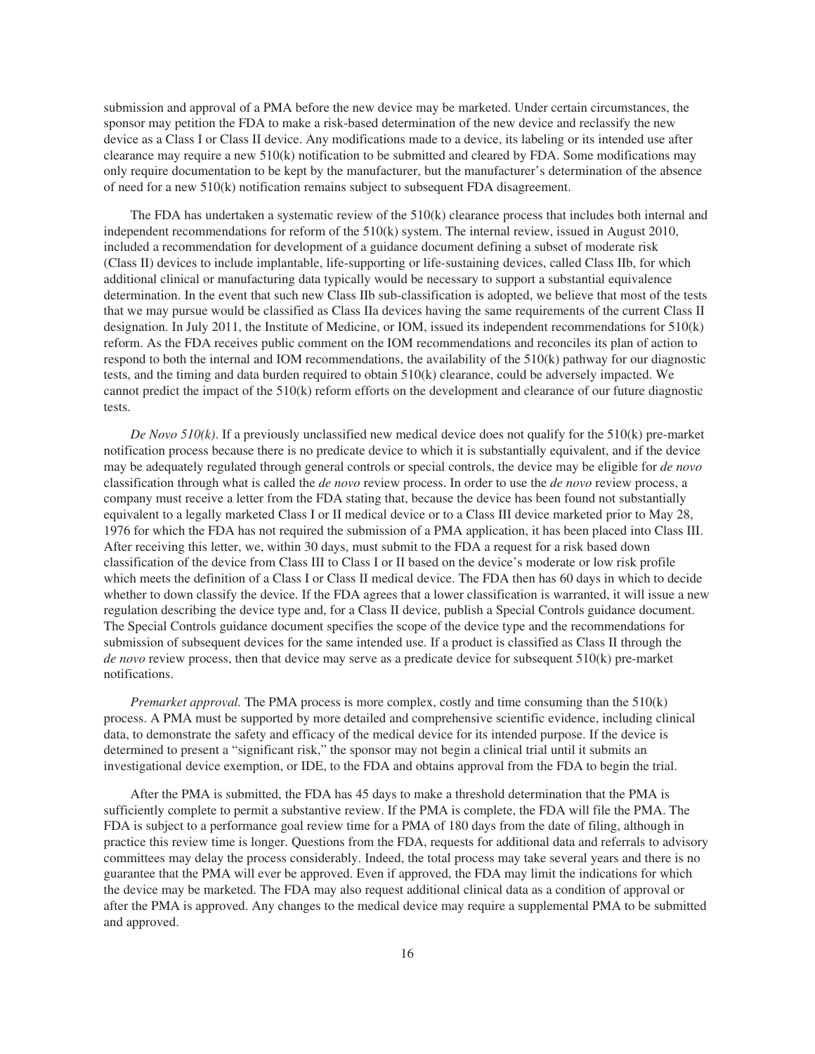submission and approval of a PMA before the new device may be marketed. Under certain circumstances, the sponsor may petition the FDA to make a risk-based determination of the new device and reclassify the new device as a Class I or Class II device. Any modifications made to a device, its labeling or its intended use after clearance may require a new 510(k) notification to be submitted and cleared by FDA. Some modifications may only require documentation to be kept by the manufacturer, but the manufacturer's determination of the absence of need for a new 510(k) notification remains subject to subsequent FDA disagreement.

The FDA has undertaken a systematic review of the 510(k) clearance process that includes both internal and independent recommendations for reform of the 510(k) system. The internal review, issued in August 2010, included a recommendation for development of a guidance document defining a subset of moderate risk (Class II) devices to include implantable, life-supporting or life-sustaining devices, called Class IIb, for which additional clinical or manufacturing data typically would be necessary to support a substantial equivalence determination. In the event that such new Class IIb sub-classification is adopted, we believe that most of the tests that we may pursue would be classified as Class IIa devices having the same requirements of the current Class II designation. In July 2011, the Institute of Medicine, or IOM, issued its independent recommendations for 510(k) reform. As the FDA receives public comment on the IOM recommendations and reconciles its plan of action to respond to both the internal and IOM recommendations, the availability of the 510(k) pathway for our diagnostic tests, and the timing and data burden required to obtain 510(k) clearance, could be adversely impacted. We cannot predict the impact of the 510(k) reform efforts on the development and clearance of our future diagnostic tests.

*De Novo 510(k)*. If a previously unclassified new medical device does not qualify for the 510(k) pre-market notification process because there is no predicate device to which it is substantially equivalent, and if the device may be adequately regulated through general controls or special controls, the device may be eligible for *de novo* classification through what is called the *de novo* review process. In order to use the *de novo* review process, a company must receive a letter from the FDA stating that, because the device has been found not substantially equivalent to a legally marketed Class I or II medical device or to a Class III device marketed prior to May 28, 1976 for which the FDA has not required the submission of a PMA application, it has been placed into Class III. After receiving this letter, we, within 30 days, must submit to the FDA a request for a risk based down classification of the device from Class III to Class I or II based on the device's moderate or low risk profile which meets the definition of a Class I or Class II medical device. The FDA then has 60 days in which to decide whether to down classify the device. If the FDA agrees that a lower classification is warranted, it will issue a new regulation describing the device type and, for a Class II device, publish a Special Controls guidance document. The Special Controls guidance document specifies the scope of the device type and the recommendations for submission of subsequent devices for the same intended use. If a product is classified as Class II through the *de novo* review process, then that device may serve as a predicate device for subsequent 510(k) pre-market notifications.

*Premarket approval.* The PMA process is more complex, costly and time consuming than the 510(k) process. A PMA must be supported by more detailed and comprehensive scientific evidence, including clinical data, to demonstrate the safety and efficacy of the medical device for its intended purpose. If the device is determined to present a "significant risk," the sponsor may not begin a clinical trial until it submits an investigational device exemption, or IDE, to the FDA and obtains approval from the FDA to begin the trial.

After the PMA is submitted, the FDA has 45 days to make a threshold determination that the PMA is sufficiently complete to permit a substantive review. If the PMA is complete, the FDA will file the PMA. The FDA is subject to a performance goal review time for a PMA of 180 days from the date of filing, although in practice this review time is longer. Questions from the FDA, requests for additional data and referrals to advisory committees may delay the process considerably. Indeed, the total process may take several years and there is no guarantee that the PMA will ever be approved. Even if approved, the FDA may limit the indications for which the device may be marketed. The FDA may also request additional clinical data as a condition of approval or after the PMA is approved. Any changes to the medical device may require a supplemental PMA to be submitted and approved.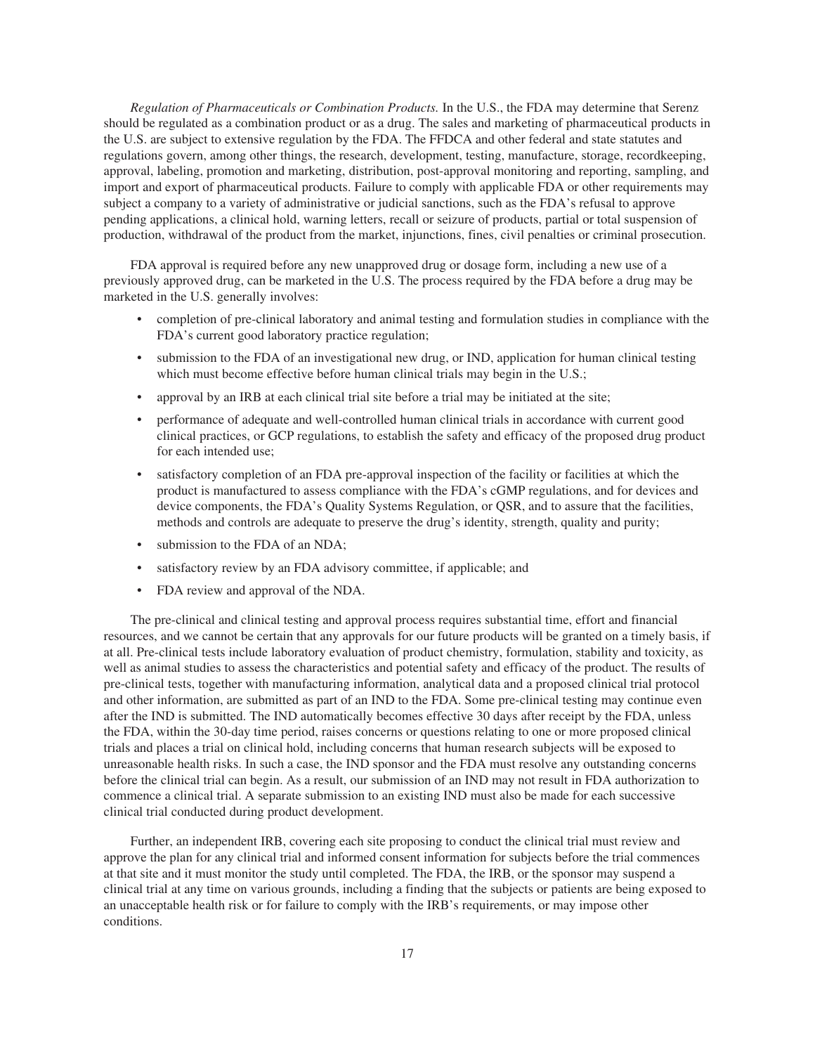*Regulation of Pharmaceuticals or Combination Products.* In the U.S., the FDA may determine that Serenz should be regulated as a combination product or as a drug. The sales and marketing of pharmaceutical products in the U.S. are subject to extensive regulation by the FDA. The FFDCA and other federal and state statutes and regulations govern, among other things, the research, development, testing, manufacture, storage, recordkeeping, approval, labeling, promotion and marketing, distribution, post-approval monitoring and reporting, sampling, and import and export of pharmaceutical products. Failure to comply with applicable FDA or other requirements may subject a company to a variety of administrative or judicial sanctions, such as the FDA's refusal to approve pending applications, a clinical hold, warning letters, recall or seizure of products, partial or total suspension of production, withdrawal of the product from the market, injunctions, fines, civil penalties or criminal prosecution.

FDA approval is required before any new unapproved drug or dosage form, including a new use of a previously approved drug, can be marketed in the U.S. The process required by the FDA before a drug may be marketed in the U.S. generally involves:

- completion of pre-clinical laboratory and animal testing and formulation studies in compliance with the FDA's current good laboratory practice regulation;
- submission to the FDA of an investigational new drug, or IND, application for human clinical testing which must become effective before human clinical trials may begin in the U.S.;
- approval by an IRB at each clinical trial site before a trial may be initiated at the site;
- performance of adequate and well-controlled human clinical trials in accordance with current good clinical practices, or GCP regulations, to establish the safety and efficacy of the proposed drug product for each intended use;
- satisfactory completion of an FDA pre-approval inspection of the facility or facilities at which the product is manufactured to assess compliance with the FDA's cGMP regulations, and for devices and device components, the FDA's Quality Systems Regulation, or QSR, and to assure that the facilities, methods and controls are adequate to preserve the drug's identity, strength, quality and purity;
- submission to the FDA of an NDA:
- satisfactory review by an FDA advisory committee, if applicable; and
- FDA review and approval of the NDA.

The pre-clinical and clinical testing and approval process requires substantial time, effort and financial resources, and we cannot be certain that any approvals for our future products will be granted on a timely basis, if at all. Pre-clinical tests include laboratory evaluation of product chemistry, formulation, stability and toxicity, as well as animal studies to assess the characteristics and potential safety and efficacy of the product. The results of pre-clinical tests, together with manufacturing information, analytical data and a proposed clinical trial protocol and other information, are submitted as part of an IND to the FDA. Some pre-clinical testing may continue even after the IND is submitted. The IND automatically becomes effective 30 days after receipt by the FDA, unless the FDA, within the 30-day time period, raises concerns or questions relating to one or more proposed clinical trials and places a trial on clinical hold, including concerns that human research subjects will be exposed to unreasonable health risks. In such a case, the IND sponsor and the FDA must resolve any outstanding concerns before the clinical trial can begin. As a result, our submission of an IND may not result in FDA authorization to commence a clinical trial. A separate submission to an existing IND must also be made for each successive clinical trial conducted during product development.

Further, an independent IRB, covering each site proposing to conduct the clinical trial must review and approve the plan for any clinical trial and informed consent information for subjects before the trial commences at that site and it must monitor the study until completed. The FDA, the IRB, or the sponsor may suspend a clinical trial at any time on various grounds, including a finding that the subjects or patients are being exposed to an unacceptable health risk or for failure to comply with the IRB's requirements, or may impose other conditions.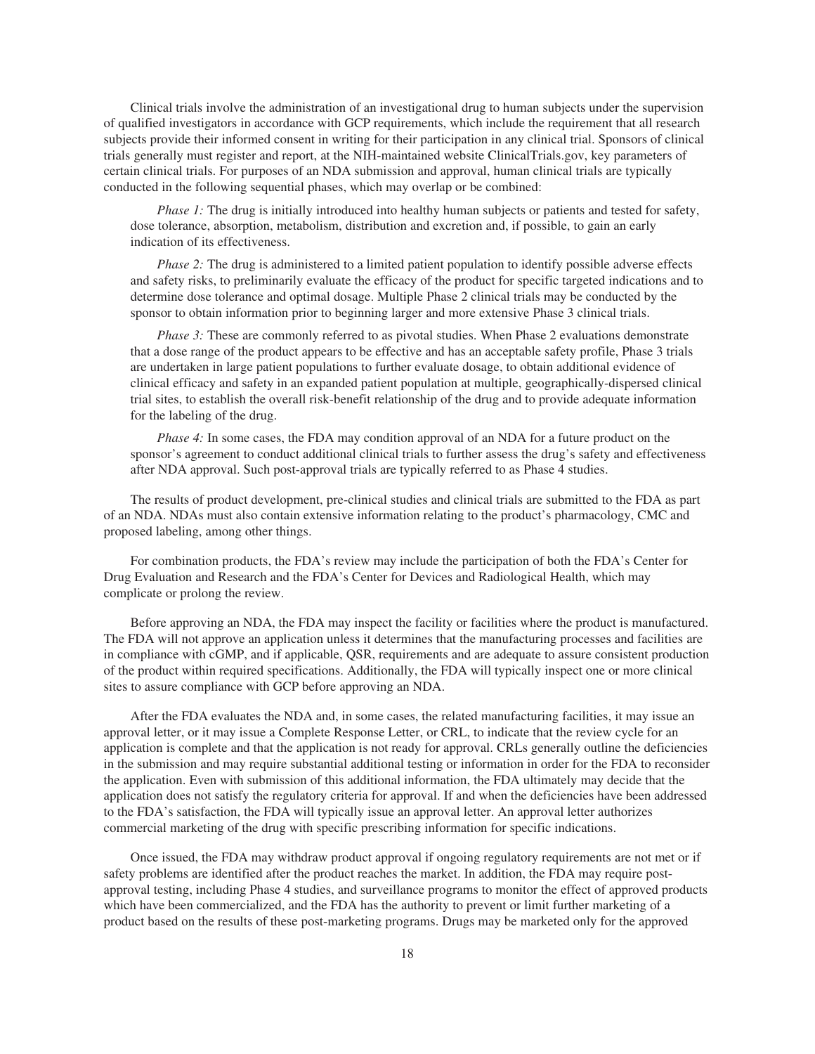Clinical trials involve the administration of an investigational drug to human subjects under the supervision of qualified investigators in accordance with GCP requirements, which include the requirement that all research subjects provide their informed consent in writing for their participation in any clinical trial. Sponsors of clinical trials generally must register and report, at the NIH-maintained website ClinicalTrials.gov, key parameters of certain clinical trials. For purposes of an NDA submission and approval, human clinical trials are typically conducted in the following sequential phases, which may overlap or be combined:

*Phase 1:* The drug is initially introduced into healthy human subjects or patients and tested for safety, dose tolerance, absorption, metabolism, distribution and excretion and, if possible, to gain an early indication of its effectiveness.

*Phase 2:* The drug is administered to a limited patient population to identify possible adverse effects and safety risks, to preliminarily evaluate the efficacy of the product for specific targeted indications and to determine dose tolerance and optimal dosage. Multiple Phase 2 clinical trials may be conducted by the sponsor to obtain information prior to beginning larger and more extensive Phase 3 clinical trials.

*Phase 3:* These are commonly referred to as pivotal studies. When Phase 2 evaluations demonstrate that a dose range of the product appears to be effective and has an acceptable safety profile, Phase 3 trials are undertaken in large patient populations to further evaluate dosage, to obtain additional evidence of clinical efficacy and safety in an expanded patient population at multiple, geographically-dispersed clinical trial sites, to establish the overall risk-benefit relationship of the drug and to provide adequate information for the labeling of the drug.

*Phase 4:* In some cases, the FDA may condition approval of an NDA for a future product on the sponsor's agreement to conduct additional clinical trials to further assess the drug's safety and effectiveness after NDA approval. Such post-approval trials are typically referred to as Phase 4 studies.

The results of product development, pre-clinical studies and clinical trials are submitted to the FDA as part of an NDA. NDAs must also contain extensive information relating to the product's pharmacology, CMC and proposed labeling, among other things.

For combination products, the FDA's review may include the participation of both the FDA's Center for Drug Evaluation and Research and the FDA's Center for Devices and Radiological Health, which may complicate or prolong the review.

Before approving an NDA, the FDA may inspect the facility or facilities where the product is manufactured. The FDA will not approve an application unless it determines that the manufacturing processes and facilities are in compliance with cGMP, and if applicable, QSR, requirements and are adequate to assure consistent production of the product within required specifications. Additionally, the FDA will typically inspect one or more clinical sites to assure compliance with GCP before approving an NDA.

After the FDA evaluates the NDA and, in some cases, the related manufacturing facilities, it may issue an approval letter, or it may issue a Complete Response Letter, or CRL, to indicate that the review cycle for an application is complete and that the application is not ready for approval. CRLs generally outline the deficiencies in the submission and may require substantial additional testing or information in order for the FDA to reconsider the application. Even with submission of this additional information, the FDA ultimately may decide that the application does not satisfy the regulatory criteria for approval. If and when the deficiencies have been addressed to the FDA's satisfaction, the FDA will typically issue an approval letter. An approval letter authorizes commercial marketing of the drug with specific prescribing information for specific indications.

Once issued, the FDA may withdraw product approval if ongoing regulatory requirements are not met or if safety problems are identified after the product reaches the market. In addition, the FDA may require postapproval testing, including Phase 4 studies, and surveillance programs to monitor the effect of approved products which have been commercialized, and the FDA has the authority to prevent or limit further marketing of a product based on the results of these post-marketing programs. Drugs may be marketed only for the approved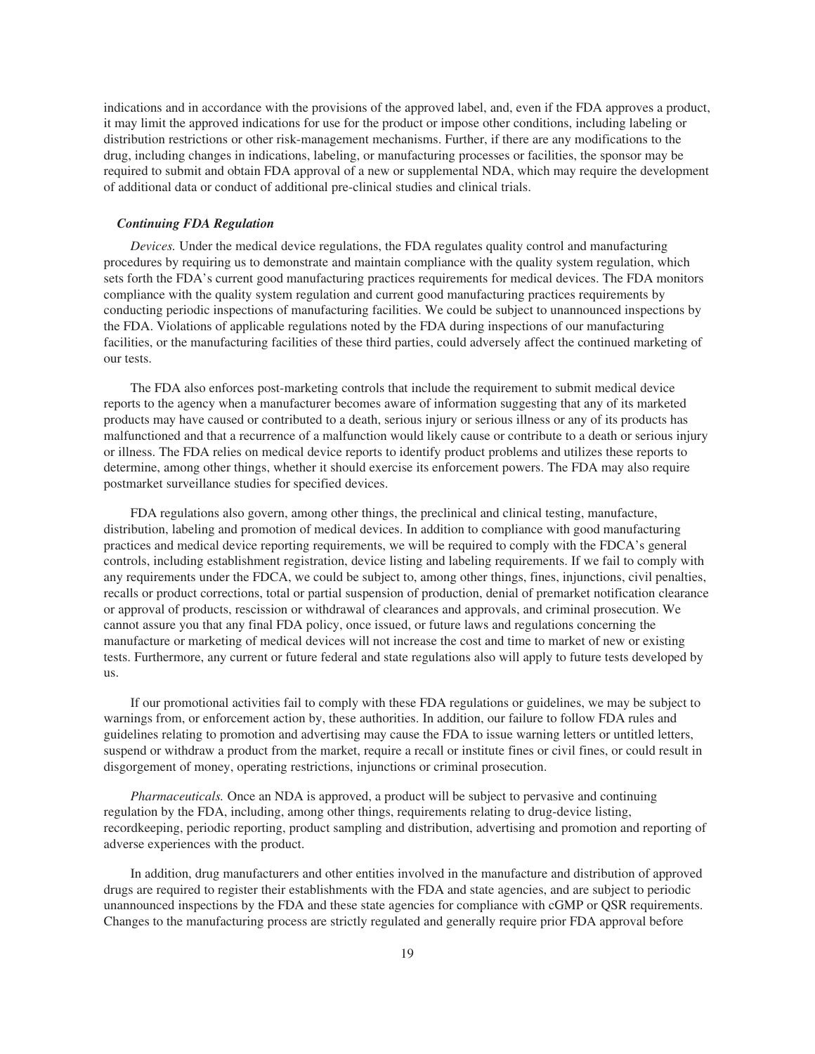indications and in accordance with the provisions of the approved label, and, even if the FDA approves a product, it may limit the approved indications for use for the product or impose other conditions, including labeling or distribution restrictions or other risk-management mechanisms. Further, if there are any modifications to the drug, including changes in indications, labeling, or manufacturing processes or facilities, the sponsor may be required to submit and obtain FDA approval of a new or supplemental NDA, which may require the development of additional data or conduct of additional pre-clinical studies and clinical trials.

#### *Continuing FDA Regulation*

*Devices.* Under the medical device regulations, the FDA regulates quality control and manufacturing procedures by requiring us to demonstrate and maintain compliance with the quality system regulation, which sets forth the FDA's current good manufacturing practices requirements for medical devices. The FDA monitors compliance with the quality system regulation and current good manufacturing practices requirements by conducting periodic inspections of manufacturing facilities. We could be subject to unannounced inspections by the FDA. Violations of applicable regulations noted by the FDA during inspections of our manufacturing facilities, or the manufacturing facilities of these third parties, could adversely affect the continued marketing of our tests.

The FDA also enforces post-marketing controls that include the requirement to submit medical device reports to the agency when a manufacturer becomes aware of information suggesting that any of its marketed products may have caused or contributed to a death, serious injury or serious illness or any of its products has malfunctioned and that a recurrence of a malfunction would likely cause or contribute to a death or serious injury or illness. The FDA relies on medical device reports to identify product problems and utilizes these reports to determine, among other things, whether it should exercise its enforcement powers. The FDA may also require postmarket surveillance studies for specified devices.

FDA regulations also govern, among other things, the preclinical and clinical testing, manufacture, distribution, labeling and promotion of medical devices. In addition to compliance with good manufacturing practices and medical device reporting requirements, we will be required to comply with the FDCA's general controls, including establishment registration, device listing and labeling requirements. If we fail to comply with any requirements under the FDCA, we could be subject to, among other things, fines, injunctions, civil penalties, recalls or product corrections, total or partial suspension of production, denial of premarket notification clearance or approval of products, rescission or withdrawal of clearances and approvals, and criminal prosecution. We cannot assure you that any final FDA policy, once issued, or future laws and regulations concerning the manufacture or marketing of medical devices will not increase the cost and time to market of new or existing tests. Furthermore, any current or future federal and state regulations also will apply to future tests developed by us.

If our promotional activities fail to comply with these FDA regulations or guidelines, we may be subject to warnings from, or enforcement action by, these authorities. In addition, our failure to follow FDA rules and guidelines relating to promotion and advertising may cause the FDA to issue warning letters or untitled letters, suspend or withdraw a product from the market, require a recall or institute fines or civil fines, or could result in disgorgement of money, operating restrictions, injunctions or criminal prosecution.

*Pharmaceuticals.* Once an NDA is approved, a product will be subject to pervasive and continuing regulation by the FDA, including, among other things, requirements relating to drug-device listing, recordkeeping, periodic reporting, product sampling and distribution, advertising and promotion and reporting of adverse experiences with the product.

In addition, drug manufacturers and other entities involved in the manufacture and distribution of approved drugs are required to register their establishments with the FDA and state agencies, and are subject to periodic unannounced inspections by the FDA and these state agencies for compliance with cGMP or QSR requirements. Changes to the manufacturing process are strictly regulated and generally require prior FDA approval before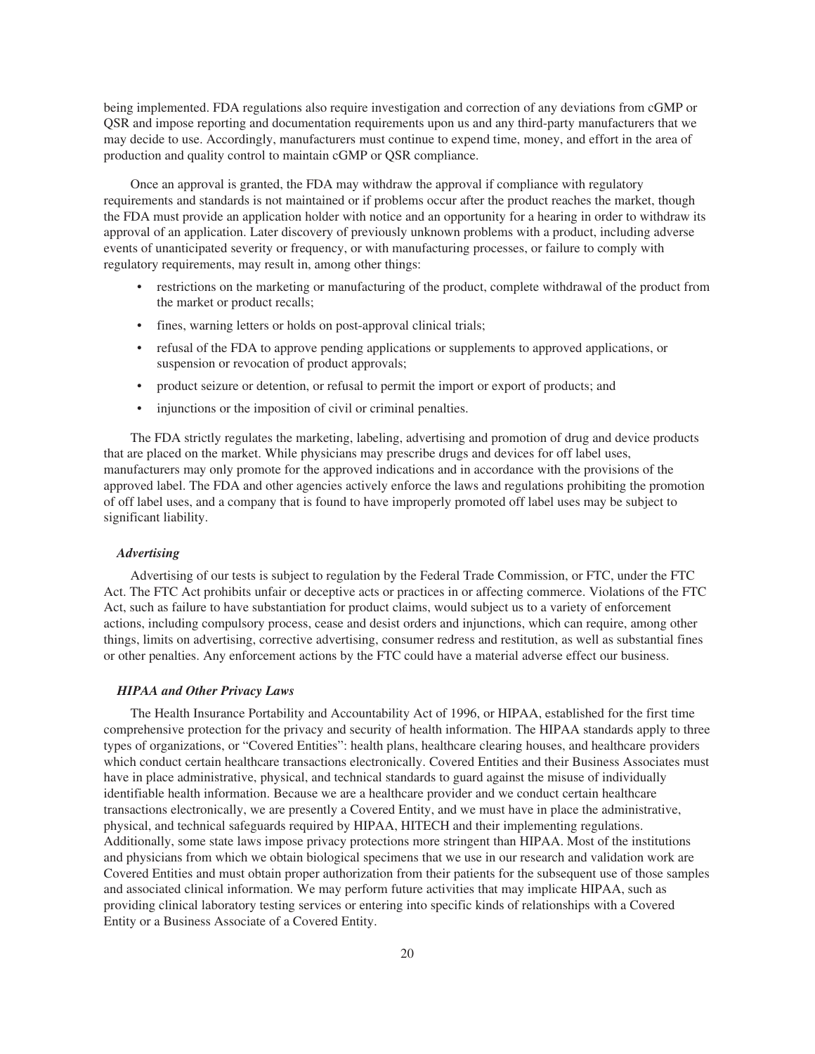being implemented. FDA regulations also require investigation and correction of any deviations from cGMP or QSR and impose reporting and documentation requirements upon us and any third-party manufacturers that we may decide to use. Accordingly, manufacturers must continue to expend time, money, and effort in the area of production and quality control to maintain cGMP or QSR compliance.

Once an approval is granted, the FDA may withdraw the approval if compliance with regulatory requirements and standards is not maintained or if problems occur after the product reaches the market, though the FDA must provide an application holder with notice and an opportunity for a hearing in order to withdraw its approval of an application. Later discovery of previously unknown problems with a product, including adverse events of unanticipated severity or frequency, or with manufacturing processes, or failure to comply with regulatory requirements, may result in, among other things:

- restrictions on the marketing or manufacturing of the product, complete withdrawal of the product from the market or product recalls;
- fines, warning letters or holds on post-approval clinical trials;
- refusal of the FDA to approve pending applications or supplements to approved applications, or suspension or revocation of product approvals;
- product seizure or detention, or refusal to permit the import or export of products; and
- injunctions or the imposition of civil or criminal penalties.

The FDA strictly regulates the marketing, labeling, advertising and promotion of drug and device products that are placed on the market. While physicians may prescribe drugs and devices for off label uses, manufacturers may only promote for the approved indications and in accordance with the provisions of the approved label. The FDA and other agencies actively enforce the laws and regulations prohibiting the promotion of off label uses, and a company that is found to have improperly promoted off label uses may be subject to significant liability.

#### *Advertising*

Advertising of our tests is subject to regulation by the Federal Trade Commission, or FTC, under the FTC Act. The FTC Act prohibits unfair or deceptive acts or practices in or affecting commerce. Violations of the FTC Act, such as failure to have substantiation for product claims, would subject us to a variety of enforcement actions, including compulsory process, cease and desist orders and injunctions, which can require, among other things, limits on advertising, corrective advertising, consumer redress and restitution, as well as substantial fines or other penalties. Any enforcement actions by the FTC could have a material adverse effect our business.

#### *HIPAA and Other Privacy Laws*

The Health Insurance Portability and Accountability Act of 1996, or HIPAA, established for the first time comprehensive protection for the privacy and security of health information. The HIPAA standards apply to three types of organizations, or "Covered Entities": health plans, healthcare clearing houses, and healthcare providers which conduct certain healthcare transactions electronically. Covered Entities and their Business Associates must have in place administrative, physical, and technical standards to guard against the misuse of individually identifiable health information. Because we are a healthcare provider and we conduct certain healthcare transactions electronically, we are presently a Covered Entity, and we must have in place the administrative, physical, and technical safeguards required by HIPAA, HITECH and their implementing regulations. Additionally, some state laws impose privacy protections more stringent than HIPAA. Most of the institutions and physicians from which we obtain biological specimens that we use in our research and validation work are Covered Entities and must obtain proper authorization from their patients for the subsequent use of those samples and associated clinical information. We may perform future activities that may implicate HIPAA, such as providing clinical laboratory testing services or entering into specific kinds of relationships with a Covered Entity or a Business Associate of a Covered Entity.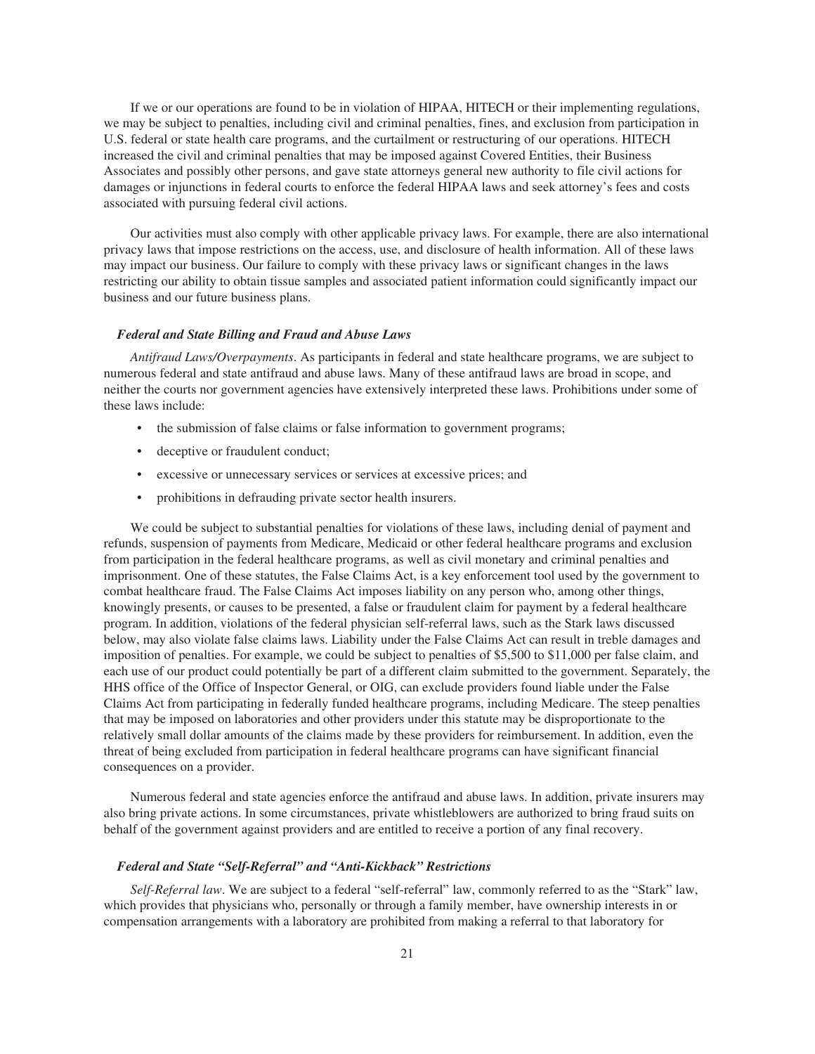If we or our operations are found to be in violation of HIPAA, HITECH or their implementing regulations, we may be subject to penalties, including civil and criminal penalties, fines, and exclusion from participation in U.S. federal or state health care programs, and the curtailment or restructuring of our operations. HITECH increased the civil and criminal penalties that may be imposed against Covered Entities, their Business Associates and possibly other persons, and gave state attorneys general new authority to file civil actions for damages or injunctions in federal courts to enforce the federal HIPAA laws and seek attorney's fees and costs associated with pursuing federal civil actions.

Our activities must also comply with other applicable privacy laws. For example, there are also international privacy laws that impose restrictions on the access, use, and disclosure of health information. All of these laws may impact our business. Our failure to comply with these privacy laws or significant changes in the laws restricting our ability to obtain tissue samples and associated patient information could significantly impact our business and our future business plans.

#### *Federal and State Billing and Fraud and Abuse Laws*

*Antifraud Laws/Overpayments*. As participants in federal and state healthcare programs, we are subject to numerous federal and state antifraud and abuse laws. Many of these antifraud laws are broad in scope, and neither the courts nor government agencies have extensively interpreted these laws. Prohibitions under some of these laws include:

- the submission of false claims or false information to government programs;
- deceptive or fraudulent conduct;
- excessive or unnecessary services or services at excessive prices; and
- prohibitions in defrauding private sector health insurers.

We could be subject to substantial penalties for violations of these laws, including denial of payment and refunds, suspension of payments from Medicare, Medicaid or other federal healthcare programs and exclusion from participation in the federal healthcare programs, as well as civil monetary and criminal penalties and imprisonment. One of these statutes, the False Claims Act, is a key enforcement tool used by the government to combat healthcare fraud. The False Claims Act imposes liability on any person who, among other things, knowingly presents, or causes to be presented, a false or fraudulent claim for payment by a federal healthcare program. In addition, violations of the federal physician self-referral laws, such as the Stark laws discussed below, may also violate false claims laws. Liability under the False Claims Act can result in treble damages and imposition of penalties. For example, we could be subject to penalties of \$5,500 to \$11,000 per false claim, and each use of our product could potentially be part of a different claim submitted to the government. Separately, the HHS office of the Office of Inspector General, or OIG, can exclude providers found liable under the False Claims Act from participating in federally funded healthcare programs, including Medicare. The steep penalties that may be imposed on laboratories and other providers under this statute may be disproportionate to the relatively small dollar amounts of the claims made by these providers for reimbursement. In addition, even the threat of being excluded from participation in federal healthcare programs can have significant financial consequences on a provider.

Numerous federal and state agencies enforce the antifraud and abuse laws. In addition, private insurers may also bring private actions. In some circumstances, private whistleblowers are authorized to bring fraud suits on behalf of the government against providers and are entitled to receive a portion of any final recovery.

#### *Federal and State "Self-Referral" and "Anti-Kickback" Restrictions*

*Self-Referral law*. We are subject to a federal "self-referral" law, commonly referred to as the "Stark" law, which provides that physicians who, personally or through a family member, have ownership interests in or compensation arrangements with a laboratory are prohibited from making a referral to that laboratory for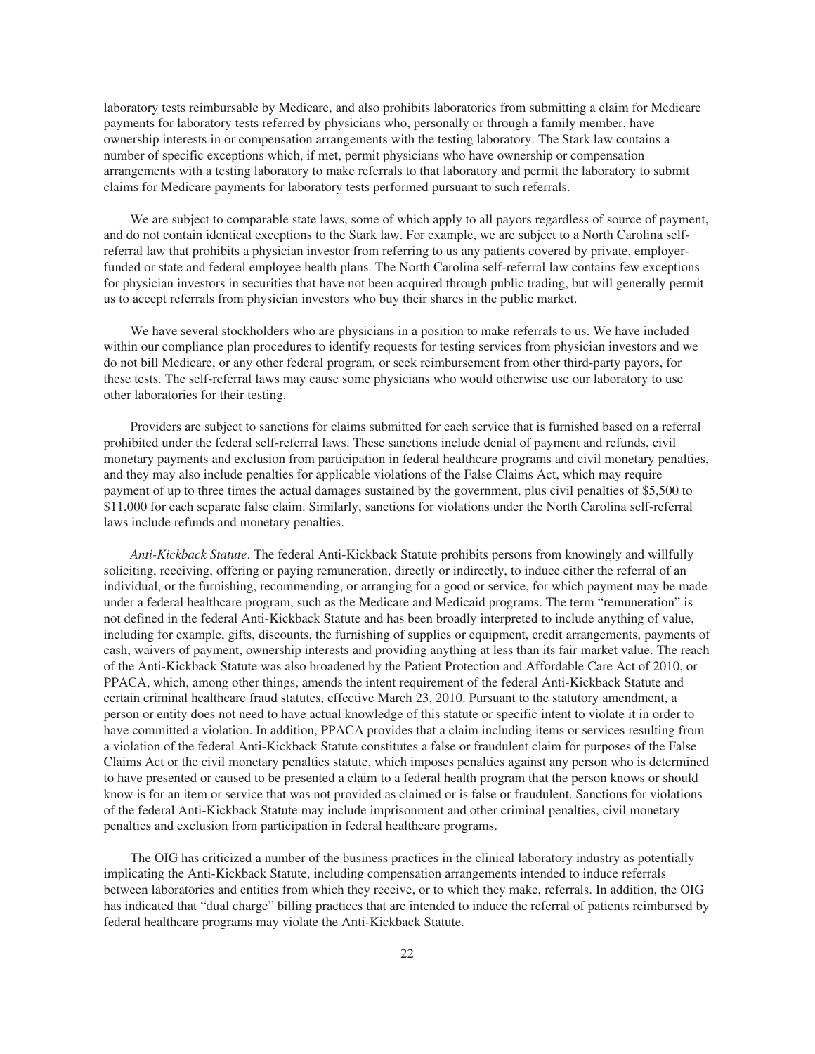laboratory tests reimbursable by Medicare, and also prohibits laboratories from submitting a claim for Medicare payments for laboratory tests referred by physicians who, personally or through a family member, have ownership interests in or compensation arrangements with the testing laboratory. The Stark law contains a number of specific exceptions which, if met, permit physicians who have ownership or compensation arrangements with a testing laboratory to make referrals to that laboratory and permit the laboratory to submit claims for Medicare payments for laboratory tests performed pursuant to such referrals.

We are subject to comparable state laws, some of which apply to all payors regardless of source of payment, and do not contain identical exceptions to the Stark law. For example, we are subject to a North Carolina selfreferral law that prohibits a physician investor from referring to us any patients covered by private, employerfunded or state and federal employee health plans. The North Carolina self-referral law contains few exceptions for physician investors in securities that have not been acquired through public trading, but will generally permit us to accept referrals from physician investors who buy their shares in the public market.

We have several stockholders who are physicians in a position to make referrals to us. We have included within our compliance plan procedures to identify requests for testing services from physician investors and we do not bill Medicare, or any other federal program, or seek reimbursement from other third-party payors, for these tests. The self-referral laws may cause some physicians who would otherwise use our laboratory to use other laboratories for their testing.

Providers are subject to sanctions for claims submitted for each service that is furnished based on a referral prohibited under the federal self-referral laws. These sanctions include denial of payment and refunds, civil monetary payments and exclusion from participation in federal healthcare programs and civil monetary penalties, and they may also include penalties for applicable violations of the False Claims Act, which may require payment of up to three times the actual damages sustained by the government, plus civil penalties of \$5,500 to \$11,000 for each separate false claim. Similarly, sanctions for violations under the North Carolina self-referral laws include refunds and monetary penalties.

*Anti-Kickback Statute*. The federal Anti-Kickback Statute prohibits persons from knowingly and willfully soliciting, receiving, offering or paying remuneration, directly or indirectly, to induce either the referral of an individual, or the furnishing, recommending, or arranging for a good or service, for which payment may be made under a federal healthcare program, such as the Medicare and Medicaid programs. The term "remuneration" is not defined in the federal Anti-Kickback Statute and has been broadly interpreted to include anything of value, including for example, gifts, discounts, the furnishing of supplies or equipment, credit arrangements, payments of cash, waivers of payment, ownership interests and providing anything at less than its fair market value. The reach of the Anti-Kickback Statute was also broadened by the Patient Protection and Affordable Care Act of 2010, or PPACA, which, among other things, amends the intent requirement of the federal Anti-Kickback Statute and certain criminal healthcare fraud statutes, effective March 23, 2010. Pursuant to the statutory amendment, a person or entity does not need to have actual knowledge of this statute or specific intent to violate it in order to have committed a violation. In addition, PPACA provides that a claim including items or services resulting from a violation of the federal Anti-Kickback Statute constitutes a false or fraudulent claim for purposes of the False Claims Act or the civil monetary penalties statute, which imposes penalties against any person who is determined to have presented or caused to be presented a claim to a federal health program that the person knows or should know is for an item or service that was not provided as claimed or is false or fraudulent. Sanctions for violations of the federal Anti-Kickback Statute may include imprisonment and other criminal penalties, civil monetary penalties and exclusion from participation in federal healthcare programs.

The OIG has criticized a number of the business practices in the clinical laboratory industry as potentially implicating the Anti-Kickback Statute, including compensation arrangements intended to induce referrals between laboratories and entities from which they receive, or to which they make, referrals. In addition, the OIG has indicated that "dual charge" billing practices that are intended to induce the referral of patients reimbursed by federal healthcare programs may violate the Anti-Kickback Statute.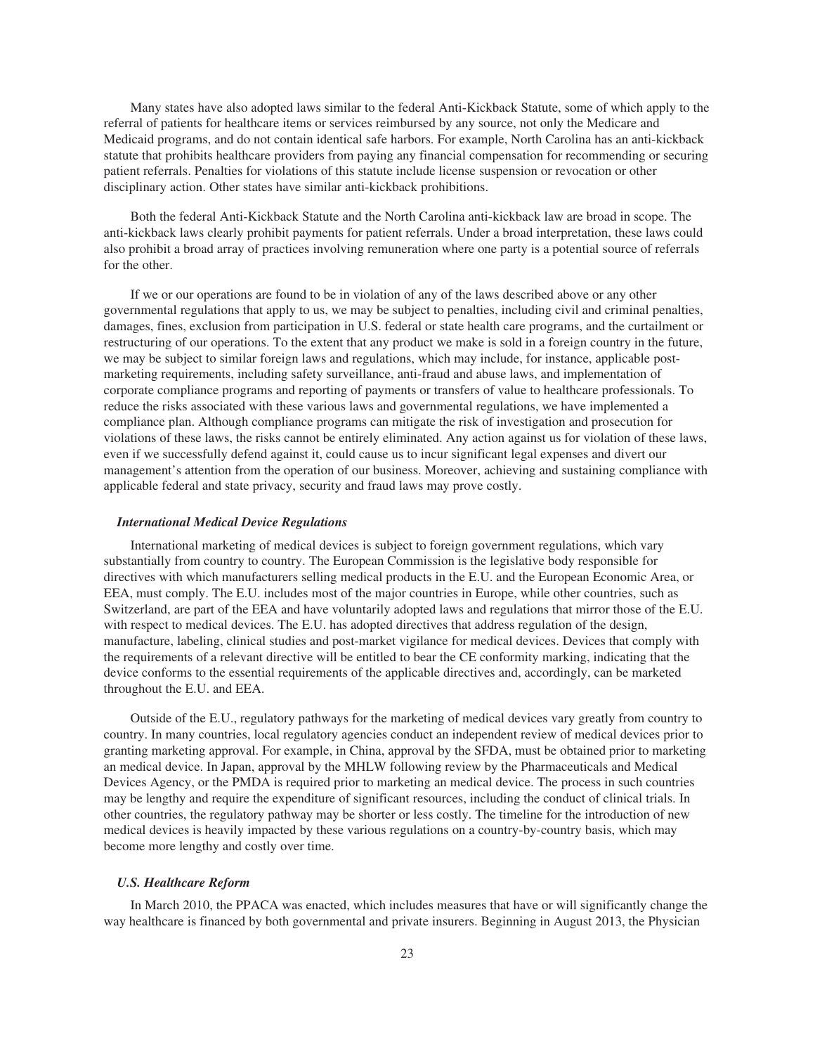Many states have also adopted laws similar to the federal Anti-Kickback Statute, some of which apply to the referral of patients for healthcare items or services reimbursed by any source, not only the Medicare and Medicaid programs, and do not contain identical safe harbors. For example, North Carolina has an anti-kickback statute that prohibits healthcare providers from paying any financial compensation for recommending or securing patient referrals. Penalties for violations of this statute include license suspension or revocation or other disciplinary action. Other states have similar anti-kickback prohibitions.

Both the federal Anti-Kickback Statute and the North Carolina anti-kickback law are broad in scope. The anti-kickback laws clearly prohibit payments for patient referrals. Under a broad interpretation, these laws could also prohibit a broad array of practices involving remuneration where one party is a potential source of referrals for the other.

If we or our operations are found to be in violation of any of the laws described above or any other governmental regulations that apply to us, we may be subject to penalties, including civil and criminal penalties, damages, fines, exclusion from participation in U.S. federal or state health care programs, and the curtailment or restructuring of our operations. To the extent that any product we make is sold in a foreign country in the future, we may be subject to similar foreign laws and regulations, which may include, for instance, applicable postmarketing requirements, including safety surveillance, anti-fraud and abuse laws, and implementation of corporate compliance programs and reporting of payments or transfers of value to healthcare professionals. To reduce the risks associated with these various laws and governmental regulations, we have implemented a compliance plan. Although compliance programs can mitigate the risk of investigation and prosecution for violations of these laws, the risks cannot be entirely eliminated. Any action against us for violation of these laws, even if we successfully defend against it, could cause us to incur significant legal expenses and divert our management's attention from the operation of our business. Moreover, achieving and sustaining compliance with applicable federal and state privacy, security and fraud laws may prove costly.

#### *International Medical Device Regulations*

International marketing of medical devices is subject to foreign government regulations, which vary substantially from country to country. The European Commission is the legislative body responsible for directives with which manufacturers selling medical products in the E.U. and the European Economic Area, or EEA, must comply. The E.U. includes most of the major countries in Europe, while other countries, such as Switzerland, are part of the EEA and have voluntarily adopted laws and regulations that mirror those of the E.U. with respect to medical devices. The E.U. has adopted directives that address regulation of the design, manufacture, labeling, clinical studies and post-market vigilance for medical devices. Devices that comply with the requirements of a relevant directive will be entitled to bear the CE conformity marking, indicating that the device conforms to the essential requirements of the applicable directives and, accordingly, can be marketed throughout the E.U. and EEA.

Outside of the E.U., regulatory pathways for the marketing of medical devices vary greatly from country to country. In many countries, local regulatory agencies conduct an independent review of medical devices prior to granting marketing approval. For example, in China, approval by the SFDA, must be obtained prior to marketing an medical device. In Japan, approval by the MHLW following review by the Pharmaceuticals and Medical Devices Agency, or the PMDA is required prior to marketing an medical device. The process in such countries may be lengthy and require the expenditure of significant resources, including the conduct of clinical trials. In other countries, the regulatory pathway may be shorter or less costly. The timeline for the introduction of new medical devices is heavily impacted by these various regulations on a country-by-country basis, which may become more lengthy and costly over time.

#### *U.S. Healthcare Reform*

In March 2010, the PPACA was enacted, which includes measures that have or will significantly change the way healthcare is financed by both governmental and private insurers. Beginning in August 2013, the Physician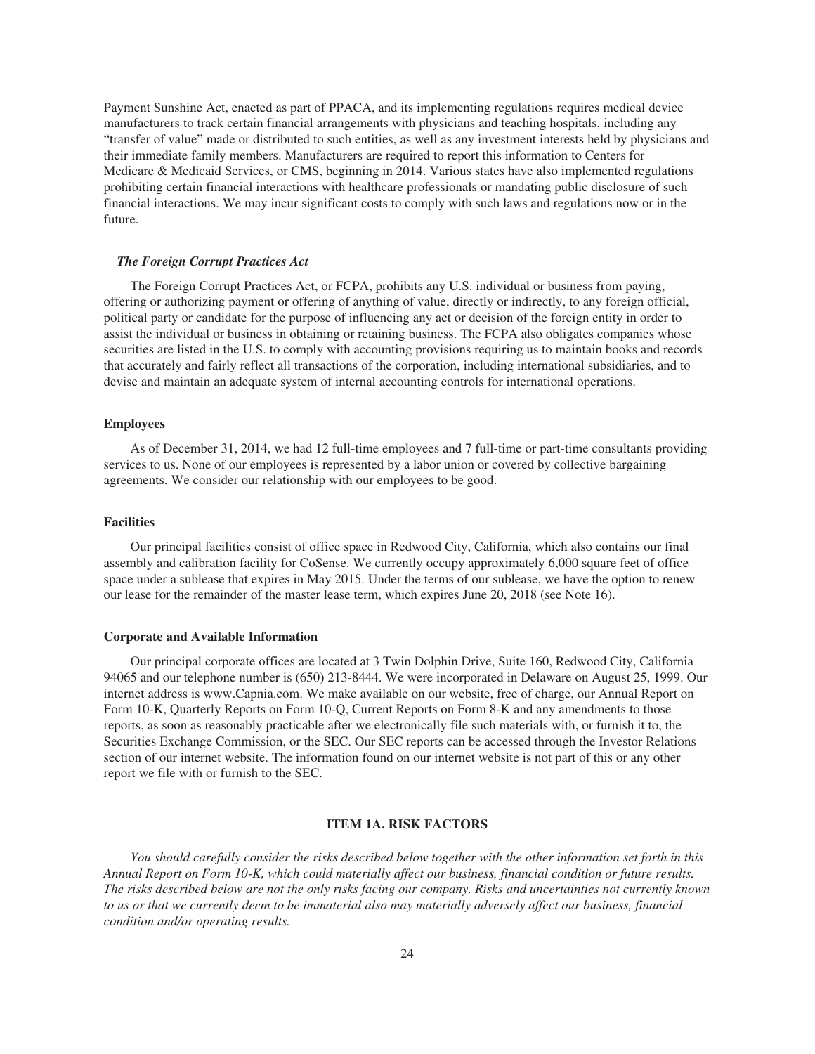Payment Sunshine Act, enacted as part of PPACA, and its implementing regulations requires medical device manufacturers to track certain financial arrangements with physicians and teaching hospitals, including any "transfer of value" made or distributed to such entities, as well as any investment interests held by physicians and their immediate family members. Manufacturers are required to report this information to Centers for Medicare & Medicaid Services, or CMS, beginning in 2014. Various states have also implemented regulations prohibiting certain financial interactions with healthcare professionals or mandating public disclosure of such financial interactions. We may incur significant costs to comply with such laws and regulations now or in the future.

#### *The Foreign Corrupt Practices Act*

The Foreign Corrupt Practices Act, or FCPA, prohibits any U.S. individual or business from paying, offering or authorizing payment or offering of anything of value, directly or indirectly, to any foreign official, political party or candidate for the purpose of influencing any act or decision of the foreign entity in order to assist the individual or business in obtaining or retaining business. The FCPA also obligates companies whose securities are listed in the U.S. to comply with accounting provisions requiring us to maintain books and records that accurately and fairly reflect all transactions of the corporation, including international subsidiaries, and to devise and maintain an adequate system of internal accounting controls for international operations.

#### **Employees**

As of December 31, 2014, we had 12 full-time employees and 7 full-time or part-time consultants providing services to us. None of our employees is represented by a labor union or covered by collective bargaining agreements. We consider our relationship with our employees to be good.

#### **Facilities**

Our principal facilities consist of office space in Redwood City, California, which also contains our final assembly and calibration facility for CoSense. We currently occupy approximately 6,000 square feet of office space under a sublease that expires in May 2015. Under the terms of our sublease, we have the option to renew our lease for the remainder of the master lease term, which expires June 20, 2018 (see Note 16).

#### **Corporate and Available Information**

Our principal corporate offices are located at 3 Twin Dolphin Drive, Suite 160, Redwood City, California 94065 and our telephone number is (650) 213-8444. We were incorporated in Delaware on August 25, 1999. Our internet address is www.Capnia.com. We make available on our website, free of charge, our Annual Report on Form 10-K, Quarterly Reports on Form 10-Q, Current Reports on Form 8-K and any amendments to those reports, as soon as reasonably practicable after we electronically file such materials with, or furnish it to, the Securities Exchange Commission, or the SEC. Our SEC reports can be accessed through the Investor Relations section of our internet website. The information found on our internet website is not part of this or any other report we file with or furnish to the SEC.

#### **ITEM 1A. RISK FACTORS**

*You should carefully consider the risks described below together with the other information set forth in this Annual Report on Form 10-K, which could materially affect our business, financial condition or future results. The risks described below are not the only risks facing our company. Risks and uncertainties not currently known to us or that we currently deem to be immaterial also may materially adversely affect our business, financial condition and/or operating results.*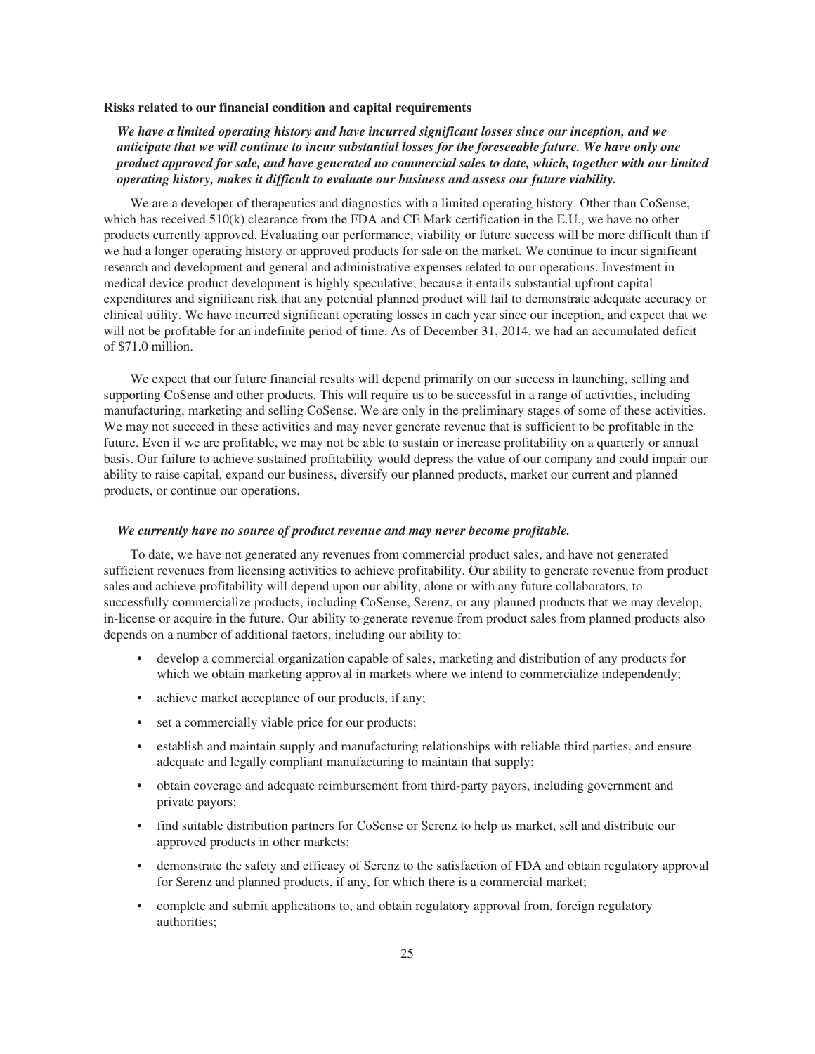#### **Risks related to our financial condition and capital requirements**

*We have a limited operating history and have incurred significant losses since our inception, and we anticipate that we will continue to incur substantial losses for the foreseeable future. We have only one product approved for sale, and have generated no commercial sales to date, which, together with our limited operating history, makes it difficult to evaluate our business and assess our future viability.*

We are a developer of therapeutics and diagnostics with a limited operating history. Other than CoSense, which has received 510(k) clearance from the FDA and CE Mark certification in the E.U., we have no other products currently approved. Evaluating our performance, viability or future success will be more difficult than if we had a longer operating history or approved products for sale on the market. We continue to incur significant research and development and general and administrative expenses related to our operations. Investment in medical device product development is highly speculative, because it entails substantial upfront capital expenditures and significant risk that any potential planned product will fail to demonstrate adequate accuracy or clinical utility. We have incurred significant operating losses in each year since our inception, and expect that we will not be profitable for an indefinite period of time. As of December 31, 2014, we had an accumulated deficit of \$71.0 million.

We expect that our future financial results will depend primarily on our success in launching, selling and supporting CoSense and other products. This will require us to be successful in a range of activities, including manufacturing, marketing and selling CoSense. We are only in the preliminary stages of some of these activities. We may not succeed in these activities and may never generate revenue that is sufficient to be profitable in the future. Even if we are profitable, we may not be able to sustain or increase profitability on a quarterly or annual basis. Our failure to achieve sustained profitability would depress the value of our company and could impair our ability to raise capital, expand our business, diversify our planned products, market our current and planned products, or continue our operations.

#### *We currently have no source of product revenue and may never become profitable.*

To date, we have not generated any revenues from commercial product sales, and have not generated sufficient revenues from licensing activities to achieve profitability. Our ability to generate revenue from product sales and achieve profitability will depend upon our ability, alone or with any future collaborators, to successfully commercialize products, including CoSense, Serenz, or any planned products that we may develop, in-license or acquire in the future. Our ability to generate revenue from product sales from planned products also depends on a number of additional factors, including our ability to:

- develop a commercial organization capable of sales, marketing and distribution of any products for which we obtain marketing approval in markets where we intend to commercialize independently;
- achieve market acceptance of our products, if any;
- set a commercially viable price for our products;
- establish and maintain supply and manufacturing relationships with reliable third parties, and ensure adequate and legally compliant manufacturing to maintain that supply;
- obtain coverage and adequate reimbursement from third-party payors, including government and private payors;
- find suitable distribution partners for CoSense or Serenz to help us market, sell and distribute our approved products in other markets;
- demonstrate the safety and efficacy of Serenz to the satisfaction of FDA and obtain regulatory approval for Serenz and planned products, if any, for which there is a commercial market;
- complete and submit applications to, and obtain regulatory approval from, foreign regulatory authorities;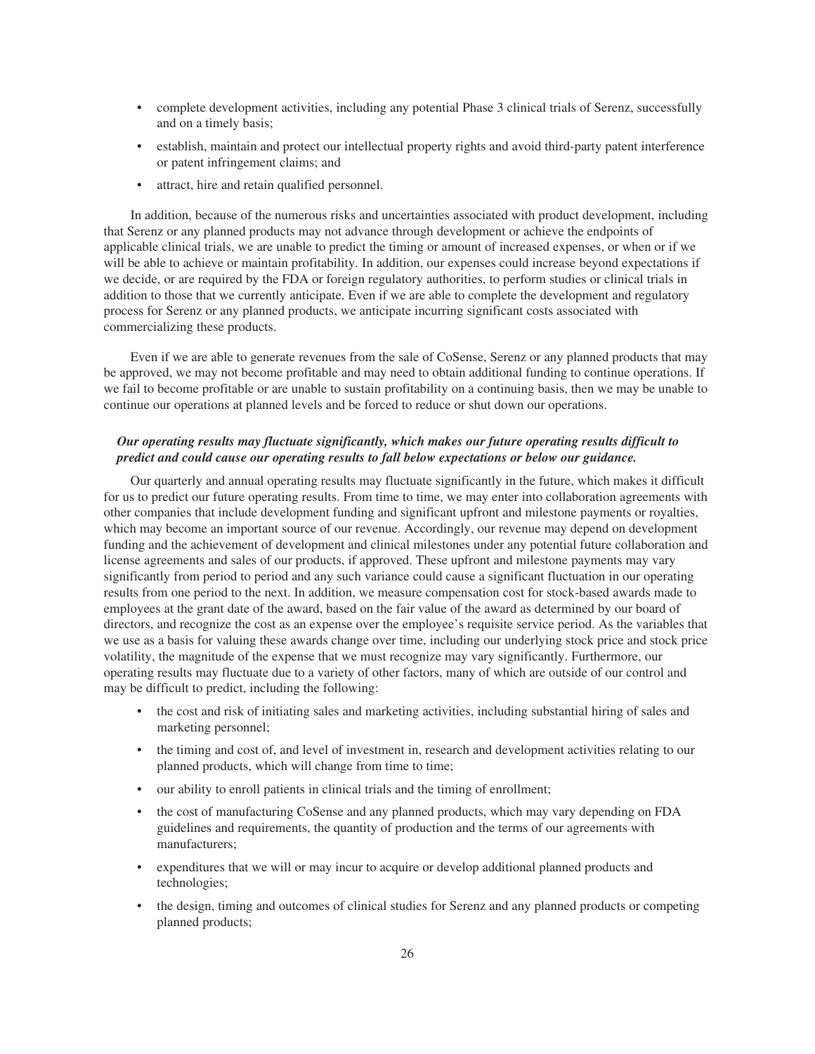- complete development activities, including any potential Phase 3 clinical trials of Serenz, successfully and on a timely basis;
- establish, maintain and protect our intellectual property rights and avoid third-party patent interference or patent infringement claims; and
- attract, hire and retain qualified personnel.

In addition, because of the numerous risks and uncertainties associated with product development, including that Serenz or any planned products may not advance through development or achieve the endpoints of applicable clinical trials, we are unable to predict the timing or amount of increased expenses, or when or if we will be able to achieve or maintain profitability. In addition, our expenses could increase beyond expectations if we decide, or are required by the FDA or foreign regulatory authorities, to perform studies or clinical trials in addition to those that we currently anticipate. Even if we are able to complete the development and regulatory process for Serenz or any planned products, we anticipate incurring significant costs associated with commercializing these products.

Even if we are able to generate revenues from the sale of CoSense, Serenz or any planned products that may be approved, we may not become profitable and may need to obtain additional funding to continue operations. If we fail to become profitable or are unable to sustain profitability on a continuing basis, then we may be unable to continue our operations at planned levels and be forced to reduce or shut down our operations.

# *Our operating results may fluctuate significantly, which makes our future operating results difficult to predict and could cause our operating results to fall below expectations or below our guidance.*

Our quarterly and annual operating results may fluctuate significantly in the future, which makes it difficult for us to predict our future operating results. From time to time, we may enter into collaboration agreements with other companies that include development funding and significant upfront and milestone payments or royalties, which may become an important source of our revenue. Accordingly, our revenue may depend on development funding and the achievement of development and clinical milestones under any potential future collaboration and license agreements and sales of our products, if approved. These upfront and milestone payments may vary significantly from period to period and any such variance could cause a significant fluctuation in our operating results from one period to the next. In addition, we measure compensation cost for stock-based awards made to employees at the grant date of the award, based on the fair value of the award as determined by our board of directors, and recognize the cost as an expense over the employee's requisite service period. As the variables that we use as a basis for valuing these awards change over time, including our underlying stock price and stock price volatility, the magnitude of the expense that we must recognize may vary significantly. Furthermore, our operating results may fluctuate due to a variety of other factors, many of which are outside of our control and may be difficult to predict, including the following:

- the cost and risk of initiating sales and marketing activities, including substantial hiring of sales and marketing personnel;
- the timing and cost of, and level of investment in, research and development activities relating to our planned products, which will change from time to time;
- our ability to enroll patients in clinical trials and the timing of enrollment;
- the cost of manufacturing CoSense and any planned products, which may vary depending on FDA guidelines and requirements, the quantity of production and the terms of our agreements with manufacturers;
- expenditures that we will or may incur to acquire or develop additional planned products and technologies;
- the design, timing and outcomes of clinical studies for Serenz and any planned products or competing planned products;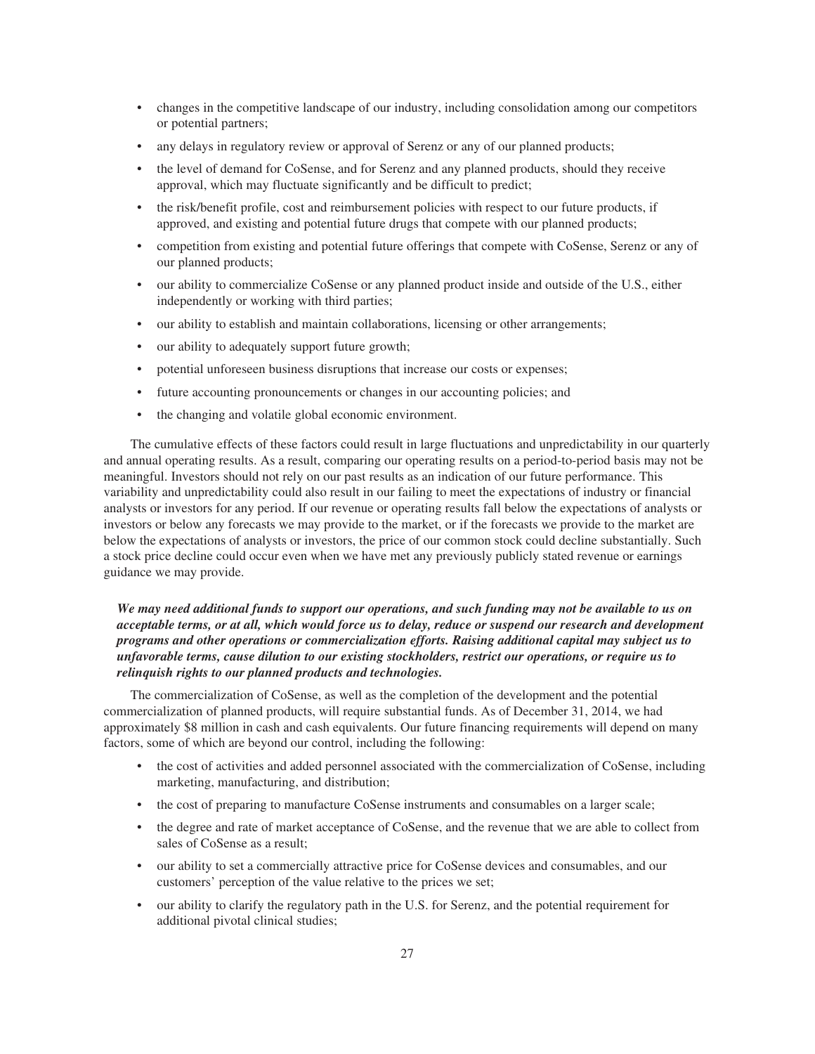- changes in the competitive landscape of our industry, including consolidation among our competitors or potential partners;
- any delays in regulatory review or approval of Serenz or any of our planned products;
- the level of demand for CoSense, and for Serenz and any planned products, should they receive approval, which may fluctuate significantly and be difficult to predict;
- the risk/benefit profile, cost and reimbursement policies with respect to our future products, if approved, and existing and potential future drugs that compete with our planned products;
- competition from existing and potential future offerings that compete with CoSense, Serenz or any of our planned products;
- our ability to commercialize CoSense or any planned product inside and outside of the U.S., either independently or working with third parties;
- our ability to establish and maintain collaborations, licensing or other arrangements;
- our ability to adequately support future growth;
- potential unforeseen business disruptions that increase our costs or expenses;
- future accounting pronouncements or changes in our accounting policies; and
- the changing and volatile global economic environment.

The cumulative effects of these factors could result in large fluctuations and unpredictability in our quarterly and annual operating results. As a result, comparing our operating results on a period-to-period basis may not be meaningful. Investors should not rely on our past results as an indication of our future performance. This variability and unpredictability could also result in our failing to meet the expectations of industry or financial analysts or investors for any period. If our revenue or operating results fall below the expectations of analysts or investors or below any forecasts we may provide to the market, or if the forecasts we provide to the market are below the expectations of analysts or investors, the price of our common stock could decline substantially. Such a stock price decline could occur even when we have met any previously publicly stated revenue or earnings guidance we may provide.

# *We may need additional funds to support our operations, and such funding may not be available to us on acceptable terms, or at all, which would force us to delay, reduce or suspend our research and development programs and other operations or commercialization efforts. Raising additional capital may subject us to unfavorable terms, cause dilution to our existing stockholders, restrict our operations, or require us to relinquish rights to our planned products and technologies.*

The commercialization of CoSense, as well as the completion of the development and the potential commercialization of planned products, will require substantial funds. As of December 31, 2014, we had approximately \$8 million in cash and cash equivalents. Our future financing requirements will depend on many factors, some of which are beyond our control, including the following:

- the cost of activities and added personnel associated with the commercialization of CoSense, including marketing, manufacturing, and distribution;
- the cost of preparing to manufacture CoSense instruments and consumables on a larger scale;
- the degree and rate of market acceptance of CoSense, and the revenue that we are able to collect from sales of CoSense as a result;
- our ability to set a commercially attractive price for CoSense devices and consumables, and our customers' perception of the value relative to the prices we set;
- our ability to clarify the regulatory path in the U.S. for Serenz, and the potential requirement for additional pivotal clinical studies;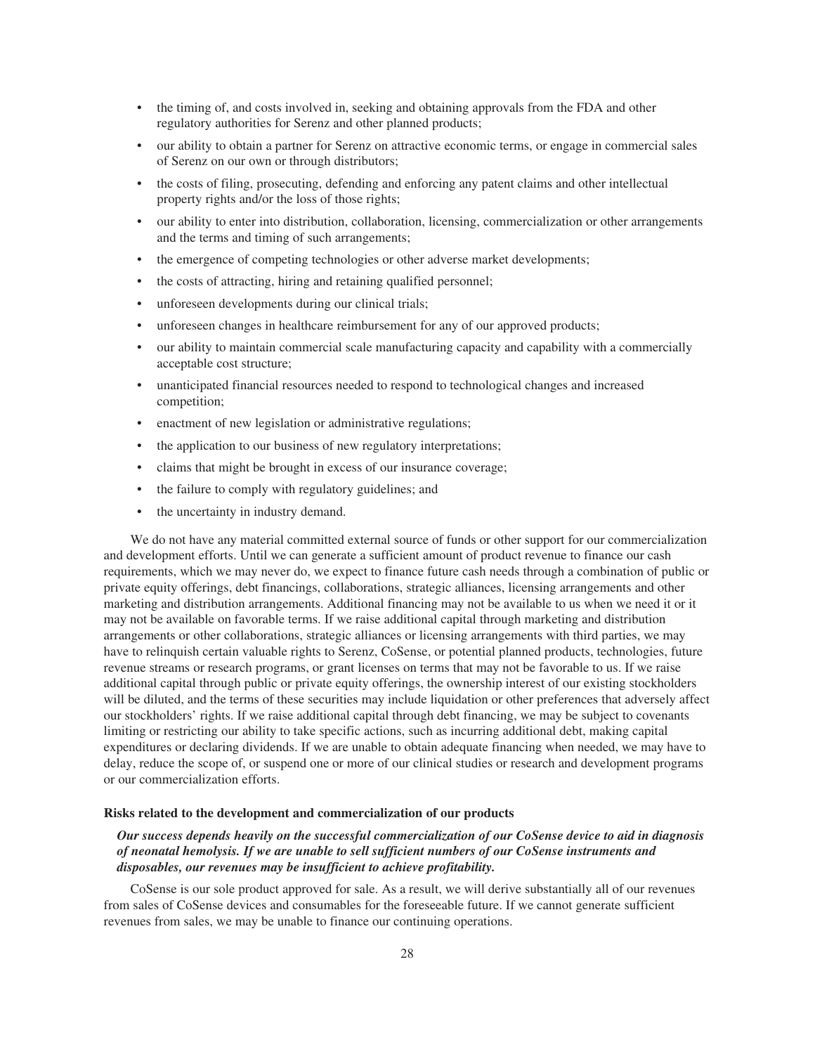- the timing of, and costs involved in, seeking and obtaining approvals from the FDA and other regulatory authorities for Serenz and other planned products;
- our ability to obtain a partner for Serenz on attractive economic terms, or engage in commercial sales of Serenz on our own or through distributors;
- the costs of filing, prosecuting, defending and enforcing any patent claims and other intellectual property rights and/or the loss of those rights;
- our ability to enter into distribution, collaboration, licensing, commercialization or other arrangements and the terms and timing of such arrangements;
- the emergence of competing technologies or other adverse market developments;
- the costs of attracting, hiring and retaining qualified personnel;
- unforeseen developments during our clinical trials;
- unforeseen changes in healthcare reimbursement for any of our approved products;
- our ability to maintain commercial scale manufacturing capacity and capability with a commercially acceptable cost structure;
- unanticipated financial resources needed to respond to technological changes and increased competition;
- enactment of new legislation or administrative regulations;
- the application to our business of new regulatory interpretations;
- claims that might be brought in excess of our insurance coverage;
- the failure to comply with regulatory guidelines; and
- the uncertainty in industry demand.

We do not have any material committed external source of funds or other support for our commercialization and development efforts. Until we can generate a sufficient amount of product revenue to finance our cash requirements, which we may never do, we expect to finance future cash needs through a combination of public or private equity offerings, debt financings, collaborations, strategic alliances, licensing arrangements and other marketing and distribution arrangements. Additional financing may not be available to us when we need it or it may not be available on favorable terms. If we raise additional capital through marketing and distribution arrangements or other collaborations, strategic alliances or licensing arrangements with third parties, we may have to relinquish certain valuable rights to Serenz, CoSense, or potential planned products, technologies, future revenue streams or research programs, or grant licenses on terms that may not be favorable to us. If we raise additional capital through public or private equity offerings, the ownership interest of our existing stockholders will be diluted, and the terms of these securities may include liquidation or other preferences that adversely affect our stockholders' rights. If we raise additional capital through debt financing, we may be subject to covenants limiting or restricting our ability to take specific actions, such as incurring additional debt, making capital expenditures or declaring dividends. If we are unable to obtain adequate financing when needed, we may have to delay, reduce the scope of, or suspend one or more of our clinical studies or research and development programs or our commercialization efforts.

#### **Risks related to the development and commercialization of our products**

# *Our success depends heavily on the successful commercialization of our CoSense device to aid in diagnosis of neonatal hemolysis. If we are unable to sell sufficient numbers of our CoSense instruments and disposables, our revenues may be insufficient to achieve profitability.*

CoSense is our sole product approved for sale. As a result, we will derive substantially all of our revenues from sales of CoSense devices and consumables for the foreseeable future. If we cannot generate sufficient revenues from sales, we may be unable to finance our continuing operations.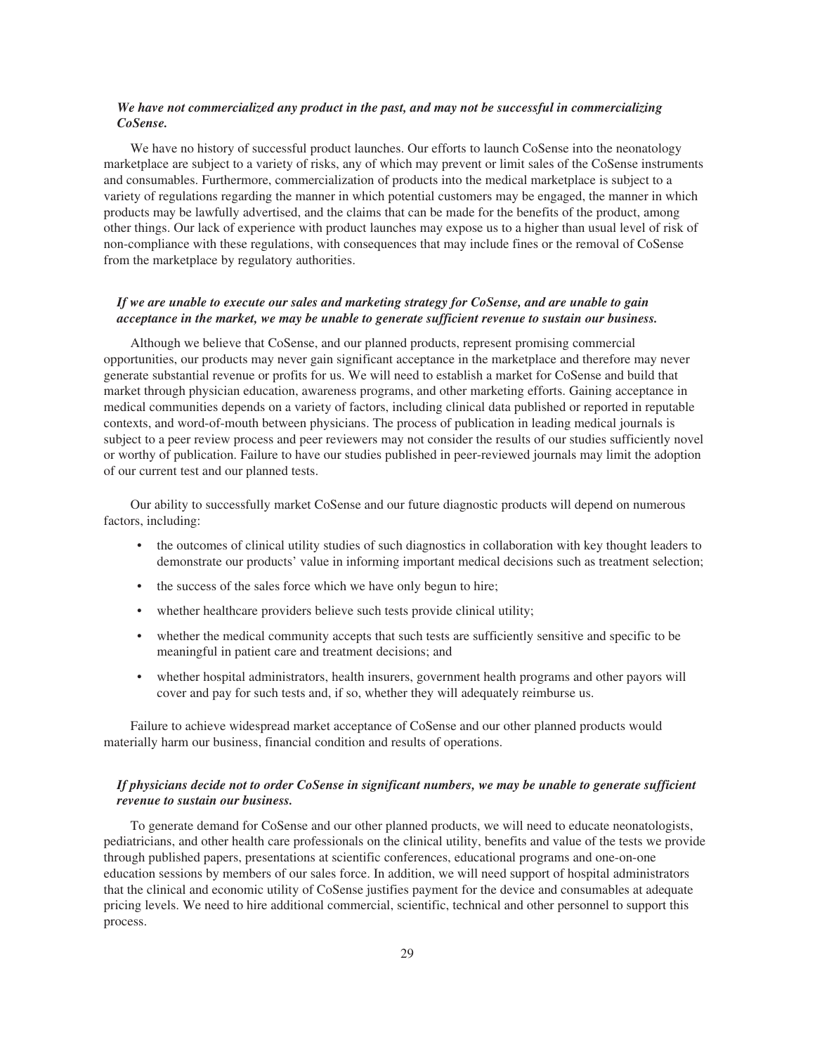# *We have not commercialized any product in the past, and may not be successful in commercializing CoSense.*

We have no history of successful product launches. Our efforts to launch CoSense into the neonatology marketplace are subject to a variety of risks, any of which may prevent or limit sales of the CoSense instruments and consumables. Furthermore, commercialization of products into the medical marketplace is subject to a variety of regulations regarding the manner in which potential customers may be engaged, the manner in which products may be lawfully advertised, and the claims that can be made for the benefits of the product, among other things. Our lack of experience with product launches may expose us to a higher than usual level of risk of non-compliance with these regulations, with consequences that may include fines or the removal of CoSense from the marketplace by regulatory authorities.

# *If we are unable to execute our sales and marketing strategy for CoSense, and are unable to gain acceptance in the market, we may be unable to generate sufficient revenue to sustain our business.*

Although we believe that CoSense, and our planned products, represent promising commercial opportunities, our products may never gain significant acceptance in the marketplace and therefore may never generate substantial revenue or profits for us. We will need to establish a market for CoSense and build that market through physician education, awareness programs, and other marketing efforts. Gaining acceptance in medical communities depends on a variety of factors, including clinical data published or reported in reputable contexts, and word-of-mouth between physicians. The process of publication in leading medical journals is subject to a peer review process and peer reviewers may not consider the results of our studies sufficiently novel or worthy of publication. Failure to have our studies published in peer-reviewed journals may limit the adoption of our current test and our planned tests.

Our ability to successfully market CoSense and our future diagnostic products will depend on numerous factors, including:

- the outcomes of clinical utility studies of such diagnostics in collaboration with key thought leaders to demonstrate our products' value in informing important medical decisions such as treatment selection;
- the success of the sales force which we have only begun to hire;
- whether healthcare providers believe such tests provide clinical utility;
- whether the medical community accepts that such tests are sufficiently sensitive and specific to be meaningful in patient care and treatment decisions; and
- whether hospital administrators, health insurers, government health programs and other payors will cover and pay for such tests and, if so, whether they will adequately reimburse us.

Failure to achieve widespread market acceptance of CoSense and our other planned products would materially harm our business, financial condition and results of operations.

# *If physicians decide not to order CoSense in significant numbers, we may be unable to generate sufficient revenue to sustain our business.*

To generate demand for CoSense and our other planned products, we will need to educate neonatologists, pediatricians, and other health care professionals on the clinical utility, benefits and value of the tests we provide through published papers, presentations at scientific conferences, educational programs and one-on-one education sessions by members of our sales force. In addition, we will need support of hospital administrators that the clinical and economic utility of CoSense justifies payment for the device and consumables at adequate pricing levels. We need to hire additional commercial, scientific, technical and other personnel to support this process.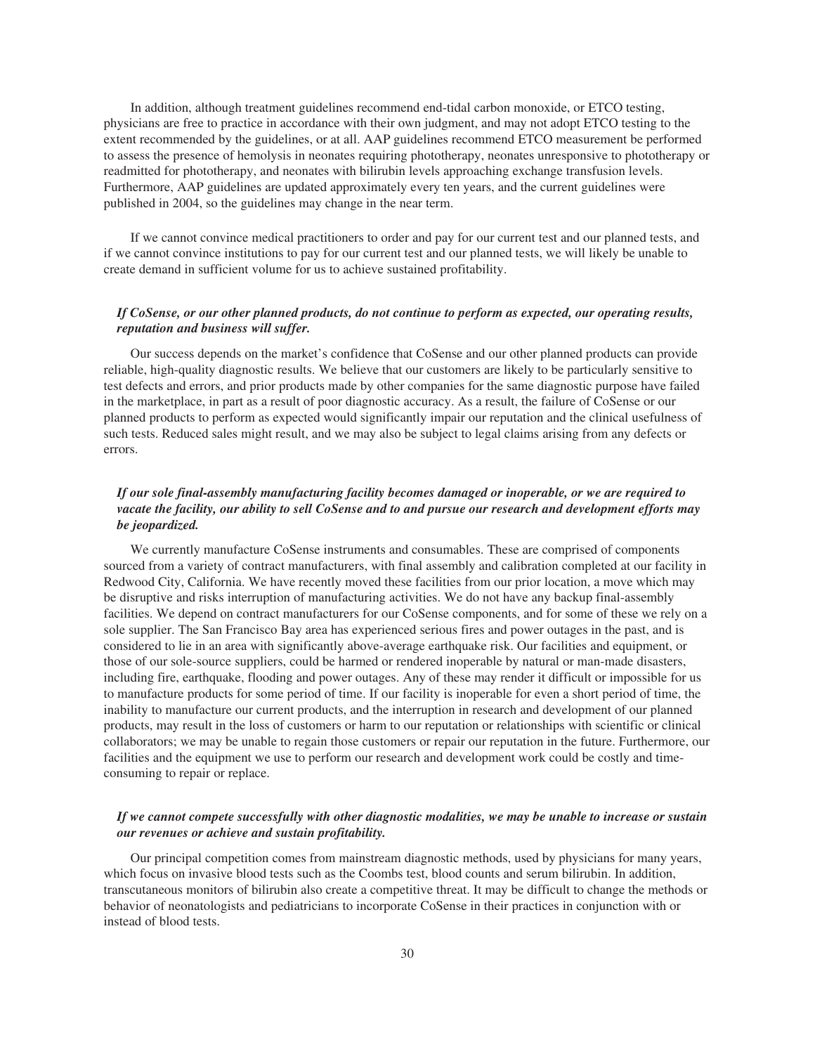In addition, although treatment guidelines recommend end-tidal carbon monoxide, or ETCO testing, physicians are free to practice in accordance with their own judgment, and may not adopt ETCO testing to the extent recommended by the guidelines, or at all. AAP guidelines recommend ETCO measurement be performed to assess the presence of hemolysis in neonates requiring phototherapy, neonates unresponsive to phototherapy or readmitted for phototherapy, and neonates with bilirubin levels approaching exchange transfusion levels. Furthermore, AAP guidelines are updated approximately every ten years, and the current guidelines were published in 2004, so the guidelines may change in the near term.

If we cannot convince medical practitioners to order and pay for our current test and our planned tests, and if we cannot convince institutions to pay for our current test and our planned tests, we will likely be unable to create demand in sufficient volume for us to achieve sustained profitability.

# *If CoSense, or our other planned products, do not continue to perform as expected, our operating results, reputation and business will suffer.*

Our success depends on the market's confidence that CoSense and our other planned products can provide reliable, high-quality diagnostic results. We believe that our customers are likely to be particularly sensitive to test defects and errors, and prior products made by other companies for the same diagnostic purpose have failed in the marketplace, in part as a result of poor diagnostic accuracy. As a result, the failure of CoSense or our planned products to perform as expected would significantly impair our reputation and the clinical usefulness of such tests. Reduced sales might result, and we may also be subject to legal claims arising from any defects or errors.

# *If our sole final-assembly manufacturing facility becomes damaged or inoperable, or we are required to vacate the facility, our ability to sell CoSense and to and pursue our research and development efforts may be jeopardized.*

We currently manufacture CoSense instruments and consumables. These are comprised of components sourced from a variety of contract manufacturers, with final assembly and calibration completed at our facility in Redwood City, California. We have recently moved these facilities from our prior location, a move which may be disruptive and risks interruption of manufacturing activities. We do not have any backup final-assembly facilities. We depend on contract manufacturers for our CoSense components, and for some of these we rely on a sole supplier. The San Francisco Bay area has experienced serious fires and power outages in the past, and is considered to lie in an area with significantly above-average earthquake risk. Our facilities and equipment, or those of our sole-source suppliers, could be harmed or rendered inoperable by natural or man-made disasters, including fire, earthquake, flooding and power outages. Any of these may render it difficult or impossible for us to manufacture products for some period of time. If our facility is inoperable for even a short period of time, the inability to manufacture our current products, and the interruption in research and development of our planned products, may result in the loss of customers or harm to our reputation or relationships with scientific or clinical collaborators; we may be unable to regain those customers or repair our reputation in the future. Furthermore, our facilities and the equipment we use to perform our research and development work could be costly and timeconsuming to repair or replace.

# *If we cannot compete successfully with other diagnostic modalities, we may be unable to increase or sustain our revenues or achieve and sustain profitability.*

Our principal competition comes from mainstream diagnostic methods, used by physicians for many years, which focus on invasive blood tests such as the Coombs test, blood counts and serum bilirubin. In addition, transcutaneous monitors of bilirubin also create a competitive threat. It may be difficult to change the methods or behavior of neonatologists and pediatricians to incorporate CoSense in their practices in conjunction with or instead of blood tests.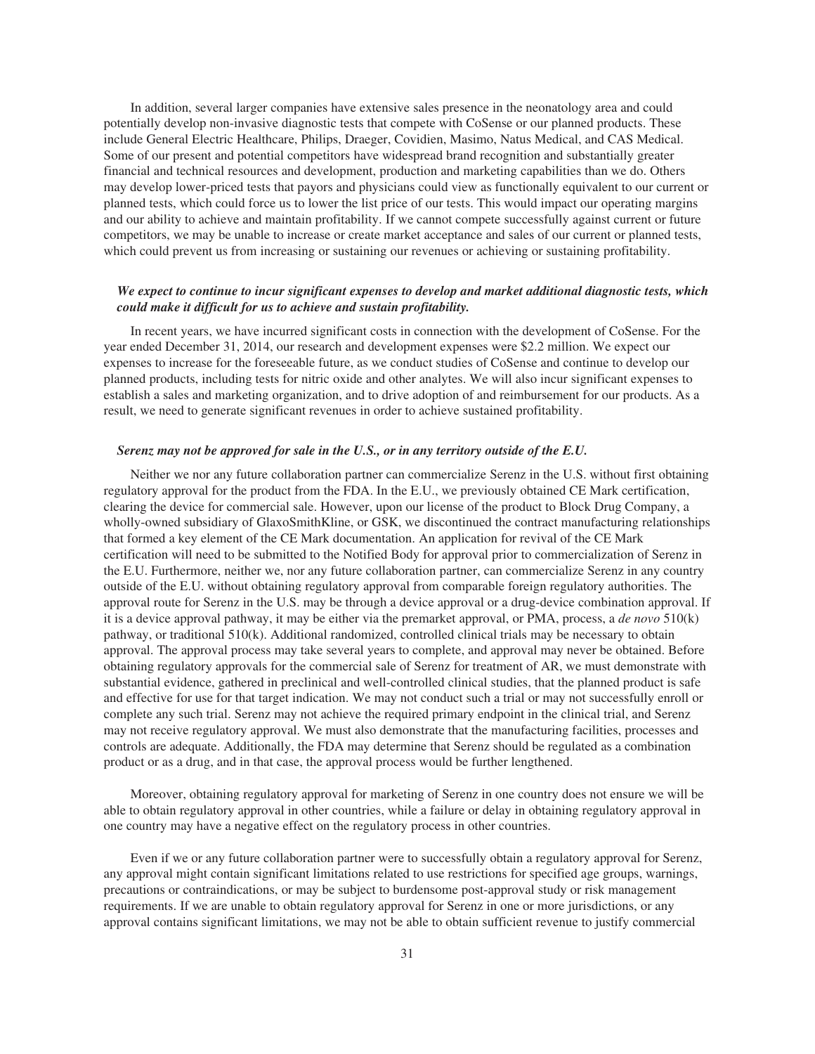In addition, several larger companies have extensive sales presence in the neonatology area and could potentially develop non-invasive diagnostic tests that compete with CoSense or our planned products. These include General Electric Healthcare, Philips, Draeger, Covidien, Masimo, Natus Medical, and CAS Medical. Some of our present and potential competitors have widespread brand recognition and substantially greater financial and technical resources and development, production and marketing capabilities than we do. Others may develop lower-priced tests that payors and physicians could view as functionally equivalent to our current or planned tests, which could force us to lower the list price of our tests. This would impact our operating margins and our ability to achieve and maintain profitability. If we cannot compete successfully against current or future competitors, we may be unable to increase or create market acceptance and sales of our current or planned tests, which could prevent us from increasing or sustaining our revenues or achieving or sustaining profitability.

# *We expect to continue to incur significant expenses to develop and market additional diagnostic tests, which could make it difficult for us to achieve and sustain profitability.*

In recent years, we have incurred significant costs in connection with the development of CoSense. For the year ended December 31, 2014, our research and development expenses were \$2.2 million. We expect our expenses to increase for the foreseeable future, as we conduct studies of CoSense and continue to develop our planned products, including tests for nitric oxide and other analytes. We will also incur significant expenses to establish a sales and marketing organization, and to drive adoption of and reimbursement for our products. As a result, we need to generate significant revenues in order to achieve sustained profitability.

#### *Serenz may not be approved for sale in the U.S., or in any territory outside of the E.U.*

Neither we nor any future collaboration partner can commercialize Serenz in the U.S. without first obtaining regulatory approval for the product from the FDA. In the E.U., we previously obtained CE Mark certification, clearing the device for commercial sale. However, upon our license of the product to Block Drug Company, a wholly-owned subsidiary of GlaxoSmithKline, or GSK, we discontinued the contract manufacturing relationships that formed a key element of the CE Mark documentation. An application for revival of the CE Mark certification will need to be submitted to the Notified Body for approval prior to commercialization of Serenz in the E.U. Furthermore, neither we, nor any future collaboration partner, can commercialize Serenz in any country outside of the E.U. without obtaining regulatory approval from comparable foreign regulatory authorities. The approval route for Serenz in the U.S. may be through a device approval or a drug-device combination approval. If it is a device approval pathway, it may be either via the premarket approval, or PMA, process, a *de novo* 510(k) pathway, or traditional 510(k). Additional randomized, controlled clinical trials may be necessary to obtain approval. The approval process may take several years to complete, and approval may never be obtained. Before obtaining regulatory approvals for the commercial sale of Serenz for treatment of AR, we must demonstrate with substantial evidence, gathered in preclinical and well-controlled clinical studies, that the planned product is safe and effective for use for that target indication. We may not conduct such a trial or may not successfully enroll or complete any such trial. Serenz may not achieve the required primary endpoint in the clinical trial, and Serenz may not receive regulatory approval. We must also demonstrate that the manufacturing facilities, processes and controls are adequate. Additionally, the FDA may determine that Serenz should be regulated as a combination product or as a drug, and in that case, the approval process would be further lengthened.

Moreover, obtaining regulatory approval for marketing of Serenz in one country does not ensure we will be able to obtain regulatory approval in other countries, while a failure or delay in obtaining regulatory approval in one country may have a negative effect on the regulatory process in other countries.

Even if we or any future collaboration partner were to successfully obtain a regulatory approval for Serenz, any approval might contain significant limitations related to use restrictions for specified age groups, warnings, precautions or contraindications, or may be subject to burdensome post-approval study or risk management requirements. If we are unable to obtain regulatory approval for Serenz in one or more jurisdictions, or any approval contains significant limitations, we may not be able to obtain sufficient revenue to justify commercial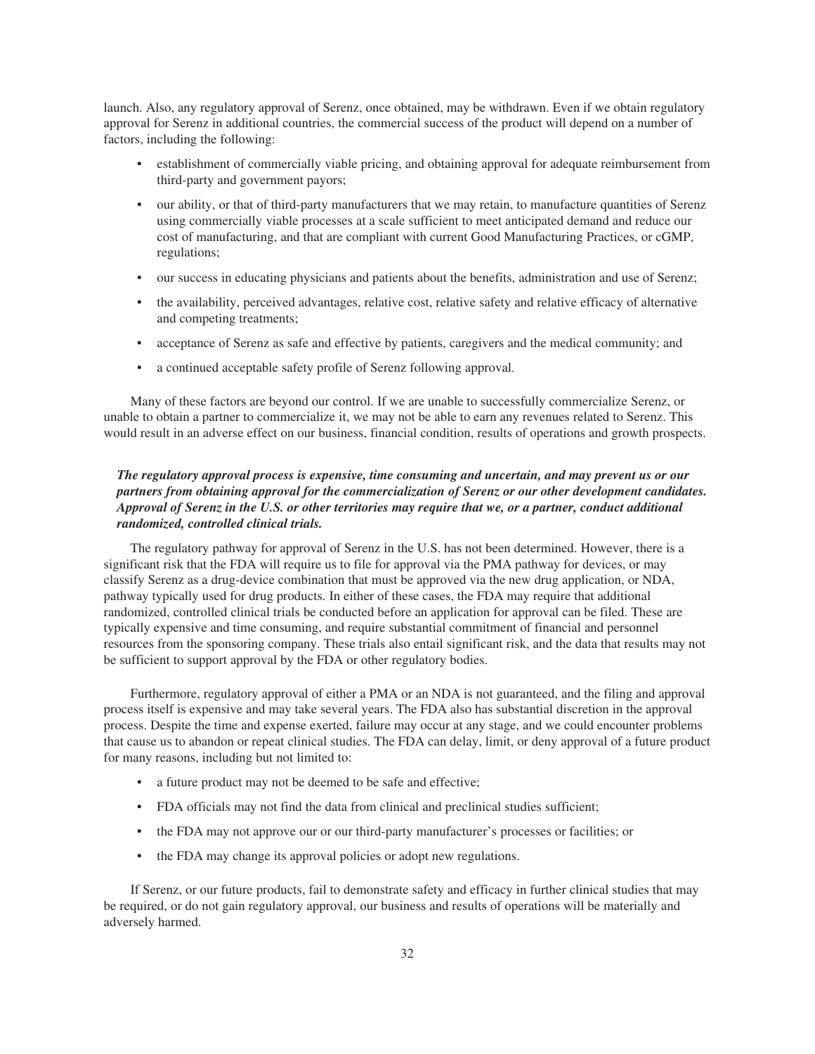launch. Also, any regulatory approval of Serenz, once obtained, may be withdrawn. Even if we obtain regulatory approval for Serenz in additional countries, the commercial success of the product will depend on a number of factors, including the following:

- establishment of commercially viable pricing, and obtaining approval for adequate reimbursement from third-party and government payors;
- our ability, or that of third-party manufacturers that we may retain, to manufacture quantities of Serenz using commercially viable processes at a scale sufficient to meet anticipated demand and reduce our cost of manufacturing, and that are compliant with current Good Manufacturing Practices, or cGMP, regulations;
- our success in educating physicians and patients about the benefits, administration and use of Serenz;
- the availability, perceived advantages, relative cost, relative safety and relative efficacy of alternative and competing treatments;
- acceptance of Serenz as safe and effective by patients, caregivers and the medical community; and
- a continued acceptable safety profile of Serenz following approval.

Many of these factors are beyond our control. If we are unable to successfully commercialize Serenz, or unable to obtain a partner to commercialize it, we may not be able to earn any revenues related to Serenz. This would result in an adverse effect on our business, financial condition, results of operations and growth prospects.

# *The regulatory approval process is expensive, time consuming and uncertain, and may prevent us or our partners from obtaining approval for the commercialization of Serenz or our other development candidates. Approval of Serenz in the U.S. or other territories may require that we, or a partner, conduct additional randomized, controlled clinical trials.*

The regulatory pathway for approval of Serenz in the U.S. has not been determined. However, there is a significant risk that the FDA will require us to file for approval via the PMA pathway for devices, or may classify Serenz as a drug-device combination that must be approved via the new drug application, or NDA, pathway typically used for drug products. In either of these cases, the FDA may require that additional randomized, controlled clinical trials be conducted before an application for approval can be filed. These are typically expensive and time consuming, and require substantial commitment of financial and personnel resources from the sponsoring company. These trials also entail significant risk, and the data that results may not be sufficient to support approval by the FDA or other regulatory bodies.

Furthermore, regulatory approval of either a PMA or an NDA is not guaranteed, and the filing and approval process itself is expensive and may take several years. The FDA also has substantial discretion in the approval process. Despite the time and expense exerted, failure may occur at any stage, and we could encounter problems that cause us to abandon or repeat clinical studies. The FDA can delay, limit, or deny approval of a future product for many reasons, including but not limited to:

- a future product may not be deemed to be safe and effective;
- FDA officials may not find the data from clinical and preclinical studies sufficient;
- the FDA may not approve our or our third-party manufacturer's processes or facilities; or
- the FDA may change its approval policies or adopt new regulations.

If Serenz, or our future products, fail to demonstrate safety and efficacy in further clinical studies that may be required, or do not gain regulatory approval, our business and results of operations will be materially and adversely harmed.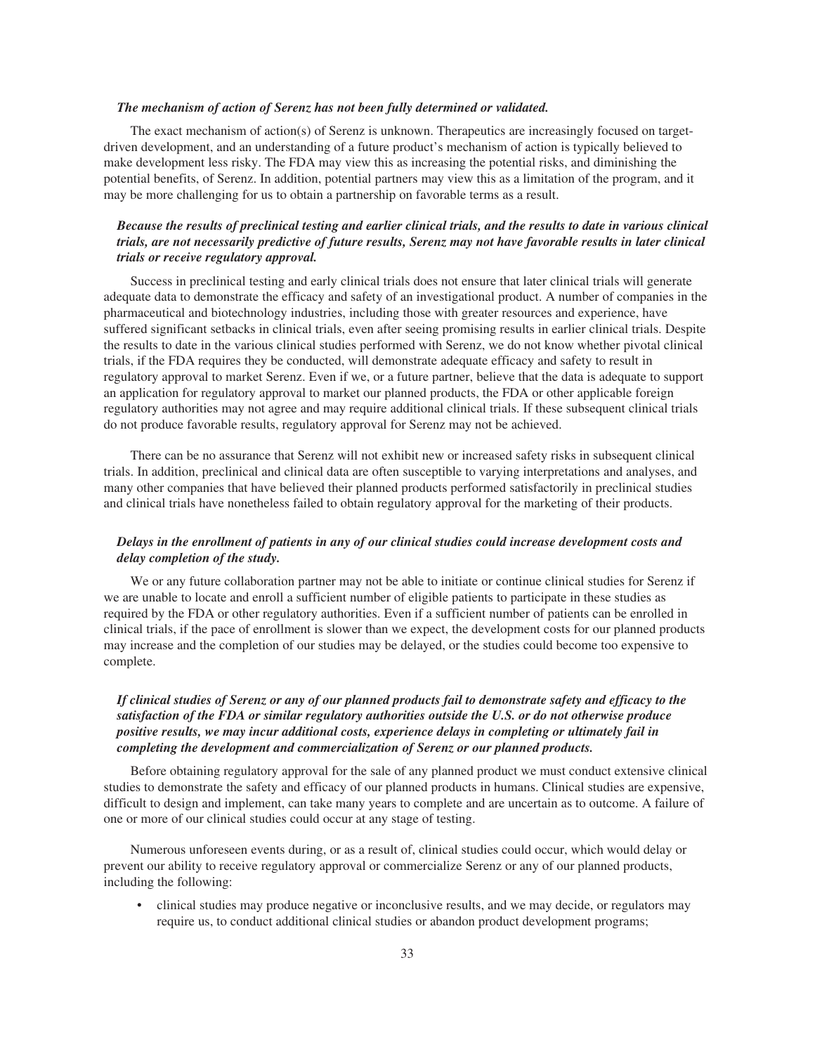# *The mechanism of action of Serenz has not been fully determined or validated.*

The exact mechanism of action(s) of Serenz is unknown. Therapeutics are increasingly focused on targetdriven development, and an understanding of a future product's mechanism of action is typically believed to make development less risky. The FDA may view this as increasing the potential risks, and diminishing the potential benefits, of Serenz. In addition, potential partners may view this as a limitation of the program, and it may be more challenging for us to obtain a partnership on favorable terms as a result.

# *Because the results of preclinical testing and earlier clinical trials, and the results to date in various clinical trials, are not necessarily predictive of future results, Serenz may not have favorable results in later clinical trials or receive regulatory approval.*

Success in preclinical testing and early clinical trials does not ensure that later clinical trials will generate adequate data to demonstrate the efficacy and safety of an investigational product. A number of companies in the pharmaceutical and biotechnology industries, including those with greater resources and experience, have suffered significant setbacks in clinical trials, even after seeing promising results in earlier clinical trials. Despite the results to date in the various clinical studies performed with Serenz, we do not know whether pivotal clinical trials, if the FDA requires they be conducted, will demonstrate adequate efficacy and safety to result in regulatory approval to market Serenz. Even if we, or a future partner, believe that the data is adequate to support an application for regulatory approval to market our planned products, the FDA or other applicable foreign regulatory authorities may not agree and may require additional clinical trials. If these subsequent clinical trials do not produce favorable results, regulatory approval for Serenz may not be achieved.

There can be no assurance that Serenz will not exhibit new or increased safety risks in subsequent clinical trials. In addition, preclinical and clinical data are often susceptible to varying interpretations and analyses, and many other companies that have believed their planned products performed satisfactorily in preclinical studies and clinical trials have nonetheless failed to obtain regulatory approval for the marketing of their products.

# *Delays in the enrollment of patients in any of our clinical studies could increase development costs and delay completion of the study.*

We or any future collaboration partner may not be able to initiate or continue clinical studies for Serenz if we are unable to locate and enroll a sufficient number of eligible patients to participate in these studies as required by the FDA or other regulatory authorities. Even if a sufficient number of patients can be enrolled in clinical trials, if the pace of enrollment is slower than we expect, the development costs for our planned products may increase and the completion of our studies may be delayed, or the studies could become too expensive to complete.

# *If clinical studies of Serenz or any of our planned products fail to demonstrate safety and efficacy to the satisfaction of the FDA or similar regulatory authorities outside the U.S. or do not otherwise produce positive results, we may incur additional costs, experience delays in completing or ultimately fail in completing the development and commercialization of Serenz or our planned products.*

Before obtaining regulatory approval for the sale of any planned product we must conduct extensive clinical studies to demonstrate the safety and efficacy of our planned products in humans. Clinical studies are expensive, difficult to design and implement, can take many years to complete and are uncertain as to outcome. A failure of one or more of our clinical studies could occur at any stage of testing.

Numerous unforeseen events during, or as a result of, clinical studies could occur, which would delay or prevent our ability to receive regulatory approval or commercialize Serenz or any of our planned products, including the following:

• clinical studies may produce negative or inconclusive results, and we may decide, or regulators may require us, to conduct additional clinical studies or abandon product development programs;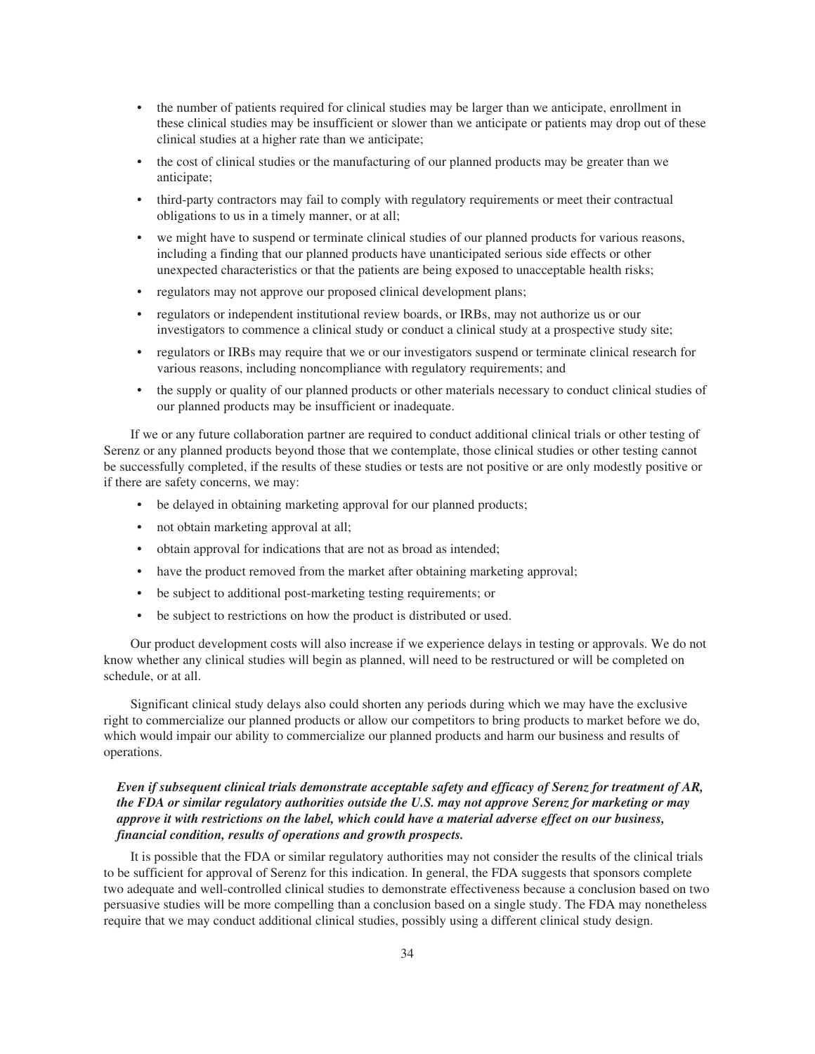- the number of patients required for clinical studies may be larger than we anticipate, enrollment in these clinical studies may be insufficient or slower than we anticipate or patients may drop out of these clinical studies at a higher rate than we anticipate;
- the cost of clinical studies or the manufacturing of our planned products may be greater than we anticipate;
- third-party contractors may fail to comply with regulatory requirements or meet their contractual obligations to us in a timely manner, or at all;
- we might have to suspend or terminate clinical studies of our planned products for various reasons, including a finding that our planned products have unanticipated serious side effects or other unexpected characteristics or that the patients are being exposed to unacceptable health risks;
- regulators may not approve our proposed clinical development plans;
- regulators or independent institutional review boards, or IRBs, may not authorize us or our investigators to commence a clinical study or conduct a clinical study at a prospective study site;
- regulators or IRBs may require that we or our investigators suspend or terminate clinical research for various reasons, including noncompliance with regulatory requirements; and
- the supply or quality of our planned products or other materials necessary to conduct clinical studies of our planned products may be insufficient or inadequate.

If we or any future collaboration partner are required to conduct additional clinical trials or other testing of Serenz or any planned products beyond those that we contemplate, those clinical studies or other testing cannot be successfully completed, if the results of these studies or tests are not positive or are only modestly positive or if there are safety concerns, we may:

- be delayed in obtaining marketing approval for our planned products;
- not obtain marketing approval at all;
- obtain approval for indications that are not as broad as intended;
- have the product removed from the market after obtaining marketing approval;
- be subject to additional post-marketing testing requirements; or
- be subject to restrictions on how the product is distributed or used.

Our product development costs will also increase if we experience delays in testing or approvals. We do not know whether any clinical studies will begin as planned, will need to be restructured or will be completed on schedule, or at all.

Significant clinical study delays also could shorten any periods during which we may have the exclusive right to commercialize our planned products or allow our competitors to bring products to market before we do, which would impair our ability to commercialize our planned products and harm our business and results of operations.

# *Even if subsequent clinical trials demonstrate acceptable safety and efficacy of Serenz for treatment of AR, the FDA or similar regulatory authorities outside the U.S. may not approve Serenz for marketing or may approve it with restrictions on the label, which could have a material adverse effect on our business, financial condition, results of operations and growth prospects.*

It is possible that the FDA or similar regulatory authorities may not consider the results of the clinical trials to be sufficient for approval of Serenz for this indication. In general, the FDA suggests that sponsors complete two adequate and well-controlled clinical studies to demonstrate effectiveness because a conclusion based on two persuasive studies will be more compelling than a conclusion based on a single study. The FDA may nonetheless require that we may conduct additional clinical studies, possibly using a different clinical study design.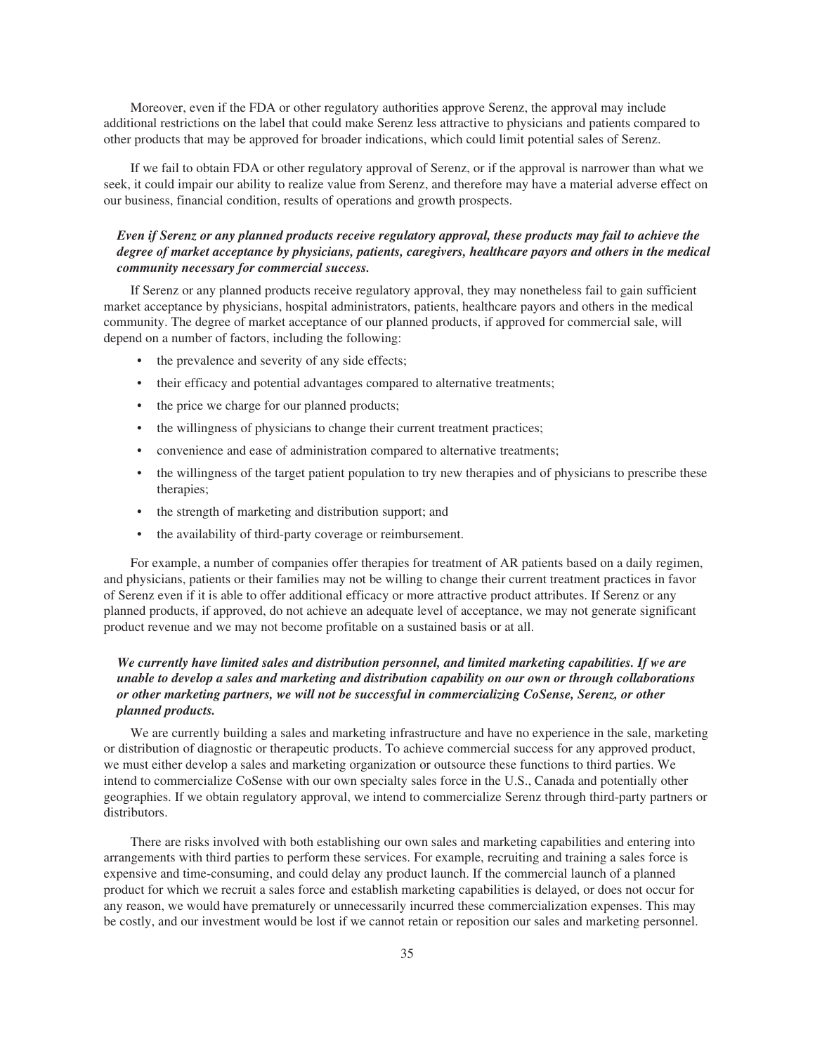Moreover, even if the FDA or other regulatory authorities approve Serenz, the approval may include additional restrictions on the label that could make Serenz less attractive to physicians and patients compared to other products that may be approved for broader indications, which could limit potential sales of Serenz.

If we fail to obtain FDA or other regulatory approval of Serenz, or if the approval is narrower than what we seek, it could impair our ability to realize value from Serenz, and therefore may have a material adverse effect on our business, financial condition, results of operations and growth prospects.

## *Even if Serenz or any planned products receive regulatory approval, these products may fail to achieve the degree of market acceptance by physicians, patients, caregivers, healthcare payors and others in the medical community necessary for commercial success.*

If Serenz or any planned products receive regulatory approval, they may nonetheless fail to gain sufficient market acceptance by physicians, hospital administrators, patients, healthcare payors and others in the medical community. The degree of market acceptance of our planned products, if approved for commercial sale, will depend on a number of factors, including the following:

- the prevalence and severity of any side effects;
- their efficacy and potential advantages compared to alternative treatments;
- the price we charge for our planned products;
- the willingness of physicians to change their current treatment practices;
- convenience and ease of administration compared to alternative treatments;
- the willingness of the target patient population to try new therapies and of physicians to prescribe these therapies;
- the strength of marketing and distribution support; and
- the availability of third-party coverage or reimbursement.

For example, a number of companies offer therapies for treatment of AR patients based on a daily regimen, and physicians, patients or their families may not be willing to change their current treatment practices in favor of Serenz even if it is able to offer additional efficacy or more attractive product attributes. If Serenz or any planned products, if approved, do not achieve an adequate level of acceptance, we may not generate significant product revenue and we may not become profitable on a sustained basis or at all.

# *We currently have limited sales and distribution personnel, and limited marketing capabilities. If we are unable to develop a sales and marketing and distribution capability on our own or through collaborations or other marketing partners, we will not be successful in commercializing CoSense, Serenz, or other planned products.*

We are currently building a sales and marketing infrastructure and have no experience in the sale, marketing or distribution of diagnostic or therapeutic products. To achieve commercial success for any approved product, we must either develop a sales and marketing organization or outsource these functions to third parties. We intend to commercialize CoSense with our own specialty sales force in the U.S., Canada and potentially other geographies. If we obtain regulatory approval, we intend to commercialize Serenz through third-party partners or distributors.

There are risks involved with both establishing our own sales and marketing capabilities and entering into arrangements with third parties to perform these services. For example, recruiting and training a sales force is expensive and time-consuming, and could delay any product launch. If the commercial launch of a planned product for which we recruit a sales force and establish marketing capabilities is delayed, or does not occur for any reason, we would have prematurely or unnecessarily incurred these commercialization expenses. This may be costly, and our investment would be lost if we cannot retain or reposition our sales and marketing personnel.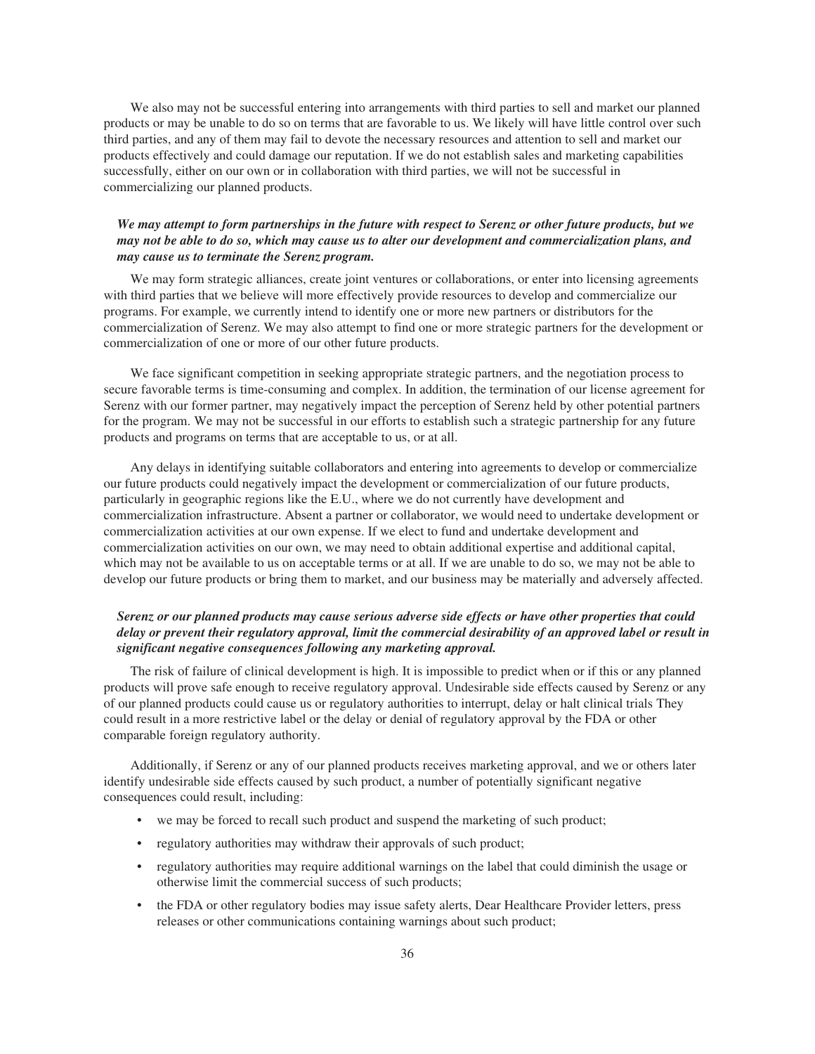We also may not be successful entering into arrangements with third parties to sell and market our planned products or may be unable to do so on terms that are favorable to us. We likely will have little control over such third parties, and any of them may fail to devote the necessary resources and attention to sell and market our products effectively and could damage our reputation. If we do not establish sales and marketing capabilities successfully, either on our own or in collaboration with third parties, we will not be successful in commercializing our planned products.

### *We may attempt to form partnerships in the future with respect to Serenz or other future products, but we may not be able to do so, which may cause us to alter our development and commercialization plans, and may cause us to terminate the Serenz program.*

We may form strategic alliances, create joint ventures or collaborations, or enter into licensing agreements with third parties that we believe will more effectively provide resources to develop and commercialize our programs. For example, we currently intend to identify one or more new partners or distributors for the commercialization of Serenz. We may also attempt to find one or more strategic partners for the development or commercialization of one or more of our other future products.

We face significant competition in seeking appropriate strategic partners, and the negotiation process to secure favorable terms is time-consuming and complex. In addition, the termination of our license agreement for Serenz with our former partner, may negatively impact the perception of Serenz held by other potential partners for the program. We may not be successful in our efforts to establish such a strategic partnership for any future products and programs on terms that are acceptable to us, or at all.

Any delays in identifying suitable collaborators and entering into agreements to develop or commercialize our future products could negatively impact the development or commercialization of our future products, particularly in geographic regions like the E.U., where we do not currently have development and commercialization infrastructure. Absent a partner or collaborator, we would need to undertake development or commercialization activities at our own expense. If we elect to fund and undertake development and commercialization activities on our own, we may need to obtain additional expertise and additional capital, which may not be available to us on acceptable terms or at all. If we are unable to do so, we may not be able to develop our future products or bring them to market, and our business may be materially and adversely affected.

# *Serenz or our planned products may cause serious adverse side effects or have other properties that could delay or prevent their regulatory approval, limit the commercial desirability of an approved label or result in significant negative consequences following any marketing approval.*

The risk of failure of clinical development is high. It is impossible to predict when or if this or any planned products will prove safe enough to receive regulatory approval. Undesirable side effects caused by Serenz or any of our planned products could cause us or regulatory authorities to interrupt, delay or halt clinical trials They could result in a more restrictive label or the delay or denial of regulatory approval by the FDA or other comparable foreign regulatory authority.

Additionally, if Serenz or any of our planned products receives marketing approval, and we or others later identify undesirable side effects caused by such product, a number of potentially significant negative consequences could result, including:

- we may be forced to recall such product and suspend the marketing of such product;
- regulatory authorities may withdraw their approvals of such product;
- regulatory authorities may require additional warnings on the label that could diminish the usage or otherwise limit the commercial success of such products;
- the FDA or other regulatory bodies may issue safety alerts, Dear Healthcare Provider letters, press releases or other communications containing warnings about such product;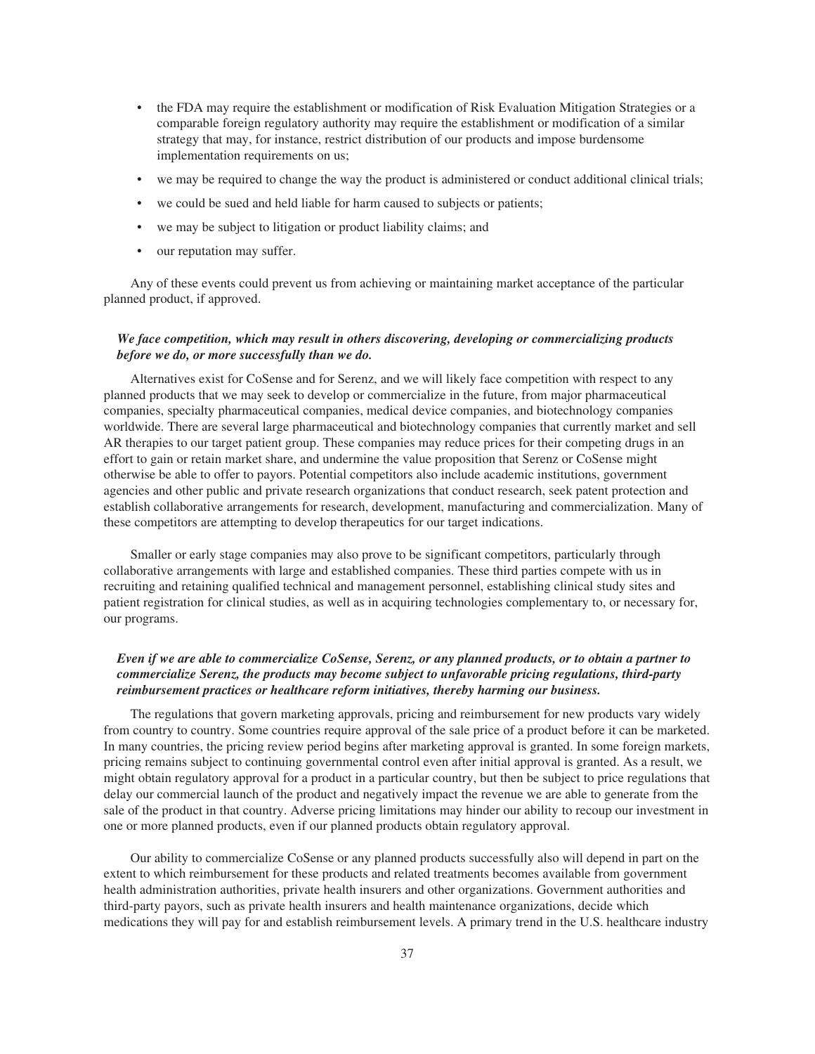- the FDA may require the establishment or modification of Risk Evaluation Mitigation Strategies or a comparable foreign regulatory authority may require the establishment or modification of a similar strategy that may, for instance, restrict distribution of our products and impose burdensome implementation requirements on us;
- we may be required to change the way the product is administered or conduct additional clinical trials;
- we could be sued and held liable for harm caused to subjects or patients;
- we may be subject to litigation or product liability claims; and
- our reputation may suffer.

Any of these events could prevent us from achieving or maintaining market acceptance of the particular planned product, if approved.

### *We face competition, which may result in others discovering, developing or commercializing products before we do, or more successfully than we do.*

Alternatives exist for CoSense and for Serenz, and we will likely face competition with respect to any planned products that we may seek to develop or commercialize in the future, from major pharmaceutical companies, specialty pharmaceutical companies, medical device companies, and biotechnology companies worldwide. There are several large pharmaceutical and biotechnology companies that currently market and sell AR therapies to our target patient group. These companies may reduce prices for their competing drugs in an effort to gain or retain market share, and undermine the value proposition that Serenz or CoSense might otherwise be able to offer to payors. Potential competitors also include academic institutions, government agencies and other public and private research organizations that conduct research, seek patent protection and establish collaborative arrangements for research, development, manufacturing and commercialization. Many of these competitors are attempting to develop therapeutics for our target indications.

Smaller or early stage companies may also prove to be significant competitors, particularly through collaborative arrangements with large and established companies. These third parties compete with us in recruiting and retaining qualified technical and management personnel, establishing clinical study sites and patient registration for clinical studies, as well as in acquiring technologies complementary to, or necessary for, our programs.

## *Even if we are able to commercialize CoSense, Serenz, or any planned products, or to obtain a partner to commercialize Serenz, the products may become subject to unfavorable pricing regulations, third-party reimbursement practices or healthcare reform initiatives, thereby harming our business.*

The regulations that govern marketing approvals, pricing and reimbursement for new products vary widely from country to country. Some countries require approval of the sale price of a product before it can be marketed. In many countries, the pricing review period begins after marketing approval is granted. In some foreign markets, pricing remains subject to continuing governmental control even after initial approval is granted. As a result, we might obtain regulatory approval for a product in a particular country, but then be subject to price regulations that delay our commercial launch of the product and negatively impact the revenue we are able to generate from the sale of the product in that country. Adverse pricing limitations may hinder our ability to recoup our investment in one or more planned products, even if our planned products obtain regulatory approval.

Our ability to commercialize CoSense or any planned products successfully also will depend in part on the extent to which reimbursement for these products and related treatments becomes available from government health administration authorities, private health insurers and other organizations. Government authorities and third-party payors, such as private health insurers and health maintenance organizations, decide which medications they will pay for and establish reimbursement levels. A primary trend in the U.S. healthcare industry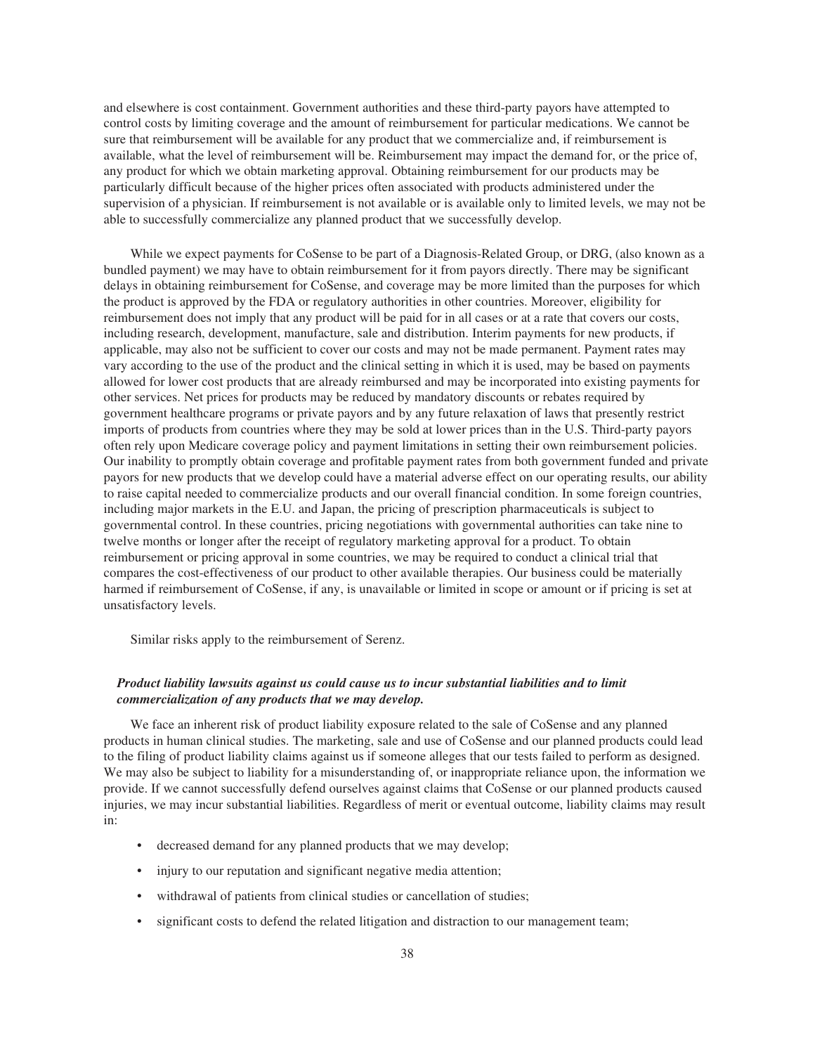and elsewhere is cost containment. Government authorities and these third-party payors have attempted to control costs by limiting coverage and the amount of reimbursement for particular medications. We cannot be sure that reimbursement will be available for any product that we commercialize and, if reimbursement is available, what the level of reimbursement will be. Reimbursement may impact the demand for, or the price of, any product for which we obtain marketing approval. Obtaining reimbursement for our products may be particularly difficult because of the higher prices often associated with products administered under the supervision of a physician. If reimbursement is not available or is available only to limited levels, we may not be able to successfully commercialize any planned product that we successfully develop.

While we expect payments for CoSense to be part of a Diagnosis-Related Group, or DRG, (also known as a bundled payment) we may have to obtain reimbursement for it from payors directly. There may be significant delays in obtaining reimbursement for CoSense, and coverage may be more limited than the purposes for which the product is approved by the FDA or regulatory authorities in other countries. Moreover, eligibility for reimbursement does not imply that any product will be paid for in all cases or at a rate that covers our costs, including research, development, manufacture, sale and distribution. Interim payments for new products, if applicable, may also not be sufficient to cover our costs and may not be made permanent. Payment rates may vary according to the use of the product and the clinical setting in which it is used, may be based on payments allowed for lower cost products that are already reimbursed and may be incorporated into existing payments for other services. Net prices for products may be reduced by mandatory discounts or rebates required by government healthcare programs or private payors and by any future relaxation of laws that presently restrict imports of products from countries where they may be sold at lower prices than in the U.S. Third-party payors often rely upon Medicare coverage policy and payment limitations in setting their own reimbursement policies. Our inability to promptly obtain coverage and profitable payment rates from both government funded and private payors for new products that we develop could have a material adverse effect on our operating results, our ability to raise capital needed to commercialize products and our overall financial condition. In some foreign countries, including major markets in the E.U. and Japan, the pricing of prescription pharmaceuticals is subject to governmental control. In these countries, pricing negotiations with governmental authorities can take nine to twelve months or longer after the receipt of regulatory marketing approval for a product. To obtain reimbursement or pricing approval in some countries, we may be required to conduct a clinical trial that compares the cost-effectiveness of our product to other available therapies. Our business could be materially harmed if reimbursement of CoSense, if any, is unavailable or limited in scope or amount or if pricing is set at unsatisfactory levels.

Similar risks apply to the reimbursement of Serenz.

## *Product liability lawsuits against us could cause us to incur substantial liabilities and to limit commercialization of any products that we may develop.*

We face an inherent risk of product liability exposure related to the sale of CoSense and any planned products in human clinical studies. The marketing, sale and use of CoSense and our planned products could lead to the filing of product liability claims against us if someone alleges that our tests failed to perform as designed. We may also be subject to liability for a misunderstanding of, or inappropriate reliance upon, the information we provide. If we cannot successfully defend ourselves against claims that CoSense or our planned products caused injuries, we may incur substantial liabilities. Regardless of merit or eventual outcome, liability claims may result in:

- decreased demand for any planned products that we may develop;
- injury to our reputation and significant negative media attention;
- withdrawal of patients from clinical studies or cancellation of studies;
- significant costs to defend the related litigation and distraction to our management team;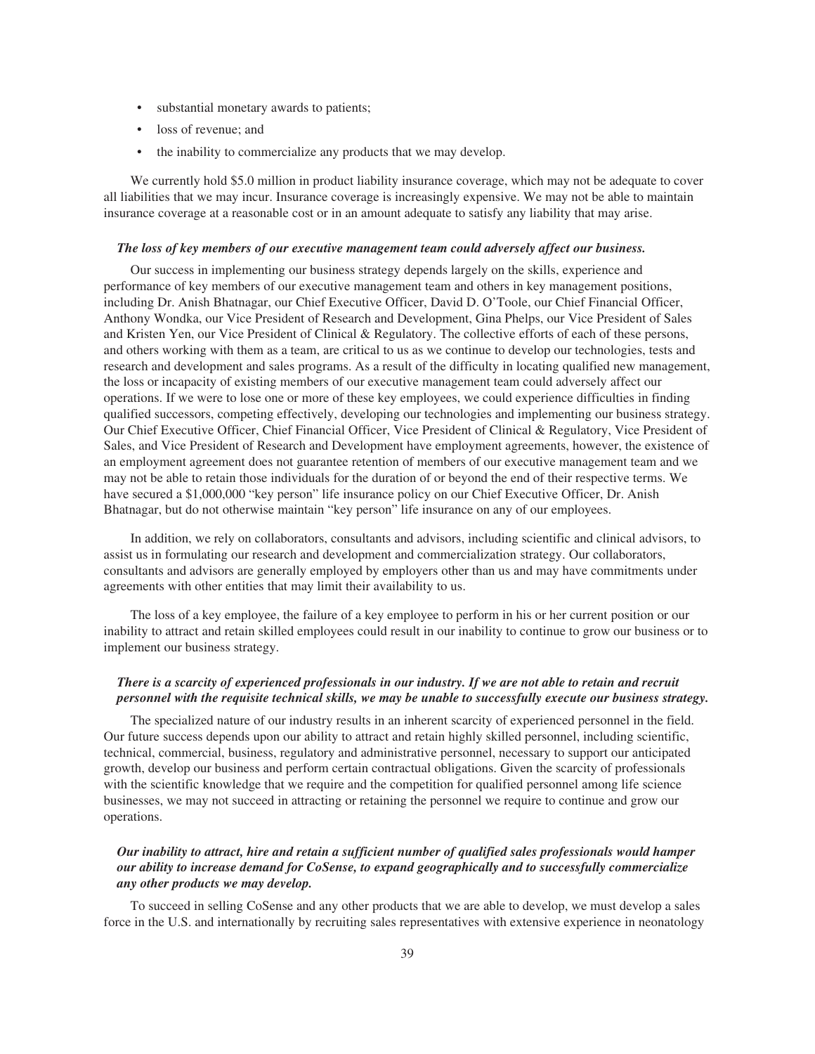- substantial monetary awards to patients;
- loss of revenue; and
- the inability to commercialize any products that we may develop.

We currently hold \$5.0 million in product liability insurance coverage, which may not be adequate to cover all liabilities that we may incur. Insurance coverage is increasingly expensive. We may not be able to maintain insurance coverage at a reasonable cost or in an amount adequate to satisfy any liability that may arise.

#### *The loss of key members of our executive management team could adversely affect our business.*

Our success in implementing our business strategy depends largely on the skills, experience and performance of key members of our executive management team and others in key management positions, including Dr. Anish Bhatnagar, our Chief Executive Officer, David D. O'Toole, our Chief Financial Officer, Anthony Wondka, our Vice President of Research and Development, Gina Phelps, our Vice President of Sales and Kristen Yen, our Vice President of Clinical & Regulatory. The collective efforts of each of these persons, and others working with them as a team, are critical to us as we continue to develop our technologies, tests and research and development and sales programs. As a result of the difficulty in locating qualified new management, the loss or incapacity of existing members of our executive management team could adversely affect our operations. If we were to lose one or more of these key employees, we could experience difficulties in finding qualified successors, competing effectively, developing our technologies and implementing our business strategy. Our Chief Executive Officer, Chief Financial Officer, Vice President of Clinical & Regulatory, Vice President of Sales, and Vice President of Research and Development have employment agreements, however, the existence of an employment agreement does not guarantee retention of members of our executive management team and we may not be able to retain those individuals for the duration of or beyond the end of their respective terms. We have secured a \$1,000,000 "key person" life insurance policy on our Chief Executive Officer, Dr. Anish Bhatnagar, but do not otherwise maintain "key person" life insurance on any of our employees.

In addition, we rely on collaborators, consultants and advisors, including scientific and clinical advisors, to assist us in formulating our research and development and commercialization strategy. Our collaborators, consultants and advisors are generally employed by employers other than us and may have commitments under agreements with other entities that may limit their availability to us.

The loss of a key employee, the failure of a key employee to perform in his or her current position or our inability to attract and retain skilled employees could result in our inability to continue to grow our business or to implement our business strategy.

### *There is a scarcity of experienced professionals in our industry. If we are not able to retain and recruit personnel with the requisite technical skills, we may be unable to successfully execute our business strategy.*

The specialized nature of our industry results in an inherent scarcity of experienced personnel in the field. Our future success depends upon our ability to attract and retain highly skilled personnel, including scientific, technical, commercial, business, regulatory and administrative personnel, necessary to support our anticipated growth, develop our business and perform certain contractual obligations. Given the scarcity of professionals with the scientific knowledge that we require and the competition for qualified personnel among life science businesses, we may not succeed in attracting or retaining the personnel we require to continue and grow our operations.

# *Our inability to attract, hire and retain a sufficient number of qualified sales professionals would hamper our ability to increase demand for CoSense, to expand geographically and to successfully commercialize any other products we may develop.*

To succeed in selling CoSense and any other products that we are able to develop, we must develop a sales force in the U.S. and internationally by recruiting sales representatives with extensive experience in neonatology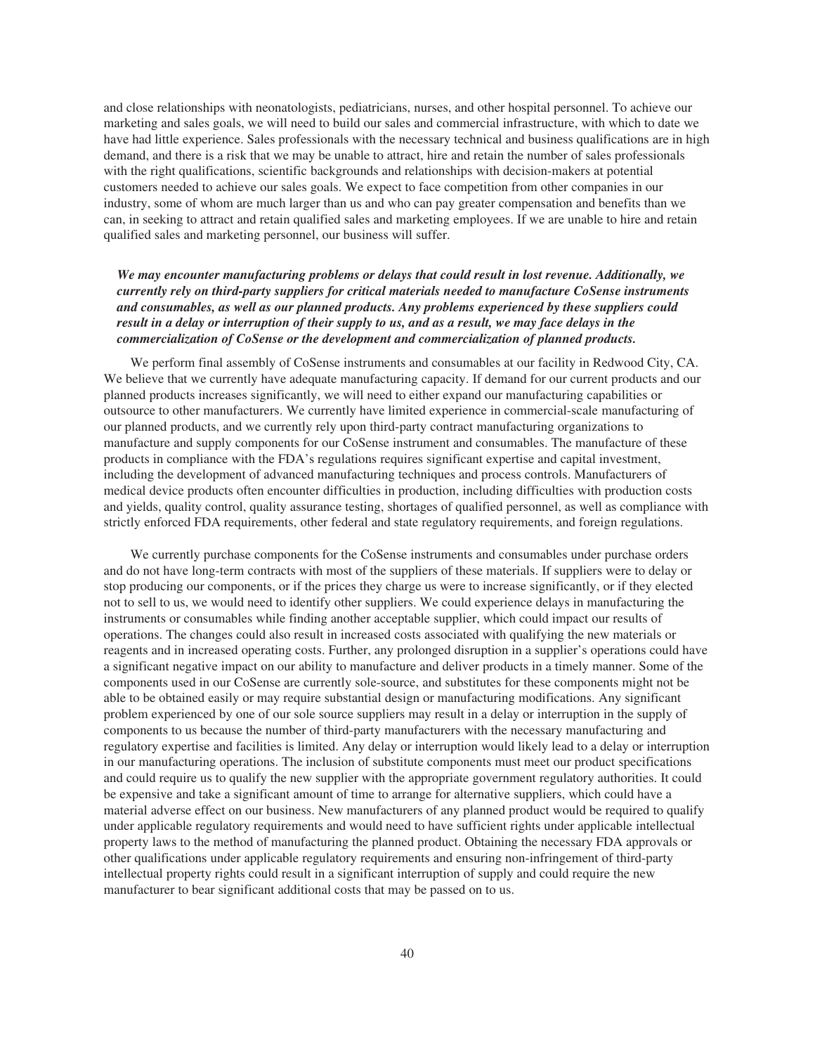and close relationships with neonatologists, pediatricians, nurses, and other hospital personnel. To achieve our marketing and sales goals, we will need to build our sales and commercial infrastructure, with which to date we have had little experience. Sales professionals with the necessary technical and business qualifications are in high demand, and there is a risk that we may be unable to attract, hire and retain the number of sales professionals with the right qualifications, scientific backgrounds and relationships with decision-makers at potential customers needed to achieve our sales goals. We expect to face competition from other companies in our industry, some of whom are much larger than us and who can pay greater compensation and benefits than we can, in seeking to attract and retain qualified sales and marketing employees. If we are unable to hire and retain qualified sales and marketing personnel, our business will suffer.

# *We may encounter manufacturing problems or delays that could result in lost revenue. Additionally, we currently rely on third-party suppliers for critical materials needed to manufacture CoSense instruments and consumables, as well as our planned products. Any problems experienced by these suppliers could result in a delay or interruption of their supply to us, and as a result, we may face delays in the commercialization of CoSense or the development and commercialization of planned products.*

We perform final assembly of CoSense instruments and consumables at our facility in Redwood City, CA. We believe that we currently have adequate manufacturing capacity. If demand for our current products and our planned products increases significantly, we will need to either expand our manufacturing capabilities or outsource to other manufacturers. We currently have limited experience in commercial-scale manufacturing of our planned products, and we currently rely upon third-party contract manufacturing organizations to manufacture and supply components for our CoSense instrument and consumables. The manufacture of these products in compliance with the FDA's regulations requires significant expertise and capital investment, including the development of advanced manufacturing techniques and process controls. Manufacturers of medical device products often encounter difficulties in production, including difficulties with production costs and yields, quality control, quality assurance testing, shortages of qualified personnel, as well as compliance with strictly enforced FDA requirements, other federal and state regulatory requirements, and foreign regulations.

We currently purchase components for the CoSense instruments and consumables under purchase orders and do not have long-term contracts with most of the suppliers of these materials. If suppliers were to delay or stop producing our components, or if the prices they charge us were to increase significantly, or if they elected not to sell to us, we would need to identify other suppliers. We could experience delays in manufacturing the instruments or consumables while finding another acceptable supplier, which could impact our results of operations. The changes could also result in increased costs associated with qualifying the new materials or reagents and in increased operating costs. Further, any prolonged disruption in a supplier's operations could have a significant negative impact on our ability to manufacture and deliver products in a timely manner. Some of the components used in our CoSense are currently sole-source, and substitutes for these components might not be able to be obtained easily or may require substantial design or manufacturing modifications. Any significant problem experienced by one of our sole source suppliers may result in a delay or interruption in the supply of components to us because the number of third-party manufacturers with the necessary manufacturing and regulatory expertise and facilities is limited. Any delay or interruption would likely lead to a delay or interruption in our manufacturing operations. The inclusion of substitute components must meet our product specifications and could require us to qualify the new supplier with the appropriate government regulatory authorities. It could be expensive and take a significant amount of time to arrange for alternative suppliers, which could have a material adverse effect on our business. New manufacturers of any planned product would be required to qualify under applicable regulatory requirements and would need to have sufficient rights under applicable intellectual property laws to the method of manufacturing the planned product. Obtaining the necessary FDA approvals or other qualifications under applicable regulatory requirements and ensuring non-infringement of third-party intellectual property rights could result in a significant interruption of supply and could require the new manufacturer to bear significant additional costs that may be passed on to us.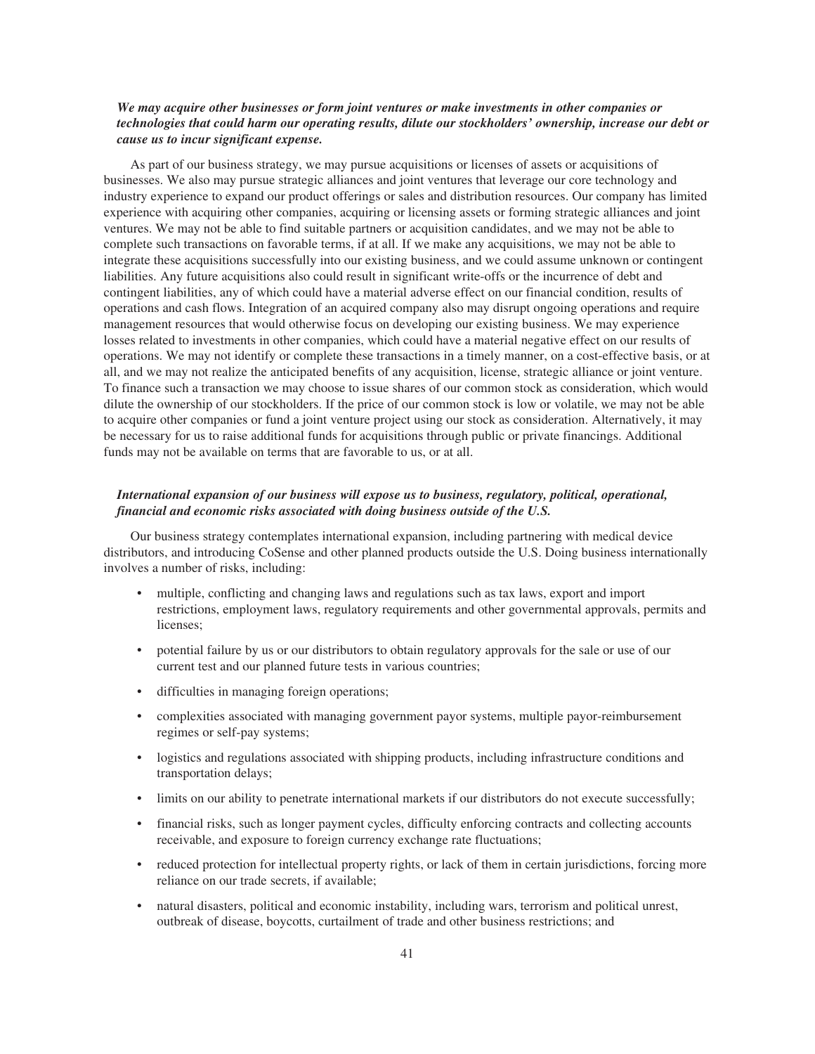## *We may acquire other businesses or form joint ventures or make investments in other companies or technologies that could harm our operating results, dilute our stockholders' ownership, increase our debt or cause us to incur significant expense.*

As part of our business strategy, we may pursue acquisitions or licenses of assets or acquisitions of businesses. We also may pursue strategic alliances and joint ventures that leverage our core technology and industry experience to expand our product offerings or sales and distribution resources. Our company has limited experience with acquiring other companies, acquiring or licensing assets or forming strategic alliances and joint ventures. We may not be able to find suitable partners or acquisition candidates, and we may not be able to complete such transactions on favorable terms, if at all. If we make any acquisitions, we may not be able to integrate these acquisitions successfully into our existing business, and we could assume unknown or contingent liabilities. Any future acquisitions also could result in significant write-offs or the incurrence of debt and contingent liabilities, any of which could have a material adverse effect on our financial condition, results of operations and cash flows. Integration of an acquired company also may disrupt ongoing operations and require management resources that would otherwise focus on developing our existing business. We may experience losses related to investments in other companies, which could have a material negative effect on our results of operations. We may not identify or complete these transactions in a timely manner, on a cost-effective basis, or at all, and we may not realize the anticipated benefits of any acquisition, license, strategic alliance or joint venture. To finance such a transaction we may choose to issue shares of our common stock as consideration, which would dilute the ownership of our stockholders. If the price of our common stock is low or volatile, we may not be able to acquire other companies or fund a joint venture project using our stock as consideration. Alternatively, it may be necessary for us to raise additional funds for acquisitions through public or private financings. Additional funds may not be available on terms that are favorable to us, or at all.

## *International expansion of our business will expose us to business, regulatory, political, operational, financial and economic risks associated with doing business outside of the U.S.*

Our business strategy contemplates international expansion, including partnering with medical device distributors, and introducing CoSense and other planned products outside the U.S. Doing business internationally involves a number of risks, including:

- multiple, conflicting and changing laws and regulations such as tax laws, export and import restrictions, employment laws, regulatory requirements and other governmental approvals, permits and licenses;
- potential failure by us or our distributors to obtain regulatory approvals for the sale or use of our current test and our planned future tests in various countries;
- difficulties in managing foreign operations;
- complexities associated with managing government payor systems, multiple payor-reimbursement regimes or self-pay systems;
- logistics and regulations associated with shipping products, including infrastructure conditions and transportation delays;
- limits on our ability to penetrate international markets if our distributors do not execute successfully;
- financial risks, such as longer payment cycles, difficulty enforcing contracts and collecting accounts receivable, and exposure to foreign currency exchange rate fluctuations;
- reduced protection for intellectual property rights, or lack of them in certain jurisdictions, forcing more reliance on our trade secrets, if available;
- natural disasters, political and economic instability, including wars, terrorism and political unrest, outbreak of disease, boycotts, curtailment of trade and other business restrictions; and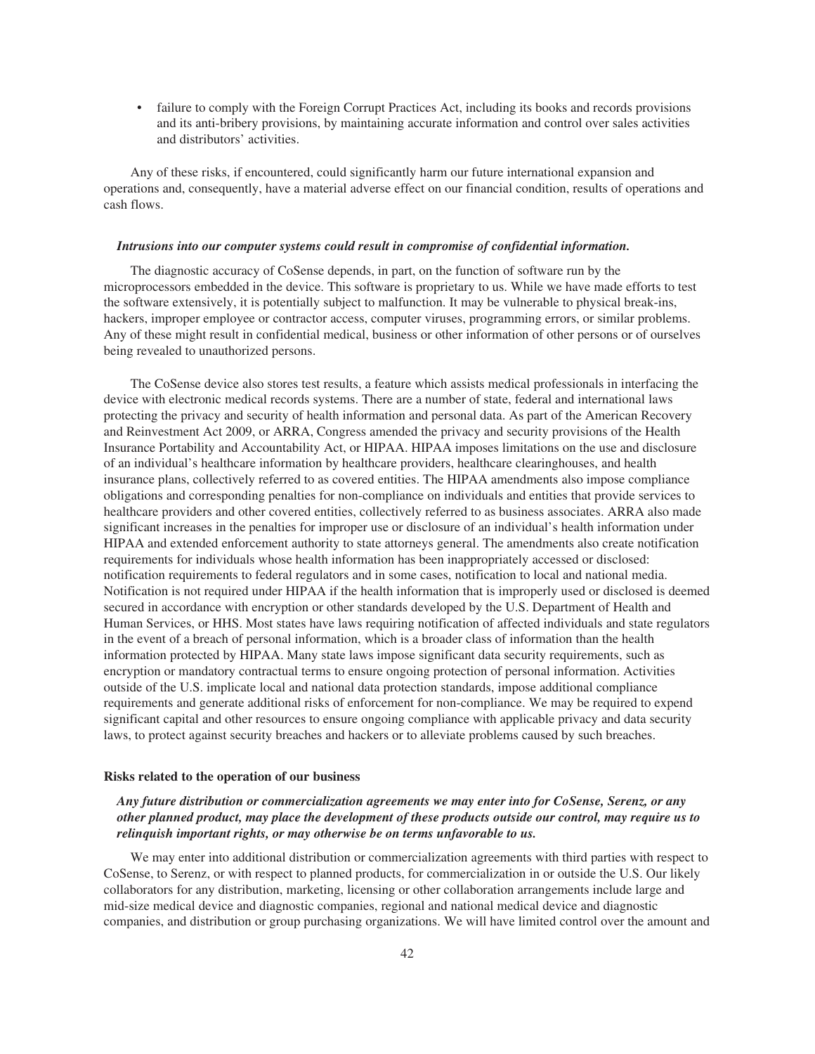• failure to comply with the Foreign Corrupt Practices Act, including its books and records provisions and its anti-bribery provisions, by maintaining accurate information and control over sales activities and distributors' activities.

Any of these risks, if encountered, could significantly harm our future international expansion and operations and, consequently, have a material adverse effect on our financial condition, results of operations and cash flows.

#### *Intrusions into our computer systems could result in compromise of confidential information.*

The diagnostic accuracy of CoSense depends, in part, on the function of software run by the microprocessors embedded in the device. This software is proprietary to us. While we have made efforts to test the software extensively, it is potentially subject to malfunction. It may be vulnerable to physical break-ins, hackers, improper employee or contractor access, computer viruses, programming errors, or similar problems. Any of these might result in confidential medical, business or other information of other persons or of ourselves being revealed to unauthorized persons.

The CoSense device also stores test results, a feature which assists medical professionals in interfacing the device with electronic medical records systems. There are a number of state, federal and international laws protecting the privacy and security of health information and personal data. As part of the American Recovery and Reinvestment Act 2009, or ARRA, Congress amended the privacy and security provisions of the Health Insurance Portability and Accountability Act, or HIPAA. HIPAA imposes limitations on the use and disclosure of an individual's healthcare information by healthcare providers, healthcare clearinghouses, and health insurance plans, collectively referred to as covered entities. The HIPAA amendments also impose compliance obligations and corresponding penalties for non-compliance on individuals and entities that provide services to healthcare providers and other covered entities, collectively referred to as business associates. ARRA also made significant increases in the penalties for improper use or disclosure of an individual's health information under HIPAA and extended enforcement authority to state attorneys general. The amendments also create notification requirements for individuals whose health information has been inappropriately accessed or disclosed: notification requirements to federal regulators and in some cases, notification to local and national media. Notification is not required under HIPAA if the health information that is improperly used or disclosed is deemed secured in accordance with encryption or other standards developed by the U.S. Department of Health and Human Services, or HHS. Most states have laws requiring notification of affected individuals and state regulators in the event of a breach of personal information, which is a broader class of information than the health information protected by HIPAA. Many state laws impose significant data security requirements, such as encryption or mandatory contractual terms to ensure ongoing protection of personal information. Activities outside of the U.S. implicate local and national data protection standards, impose additional compliance requirements and generate additional risks of enforcement for non-compliance. We may be required to expend significant capital and other resources to ensure ongoing compliance with applicable privacy and data security laws, to protect against security breaches and hackers or to alleviate problems caused by such breaches.

#### **Risks related to the operation of our business**

# *Any future distribution or commercialization agreements we may enter into for CoSense, Serenz, or any other planned product, may place the development of these products outside our control, may require us to relinquish important rights, or may otherwise be on terms unfavorable to us.*

We may enter into additional distribution or commercialization agreements with third parties with respect to CoSense, to Serenz, or with respect to planned products, for commercialization in or outside the U.S. Our likely collaborators for any distribution, marketing, licensing or other collaboration arrangements include large and mid-size medical device and diagnostic companies, regional and national medical device and diagnostic companies, and distribution or group purchasing organizations. We will have limited control over the amount and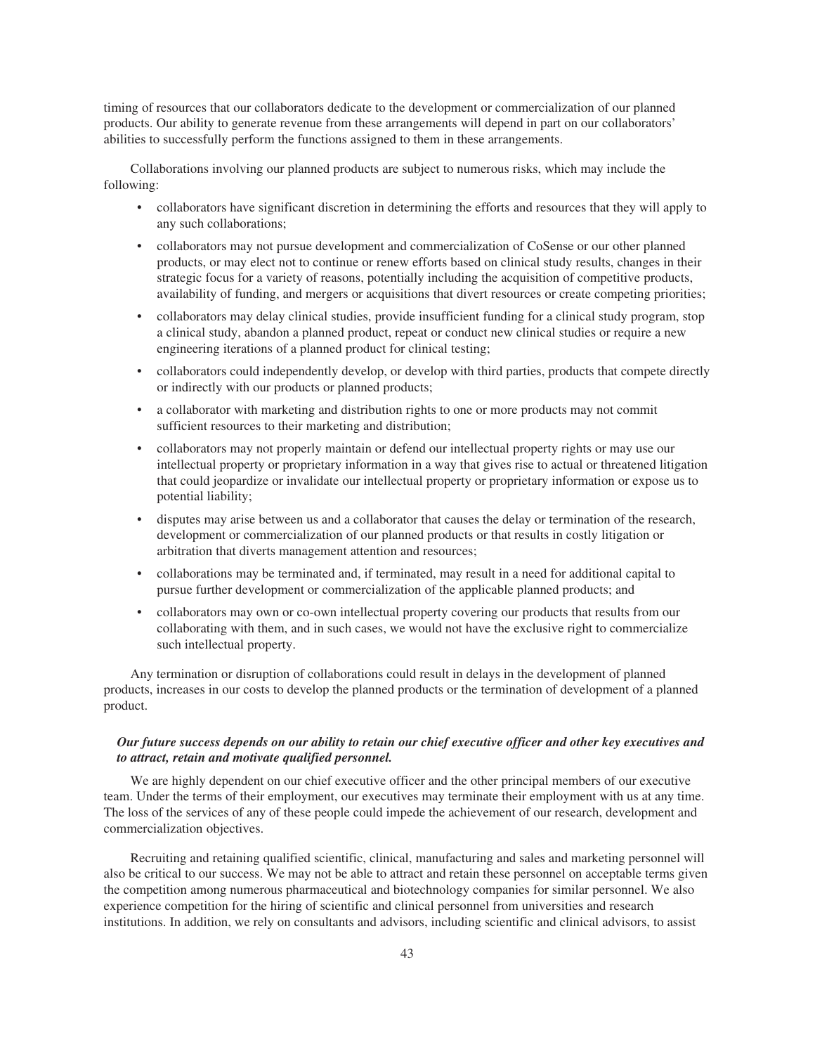timing of resources that our collaborators dedicate to the development or commercialization of our planned products. Our ability to generate revenue from these arrangements will depend in part on our collaborators' abilities to successfully perform the functions assigned to them in these arrangements.

Collaborations involving our planned products are subject to numerous risks, which may include the following:

- collaborators have significant discretion in determining the efforts and resources that they will apply to any such collaborations;
- collaborators may not pursue development and commercialization of CoSense or our other planned products, or may elect not to continue or renew efforts based on clinical study results, changes in their strategic focus for a variety of reasons, potentially including the acquisition of competitive products, availability of funding, and mergers or acquisitions that divert resources or create competing priorities;
- collaborators may delay clinical studies, provide insufficient funding for a clinical study program, stop a clinical study, abandon a planned product, repeat or conduct new clinical studies or require a new engineering iterations of a planned product for clinical testing;
- collaborators could independently develop, or develop with third parties, products that compete directly or indirectly with our products or planned products;
- a collaborator with marketing and distribution rights to one or more products may not commit sufficient resources to their marketing and distribution;
- collaborators may not properly maintain or defend our intellectual property rights or may use our intellectual property or proprietary information in a way that gives rise to actual or threatened litigation that could jeopardize or invalidate our intellectual property or proprietary information or expose us to potential liability;
- disputes may arise between us and a collaborator that causes the delay or termination of the research, development or commercialization of our planned products or that results in costly litigation or arbitration that diverts management attention and resources;
- collaborations may be terminated and, if terminated, may result in a need for additional capital to pursue further development or commercialization of the applicable planned products; and
- collaborators may own or co-own intellectual property covering our products that results from our collaborating with them, and in such cases, we would not have the exclusive right to commercialize such intellectual property.

Any termination or disruption of collaborations could result in delays in the development of planned products, increases in our costs to develop the planned products or the termination of development of a planned product.

## *Our future success depends on our ability to retain our chief executive officer and other key executives and to attract, retain and motivate qualified personnel.*

We are highly dependent on our chief executive officer and the other principal members of our executive team. Under the terms of their employment, our executives may terminate their employment with us at any time. The loss of the services of any of these people could impede the achievement of our research, development and commercialization objectives.

Recruiting and retaining qualified scientific, clinical, manufacturing and sales and marketing personnel will also be critical to our success. We may not be able to attract and retain these personnel on acceptable terms given the competition among numerous pharmaceutical and biotechnology companies for similar personnel. We also experience competition for the hiring of scientific and clinical personnel from universities and research institutions. In addition, we rely on consultants and advisors, including scientific and clinical advisors, to assist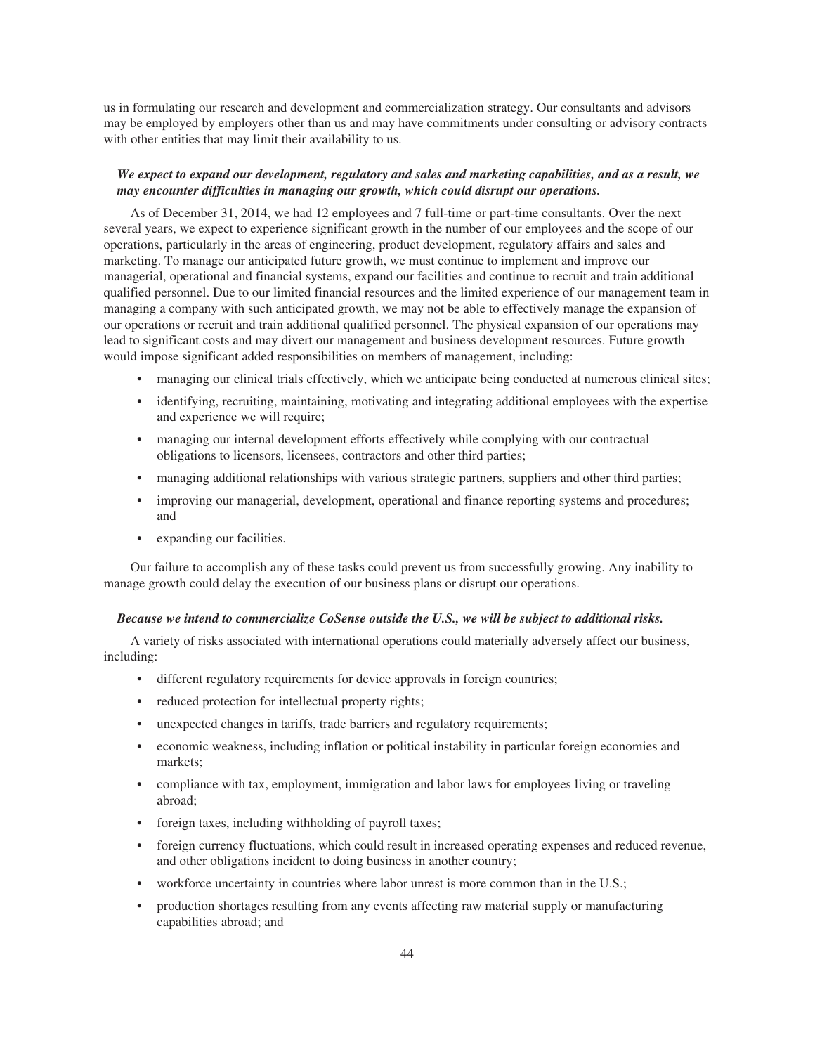us in formulating our research and development and commercialization strategy. Our consultants and advisors may be employed by employers other than us and may have commitments under consulting or advisory contracts with other entities that may limit their availability to us.

### *We expect to expand our development, regulatory and sales and marketing capabilities, and as a result, we may encounter difficulties in managing our growth, which could disrupt our operations.*

As of December 31, 2014, we had 12 employees and 7 full-time or part-time consultants. Over the next several years, we expect to experience significant growth in the number of our employees and the scope of our operations, particularly in the areas of engineering, product development, regulatory affairs and sales and marketing. To manage our anticipated future growth, we must continue to implement and improve our managerial, operational and financial systems, expand our facilities and continue to recruit and train additional qualified personnel. Due to our limited financial resources and the limited experience of our management team in managing a company with such anticipated growth, we may not be able to effectively manage the expansion of our operations or recruit and train additional qualified personnel. The physical expansion of our operations may lead to significant costs and may divert our management and business development resources. Future growth would impose significant added responsibilities on members of management, including:

- managing our clinical trials effectively, which we anticipate being conducted at numerous clinical sites;
- identifying, recruiting, maintaining, motivating and integrating additional employees with the expertise and experience we will require;
- managing our internal development efforts effectively while complying with our contractual obligations to licensors, licensees, contractors and other third parties;
- managing additional relationships with various strategic partners, suppliers and other third parties;
- improving our managerial, development, operational and finance reporting systems and procedures; and
- expanding our facilities.

Our failure to accomplish any of these tasks could prevent us from successfully growing. Any inability to manage growth could delay the execution of our business plans or disrupt our operations.

#### *Because we intend to commercialize CoSense outside the U.S., we will be subject to additional risks.*

A variety of risks associated with international operations could materially adversely affect our business, including:

- different regulatory requirements for device approvals in foreign countries;
- reduced protection for intellectual property rights;
- unexpected changes in tariffs, trade barriers and regulatory requirements;
- economic weakness, including inflation or political instability in particular foreign economies and markets;
- compliance with tax, employment, immigration and labor laws for employees living or traveling abroad;
- foreign taxes, including withholding of payroll taxes;
- foreign currency fluctuations, which could result in increased operating expenses and reduced revenue, and other obligations incident to doing business in another country;
- workforce uncertainty in countries where labor unrest is more common than in the U.S.;
- production shortages resulting from any events affecting raw material supply or manufacturing capabilities abroad; and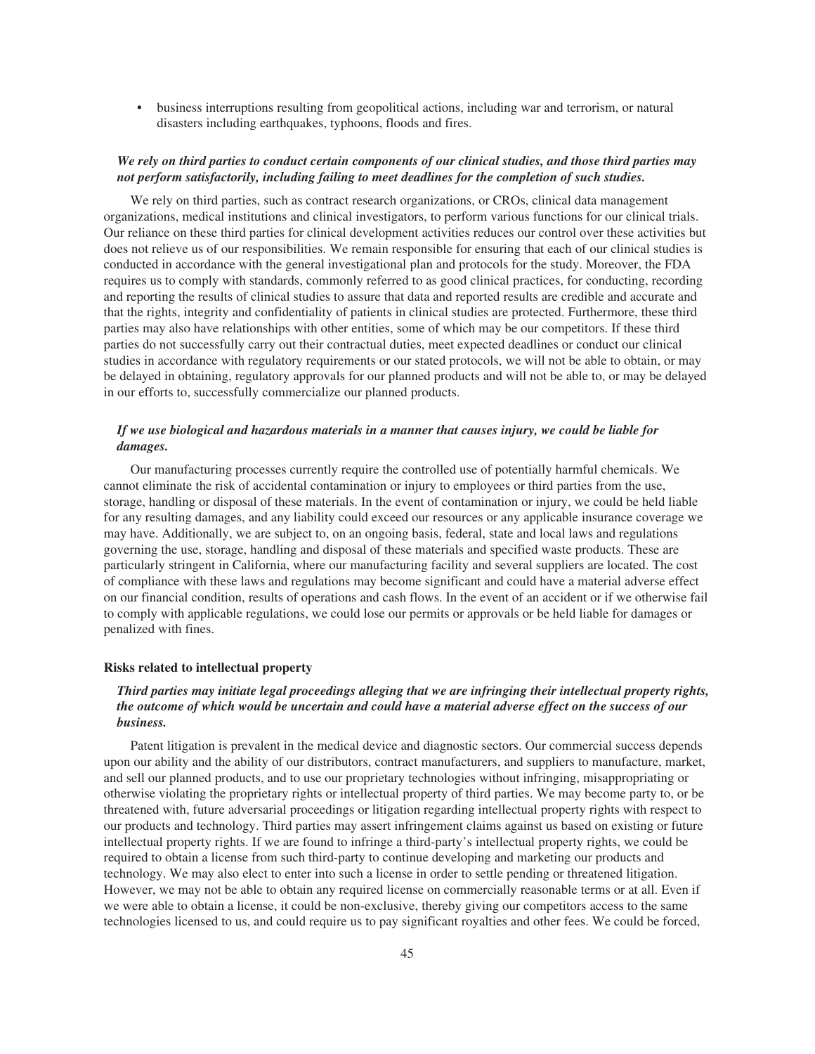• business interruptions resulting from geopolitical actions, including war and terrorism, or natural disasters including earthquakes, typhoons, floods and fires.

### *We rely on third parties to conduct certain components of our clinical studies, and those third parties may not perform satisfactorily, including failing to meet deadlines for the completion of such studies.*

We rely on third parties, such as contract research organizations, or CROs, clinical data management organizations, medical institutions and clinical investigators, to perform various functions for our clinical trials. Our reliance on these third parties for clinical development activities reduces our control over these activities but does not relieve us of our responsibilities. We remain responsible for ensuring that each of our clinical studies is conducted in accordance with the general investigational plan and protocols for the study. Moreover, the FDA requires us to comply with standards, commonly referred to as good clinical practices, for conducting, recording and reporting the results of clinical studies to assure that data and reported results are credible and accurate and that the rights, integrity and confidentiality of patients in clinical studies are protected. Furthermore, these third parties may also have relationships with other entities, some of which may be our competitors. If these third parties do not successfully carry out their contractual duties, meet expected deadlines or conduct our clinical studies in accordance with regulatory requirements or our stated protocols, we will not be able to obtain, or may be delayed in obtaining, regulatory approvals for our planned products and will not be able to, or may be delayed in our efforts to, successfully commercialize our planned products.

## *If we use biological and hazardous materials in a manner that causes injury, we could be liable for damages.*

Our manufacturing processes currently require the controlled use of potentially harmful chemicals. We cannot eliminate the risk of accidental contamination or injury to employees or third parties from the use, storage, handling or disposal of these materials. In the event of contamination or injury, we could be held liable for any resulting damages, and any liability could exceed our resources or any applicable insurance coverage we may have. Additionally, we are subject to, on an ongoing basis, federal, state and local laws and regulations governing the use, storage, handling and disposal of these materials and specified waste products. These are particularly stringent in California, where our manufacturing facility and several suppliers are located. The cost of compliance with these laws and regulations may become significant and could have a material adverse effect on our financial condition, results of operations and cash flows. In the event of an accident or if we otherwise fail to comply with applicable regulations, we could lose our permits or approvals or be held liable for damages or penalized with fines.

#### **Risks related to intellectual property**

# *Third parties may initiate legal proceedings alleging that we are infringing their intellectual property rights, the outcome of which would be uncertain and could have a material adverse effect on the success of our business.*

Patent litigation is prevalent in the medical device and diagnostic sectors. Our commercial success depends upon our ability and the ability of our distributors, contract manufacturers, and suppliers to manufacture, market, and sell our planned products, and to use our proprietary technologies without infringing, misappropriating or otherwise violating the proprietary rights or intellectual property of third parties. We may become party to, or be threatened with, future adversarial proceedings or litigation regarding intellectual property rights with respect to our products and technology. Third parties may assert infringement claims against us based on existing or future intellectual property rights. If we are found to infringe a third-party's intellectual property rights, we could be required to obtain a license from such third-party to continue developing and marketing our products and technology. We may also elect to enter into such a license in order to settle pending or threatened litigation. However, we may not be able to obtain any required license on commercially reasonable terms or at all. Even if we were able to obtain a license, it could be non-exclusive, thereby giving our competitors access to the same technologies licensed to us, and could require us to pay significant royalties and other fees. We could be forced,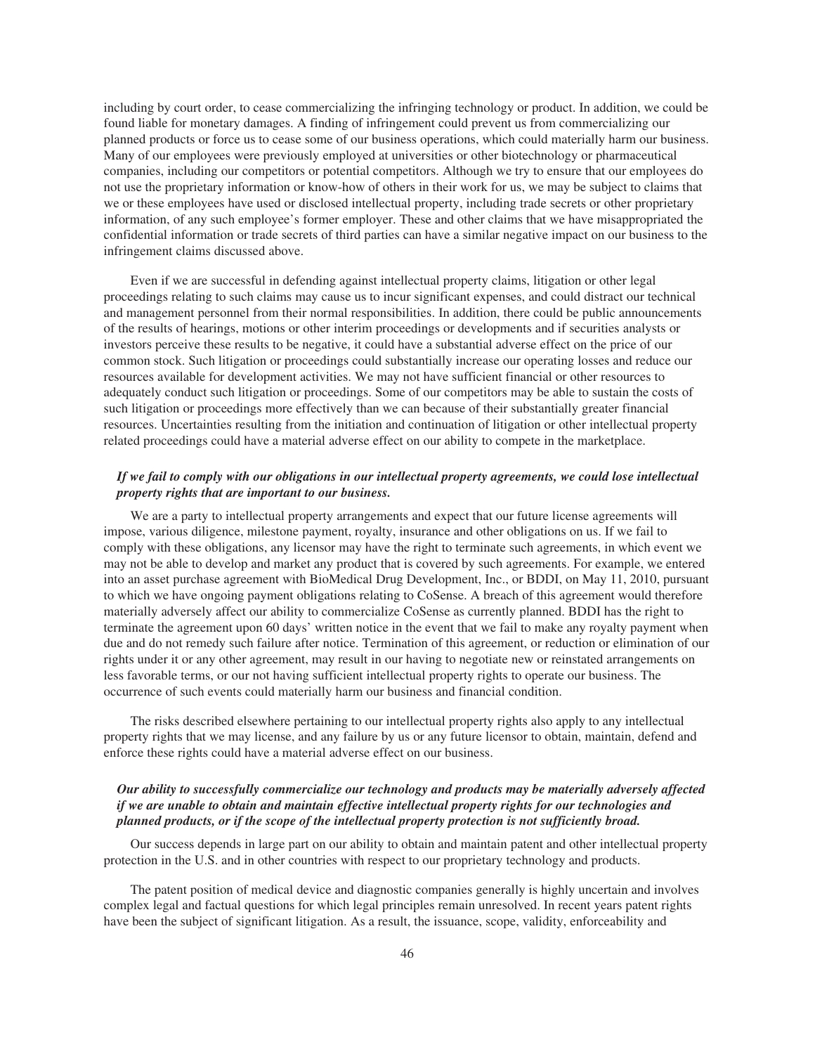including by court order, to cease commercializing the infringing technology or product. In addition, we could be found liable for monetary damages. A finding of infringement could prevent us from commercializing our planned products or force us to cease some of our business operations, which could materially harm our business. Many of our employees were previously employed at universities or other biotechnology or pharmaceutical companies, including our competitors or potential competitors. Although we try to ensure that our employees do not use the proprietary information or know-how of others in their work for us, we may be subject to claims that we or these employees have used or disclosed intellectual property, including trade secrets or other proprietary information, of any such employee's former employer. These and other claims that we have misappropriated the confidential information or trade secrets of third parties can have a similar negative impact on our business to the infringement claims discussed above.

Even if we are successful in defending against intellectual property claims, litigation or other legal proceedings relating to such claims may cause us to incur significant expenses, and could distract our technical and management personnel from their normal responsibilities. In addition, there could be public announcements of the results of hearings, motions or other interim proceedings or developments and if securities analysts or investors perceive these results to be negative, it could have a substantial adverse effect on the price of our common stock. Such litigation or proceedings could substantially increase our operating losses and reduce our resources available for development activities. We may not have sufficient financial or other resources to adequately conduct such litigation or proceedings. Some of our competitors may be able to sustain the costs of such litigation or proceedings more effectively than we can because of their substantially greater financial resources. Uncertainties resulting from the initiation and continuation of litigation or other intellectual property related proceedings could have a material adverse effect on our ability to compete in the marketplace.

### *If we fail to comply with our obligations in our intellectual property agreements, we could lose intellectual property rights that are important to our business.*

We are a party to intellectual property arrangements and expect that our future license agreements will impose, various diligence, milestone payment, royalty, insurance and other obligations on us. If we fail to comply with these obligations, any licensor may have the right to terminate such agreements, in which event we may not be able to develop and market any product that is covered by such agreements. For example, we entered into an asset purchase agreement with BioMedical Drug Development, Inc., or BDDI, on May 11, 2010, pursuant to which we have ongoing payment obligations relating to CoSense. A breach of this agreement would therefore materially adversely affect our ability to commercialize CoSense as currently planned. BDDI has the right to terminate the agreement upon 60 days' written notice in the event that we fail to make any royalty payment when due and do not remedy such failure after notice. Termination of this agreement, or reduction or elimination of our rights under it or any other agreement, may result in our having to negotiate new or reinstated arrangements on less favorable terms, or our not having sufficient intellectual property rights to operate our business. The occurrence of such events could materially harm our business and financial condition.

The risks described elsewhere pertaining to our intellectual property rights also apply to any intellectual property rights that we may license, and any failure by us or any future licensor to obtain, maintain, defend and enforce these rights could have a material adverse effect on our business.

## *Our ability to successfully commercialize our technology and products may be materially adversely affected if we are unable to obtain and maintain effective intellectual property rights for our technologies and planned products, or if the scope of the intellectual property protection is not sufficiently broad.*

Our success depends in large part on our ability to obtain and maintain patent and other intellectual property protection in the U.S. and in other countries with respect to our proprietary technology and products.

The patent position of medical device and diagnostic companies generally is highly uncertain and involves complex legal and factual questions for which legal principles remain unresolved. In recent years patent rights have been the subject of significant litigation. As a result, the issuance, scope, validity, enforceability and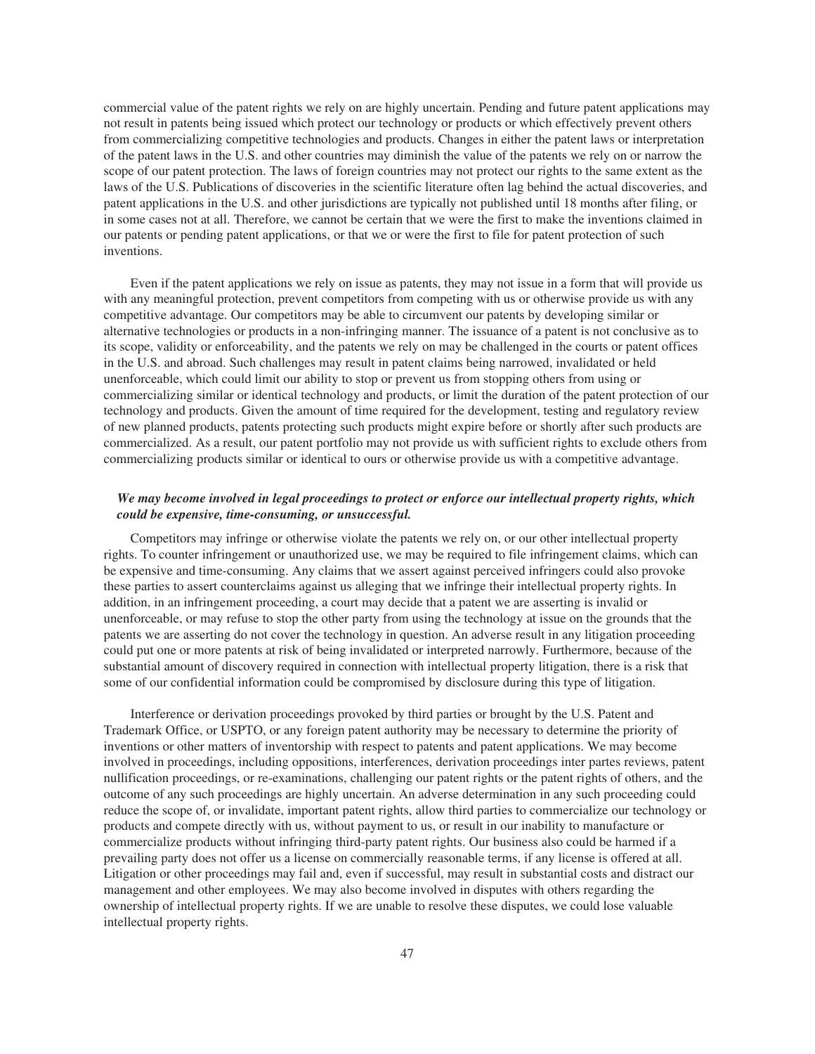commercial value of the patent rights we rely on are highly uncertain. Pending and future patent applications may not result in patents being issued which protect our technology or products or which effectively prevent others from commercializing competitive technologies and products. Changes in either the patent laws or interpretation of the patent laws in the U.S. and other countries may diminish the value of the patents we rely on or narrow the scope of our patent protection. The laws of foreign countries may not protect our rights to the same extent as the laws of the U.S. Publications of discoveries in the scientific literature often lag behind the actual discoveries, and patent applications in the U.S. and other jurisdictions are typically not published until 18 months after filing, or in some cases not at all. Therefore, we cannot be certain that we were the first to make the inventions claimed in our patents or pending patent applications, or that we or were the first to file for patent protection of such inventions.

Even if the patent applications we rely on issue as patents, they may not issue in a form that will provide us with any meaningful protection, prevent competitors from competing with us or otherwise provide us with any competitive advantage. Our competitors may be able to circumvent our patents by developing similar or alternative technologies or products in a non-infringing manner. The issuance of a patent is not conclusive as to its scope, validity or enforceability, and the patents we rely on may be challenged in the courts or patent offices in the U.S. and abroad. Such challenges may result in patent claims being narrowed, invalidated or held unenforceable, which could limit our ability to stop or prevent us from stopping others from using or commercializing similar or identical technology and products, or limit the duration of the patent protection of our technology and products. Given the amount of time required for the development, testing and regulatory review of new planned products, patents protecting such products might expire before or shortly after such products are commercialized. As a result, our patent portfolio may not provide us with sufficient rights to exclude others from commercializing products similar or identical to ours or otherwise provide us with a competitive advantage.

### *We may become involved in legal proceedings to protect or enforce our intellectual property rights, which could be expensive, time-consuming, or unsuccessful.*

Competitors may infringe or otherwise violate the patents we rely on, or our other intellectual property rights. To counter infringement or unauthorized use, we may be required to file infringement claims, which can be expensive and time-consuming. Any claims that we assert against perceived infringers could also provoke these parties to assert counterclaims against us alleging that we infringe their intellectual property rights. In addition, in an infringement proceeding, a court may decide that a patent we are asserting is invalid or unenforceable, or may refuse to stop the other party from using the technology at issue on the grounds that the patents we are asserting do not cover the technology in question. An adverse result in any litigation proceeding could put one or more patents at risk of being invalidated or interpreted narrowly. Furthermore, because of the substantial amount of discovery required in connection with intellectual property litigation, there is a risk that some of our confidential information could be compromised by disclosure during this type of litigation.

Interference or derivation proceedings provoked by third parties or brought by the U.S. Patent and Trademark Office, or USPTO, or any foreign patent authority may be necessary to determine the priority of inventions or other matters of inventorship with respect to patents and patent applications. We may become involved in proceedings, including oppositions, interferences, derivation proceedings inter partes reviews, patent nullification proceedings, or re-examinations, challenging our patent rights or the patent rights of others, and the outcome of any such proceedings are highly uncertain. An adverse determination in any such proceeding could reduce the scope of, or invalidate, important patent rights, allow third parties to commercialize our technology or products and compete directly with us, without payment to us, or result in our inability to manufacture or commercialize products without infringing third-party patent rights. Our business also could be harmed if a prevailing party does not offer us a license on commercially reasonable terms, if any license is offered at all. Litigation or other proceedings may fail and, even if successful, may result in substantial costs and distract our management and other employees. We may also become involved in disputes with others regarding the ownership of intellectual property rights. If we are unable to resolve these disputes, we could lose valuable intellectual property rights.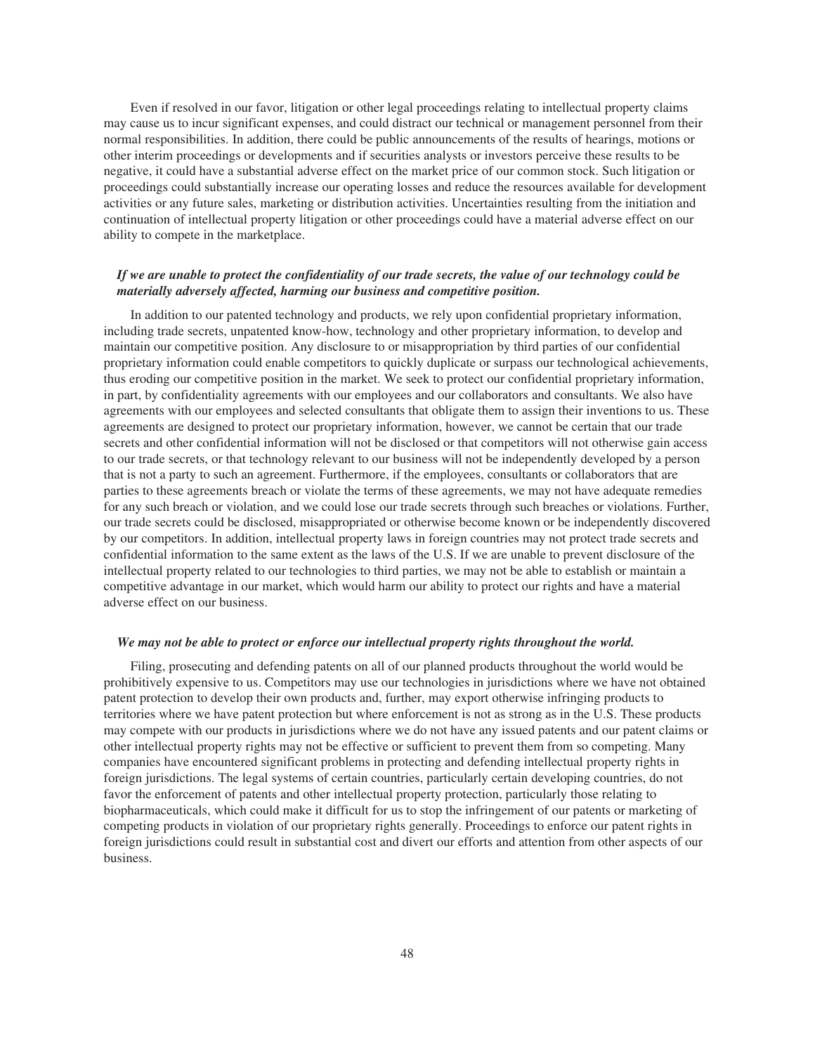Even if resolved in our favor, litigation or other legal proceedings relating to intellectual property claims may cause us to incur significant expenses, and could distract our technical or management personnel from their normal responsibilities. In addition, there could be public announcements of the results of hearings, motions or other interim proceedings or developments and if securities analysts or investors perceive these results to be negative, it could have a substantial adverse effect on the market price of our common stock. Such litigation or proceedings could substantially increase our operating losses and reduce the resources available for development activities or any future sales, marketing or distribution activities. Uncertainties resulting from the initiation and continuation of intellectual property litigation or other proceedings could have a material adverse effect on our ability to compete in the marketplace.

### *If we are unable to protect the confidentiality of our trade secrets, the value of our technology could be materially adversely affected, harming our business and competitive position.*

In addition to our patented technology and products, we rely upon confidential proprietary information, including trade secrets, unpatented know-how, technology and other proprietary information, to develop and maintain our competitive position. Any disclosure to or misappropriation by third parties of our confidential proprietary information could enable competitors to quickly duplicate or surpass our technological achievements, thus eroding our competitive position in the market. We seek to protect our confidential proprietary information, in part, by confidentiality agreements with our employees and our collaborators and consultants. We also have agreements with our employees and selected consultants that obligate them to assign their inventions to us. These agreements are designed to protect our proprietary information, however, we cannot be certain that our trade secrets and other confidential information will not be disclosed or that competitors will not otherwise gain access to our trade secrets, or that technology relevant to our business will not be independently developed by a person that is not a party to such an agreement. Furthermore, if the employees, consultants or collaborators that are parties to these agreements breach or violate the terms of these agreements, we may not have adequate remedies for any such breach or violation, and we could lose our trade secrets through such breaches or violations. Further, our trade secrets could be disclosed, misappropriated or otherwise become known or be independently discovered by our competitors. In addition, intellectual property laws in foreign countries may not protect trade secrets and confidential information to the same extent as the laws of the U.S. If we are unable to prevent disclosure of the intellectual property related to our technologies to third parties, we may not be able to establish or maintain a competitive advantage in our market, which would harm our ability to protect our rights and have a material adverse effect on our business.

#### *We may not be able to protect or enforce our intellectual property rights throughout the world.*

Filing, prosecuting and defending patents on all of our planned products throughout the world would be prohibitively expensive to us. Competitors may use our technologies in jurisdictions where we have not obtained patent protection to develop their own products and, further, may export otherwise infringing products to territories where we have patent protection but where enforcement is not as strong as in the U.S. These products may compete with our products in jurisdictions where we do not have any issued patents and our patent claims or other intellectual property rights may not be effective or sufficient to prevent them from so competing. Many companies have encountered significant problems in protecting and defending intellectual property rights in foreign jurisdictions. The legal systems of certain countries, particularly certain developing countries, do not favor the enforcement of patents and other intellectual property protection, particularly those relating to biopharmaceuticals, which could make it difficult for us to stop the infringement of our patents or marketing of competing products in violation of our proprietary rights generally. Proceedings to enforce our patent rights in foreign jurisdictions could result in substantial cost and divert our efforts and attention from other aspects of our business.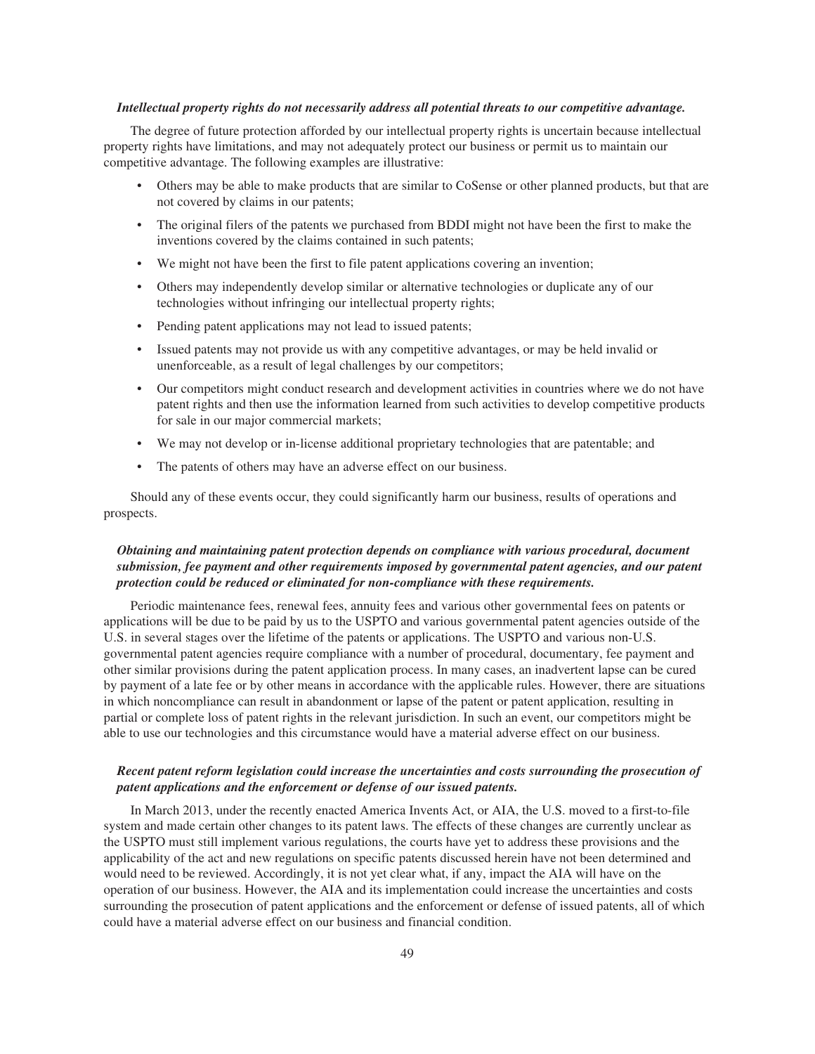#### *Intellectual property rights do not necessarily address all potential threats to our competitive advantage.*

The degree of future protection afforded by our intellectual property rights is uncertain because intellectual property rights have limitations, and may not adequately protect our business or permit us to maintain our competitive advantage. The following examples are illustrative:

- Others may be able to make products that are similar to CoSense or other planned products, but that are not covered by claims in our patents;
- The original filers of the patents we purchased from BDDI might not have been the first to make the inventions covered by the claims contained in such patents;
- We might not have been the first to file patent applications covering an invention;
- Others may independently develop similar or alternative technologies or duplicate any of our technologies without infringing our intellectual property rights;
- Pending patent applications may not lead to issued patents;
- Issued patents may not provide us with any competitive advantages, or may be held invalid or unenforceable, as a result of legal challenges by our competitors;
- Our competitors might conduct research and development activities in countries where we do not have patent rights and then use the information learned from such activities to develop competitive products for sale in our major commercial markets;
- We may not develop or in-license additional proprietary technologies that are patentable; and
- The patents of others may have an adverse effect on our business.

Should any of these events occur, they could significantly harm our business, results of operations and prospects.

# *Obtaining and maintaining patent protection depends on compliance with various procedural, document submission, fee payment and other requirements imposed by governmental patent agencies, and our patent protection could be reduced or eliminated for non-compliance with these requirements.*

Periodic maintenance fees, renewal fees, annuity fees and various other governmental fees on patents or applications will be due to be paid by us to the USPTO and various governmental patent agencies outside of the U.S. in several stages over the lifetime of the patents or applications. The USPTO and various non-U.S. governmental patent agencies require compliance with a number of procedural, documentary, fee payment and other similar provisions during the patent application process. In many cases, an inadvertent lapse can be cured by payment of a late fee or by other means in accordance with the applicable rules. However, there are situations in which noncompliance can result in abandonment or lapse of the patent or patent application, resulting in partial or complete loss of patent rights in the relevant jurisdiction. In such an event, our competitors might be able to use our technologies and this circumstance would have a material adverse effect on our business.

### *Recent patent reform legislation could increase the uncertainties and costs surrounding the prosecution of patent applications and the enforcement or defense of our issued patents.*

In March 2013, under the recently enacted America Invents Act, or AIA, the U.S. moved to a first-to-file system and made certain other changes to its patent laws. The effects of these changes are currently unclear as the USPTO must still implement various regulations, the courts have yet to address these provisions and the applicability of the act and new regulations on specific patents discussed herein have not been determined and would need to be reviewed. Accordingly, it is not yet clear what, if any, impact the AIA will have on the operation of our business. However, the AIA and its implementation could increase the uncertainties and costs surrounding the prosecution of patent applications and the enforcement or defense of issued patents, all of which could have a material adverse effect on our business and financial condition.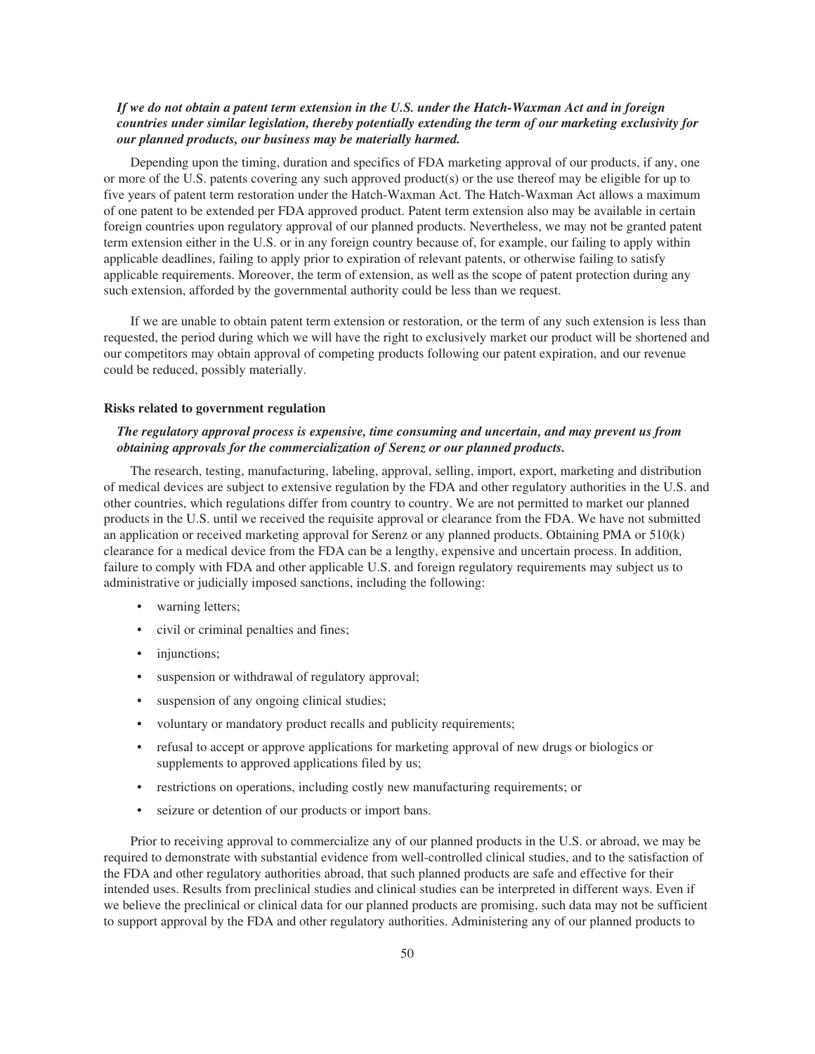## *If we do not obtain a patent term extension in the U.S. under the Hatch-Waxman Act and in foreign countries under similar legislation, thereby potentially extending the term of our marketing exclusivity for our planned products, our business may be materially harmed.*

Depending upon the timing, duration and specifics of FDA marketing approval of our products, if any, one or more of the U.S. patents covering any such approved product(s) or the use thereof may be eligible for up to five years of patent term restoration under the Hatch-Waxman Act. The Hatch-Waxman Act allows a maximum of one patent to be extended per FDA approved product. Patent term extension also may be available in certain foreign countries upon regulatory approval of our planned products. Nevertheless, we may not be granted patent term extension either in the U.S. or in any foreign country because of, for example, our failing to apply within applicable deadlines, failing to apply prior to expiration of relevant patents, or otherwise failing to satisfy applicable requirements. Moreover, the term of extension, as well as the scope of patent protection during any such extension, afforded by the governmental authority could be less than we request.

If we are unable to obtain patent term extension or restoration, or the term of any such extension is less than requested, the period during which we will have the right to exclusively market our product will be shortened and our competitors may obtain approval of competing products following our patent expiration, and our revenue could be reduced, possibly materially.

#### **Risks related to government regulation**

## *The regulatory approval process is expensive, time consuming and uncertain, and may prevent us from obtaining approvals for the commercialization of Serenz or our planned products.*

The research, testing, manufacturing, labeling, approval, selling, import, export, marketing and distribution of medical devices are subject to extensive regulation by the FDA and other regulatory authorities in the U.S. and other countries, which regulations differ from country to country. We are not permitted to market our planned products in the U.S. until we received the requisite approval or clearance from the FDA. We have not submitted an application or received marketing approval for Serenz or any planned products. Obtaining PMA or 510(k) clearance for a medical device from the FDA can be a lengthy, expensive and uncertain process. In addition, failure to comply with FDA and other applicable U.S. and foreign regulatory requirements may subject us to administrative or judicially imposed sanctions, including the following:

- warning letters;
- civil or criminal penalties and fines;
- injunctions;
- suspension or withdrawal of regulatory approval;
- suspension of any ongoing clinical studies;
- voluntary or mandatory product recalls and publicity requirements;
- refusal to accept or approve applications for marketing approval of new drugs or biologics or supplements to approved applications filed by us;
- restrictions on operations, including costly new manufacturing requirements; or
- seizure or detention of our products or import bans.

Prior to receiving approval to commercialize any of our planned products in the U.S. or abroad, we may be required to demonstrate with substantial evidence from well-controlled clinical studies, and to the satisfaction of the FDA and other regulatory authorities abroad, that such planned products are safe and effective for their intended uses. Results from preclinical studies and clinical studies can be interpreted in different ways. Even if we believe the preclinical or clinical data for our planned products are promising, such data may not be sufficient to support approval by the FDA and other regulatory authorities. Administering any of our planned products to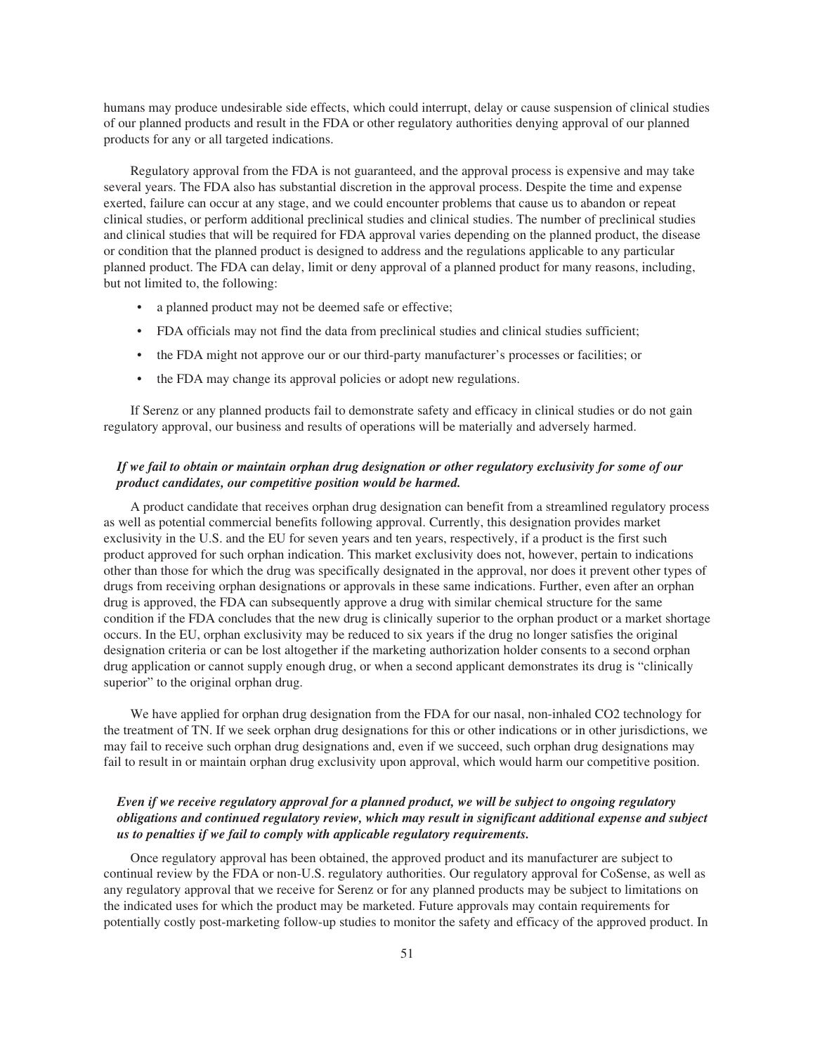humans may produce undesirable side effects, which could interrupt, delay or cause suspension of clinical studies of our planned products and result in the FDA or other regulatory authorities denying approval of our planned products for any or all targeted indications.

Regulatory approval from the FDA is not guaranteed, and the approval process is expensive and may take several years. The FDA also has substantial discretion in the approval process. Despite the time and expense exerted, failure can occur at any stage, and we could encounter problems that cause us to abandon or repeat clinical studies, or perform additional preclinical studies and clinical studies. The number of preclinical studies and clinical studies that will be required for FDA approval varies depending on the planned product, the disease or condition that the planned product is designed to address and the regulations applicable to any particular planned product. The FDA can delay, limit or deny approval of a planned product for many reasons, including, but not limited to, the following:

- a planned product may not be deemed safe or effective;
- FDA officials may not find the data from preclinical studies and clinical studies sufficient;
- the FDA might not approve our or our third-party manufacturer's processes or facilities; or
- the FDA may change its approval policies or adopt new regulations.

If Serenz or any planned products fail to demonstrate safety and efficacy in clinical studies or do not gain regulatory approval, our business and results of operations will be materially and adversely harmed.

### *If we fail to obtain or maintain orphan drug designation or other regulatory exclusivity for some of our product candidates, our competitive position would be harmed.*

A product candidate that receives orphan drug designation can benefit from a streamlined regulatory process as well as potential commercial benefits following approval. Currently, this designation provides market exclusivity in the U.S. and the EU for seven years and ten years, respectively, if a product is the first such product approved for such orphan indication. This market exclusivity does not, however, pertain to indications other than those for which the drug was specifically designated in the approval, nor does it prevent other types of drugs from receiving orphan designations or approvals in these same indications. Further, even after an orphan drug is approved, the FDA can subsequently approve a drug with similar chemical structure for the same condition if the FDA concludes that the new drug is clinically superior to the orphan product or a market shortage occurs. In the EU, orphan exclusivity may be reduced to six years if the drug no longer satisfies the original designation criteria or can be lost altogether if the marketing authorization holder consents to a second orphan drug application or cannot supply enough drug, or when a second applicant demonstrates its drug is "clinically superior" to the original orphan drug.

We have applied for orphan drug designation from the FDA for our nasal, non-inhaled CO2 technology for the treatment of TN. If we seek orphan drug designations for this or other indications or in other jurisdictions, we may fail to receive such orphan drug designations and, even if we succeed, such orphan drug designations may fail to result in or maintain orphan drug exclusivity upon approval, which would harm our competitive position.

# *Even if we receive regulatory approval for a planned product, we will be subject to ongoing regulatory obligations and continued regulatory review, which may result in significant additional expense and subject us to penalties if we fail to comply with applicable regulatory requirements.*

Once regulatory approval has been obtained, the approved product and its manufacturer are subject to continual review by the FDA or non-U.S. regulatory authorities. Our regulatory approval for CoSense, as well as any regulatory approval that we receive for Serenz or for any planned products may be subject to limitations on the indicated uses for which the product may be marketed. Future approvals may contain requirements for potentially costly post-marketing follow-up studies to monitor the safety and efficacy of the approved product. In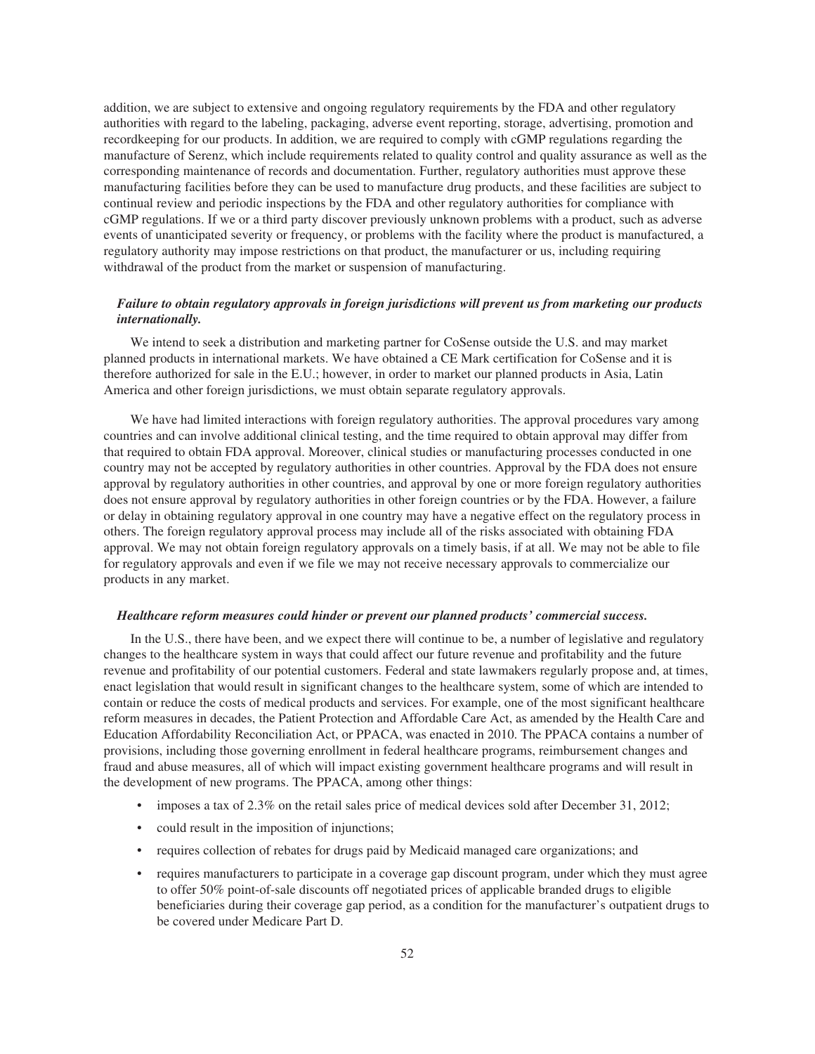addition, we are subject to extensive and ongoing regulatory requirements by the FDA and other regulatory authorities with regard to the labeling, packaging, adverse event reporting, storage, advertising, promotion and recordkeeping for our products. In addition, we are required to comply with cGMP regulations regarding the manufacture of Serenz, which include requirements related to quality control and quality assurance as well as the corresponding maintenance of records and documentation. Further, regulatory authorities must approve these manufacturing facilities before they can be used to manufacture drug products, and these facilities are subject to continual review and periodic inspections by the FDA and other regulatory authorities for compliance with cGMP regulations. If we or a third party discover previously unknown problems with a product, such as adverse events of unanticipated severity or frequency, or problems with the facility where the product is manufactured, a regulatory authority may impose restrictions on that product, the manufacturer or us, including requiring withdrawal of the product from the market or suspension of manufacturing.

# *Failure to obtain regulatory approvals in foreign jurisdictions will prevent us from marketing our products internationally.*

We intend to seek a distribution and marketing partner for CoSense outside the U.S. and may market planned products in international markets. We have obtained a CE Mark certification for CoSense and it is therefore authorized for sale in the E.U.; however, in order to market our planned products in Asia, Latin America and other foreign jurisdictions, we must obtain separate regulatory approvals.

We have had limited interactions with foreign regulatory authorities. The approval procedures vary among countries and can involve additional clinical testing, and the time required to obtain approval may differ from that required to obtain FDA approval. Moreover, clinical studies or manufacturing processes conducted in one country may not be accepted by regulatory authorities in other countries. Approval by the FDA does not ensure approval by regulatory authorities in other countries, and approval by one or more foreign regulatory authorities does not ensure approval by regulatory authorities in other foreign countries or by the FDA. However, a failure or delay in obtaining regulatory approval in one country may have a negative effect on the regulatory process in others. The foreign regulatory approval process may include all of the risks associated with obtaining FDA approval. We may not obtain foreign regulatory approvals on a timely basis, if at all. We may not be able to file for regulatory approvals and even if we file we may not receive necessary approvals to commercialize our products in any market.

#### *Healthcare reform measures could hinder or prevent our planned products' commercial success.*

In the U.S., there have been, and we expect there will continue to be, a number of legislative and regulatory changes to the healthcare system in ways that could affect our future revenue and profitability and the future revenue and profitability of our potential customers. Federal and state lawmakers regularly propose and, at times, enact legislation that would result in significant changes to the healthcare system, some of which are intended to contain or reduce the costs of medical products and services. For example, one of the most significant healthcare reform measures in decades, the Patient Protection and Affordable Care Act, as amended by the Health Care and Education Affordability Reconciliation Act, or PPACA, was enacted in 2010. The PPACA contains a number of provisions, including those governing enrollment in federal healthcare programs, reimbursement changes and fraud and abuse measures, all of which will impact existing government healthcare programs and will result in the development of new programs. The PPACA, among other things:

- imposes a tax of 2.3% on the retail sales price of medical devices sold after December 31, 2012;
- could result in the imposition of injunctions;
- requires collection of rebates for drugs paid by Medicaid managed care organizations; and
- requires manufacturers to participate in a coverage gap discount program, under which they must agree to offer 50% point-of-sale discounts off negotiated prices of applicable branded drugs to eligible beneficiaries during their coverage gap period, as a condition for the manufacturer's outpatient drugs to be covered under Medicare Part D.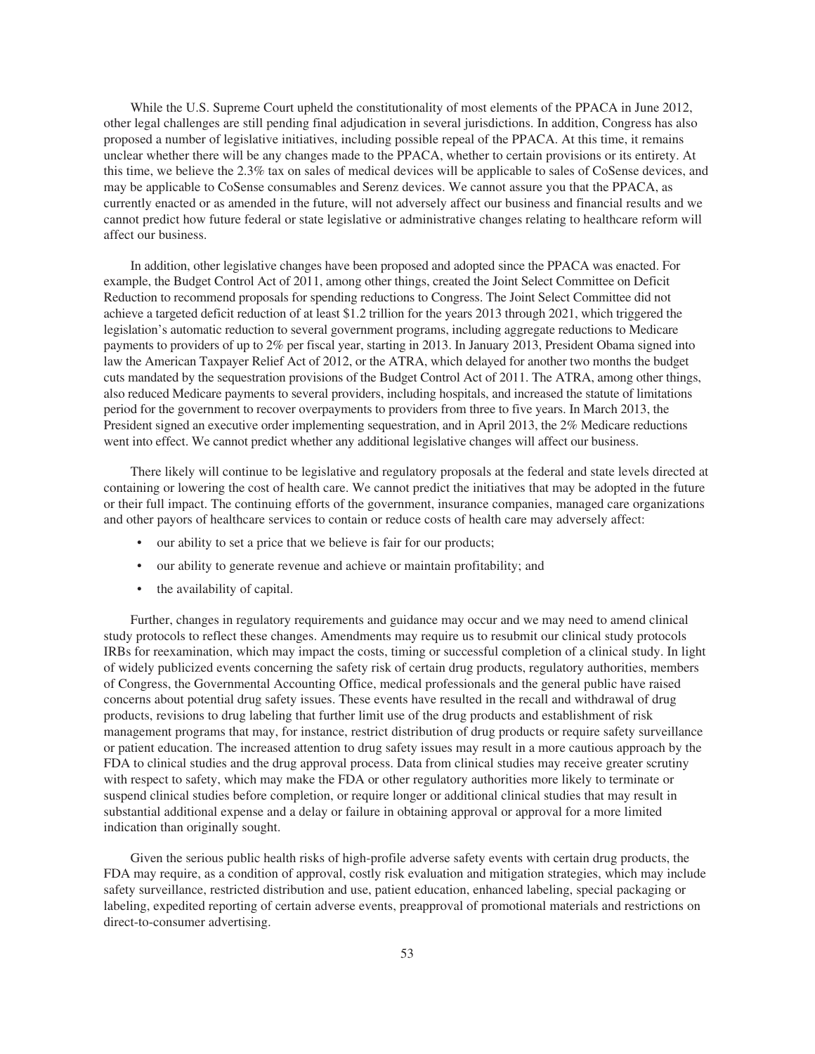While the U.S. Supreme Court upheld the constitutionality of most elements of the PPACA in June 2012, other legal challenges are still pending final adjudication in several jurisdictions. In addition, Congress has also proposed a number of legislative initiatives, including possible repeal of the PPACA. At this time, it remains unclear whether there will be any changes made to the PPACA, whether to certain provisions or its entirety. At this time, we believe the 2.3% tax on sales of medical devices will be applicable to sales of CoSense devices, and may be applicable to CoSense consumables and Serenz devices. We cannot assure you that the PPACA, as currently enacted or as amended in the future, will not adversely affect our business and financial results and we cannot predict how future federal or state legislative or administrative changes relating to healthcare reform will affect our business.

In addition, other legislative changes have been proposed and adopted since the PPACA was enacted. For example, the Budget Control Act of 2011, among other things, created the Joint Select Committee on Deficit Reduction to recommend proposals for spending reductions to Congress. The Joint Select Committee did not achieve a targeted deficit reduction of at least \$1.2 trillion for the years 2013 through 2021, which triggered the legislation's automatic reduction to several government programs, including aggregate reductions to Medicare payments to providers of up to 2% per fiscal year, starting in 2013. In January 2013, President Obama signed into law the American Taxpayer Relief Act of 2012, or the ATRA, which delayed for another two months the budget cuts mandated by the sequestration provisions of the Budget Control Act of 2011. The ATRA, among other things, also reduced Medicare payments to several providers, including hospitals, and increased the statute of limitations period for the government to recover overpayments to providers from three to five years. In March 2013, the President signed an executive order implementing sequestration, and in April 2013, the 2% Medicare reductions went into effect. We cannot predict whether any additional legislative changes will affect our business.

There likely will continue to be legislative and regulatory proposals at the federal and state levels directed at containing or lowering the cost of health care. We cannot predict the initiatives that may be adopted in the future or their full impact. The continuing efforts of the government, insurance companies, managed care organizations and other payors of healthcare services to contain or reduce costs of health care may adversely affect:

- our ability to set a price that we believe is fair for our products;
- our ability to generate revenue and achieve or maintain profitability; and
- the availability of capital.

Further, changes in regulatory requirements and guidance may occur and we may need to amend clinical study protocols to reflect these changes. Amendments may require us to resubmit our clinical study protocols IRBs for reexamination, which may impact the costs, timing or successful completion of a clinical study. In light of widely publicized events concerning the safety risk of certain drug products, regulatory authorities, members of Congress, the Governmental Accounting Office, medical professionals and the general public have raised concerns about potential drug safety issues. These events have resulted in the recall and withdrawal of drug products, revisions to drug labeling that further limit use of the drug products and establishment of risk management programs that may, for instance, restrict distribution of drug products or require safety surveillance or patient education. The increased attention to drug safety issues may result in a more cautious approach by the FDA to clinical studies and the drug approval process. Data from clinical studies may receive greater scrutiny with respect to safety, which may make the FDA or other regulatory authorities more likely to terminate or suspend clinical studies before completion, or require longer or additional clinical studies that may result in substantial additional expense and a delay or failure in obtaining approval or approval for a more limited indication than originally sought.

Given the serious public health risks of high-profile adverse safety events with certain drug products, the FDA may require, as a condition of approval, costly risk evaluation and mitigation strategies, which may include safety surveillance, restricted distribution and use, patient education, enhanced labeling, special packaging or labeling, expedited reporting of certain adverse events, preapproval of promotional materials and restrictions on direct-to-consumer advertising.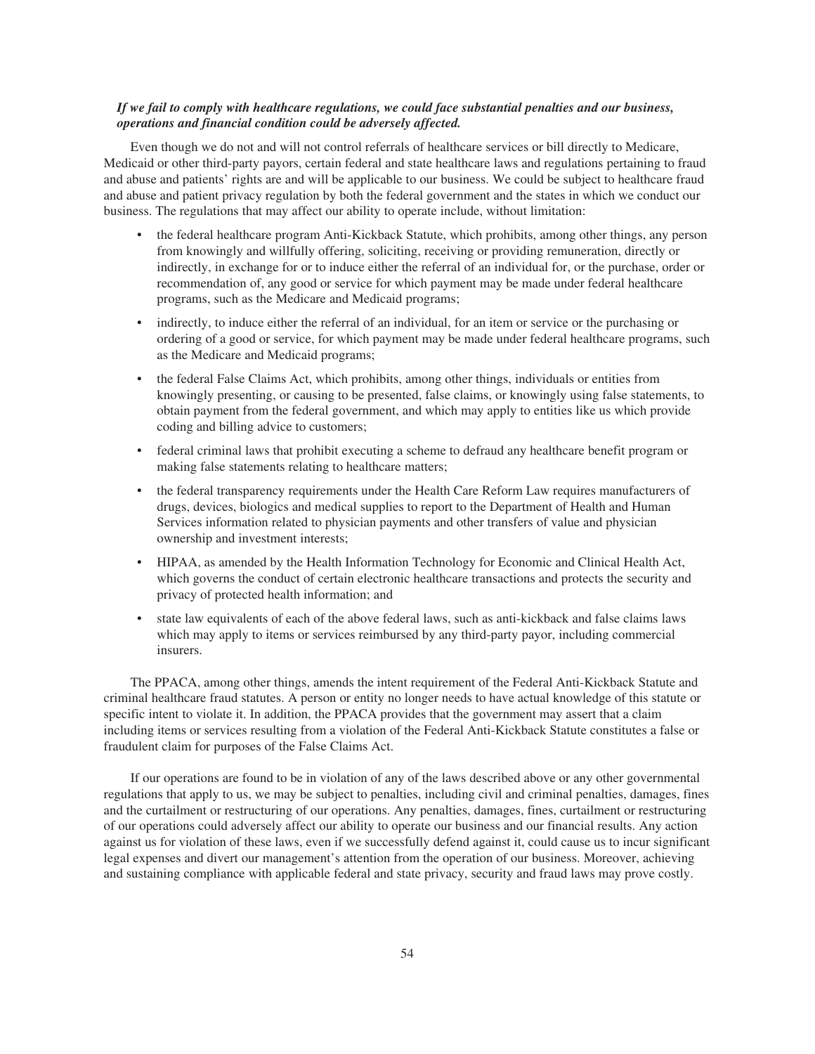## *If we fail to comply with healthcare regulations, we could face substantial penalties and our business, operations and financial condition could be adversely affected.*

Even though we do not and will not control referrals of healthcare services or bill directly to Medicare, Medicaid or other third-party payors, certain federal and state healthcare laws and regulations pertaining to fraud and abuse and patients' rights are and will be applicable to our business. We could be subject to healthcare fraud and abuse and patient privacy regulation by both the federal government and the states in which we conduct our business. The regulations that may affect our ability to operate include, without limitation:

- the federal healthcare program Anti-Kickback Statute, which prohibits, among other things, any person from knowingly and willfully offering, soliciting, receiving or providing remuneration, directly or indirectly, in exchange for or to induce either the referral of an individual for, or the purchase, order or recommendation of, any good or service for which payment may be made under federal healthcare programs, such as the Medicare and Medicaid programs;
- indirectly, to induce either the referral of an individual, for an item or service or the purchasing or ordering of a good or service, for which payment may be made under federal healthcare programs, such as the Medicare and Medicaid programs;
- the federal False Claims Act, which prohibits, among other things, individuals or entities from knowingly presenting, or causing to be presented, false claims, or knowingly using false statements, to obtain payment from the federal government, and which may apply to entities like us which provide coding and billing advice to customers;
- federal criminal laws that prohibit executing a scheme to defraud any healthcare benefit program or making false statements relating to healthcare matters;
- the federal transparency requirements under the Health Care Reform Law requires manufacturers of drugs, devices, biologics and medical supplies to report to the Department of Health and Human Services information related to physician payments and other transfers of value and physician ownership and investment interests;
- HIPAA, as amended by the Health Information Technology for Economic and Clinical Health Act, which governs the conduct of certain electronic healthcare transactions and protects the security and privacy of protected health information; and
- state law equivalents of each of the above federal laws, such as anti-kickback and false claims laws which may apply to items or services reimbursed by any third-party payor, including commercial insurers.

The PPACA, among other things, amends the intent requirement of the Federal Anti-Kickback Statute and criminal healthcare fraud statutes. A person or entity no longer needs to have actual knowledge of this statute or specific intent to violate it. In addition, the PPACA provides that the government may assert that a claim including items or services resulting from a violation of the Federal Anti-Kickback Statute constitutes a false or fraudulent claim for purposes of the False Claims Act.

If our operations are found to be in violation of any of the laws described above or any other governmental regulations that apply to us, we may be subject to penalties, including civil and criminal penalties, damages, fines and the curtailment or restructuring of our operations. Any penalties, damages, fines, curtailment or restructuring of our operations could adversely affect our ability to operate our business and our financial results. Any action against us for violation of these laws, even if we successfully defend against it, could cause us to incur significant legal expenses and divert our management's attention from the operation of our business. Moreover, achieving and sustaining compliance with applicable federal and state privacy, security and fraud laws may prove costly.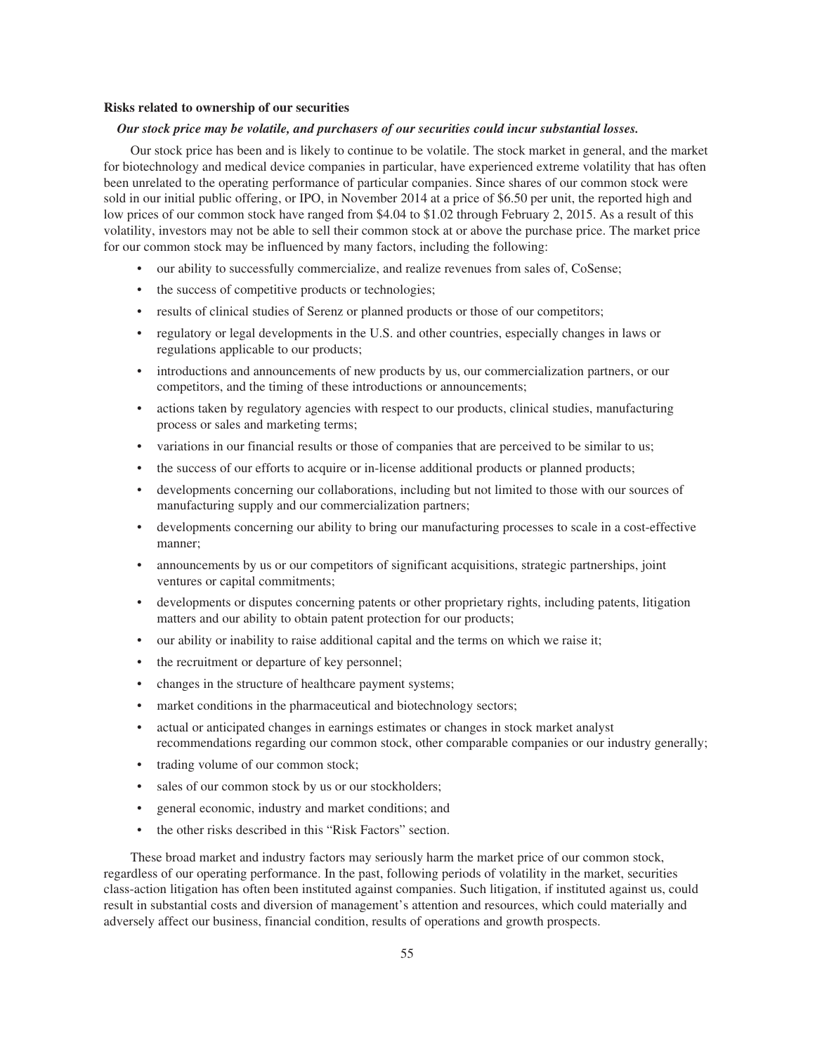#### **Risks related to ownership of our securities**

#### *Our stock price may be volatile, and purchasers of our securities could incur substantial losses.*

Our stock price has been and is likely to continue to be volatile. The stock market in general, and the market for biotechnology and medical device companies in particular, have experienced extreme volatility that has often been unrelated to the operating performance of particular companies. Since shares of our common stock were sold in our initial public offering, or IPO, in November 2014 at a price of \$6.50 per unit, the reported high and low prices of our common stock have ranged from \$4.04 to \$1.02 through February 2, 2015. As a result of this volatility, investors may not be able to sell their common stock at or above the purchase price. The market price for our common stock may be influenced by many factors, including the following:

- our ability to successfully commercialize, and realize revenues from sales of, CoSense;
- the success of competitive products or technologies;
- results of clinical studies of Serenz or planned products or those of our competitors;
- regulatory or legal developments in the U.S. and other countries, especially changes in laws or regulations applicable to our products;
- introductions and announcements of new products by us, our commercialization partners, or our competitors, and the timing of these introductions or announcements;
- actions taken by regulatory agencies with respect to our products, clinical studies, manufacturing process or sales and marketing terms;
- variations in our financial results or those of companies that are perceived to be similar to us;
- the success of our efforts to acquire or in-license additional products or planned products;
- developments concerning our collaborations, including but not limited to those with our sources of manufacturing supply and our commercialization partners;
- developments concerning our ability to bring our manufacturing processes to scale in a cost-effective manner;
- announcements by us or our competitors of significant acquisitions, strategic partnerships, joint ventures or capital commitments;
- developments or disputes concerning patents or other proprietary rights, including patents, litigation matters and our ability to obtain patent protection for our products;
- our ability or inability to raise additional capital and the terms on which we raise it;
- the recruitment or departure of key personnel;
- changes in the structure of healthcare payment systems;
- market conditions in the pharmaceutical and biotechnology sectors;
- actual or anticipated changes in earnings estimates or changes in stock market analyst recommendations regarding our common stock, other comparable companies or our industry generally;
- trading volume of our common stock;
- sales of our common stock by us or our stockholders;
- general economic, industry and market conditions; and
- the other risks described in this "Risk Factors" section.

These broad market and industry factors may seriously harm the market price of our common stock, regardless of our operating performance. In the past, following periods of volatility in the market, securities class-action litigation has often been instituted against companies. Such litigation, if instituted against us, could result in substantial costs and diversion of management's attention and resources, which could materially and adversely affect our business, financial condition, results of operations and growth prospects.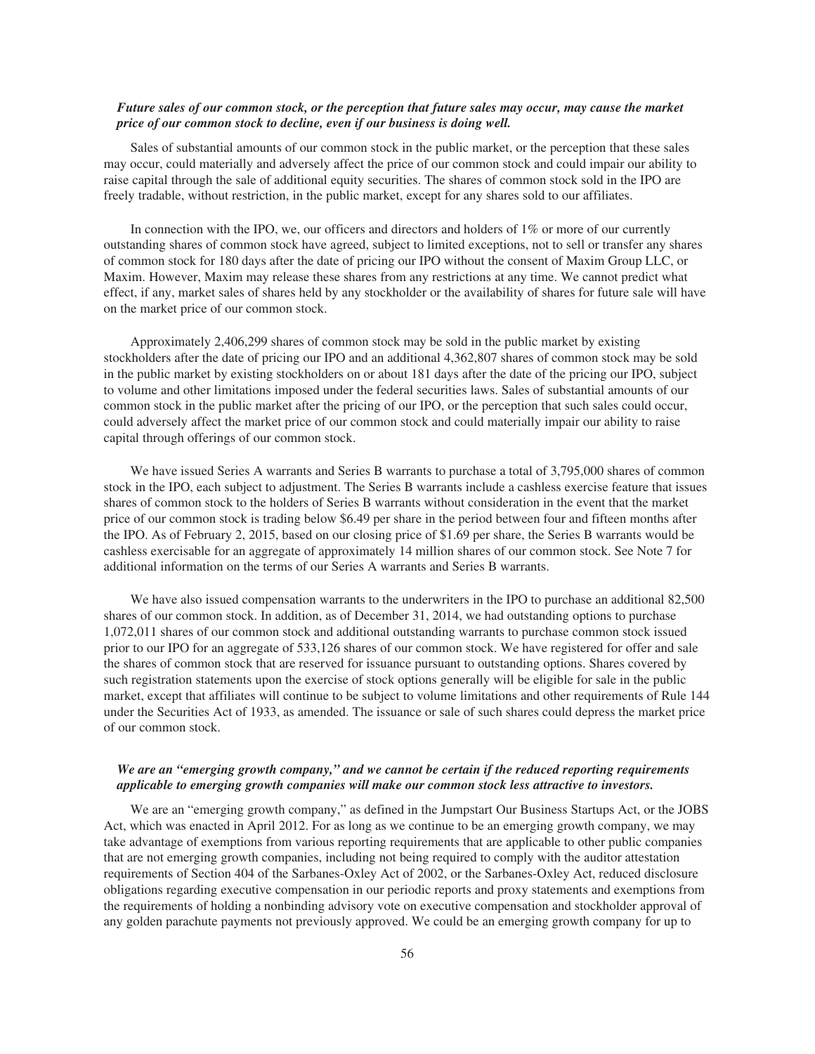## *Future sales of our common stock, or the perception that future sales may occur, may cause the market price of our common stock to decline, even if our business is doing well.*

Sales of substantial amounts of our common stock in the public market, or the perception that these sales may occur, could materially and adversely affect the price of our common stock and could impair our ability to raise capital through the sale of additional equity securities. The shares of common stock sold in the IPO are freely tradable, without restriction, in the public market, except for any shares sold to our affiliates.

In connection with the IPO, we, our officers and directors and holders of 1% or more of our currently outstanding shares of common stock have agreed, subject to limited exceptions, not to sell or transfer any shares of common stock for 180 days after the date of pricing our IPO without the consent of Maxim Group LLC, or Maxim. However, Maxim may release these shares from any restrictions at any time. We cannot predict what effect, if any, market sales of shares held by any stockholder or the availability of shares for future sale will have on the market price of our common stock.

Approximately 2,406,299 shares of common stock may be sold in the public market by existing stockholders after the date of pricing our IPO and an additional 4,362,807 shares of common stock may be sold in the public market by existing stockholders on or about 181 days after the date of the pricing our IPO, subject to volume and other limitations imposed under the federal securities laws. Sales of substantial amounts of our common stock in the public market after the pricing of our IPO, or the perception that such sales could occur, could adversely affect the market price of our common stock and could materially impair our ability to raise capital through offerings of our common stock.

We have issued Series A warrants and Series B warrants to purchase a total of 3,795,000 shares of common stock in the IPO, each subject to adjustment. The Series B warrants include a cashless exercise feature that issues shares of common stock to the holders of Series B warrants without consideration in the event that the market price of our common stock is trading below \$6.49 per share in the period between four and fifteen months after the IPO. As of February 2, 2015, based on our closing price of \$1.69 per share, the Series B warrants would be cashless exercisable for an aggregate of approximately 14 million shares of our common stock. See Note 7 for additional information on the terms of our Series A warrants and Series B warrants.

We have also issued compensation warrants to the underwriters in the IPO to purchase an additional 82,500 shares of our common stock. In addition, as of December 31, 2014, we had outstanding options to purchase 1,072,011 shares of our common stock and additional outstanding warrants to purchase common stock issued prior to our IPO for an aggregate of 533,126 shares of our common stock. We have registered for offer and sale the shares of common stock that are reserved for issuance pursuant to outstanding options. Shares covered by such registration statements upon the exercise of stock options generally will be eligible for sale in the public market, except that affiliates will continue to be subject to volume limitations and other requirements of Rule 144 under the Securities Act of 1933, as amended. The issuance or sale of such shares could depress the market price of our common stock.

### *We are an "emerging growth company," and we cannot be certain if the reduced reporting requirements applicable to emerging growth companies will make our common stock less attractive to investors.*

We are an "emerging growth company," as defined in the Jumpstart Our Business Startups Act, or the JOBS Act, which was enacted in April 2012. For as long as we continue to be an emerging growth company, we may take advantage of exemptions from various reporting requirements that are applicable to other public companies that are not emerging growth companies, including not being required to comply with the auditor attestation requirements of Section 404 of the Sarbanes-Oxley Act of 2002, or the Sarbanes-Oxley Act, reduced disclosure obligations regarding executive compensation in our periodic reports and proxy statements and exemptions from the requirements of holding a nonbinding advisory vote on executive compensation and stockholder approval of any golden parachute payments not previously approved. We could be an emerging growth company for up to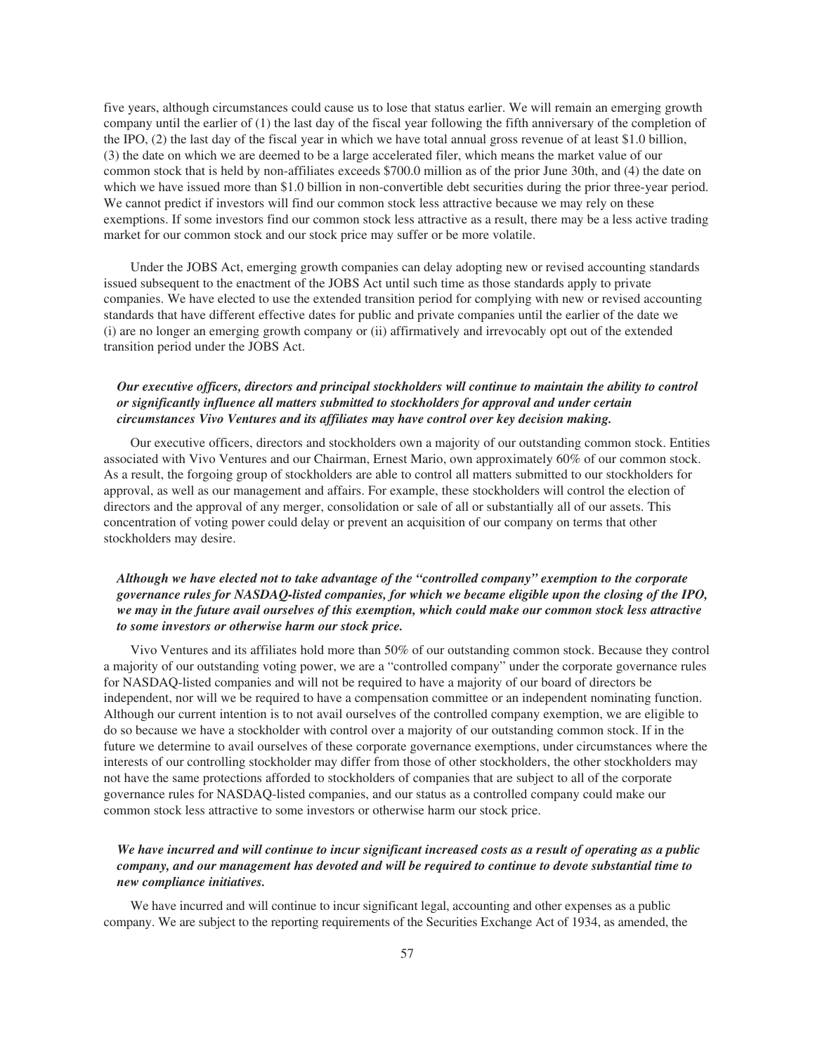five years, although circumstances could cause us to lose that status earlier. We will remain an emerging growth company until the earlier of (1) the last day of the fiscal year following the fifth anniversary of the completion of the IPO, (2) the last day of the fiscal year in which we have total annual gross revenue of at least \$1.0 billion, (3) the date on which we are deemed to be a large accelerated filer, which means the market value of our common stock that is held by non-affiliates exceeds \$700.0 million as of the prior June 30th, and (4) the date on which we have issued more than \$1.0 billion in non-convertible debt securities during the prior three-year period. We cannot predict if investors will find our common stock less attractive because we may rely on these exemptions. If some investors find our common stock less attractive as a result, there may be a less active trading market for our common stock and our stock price may suffer or be more volatile.

Under the JOBS Act, emerging growth companies can delay adopting new or revised accounting standards issued subsequent to the enactment of the JOBS Act until such time as those standards apply to private companies. We have elected to use the extended transition period for complying with new or revised accounting standards that have different effective dates for public and private companies until the earlier of the date we (i) are no longer an emerging growth company or (ii) affirmatively and irrevocably opt out of the extended transition period under the JOBS Act.

## *Our executive officers, directors and principal stockholders will continue to maintain the ability to control or significantly influence all matters submitted to stockholders for approval and under certain circumstances Vivo Ventures and its affiliates may have control over key decision making.*

Our executive officers, directors and stockholders own a majority of our outstanding common stock. Entities associated with Vivo Ventures and our Chairman, Ernest Mario, own approximately 60% of our common stock. As a result, the forgoing group of stockholders are able to control all matters submitted to our stockholders for approval, as well as our management and affairs. For example, these stockholders will control the election of directors and the approval of any merger, consolidation or sale of all or substantially all of our assets. This concentration of voting power could delay or prevent an acquisition of our company on terms that other stockholders may desire.

# *Although we have elected not to take advantage of the "controlled company" exemption to the corporate governance rules for NASDAQ-listed companies, for which we became eligible upon the closing of the IPO, we may in the future avail ourselves of this exemption, which could make our common stock less attractive to some investors or otherwise harm our stock price.*

Vivo Ventures and its affiliates hold more than 50% of our outstanding common stock. Because they control a majority of our outstanding voting power, we are a "controlled company" under the corporate governance rules for NASDAQ-listed companies and will not be required to have a majority of our board of directors be independent, nor will we be required to have a compensation committee or an independent nominating function. Although our current intention is to not avail ourselves of the controlled company exemption, we are eligible to do so because we have a stockholder with control over a majority of our outstanding common stock. If in the future we determine to avail ourselves of these corporate governance exemptions, under circumstances where the interests of our controlling stockholder may differ from those of other stockholders, the other stockholders may not have the same protections afforded to stockholders of companies that are subject to all of the corporate governance rules for NASDAQ-listed companies, and our status as a controlled company could make our common stock less attractive to some investors or otherwise harm our stock price.

# *We have incurred and will continue to incur significant increased costs as a result of operating as a public company, and our management has devoted and will be required to continue to devote substantial time to new compliance initiatives.*

We have incurred and will continue to incur significant legal, accounting and other expenses as a public company. We are subject to the reporting requirements of the Securities Exchange Act of 1934, as amended, the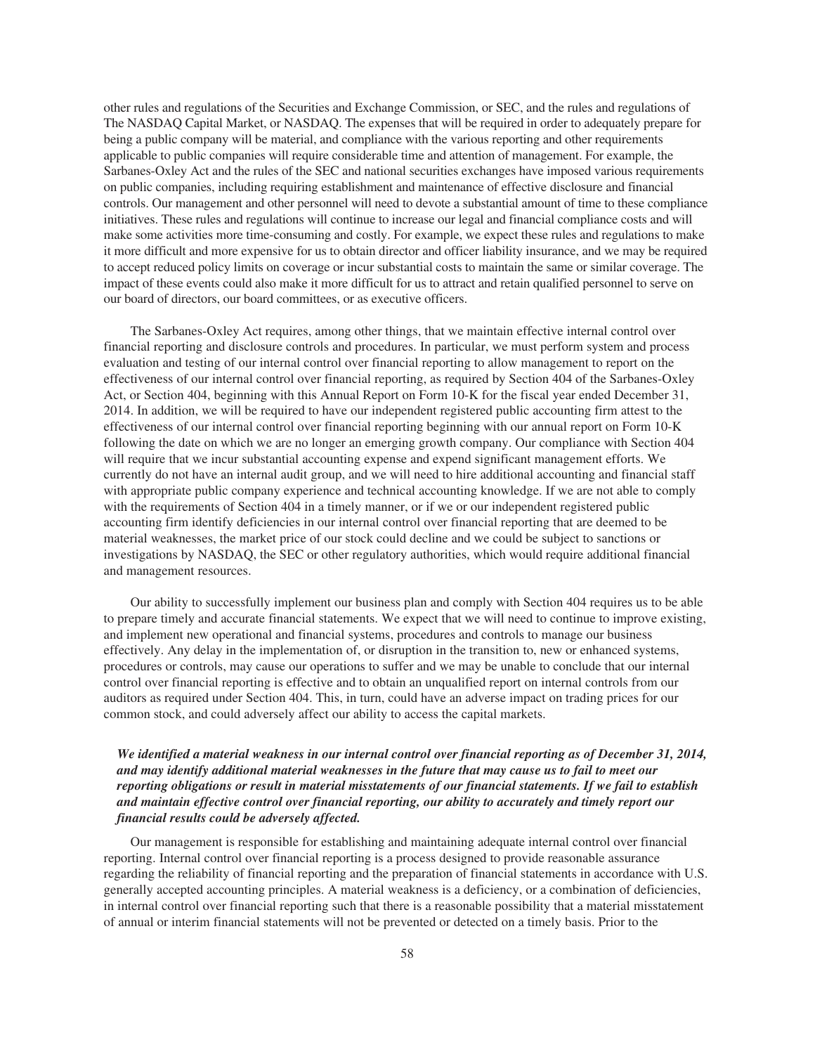other rules and regulations of the Securities and Exchange Commission, or SEC, and the rules and regulations of The NASDAQ Capital Market, or NASDAQ. The expenses that will be required in order to adequately prepare for being a public company will be material, and compliance with the various reporting and other requirements applicable to public companies will require considerable time and attention of management. For example, the Sarbanes-Oxley Act and the rules of the SEC and national securities exchanges have imposed various requirements on public companies, including requiring establishment and maintenance of effective disclosure and financial controls. Our management and other personnel will need to devote a substantial amount of time to these compliance initiatives. These rules and regulations will continue to increase our legal and financial compliance costs and will make some activities more time-consuming and costly. For example, we expect these rules and regulations to make it more difficult and more expensive for us to obtain director and officer liability insurance, and we may be required to accept reduced policy limits on coverage or incur substantial costs to maintain the same or similar coverage. The impact of these events could also make it more difficult for us to attract and retain qualified personnel to serve on our board of directors, our board committees, or as executive officers.

The Sarbanes-Oxley Act requires, among other things, that we maintain effective internal control over financial reporting and disclosure controls and procedures. In particular, we must perform system and process evaluation and testing of our internal control over financial reporting to allow management to report on the effectiveness of our internal control over financial reporting, as required by Section 404 of the Sarbanes-Oxley Act, or Section 404, beginning with this Annual Report on Form 10-K for the fiscal year ended December 31, 2014. In addition, we will be required to have our independent registered public accounting firm attest to the effectiveness of our internal control over financial reporting beginning with our annual report on Form 10-K following the date on which we are no longer an emerging growth company. Our compliance with Section 404 will require that we incur substantial accounting expense and expend significant management efforts. We currently do not have an internal audit group, and we will need to hire additional accounting and financial staff with appropriate public company experience and technical accounting knowledge. If we are not able to comply with the requirements of Section 404 in a timely manner, or if we or our independent registered public accounting firm identify deficiencies in our internal control over financial reporting that are deemed to be material weaknesses, the market price of our stock could decline and we could be subject to sanctions or investigations by NASDAQ, the SEC or other regulatory authorities, which would require additional financial and management resources.

Our ability to successfully implement our business plan and comply with Section 404 requires us to be able to prepare timely and accurate financial statements. We expect that we will need to continue to improve existing, and implement new operational and financial systems, procedures and controls to manage our business effectively. Any delay in the implementation of, or disruption in the transition to, new or enhanced systems, procedures or controls, may cause our operations to suffer and we may be unable to conclude that our internal control over financial reporting is effective and to obtain an unqualified report on internal controls from our auditors as required under Section 404. This, in turn, could have an adverse impact on trading prices for our common stock, and could adversely affect our ability to access the capital markets.

# *We identified a material weakness in our internal control over financial reporting as of December 31, 2014, and may identify additional material weaknesses in the future that may cause us to fail to meet our reporting obligations or result in material misstatements of our financial statements. If we fail to establish and maintain effective control over financial reporting, our ability to accurately and timely report our financial results could be adversely affected.*

Our management is responsible for establishing and maintaining adequate internal control over financial reporting. Internal control over financial reporting is a process designed to provide reasonable assurance regarding the reliability of financial reporting and the preparation of financial statements in accordance with U.S. generally accepted accounting principles. A material weakness is a deficiency, or a combination of deficiencies, in internal control over financial reporting such that there is a reasonable possibility that a material misstatement of annual or interim financial statements will not be prevented or detected on a timely basis. Prior to the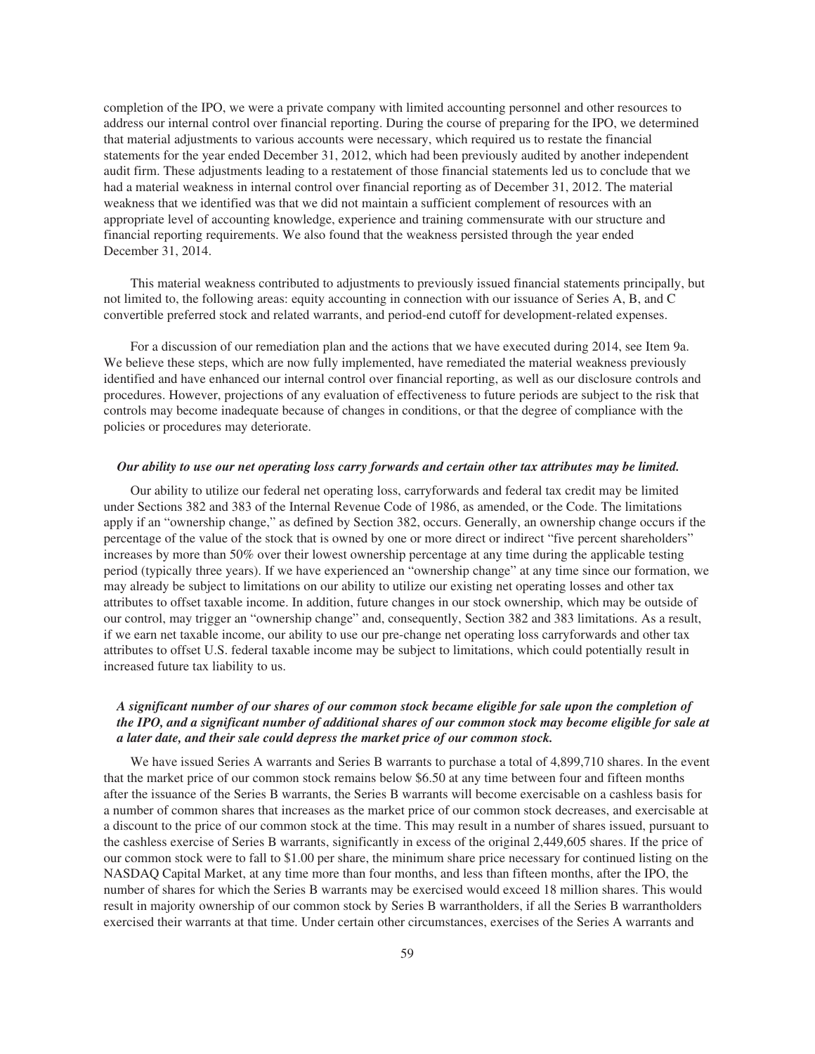completion of the IPO, we were a private company with limited accounting personnel and other resources to address our internal control over financial reporting. During the course of preparing for the IPO, we determined that material adjustments to various accounts were necessary, which required us to restate the financial statements for the year ended December 31, 2012, which had been previously audited by another independent audit firm. These adjustments leading to a restatement of those financial statements led us to conclude that we had a material weakness in internal control over financial reporting as of December 31, 2012. The material weakness that we identified was that we did not maintain a sufficient complement of resources with an appropriate level of accounting knowledge, experience and training commensurate with our structure and financial reporting requirements. We also found that the weakness persisted through the year ended December 31, 2014.

This material weakness contributed to adjustments to previously issued financial statements principally, but not limited to, the following areas: equity accounting in connection with our issuance of Series A, B, and C convertible preferred stock and related warrants, and period-end cutoff for development-related expenses.

For a discussion of our remediation plan and the actions that we have executed during 2014, see Item 9a. We believe these steps, which are now fully implemented, have remediated the material weakness previously identified and have enhanced our internal control over financial reporting, as well as our disclosure controls and procedures. However, projections of any evaluation of effectiveness to future periods are subject to the risk that controls may become inadequate because of changes in conditions, or that the degree of compliance with the policies or procedures may deteriorate.

#### *Our ability to use our net operating loss carry forwards and certain other tax attributes may be limited.*

Our ability to utilize our federal net operating loss, carryforwards and federal tax credit may be limited under Sections 382 and 383 of the Internal Revenue Code of 1986, as amended, or the Code. The limitations apply if an "ownership change," as defined by Section 382, occurs. Generally, an ownership change occurs if the percentage of the value of the stock that is owned by one or more direct or indirect "five percent shareholders" increases by more than 50% over their lowest ownership percentage at any time during the applicable testing period (typically three years). If we have experienced an "ownership change" at any time since our formation, we may already be subject to limitations on our ability to utilize our existing net operating losses and other tax attributes to offset taxable income. In addition, future changes in our stock ownership, which may be outside of our control, may trigger an "ownership change" and, consequently, Section 382 and 383 limitations. As a result, if we earn net taxable income, our ability to use our pre-change net operating loss carryforwards and other tax attributes to offset U.S. federal taxable income may be subject to limitations, which could potentially result in increased future tax liability to us.

# *A significant number of our shares of our common stock became eligible for sale upon the completion of the IPO, and a significant number of additional shares of our common stock may become eligible for sale at a later date, and their sale could depress the market price of our common stock.*

We have issued Series A warrants and Series B warrants to purchase a total of 4,899,710 shares. In the event that the market price of our common stock remains below \$6.50 at any time between four and fifteen months after the issuance of the Series B warrants, the Series B warrants will become exercisable on a cashless basis for a number of common shares that increases as the market price of our common stock decreases, and exercisable at a discount to the price of our common stock at the time. This may result in a number of shares issued, pursuant to the cashless exercise of Series B warrants, significantly in excess of the original 2,449,605 shares. If the price of our common stock were to fall to \$1.00 per share, the minimum share price necessary for continued listing on the NASDAQ Capital Market, at any time more than four months, and less than fifteen months, after the IPO, the number of shares for which the Series B warrants may be exercised would exceed 18 million shares. This would result in majority ownership of our common stock by Series B warrantholders, if all the Series B warrantholders exercised their warrants at that time. Under certain other circumstances, exercises of the Series A warrants and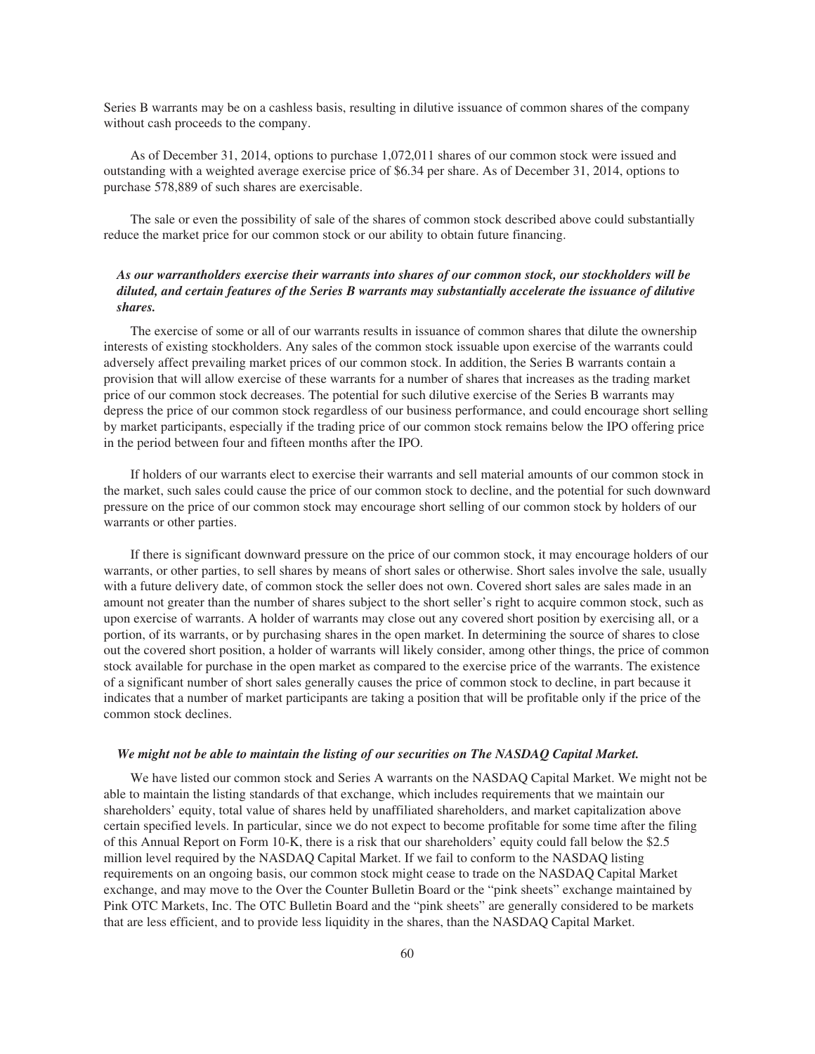Series B warrants may be on a cashless basis, resulting in dilutive issuance of common shares of the company without cash proceeds to the company.

As of December 31, 2014, options to purchase 1,072,011 shares of our common stock were issued and outstanding with a weighted average exercise price of \$6.34 per share. As of December 31, 2014, options to purchase 578,889 of such shares are exercisable.

The sale or even the possibility of sale of the shares of common stock described above could substantially reduce the market price for our common stock or our ability to obtain future financing.

# *As our warrantholders exercise their warrants into shares of our common stock, our stockholders will be diluted, and certain features of the Series B warrants may substantially accelerate the issuance of dilutive shares.*

The exercise of some or all of our warrants results in issuance of common shares that dilute the ownership interests of existing stockholders. Any sales of the common stock issuable upon exercise of the warrants could adversely affect prevailing market prices of our common stock. In addition, the Series B warrants contain a provision that will allow exercise of these warrants for a number of shares that increases as the trading market price of our common stock decreases. The potential for such dilutive exercise of the Series B warrants may depress the price of our common stock regardless of our business performance, and could encourage short selling by market participants, especially if the trading price of our common stock remains below the IPO offering price in the period between four and fifteen months after the IPO.

If holders of our warrants elect to exercise their warrants and sell material amounts of our common stock in the market, such sales could cause the price of our common stock to decline, and the potential for such downward pressure on the price of our common stock may encourage short selling of our common stock by holders of our warrants or other parties.

If there is significant downward pressure on the price of our common stock, it may encourage holders of our warrants, or other parties, to sell shares by means of short sales or otherwise. Short sales involve the sale, usually with a future delivery date, of common stock the seller does not own. Covered short sales are sales made in an amount not greater than the number of shares subject to the short seller's right to acquire common stock, such as upon exercise of warrants. A holder of warrants may close out any covered short position by exercising all, or a portion, of its warrants, or by purchasing shares in the open market. In determining the source of shares to close out the covered short position, a holder of warrants will likely consider, among other things, the price of common stock available for purchase in the open market as compared to the exercise price of the warrants. The existence of a significant number of short sales generally causes the price of common stock to decline, in part because it indicates that a number of market participants are taking a position that will be profitable only if the price of the common stock declines.

#### *We might not be able to maintain the listing of our securities on The NASDAQ Capital Market.*

We have listed our common stock and Series A warrants on the NASDAQ Capital Market. We might not be able to maintain the listing standards of that exchange, which includes requirements that we maintain our shareholders' equity, total value of shares held by unaffiliated shareholders, and market capitalization above certain specified levels. In particular, since we do not expect to become profitable for some time after the filing of this Annual Report on Form 10-K, there is a risk that our shareholders' equity could fall below the \$2.5 million level required by the NASDAQ Capital Market. If we fail to conform to the NASDAQ listing requirements on an ongoing basis, our common stock might cease to trade on the NASDAQ Capital Market exchange, and may move to the Over the Counter Bulletin Board or the "pink sheets" exchange maintained by Pink OTC Markets, Inc. The OTC Bulletin Board and the "pink sheets" are generally considered to be markets that are less efficient, and to provide less liquidity in the shares, than the NASDAQ Capital Market.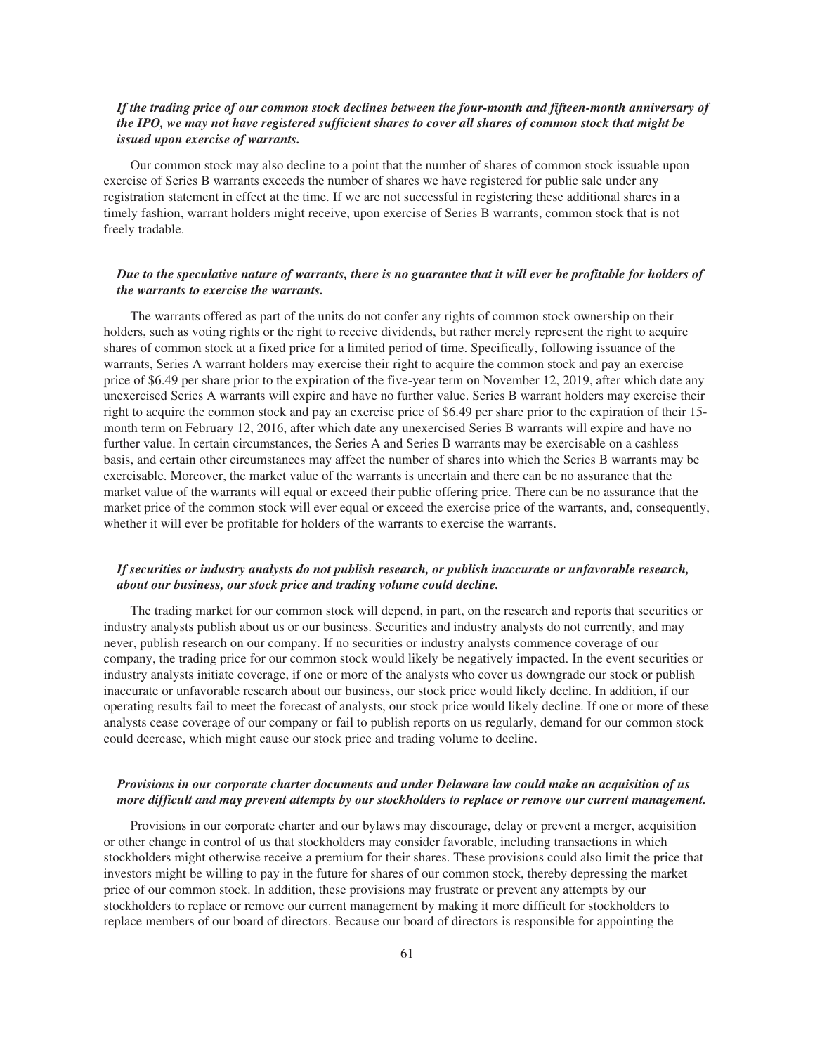## *If the trading price of our common stock declines between the four-month and fifteen-month anniversary of the IPO, we may not have registered sufficient shares to cover all shares of common stock that might be issued upon exercise of warrants.*

Our common stock may also decline to a point that the number of shares of common stock issuable upon exercise of Series B warrants exceeds the number of shares we have registered for public sale under any registration statement in effect at the time. If we are not successful in registering these additional shares in a timely fashion, warrant holders might receive, upon exercise of Series B warrants, common stock that is not freely tradable.

### *Due to the speculative nature of warrants, there is no guarantee that it will ever be profitable for holders of the warrants to exercise the warrants.*

The warrants offered as part of the units do not confer any rights of common stock ownership on their holders, such as voting rights or the right to receive dividends, but rather merely represent the right to acquire shares of common stock at a fixed price for a limited period of time. Specifically, following issuance of the warrants, Series A warrant holders may exercise their right to acquire the common stock and pay an exercise price of \$6.49 per share prior to the expiration of the five-year term on November 12, 2019, after which date any unexercised Series A warrants will expire and have no further value. Series B warrant holders may exercise their right to acquire the common stock and pay an exercise price of \$6.49 per share prior to the expiration of their 15 month term on February 12, 2016, after which date any unexercised Series B warrants will expire and have no further value. In certain circumstances, the Series A and Series B warrants may be exercisable on a cashless basis, and certain other circumstances may affect the number of shares into which the Series B warrants may be exercisable. Moreover, the market value of the warrants is uncertain and there can be no assurance that the market value of the warrants will equal or exceed their public offering price. There can be no assurance that the market price of the common stock will ever equal or exceed the exercise price of the warrants, and, consequently, whether it will ever be profitable for holders of the warrants to exercise the warrants.

## *If securities or industry analysts do not publish research, or publish inaccurate or unfavorable research, about our business, our stock price and trading volume could decline.*

The trading market for our common stock will depend, in part, on the research and reports that securities or industry analysts publish about us or our business. Securities and industry analysts do not currently, and may never, publish research on our company. If no securities or industry analysts commence coverage of our company, the trading price for our common stock would likely be negatively impacted. In the event securities or industry analysts initiate coverage, if one or more of the analysts who cover us downgrade our stock or publish inaccurate or unfavorable research about our business, our stock price would likely decline. In addition, if our operating results fail to meet the forecast of analysts, our stock price would likely decline. If one or more of these analysts cease coverage of our company or fail to publish reports on us regularly, demand for our common stock could decrease, which might cause our stock price and trading volume to decline.

### *Provisions in our corporate charter documents and under Delaware law could make an acquisition of us more difficult and may prevent attempts by our stockholders to replace or remove our current management.*

Provisions in our corporate charter and our bylaws may discourage, delay or prevent a merger, acquisition or other change in control of us that stockholders may consider favorable, including transactions in which stockholders might otherwise receive a premium for their shares. These provisions could also limit the price that investors might be willing to pay in the future for shares of our common stock, thereby depressing the market price of our common stock. In addition, these provisions may frustrate or prevent any attempts by our stockholders to replace or remove our current management by making it more difficult for stockholders to replace members of our board of directors. Because our board of directors is responsible for appointing the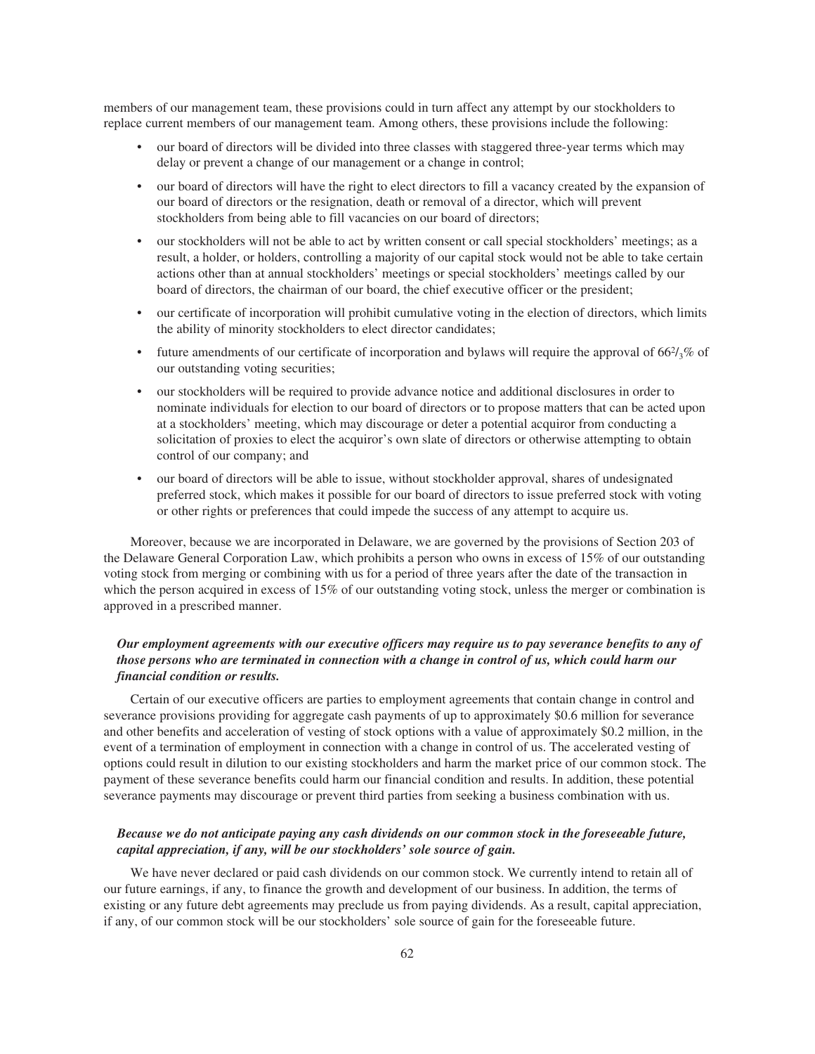members of our management team, these provisions could in turn affect any attempt by our stockholders to replace current members of our management team. Among others, these provisions include the following:

- our board of directors will be divided into three classes with staggered three-year terms which may delay or prevent a change of our management or a change in control;
- our board of directors will have the right to elect directors to fill a vacancy created by the expansion of our board of directors or the resignation, death or removal of a director, which will prevent stockholders from being able to fill vacancies on our board of directors;
- our stockholders will not be able to act by written consent or call special stockholders' meetings; as a result, a holder, or holders, controlling a majority of our capital stock would not be able to take certain actions other than at annual stockholders' meetings or special stockholders' meetings called by our board of directors, the chairman of our board, the chief executive officer or the president;
- our certificate of incorporation will prohibit cumulative voting in the election of directors, which limits the ability of minority stockholders to elect director candidates;
- future amendments of our certificate of incorporation and bylaws will require the approval of  $66\frac{2}{3}\%$  of our outstanding voting securities;
- our stockholders will be required to provide advance notice and additional disclosures in order to nominate individuals for election to our board of directors or to propose matters that can be acted upon at a stockholders' meeting, which may discourage or deter a potential acquiror from conducting a solicitation of proxies to elect the acquiror's own slate of directors or otherwise attempting to obtain control of our company; and
- our board of directors will be able to issue, without stockholder approval, shares of undesignated preferred stock, which makes it possible for our board of directors to issue preferred stock with voting or other rights or preferences that could impede the success of any attempt to acquire us.

Moreover, because we are incorporated in Delaware, we are governed by the provisions of Section 203 of the Delaware General Corporation Law, which prohibits a person who owns in excess of 15% of our outstanding voting stock from merging or combining with us for a period of three years after the date of the transaction in which the person acquired in excess of 15% of our outstanding voting stock, unless the merger or combination is approved in a prescribed manner.

# *Our employment agreements with our executive officers may require us to pay severance benefits to any of those persons who are terminated in connection with a change in control of us, which could harm our financial condition or results.*

Certain of our executive officers are parties to employment agreements that contain change in control and severance provisions providing for aggregate cash payments of up to approximately \$0.6 million for severance and other benefits and acceleration of vesting of stock options with a value of approximately \$0.2 million, in the event of a termination of employment in connection with a change in control of us. The accelerated vesting of options could result in dilution to our existing stockholders and harm the market price of our common stock. The payment of these severance benefits could harm our financial condition and results. In addition, these potential severance payments may discourage or prevent third parties from seeking a business combination with us.

### *Because we do not anticipate paying any cash dividends on our common stock in the foreseeable future, capital appreciation, if any, will be our stockholders' sole source of gain.*

We have never declared or paid cash dividends on our common stock. We currently intend to retain all of our future earnings, if any, to finance the growth and development of our business. In addition, the terms of existing or any future debt agreements may preclude us from paying dividends. As a result, capital appreciation, if any, of our common stock will be our stockholders' sole source of gain for the foreseeable future.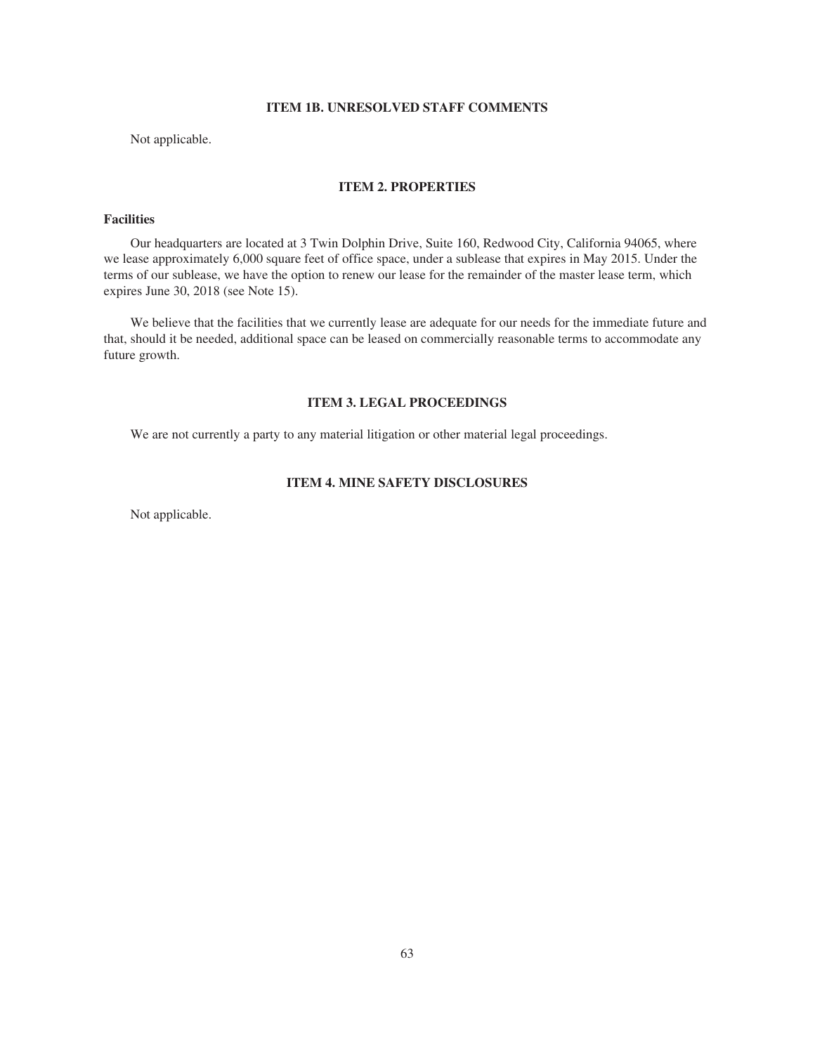### **ITEM 1B. UNRESOLVED STAFF COMMENTS**

Not applicable.

## **ITEM 2. PROPERTIES**

# **Facilities**

Our headquarters are located at 3 Twin Dolphin Drive, Suite 160, Redwood City, California 94065, where we lease approximately 6,000 square feet of office space, under a sublease that expires in May 2015. Under the terms of our sublease, we have the option to renew our lease for the remainder of the master lease term, which expires June 30, 2018 (see Note 15).

We believe that the facilities that we currently lease are adequate for our needs for the immediate future and that, should it be needed, additional space can be leased on commercially reasonable terms to accommodate any future growth.

# **ITEM 3. LEGAL PROCEEDINGS**

We are not currently a party to any material litigation or other material legal proceedings.

# **ITEM 4. MINE SAFETY DISCLOSURES**

Not applicable.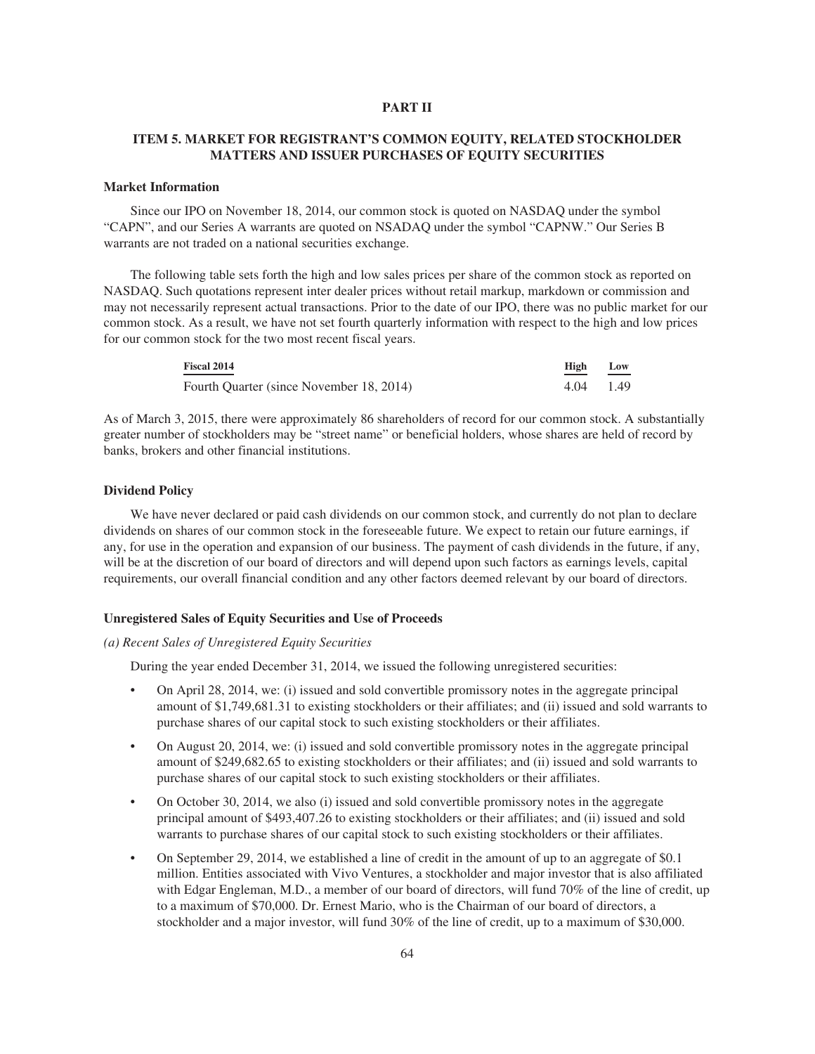#### **PART II**

# **ITEM 5. MARKET FOR REGISTRANT'S COMMON EQUITY, RELATED STOCKHOLDER MATTERS AND ISSUER PURCHASES OF EQUITY SECURITIES**

#### **Market Information**

Since our IPO on November 18, 2014, our common stock is quoted on NASDAQ under the symbol "CAPN", and our Series A warrants are quoted on NSADAQ under the symbol "CAPNW." Our Series B warrants are not traded on a national securities exchange.

The following table sets forth the high and low sales prices per share of the common stock as reported on NASDAQ. Such quotations represent inter dealer prices without retail markup, markdown or commission and may not necessarily represent actual transactions. Prior to the date of our IPO, there was no public market for our common stock. As a result, we have not set fourth quarterly information with respect to the high and low prices for our common stock for the two most recent fiscal years.

| <b>Fiscal 2014</b>                       | High        | Low |
|------------------------------------------|-------------|-----|
| Fourth Ouarter (since November 18, 2014) | $4.04$ 1.49 |     |

As of March 3, 2015, there were approximately 86 shareholders of record for our common stock. A substantially greater number of stockholders may be "street name" or beneficial holders, whose shares are held of record by banks, brokers and other financial institutions.

#### **Dividend Policy**

We have never declared or paid cash dividends on our common stock, and currently do not plan to declare dividends on shares of our common stock in the foreseeable future. We expect to retain our future earnings, if any, for use in the operation and expansion of our business. The payment of cash dividends in the future, if any, will be at the discretion of our board of directors and will depend upon such factors as earnings levels, capital requirements, our overall financial condition and any other factors deemed relevant by our board of directors.

#### **Unregistered Sales of Equity Securities and Use of Proceeds**

#### *(a) Recent Sales of Unregistered Equity Securities*

During the year ended December 31, 2014, we issued the following unregistered securities:

- On April 28, 2014, we: (i) issued and sold convertible promissory notes in the aggregate principal amount of \$1,749,681.31 to existing stockholders or their affiliates; and (ii) issued and sold warrants to purchase shares of our capital stock to such existing stockholders or their affiliates.
- On August 20, 2014, we: (i) issued and sold convertible promissory notes in the aggregate principal amount of \$249,682.65 to existing stockholders or their affiliates; and (ii) issued and sold warrants to purchase shares of our capital stock to such existing stockholders or their affiliates.
- On October 30, 2014, we also (i) issued and sold convertible promissory notes in the aggregate principal amount of \$493,407.26 to existing stockholders or their affiliates; and (ii) issued and sold warrants to purchase shares of our capital stock to such existing stockholders or their affiliates.
- On September 29, 2014, we established a line of credit in the amount of up to an aggregate of \$0.1 million. Entities associated with Vivo Ventures, a stockholder and major investor that is also affiliated with Edgar Engleman, M.D., a member of our board of directors, will fund 70% of the line of credit, up to a maximum of \$70,000. Dr. Ernest Mario, who is the Chairman of our board of directors, a stockholder and a major investor, will fund 30% of the line of credit, up to a maximum of \$30,000.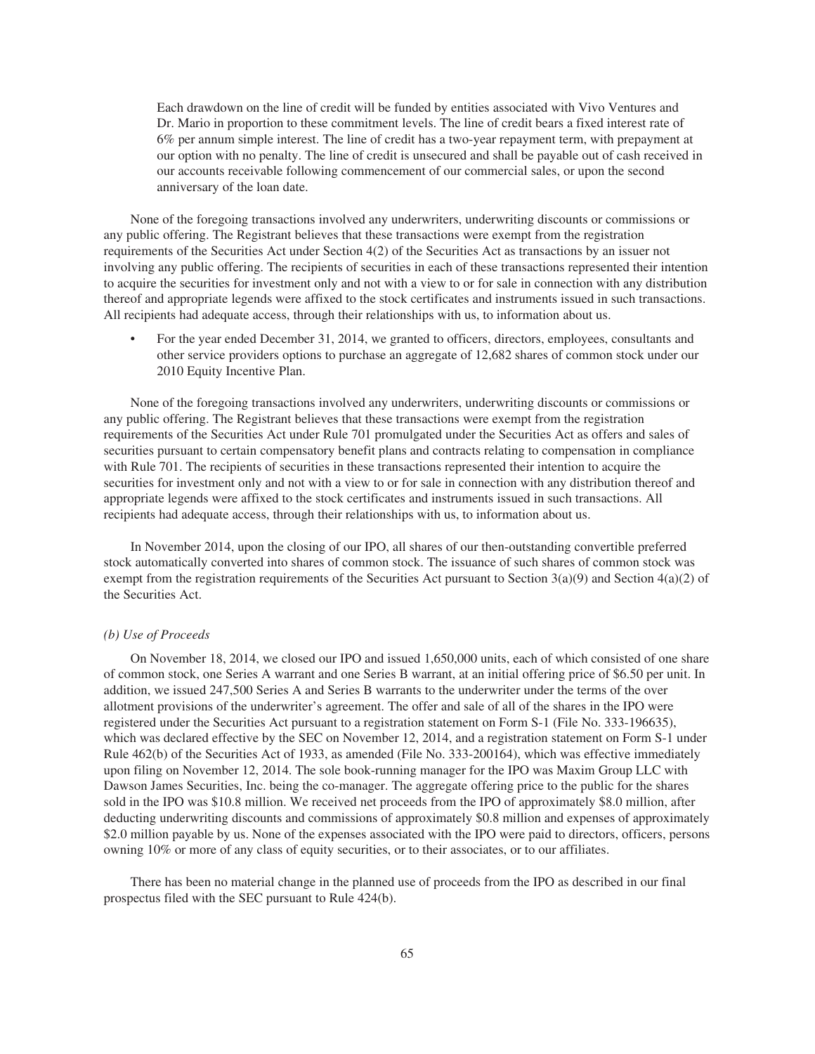Each drawdown on the line of credit will be funded by entities associated with Vivo Ventures and Dr. Mario in proportion to these commitment levels. The line of credit bears a fixed interest rate of 6% per annum simple interest. The line of credit has a two-year repayment term, with prepayment at our option with no penalty. The line of credit is unsecured and shall be payable out of cash received in our accounts receivable following commencement of our commercial sales, or upon the second anniversary of the loan date.

None of the foregoing transactions involved any underwriters, underwriting discounts or commissions or any public offering. The Registrant believes that these transactions were exempt from the registration requirements of the Securities Act under Section 4(2) of the Securities Act as transactions by an issuer not involving any public offering. The recipients of securities in each of these transactions represented their intention to acquire the securities for investment only and not with a view to or for sale in connection with any distribution thereof and appropriate legends were affixed to the stock certificates and instruments issued in such transactions. All recipients had adequate access, through their relationships with us, to information about us.

• For the year ended December 31, 2014, we granted to officers, directors, employees, consultants and other service providers options to purchase an aggregate of 12,682 shares of common stock under our 2010 Equity Incentive Plan.

None of the foregoing transactions involved any underwriters, underwriting discounts or commissions or any public offering. The Registrant believes that these transactions were exempt from the registration requirements of the Securities Act under Rule 701 promulgated under the Securities Act as offers and sales of securities pursuant to certain compensatory benefit plans and contracts relating to compensation in compliance with Rule 701. The recipients of securities in these transactions represented their intention to acquire the securities for investment only and not with a view to or for sale in connection with any distribution thereof and appropriate legends were affixed to the stock certificates and instruments issued in such transactions. All recipients had adequate access, through their relationships with us, to information about us.

In November 2014, upon the closing of our IPO, all shares of our then-outstanding convertible preferred stock automatically converted into shares of common stock. The issuance of such shares of common stock was exempt from the registration requirements of the Securities Act pursuant to Section 3(a)(9) and Section 4(a)(2) of the Securities Act.

#### *(b) Use of Proceeds*

On November 18, 2014, we closed our IPO and issued 1,650,000 units, each of which consisted of one share of common stock, one Series A warrant and one Series B warrant, at an initial offering price of \$6.50 per unit. In addition, we issued 247,500 Series A and Series B warrants to the underwriter under the terms of the over allotment provisions of the underwriter's agreement. The offer and sale of all of the shares in the IPO were registered under the Securities Act pursuant to a registration statement on Form S-1 (File No. 333-196635), which was declared effective by the SEC on November 12, 2014, and a registration statement on Form S-1 under Rule 462(b) of the Securities Act of 1933, as amended (File No. 333-200164), which was effective immediately upon filing on November 12, 2014. The sole book-running manager for the IPO was Maxim Group LLC with Dawson James Securities, Inc. being the co-manager. The aggregate offering price to the public for the shares sold in the IPO was \$10.8 million. We received net proceeds from the IPO of approximately \$8.0 million, after deducting underwriting discounts and commissions of approximately \$0.8 million and expenses of approximately \$2.0 million payable by us. None of the expenses associated with the IPO were paid to directors, officers, persons owning 10% or more of any class of equity securities, or to their associates, or to our affiliates.

There has been no material change in the planned use of proceeds from the IPO as described in our final prospectus filed with the SEC pursuant to Rule 424(b).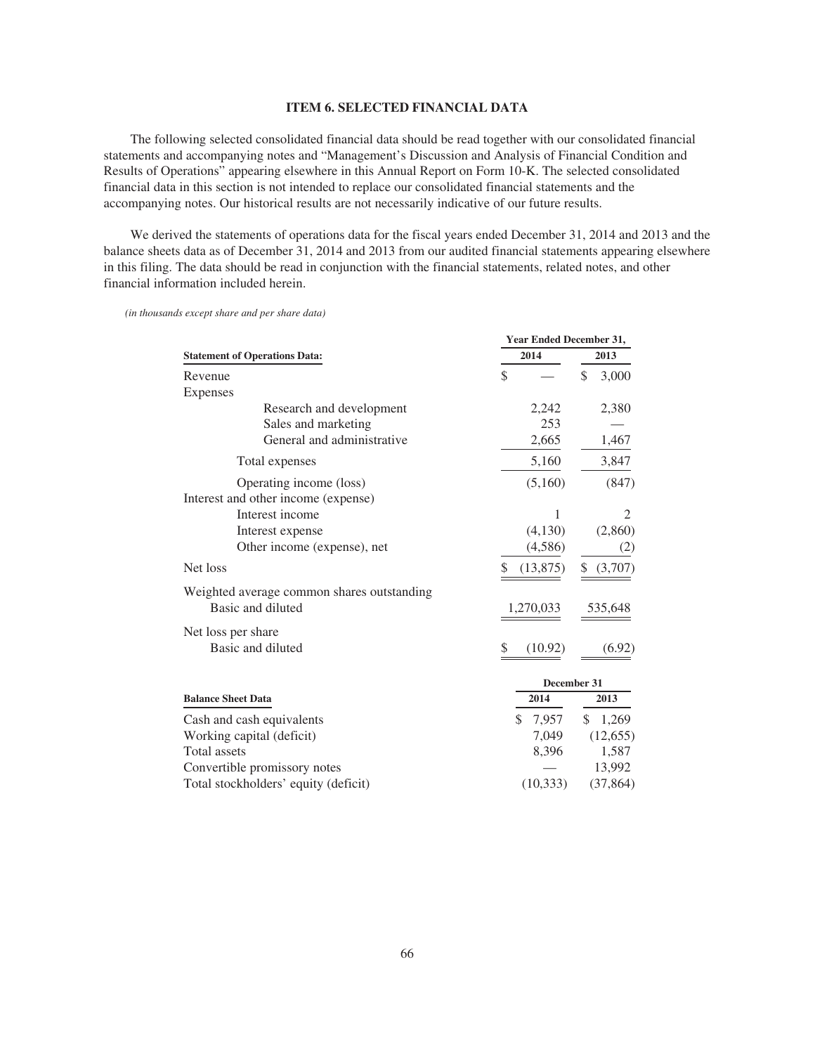#### **ITEM 6. SELECTED FINANCIAL DATA**

The following selected consolidated financial data should be read together with our consolidated financial statements and accompanying notes and "Management's Discussion and Analysis of Financial Condition and Results of Operations" appearing elsewhere in this Annual Report on Form 10-K. The selected consolidated financial data in this section is not intended to replace our consolidated financial statements and the accompanying notes. Our historical results are not necessarily indicative of our future results.

We derived the statements of operations data for the fiscal years ended December 31, 2014 and 2013 and the balance sheets data as of December 31, 2014 and 2013 from our audited financial statements appearing elsewhere in this filing. The data should be read in conjunction with the financial statements, related notes, and other financial information included herein.

|                                            |              | <b>Year Ended December 31,</b> |  |  |
|--------------------------------------------|--------------|--------------------------------|--|--|
| <b>Statement of Operations Data:</b>       | 2014         | 2013                           |  |  |
| Revenue                                    | \$           | \$<br>3,000                    |  |  |
| <b>Expenses</b>                            |              |                                |  |  |
| Research and development                   | 2,242        | 2,380                          |  |  |
| Sales and marketing                        | 253          |                                |  |  |
| General and administrative                 | 2,665        | 1,467                          |  |  |
| Total expenses                             | 5,160        | 3,847                          |  |  |
| Operating income (loss)                    | (5,160)      | (847)                          |  |  |
| Interest and other income (expense)        |              |                                |  |  |
| Interest income                            | 1            | 2                              |  |  |
| Interest expense                           | (4,130)      | (2,860)                        |  |  |
| Other income (expense), net                | (4,586)      | (2)                            |  |  |
| Net loss                                   | (13, 875)    | (3,707)<br>\$                  |  |  |
| Weighted average common shares outstanding |              |                                |  |  |
| Basic and diluted                          | 1,270,033    | 535,648                        |  |  |
| Net loss per share                         |              |                                |  |  |
| Basic and diluted                          | (10.92)<br>S | (6.92)                         |  |  |
|                                            |              | December 31                    |  |  |
| <b>Balance Sheet Data</b>                  | 2014         | 2013                           |  |  |
| Cash and cash equivalents                  | \$<br>7,957  | \$<br>1,269                    |  |  |
| Working capital (deficit)                  | 7,049        | (12, 655)                      |  |  |
| <b>Total</b> assets                        | 8,396        | 1,587                          |  |  |
| Convertible promissory notes               |              | 13,992                         |  |  |
| Total stockholders' equity (deficit)       | (10, 333)    | (37, 864)                      |  |  |

*(in thousands except share and per share data)*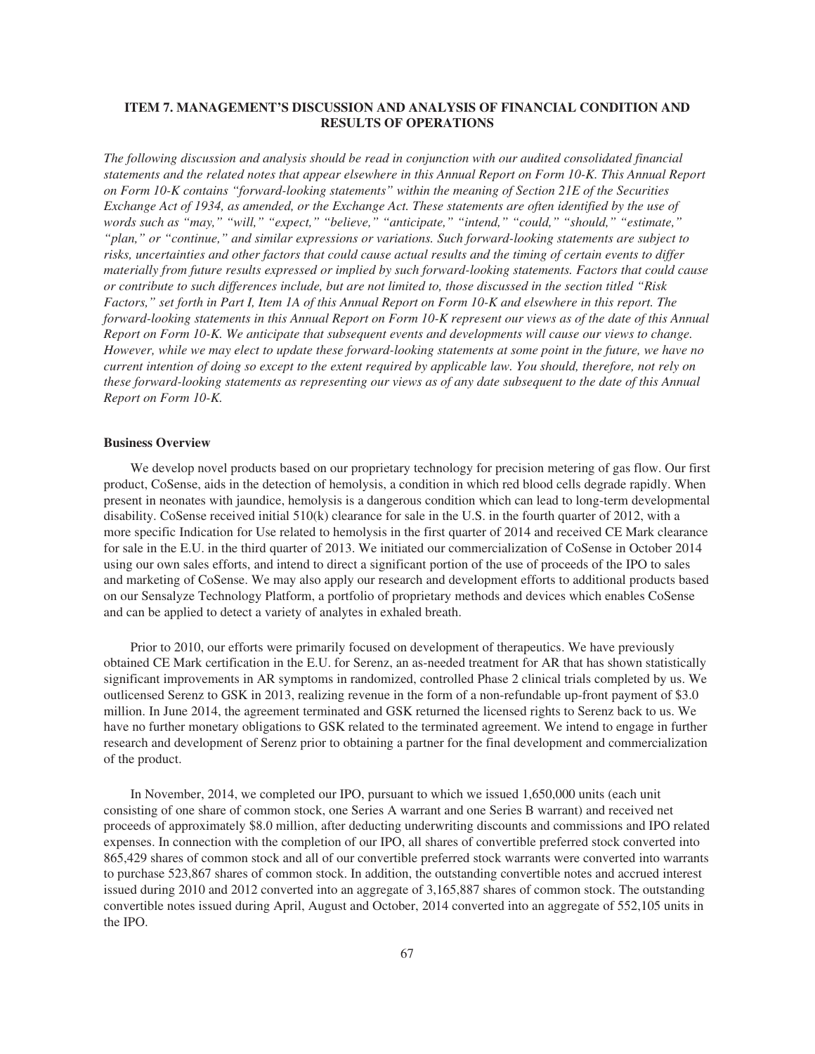### **ITEM 7. MANAGEMENT'S DISCUSSION AND ANALYSIS OF FINANCIAL CONDITION AND RESULTS OF OPERATIONS**

*The following discussion and analysis should be read in conjunction with our audited consolidated financial statements and the related notes that appear elsewhere in this Annual Report on Form 10-K. This Annual Report on Form 10-K contains "forward-looking statements" within the meaning of Section 21E of the Securities Exchange Act of 1934, as amended, or the Exchange Act. These statements are often identified by the use of words such as "may," "will," "expect," "believe," "anticipate," "intend," "could," "should," "estimate," "plan," or "continue," and similar expressions or variations. Such forward-looking statements are subject to risks, uncertainties and other factors that could cause actual results and the timing of certain events to differ materially from future results expressed or implied by such forward-looking statements. Factors that could cause or contribute to such differences include, but are not limited to, those discussed in the section titled "Risk Factors," set forth in Part I, Item 1A of this Annual Report on Form 10-K and elsewhere in this report. The forward-looking statements in this Annual Report on Form 10-K represent our views as of the date of this Annual Report on Form 10-K. We anticipate that subsequent events and developments will cause our views to change. However, while we may elect to update these forward-looking statements at some point in the future, we have no current intention of doing so except to the extent required by applicable law. You should, therefore, not rely on these forward-looking statements as representing our views as of any date subsequent to the date of this Annual Report on Form 10-K.*

#### **Business Overview**

We develop novel products based on our proprietary technology for precision metering of gas flow. Our first product, CoSense, aids in the detection of hemolysis, a condition in which red blood cells degrade rapidly. When present in neonates with jaundice, hemolysis is a dangerous condition which can lead to long-term developmental disability. CoSense received initial 510(k) clearance for sale in the U.S. in the fourth quarter of 2012, with a more specific Indication for Use related to hemolysis in the first quarter of 2014 and received CE Mark clearance for sale in the E.U. in the third quarter of 2013. We initiated our commercialization of CoSense in October 2014 using our own sales efforts, and intend to direct a significant portion of the use of proceeds of the IPO to sales and marketing of CoSense. We may also apply our research and development efforts to additional products based on our Sensalyze Technology Platform, a portfolio of proprietary methods and devices which enables CoSense and can be applied to detect a variety of analytes in exhaled breath.

Prior to 2010, our efforts were primarily focused on development of therapeutics. We have previously obtained CE Mark certification in the E.U. for Serenz, an as-needed treatment for AR that has shown statistically significant improvements in AR symptoms in randomized, controlled Phase 2 clinical trials completed by us. We outlicensed Serenz to GSK in 2013, realizing revenue in the form of a non-refundable up-front payment of \$3.0 million. In June 2014, the agreement terminated and GSK returned the licensed rights to Serenz back to us. We have no further monetary obligations to GSK related to the terminated agreement. We intend to engage in further research and development of Serenz prior to obtaining a partner for the final development and commercialization of the product.

In November, 2014, we completed our IPO, pursuant to which we issued 1,650,000 units (each unit consisting of one share of common stock, one Series A warrant and one Series B warrant) and received net proceeds of approximately \$8.0 million, after deducting underwriting discounts and commissions and IPO related expenses. In connection with the completion of our IPO, all shares of convertible preferred stock converted into 865,429 shares of common stock and all of our convertible preferred stock warrants were converted into warrants to purchase 523,867 shares of common stock. In addition, the outstanding convertible notes and accrued interest issued during 2010 and 2012 converted into an aggregate of 3,165,887 shares of common stock. The outstanding convertible notes issued during April, August and October, 2014 converted into an aggregate of 552,105 units in the IPO.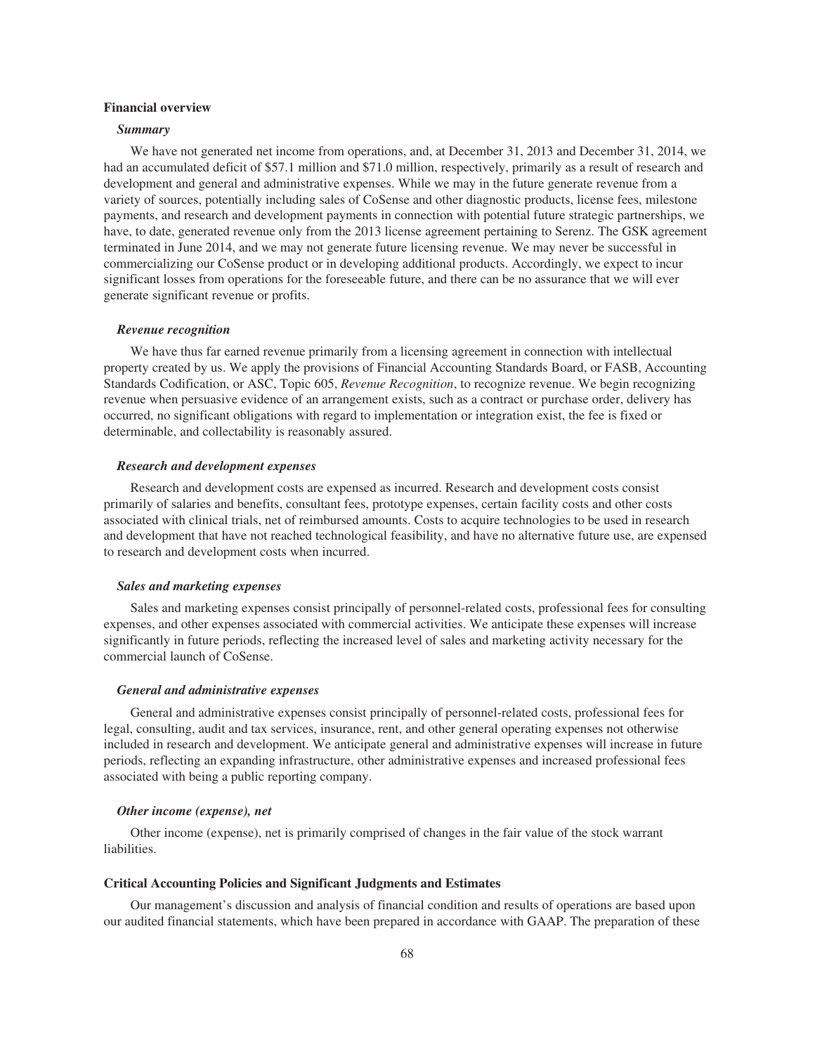#### **Financial overview**

#### *Summary*

We have not generated net income from operations, and, at December 31, 2013 and December 31, 2014, we had an accumulated deficit of \$57.1 million and \$71.0 million, respectively, primarily as a result of research and development and general and administrative expenses. While we may in the future generate revenue from a variety of sources, potentially including sales of CoSense and other diagnostic products, license fees, milestone payments, and research and development payments in connection with potential future strategic partnerships, we have, to date, generated revenue only from the 2013 license agreement pertaining to Serenz. The GSK agreement terminated in June 2014, and we may not generate future licensing revenue. We may never be successful in commercializing our CoSense product or in developing additional products. Accordingly, we expect to incur significant losses from operations for the foreseeable future, and there can be no assurance that we will ever generate significant revenue or profits.

#### *Revenue recognition*

We have thus far earned revenue primarily from a licensing agreement in connection with intellectual property created by us. We apply the provisions of Financial Accounting Standards Board, or FASB, Accounting Standards Codification, or ASC, Topic 605, *Revenue Recognition*, to recognize revenue. We begin recognizing revenue when persuasive evidence of an arrangement exists, such as a contract or purchase order, delivery has occurred, no significant obligations with regard to implementation or integration exist, the fee is fixed or determinable, and collectability is reasonably assured.

#### *Research and development expenses*

Research and development costs are expensed as incurred. Research and development costs consist primarily of salaries and benefits, consultant fees, prototype expenses, certain facility costs and other costs associated with clinical trials, net of reimbursed amounts. Costs to acquire technologies to be used in research and development that have not reached technological feasibility, and have no alternative future use, are expensed to research and development costs when incurred.

#### *Sales and marketing expenses*

Sales and marketing expenses consist principally of personnel-related costs, professional fees for consulting expenses, and other expenses associated with commercial activities. We anticipate these expenses will increase significantly in future periods, reflecting the increased level of sales and marketing activity necessary for the commercial launch of CoSense.

#### *General and administrative expenses*

General and administrative expenses consist principally of personnel-related costs, professional fees for legal, consulting, audit and tax services, insurance, rent, and other general operating expenses not otherwise included in research and development. We anticipate general and administrative expenses will increase in future periods, reflecting an expanding infrastructure, other administrative expenses and increased professional fees associated with being a public reporting company.

#### *Other income (expense), net*

Other income (expense), net is primarily comprised of changes in the fair value of the stock warrant liabilities.

#### **Critical Accounting Policies and Significant Judgments and Estimates**

Our management's discussion and analysis of financial condition and results of operations are based upon our audited financial statements, which have been prepared in accordance with GAAP. The preparation of these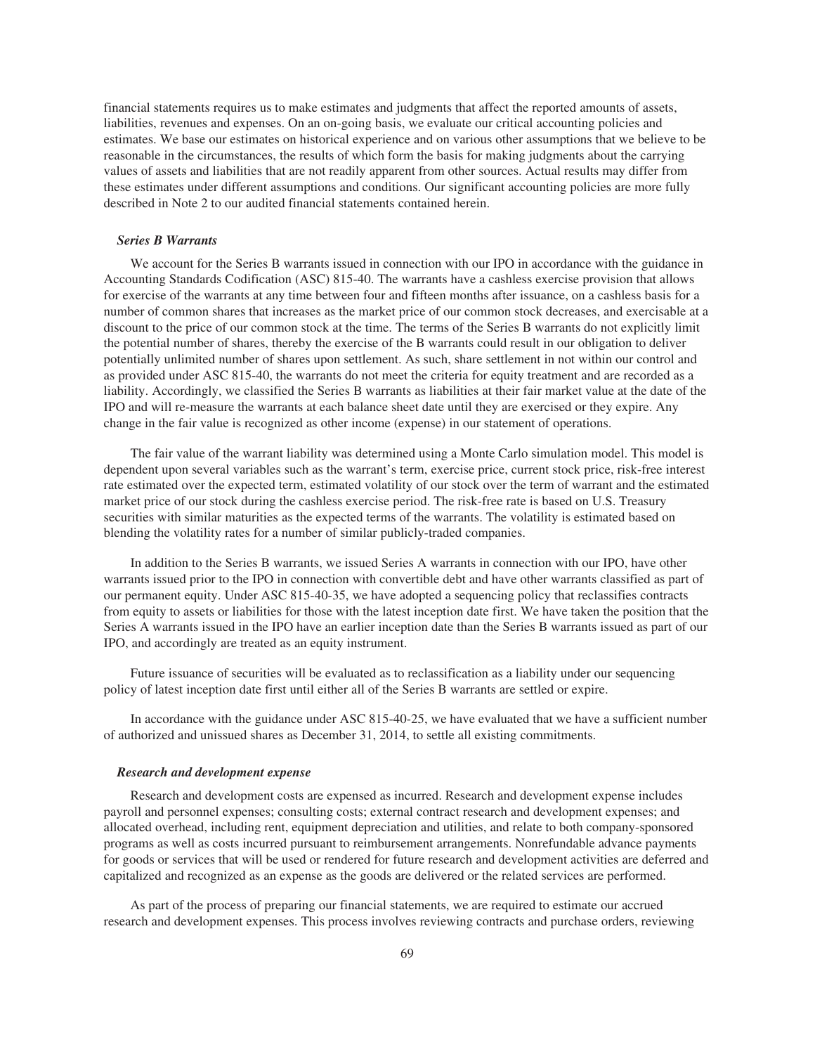financial statements requires us to make estimates and judgments that affect the reported amounts of assets, liabilities, revenues and expenses. On an on-going basis, we evaluate our critical accounting policies and estimates. We base our estimates on historical experience and on various other assumptions that we believe to be reasonable in the circumstances, the results of which form the basis for making judgments about the carrying values of assets and liabilities that are not readily apparent from other sources. Actual results may differ from these estimates under different assumptions and conditions. Our significant accounting policies are more fully described in Note 2 to our audited financial statements contained herein.

#### *Series B Warrants*

We account for the Series B warrants issued in connection with our IPO in accordance with the guidance in Accounting Standards Codification (ASC) 815-40. The warrants have a cashless exercise provision that allows for exercise of the warrants at any time between four and fifteen months after issuance, on a cashless basis for a number of common shares that increases as the market price of our common stock decreases, and exercisable at a discount to the price of our common stock at the time. The terms of the Series B warrants do not explicitly limit the potential number of shares, thereby the exercise of the B warrants could result in our obligation to deliver potentially unlimited number of shares upon settlement. As such, share settlement in not within our control and as provided under ASC 815-40, the warrants do not meet the criteria for equity treatment and are recorded as a liability. Accordingly, we classified the Series B warrants as liabilities at their fair market value at the date of the IPO and will re-measure the warrants at each balance sheet date until they are exercised or they expire. Any change in the fair value is recognized as other income (expense) in our statement of operations.

The fair value of the warrant liability was determined using a Monte Carlo simulation model. This model is dependent upon several variables such as the warrant's term, exercise price, current stock price, risk-free interest rate estimated over the expected term, estimated volatility of our stock over the term of warrant and the estimated market price of our stock during the cashless exercise period. The risk-free rate is based on U.S. Treasury securities with similar maturities as the expected terms of the warrants. The volatility is estimated based on blending the volatility rates for a number of similar publicly-traded companies.

In addition to the Series B warrants, we issued Series A warrants in connection with our IPO, have other warrants issued prior to the IPO in connection with convertible debt and have other warrants classified as part of our permanent equity. Under ASC 815-40-35, we have adopted a sequencing policy that reclassifies contracts from equity to assets or liabilities for those with the latest inception date first. We have taken the position that the Series A warrants issued in the IPO have an earlier inception date than the Series B warrants issued as part of our IPO, and accordingly are treated as an equity instrument.

Future issuance of securities will be evaluated as to reclassification as a liability under our sequencing policy of latest inception date first until either all of the Series B warrants are settled or expire.

In accordance with the guidance under ASC 815-40-25, we have evaluated that we have a sufficient number of authorized and unissued shares as December 31, 2014, to settle all existing commitments.

#### *Research and development expense*

Research and development costs are expensed as incurred. Research and development expense includes payroll and personnel expenses; consulting costs; external contract research and development expenses; and allocated overhead, including rent, equipment depreciation and utilities, and relate to both company-sponsored programs as well as costs incurred pursuant to reimbursement arrangements. Nonrefundable advance payments for goods or services that will be used or rendered for future research and development activities are deferred and capitalized and recognized as an expense as the goods are delivered or the related services are performed.

As part of the process of preparing our financial statements, we are required to estimate our accrued research and development expenses. This process involves reviewing contracts and purchase orders, reviewing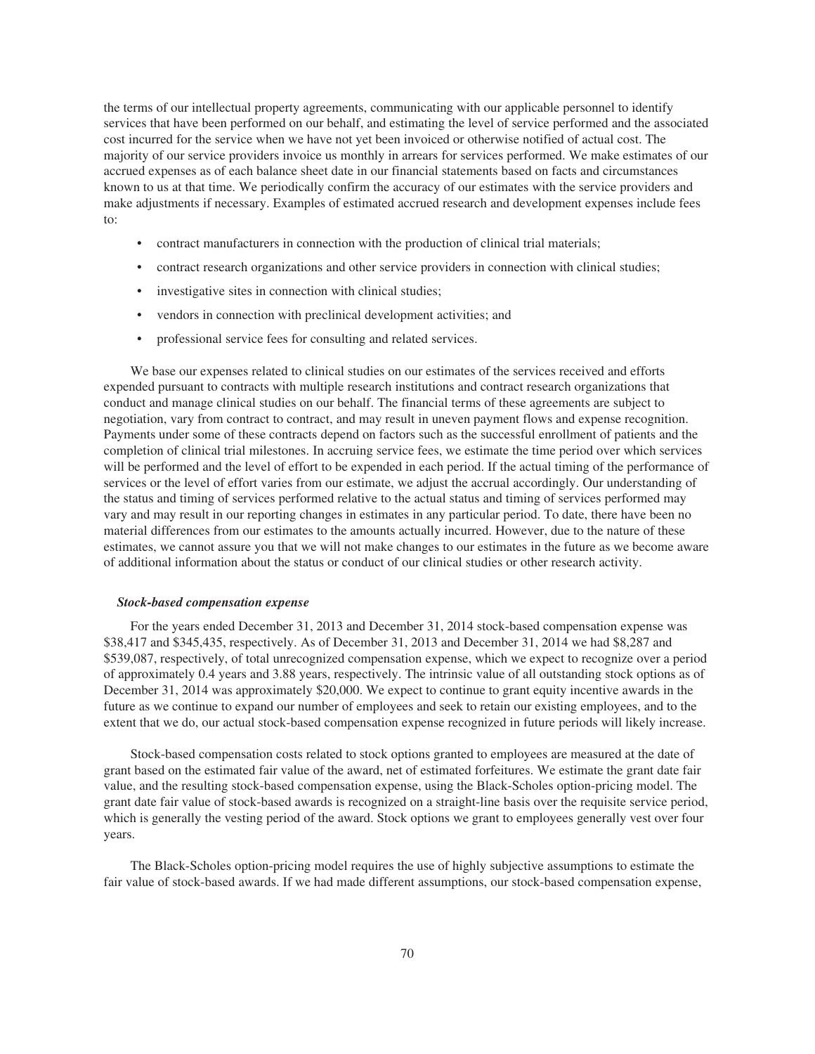the terms of our intellectual property agreements, communicating with our applicable personnel to identify services that have been performed on our behalf, and estimating the level of service performed and the associated cost incurred for the service when we have not yet been invoiced or otherwise notified of actual cost. The majority of our service providers invoice us monthly in arrears for services performed. We make estimates of our accrued expenses as of each balance sheet date in our financial statements based on facts and circumstances known to us at that time. We periodically confirm the accuracy of our estimates with the service providers and make adjustments if necessary. Examples of estimated accrued research and development expenses include fees to:

- contract manufacturers in connection with the production of clinical trial materials;
- contract research organizations and other service providers in connection with clinical studies;
- investigative sites in connection with clinical studies;
- vendors in connection with preclinical development activities; and
- professional service fees for consulting and related services.

We base our expenses related to clinical studies on our estimates of the services received and efforts expended pursuant to contracts with multiple research institutions and contract research organizations that conduct and manage clinical studies on our behalf. The financial terms of these agreements are subject to negotiation, vary from contract to contract, and may result in uneven payment flows and expense recognition. Payments under some of these contracts depend on factors such as the successful enrollment of patients and the completion of clinical trial milestones. In accruing service fees, we estimate the time period over which services will be performed and the level of effort to be expended in each period. If the actual timing of the performance of services or the level of effort varies from our estimate, we adjust the accrual accordingly. Our understanding of the status and timing of services performed relative to the actual status and timing of services performed may vary and may result in our reporting changes in estimates in any particular period. To date, there have been no material differences from our estimates to the amounts actually incurred. However, due to the nature of these estimates, we cannot assure you that we will not make changes to our estimates in the future as we become aware of additional information about the status or conduct of our clinical studies or other research activity.

#### *Stock-based compensation expense*

For the years ended December 31, 2013 and December 31, 2014 stock-based compensation expense was \$38,417 and \$345,435, respectively. As of December 31, 2013 and December 31, 2014 we had \$8,287 and \$539,087, respectively, of total unrecognized compensation expense, which we expect to recognize over a period of approximately 0.4 years and 3.88 years, respectively. The intrinsic value of all outstanding stock options as of December 31, 2014 was approximately \$20,000. We expect to continue to grant equity incentive awards in the future as we continue to expand our number of employees and seek to retain our existing employees, and to the extent that we do, our actual stock-based compensation expense recognized in future periods will likely increase.

Stock-based compensation costs related to stock options granted to employees are measured at the date of grant based on the estimated fair value of the award, net of estimated forfeitures. We estimate the grant date fair value, and the resulting stock-based compensation expense, using the Black-Scholes option-pricing model. The grant date fair value of stock-based awards is recognized on a straight-line basis over the requisite service period, which is generally the vesting period of the award. Stock options we grant to employees generally vest over four years.

The Black-Scholes option-pricing model requires the use of highly subjective assumptions to estimate the fair value of stock-based awards. If we had made different assumptions, our stock-based compensation expense,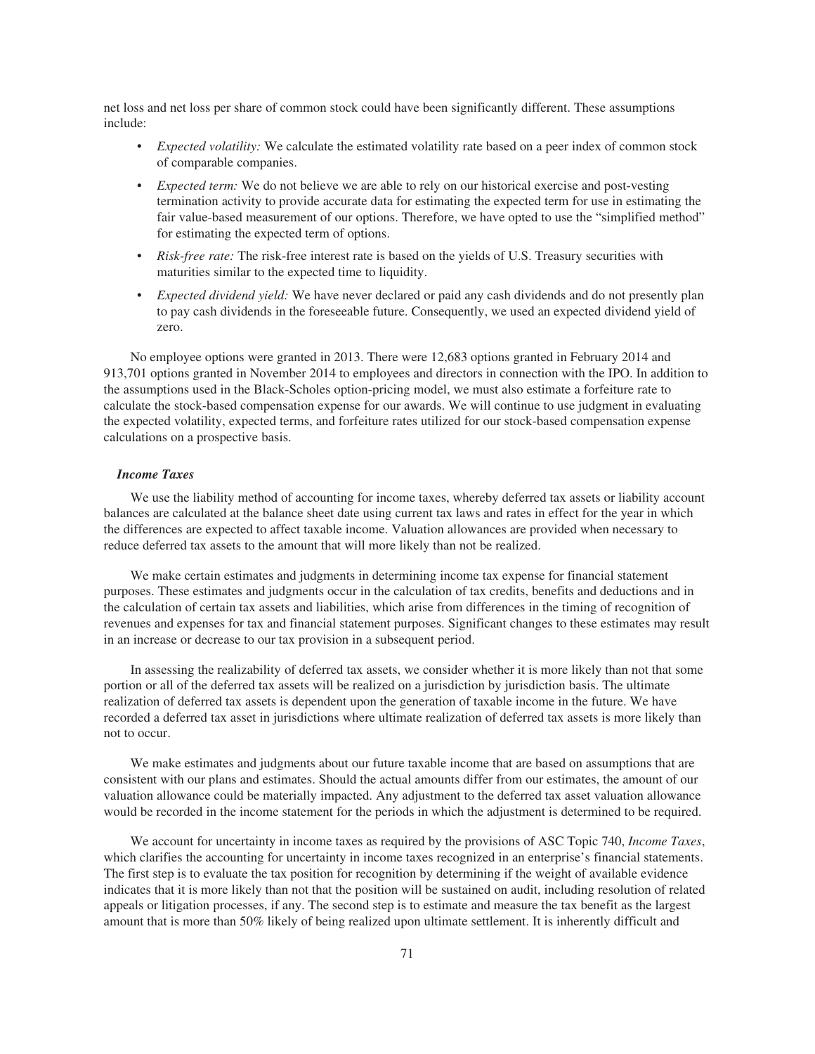net loss and net loss per share of common stock could have been significantly different. These assumptions include:

- *Expected volatility:* We calculate the estimated volatility rate based on a peer index of common stock of comparable companies.
- *Expected term:* We do not believe we are able to rely on our historical exercise and post-vesting termination activity to provide accurate data for estimating the expected term for use in estimating the fair value-based measurement of our options. Therefore, we have opted to use the "simplified method" for estimating the expected term of options.
- *Risk-free rate:* The risk-free interest rate is based on the yields of U.S. Treasury securities with maturities similar to the expected time to liquidity.
- *Expected dividend yield:* We have never declared or paid any cash dividends and do not presently plan to pay cash dividends in the foreseeable future. Consequently, we used an expected dividend yield of zero.

No employee options were granted in 2013. There were 12,683 options granted in February 2014 and 913,701 options granted in November 2014 to employees and directors in connection with the IPO. In addition to the assumptions used in the Black-Scholes option-pricing model, we must also estimate a forfeiture rate to calculate the stock-based compensation expense for our awards. We will continue to use judgment in evaluating the expected volatility, expected terms, and forfeiture rates utilized for our stock-based compensation expense calculations on a prospective basis.

# *Income Taxes*

We use the liability method of accounting for income taxes, whereby deferred tax assets or liability account balances are calculated at the balance sheet date using current tax laws and rates in effect for the year in which the differences are expected to affect taxable income. Valuation allowances are provided when necessary to reduce deferred tax assets to the amount that will more likely than not be realized.

We make certain estimates and judgments in determining income tax expense for financial statement purposes. These estimates and judgments occur in the calculation of tax credits, benefits and deductions and in the calculation of certain tax assets and liabilities, which arise from differences in the timing of recognition of revenues and expenses for tax and financial statement purposes. Significant changes to these estimates may result in an increase or decrease to our tax provision in a subsequent period.

In assessing the realizability of deferred tax assets, we consider whether it is more likely than not that some portion or all of the deferred tax assets will be realized on a jurisdiction by jurisdiction basis. The ultimate realization of deferred tax assets is dependent upon the generation of taxable income in the future. We have recorded a deferred tax asset in jurisdictions where ultimate realization of deferred tax assets is more likely than not to occur.

We make estimates and judgments about our future taxable income that are based on assumptions that are consistent with our plans and estimates. Should the actual amounts differ from our estimates, the amount of our valuation allowance could be materially impacted. Any adjustment to the deferred tax asset valuation allowance would be recorded in the income statement for the periods in which the adjustment is determined to be required.

We account for uncertainty in income taxes as required by the provisions of ASC Topic 740, *Income Taxes*, which clarifies the accounting for uncertainty in income taxes recognized in an enterprise's financial statements. The first step is to evaluate the tax position for recognition by determining if the weight of available evidence indicates that it is more likely than not that the position will be sustained on audit, including resolution of related appeals or litigation processes, if any. The second step is to estimate and measure the tax benefit as the largest amount that is more than 50% likely of being realized upon ultimate settlement. It is inherently difficult and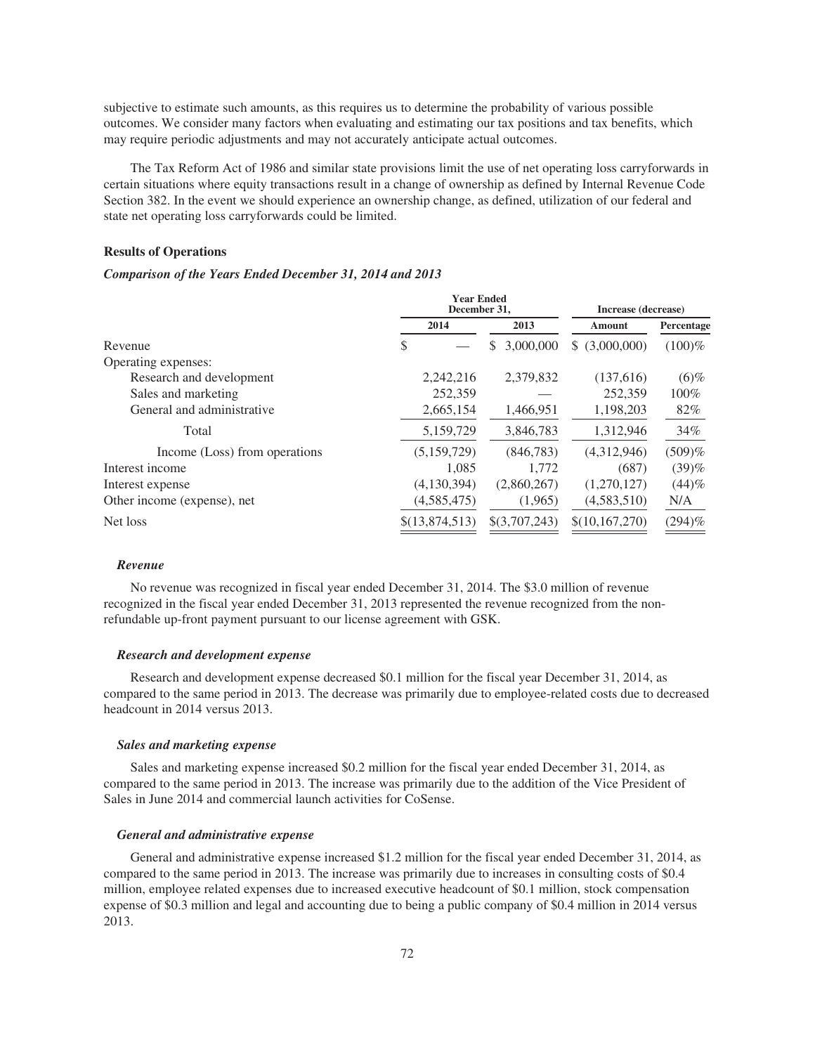subjective to estimate such amounts, as this requires us to determine the probability of various possible outcomes. We consider many factors when evaluating and estimating our tax positions and tax benefits, which may require periodic adjustments and may not accurately anticipate actual outcomes.

The Tax Reform Act of 1986 and similar state provisions limit the use of net operating loss carryforwards in certain situations where equity transactions result in a change of ownership as defined by Internal Revenue Code Section 382. In the event we should experience an ownership change, as defined, utilization of our federal and state net operating loss carryforwards could be limited.

#### **Results of Operations**

### *Comparison of the Years Ended December 31, 2014 and 2013*

|                               |                | <b>Year Ended</b><br>December 31, |   |               | Increase (decrease) |            |
|-------------------------------|----------------|-----------------------------------|---|---------------|---------------------|------------|
|                               | 2014           |                                   |   | 2013          | Amount              | Percentage |
| Revenue                       | S              |                                   | S | 3,000,000     | \$ (3,000,000)      | $(100)\%$  |
| Operating expenses:           |                |                                   |   |               |                     |            |
| Research and development      |                | 2,242,216                         |   | 2,379,832     | (137,616)           | $(6)$ %    |
| Sales and marketing           |                | 252,359                           |   |               | 252,359             | $100\%$    |
| General and administrative    |                | 2,665,154                         |   | 1,466,951     | 1,198,203           | 82%        |
| Total                         |                | 5,159,729                         |   | 3,846,783     | 1,312,946           | 34%        |
| Income (Loss) from operations |                | (5,159,729)                       |   | (846,783)     | (4,312,946)         | (509)%     |
| Interest income               |                | 1,085                             |   | 1,772         | (687)               | (39)%      |
| Interest expense              |                | (4,130,394)                       |   | (2,860,267)   | (1,270,127)         | (44)%      |
| Other income (expense), net   |                | (4,585,475)                       |   | (1,965)       | (4,583,510)         | N/A        |
| Net loss                      | \$(13,874,513) |                                   |   | \$(3,707,243) | \$(10,167,270)      | $(294)\%$  |

#### *Revenue*

No revenue was recognized in fiscal year ended December 31, 2014. The \$3.0 million of revenue recognized in the fiscal year ended December 31, 2013 represented the revenue recognized from the nonrefundable up-front payment pursuant to our license agreement with GSK.

#### *Research and development expense*

Research and development expense decreased \$0.1 million for the fiscal year December 31, 2014, as compared to the same period in 2013. The decrease was primarily due to employee-related costs due to decreased headcount in 2014 versus 2013.

### *Sales and marketing expense*

Sales and marketing expense increased \$0.2 million for the fiscal year ended December 31, 2014, as compared to the same period in 2013. The increase was primarily due to the addition of the Vice President of Sales in June 2014 and commercial launch activities for CoSense.

#### *General and administrative expense*

General and administrative expense increased \$1.2 million for the fiscal year ended December 31, 2014, as compared to the same period in 2013. The increase was primarily due to increases in consulting costs of \$0.4 million, employee related expenses due to increased executive headcount of \$0.1 million, stock compensation expense of \$0.3 million and legal and accounting due to being a public company of \$0.4 million in 2014 versus 2013.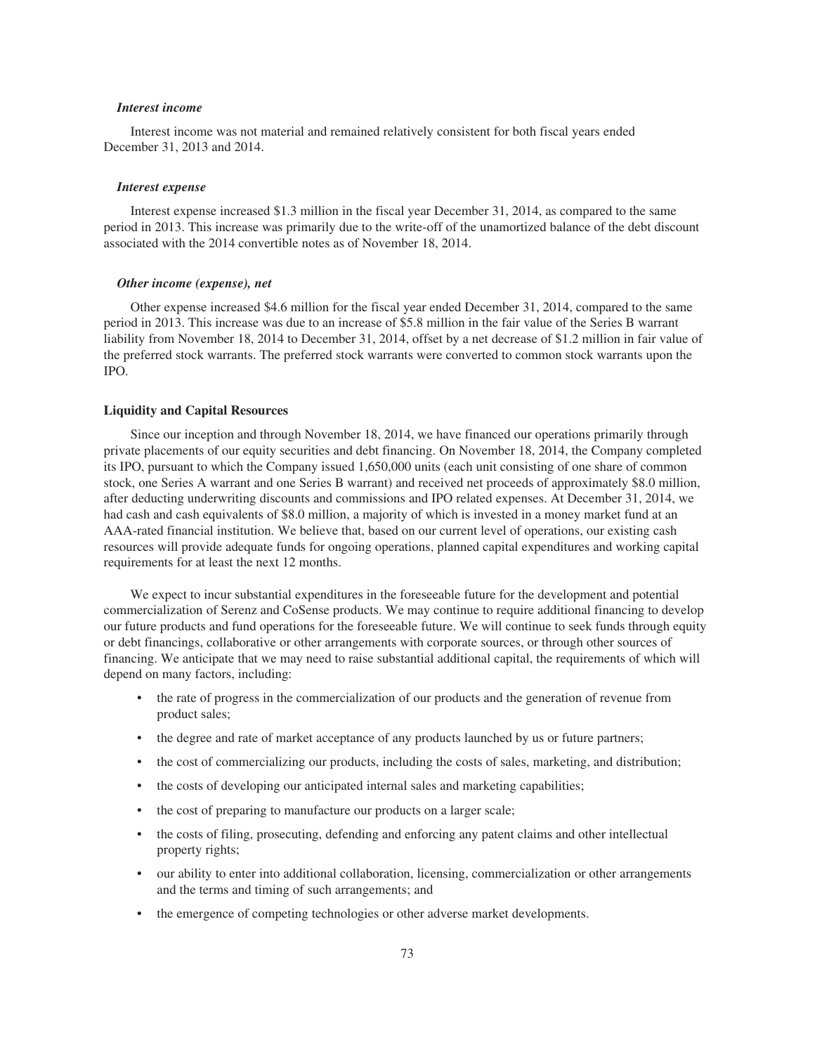### *Interest income*

Interest income was not material and remained relatively consistent for both fiscal years ended December 31, 2013 and 2014.

#### *Interest expense*

Interest expense increased \$1.3 million in the fiscal year December 31, 2014, as compared to the same period in 2013. This increase was primarily due to the write-off of the unamortized balance of the debt discount associated with the 2014 convertible notes as of November 18, 2014.

### *Other income (expense), net*

Other expense increased \$4.6 million for the fiscal year ended December 31, 2014, compared to the same period in 2013. This increase was due to an increase of \$5.8 million in the fair value of the Series B warrant liability from November 18, 2014 to December 31, 2014, offset by a net decrease of \$1.2 million in fair value of the preferred stock warrants. The preferred stock warrants were converted to common stock warrants upon the IPO.

### **Liquidity and Capital Resources**

Since our inception and through November 18, 2014, we have financed our operations primarily through private placements of our equity securities and debt financing. On November 18, 2014, the Company completed its IPO, pursuant to which the Company issued 1,650,000 units (each unit consisting of one share of common stock, one Series A warrant and one Series B warrant) and received net proceeds of approximately \$8.0 million, after deducting underwriting discounts and commissions and IPO related expenses. At December 31, 2014, we had cash and cash equivalents of \$8.0 million, a majority of which is invested in a money market fund at an AAA-rated financial institution. We believe that, based on our current level of operations, our existing cash resources will provide adequate funds for ongoing operations, planned capital expenditures and working capital requirements for at least the next 12 months.

We expect to incur substantial expenditures in the foreseeable future for the development and potential commercialization of Serenz and CoSense products. We may continue to require additional financing to develop our future products and fund operations for the foreseeable future. We will continue to seek funds through equity or debt financings, collaborative or other arrangements with corporate sources, or through other sources of financing. We anticipate that we may need to raise substantial additional capital, the requirements of which will depend on many factors, including:

- the rate of progress in the commercialization of our products and the generation of revenue from product sales;
- the degree and rate of market acceptance of any products launched by us or future partners;
- the cost of commercializing our products, including the costs of sales, marketing, and distribution;
- the costs of developing our anticipated internal sales and marketing capabilities;
- the cost of preparing to manufacture our products on a larger scale;
- the costs of filing, prosecuting, defending and enforcing any patent claims and other intellectual property rights;
- our ability to enter into additional collaboration, licensing, commercialization or other arrangements and the terms and timing of such arrangements; and
- the emergence of competing technologies or other adverse market developments.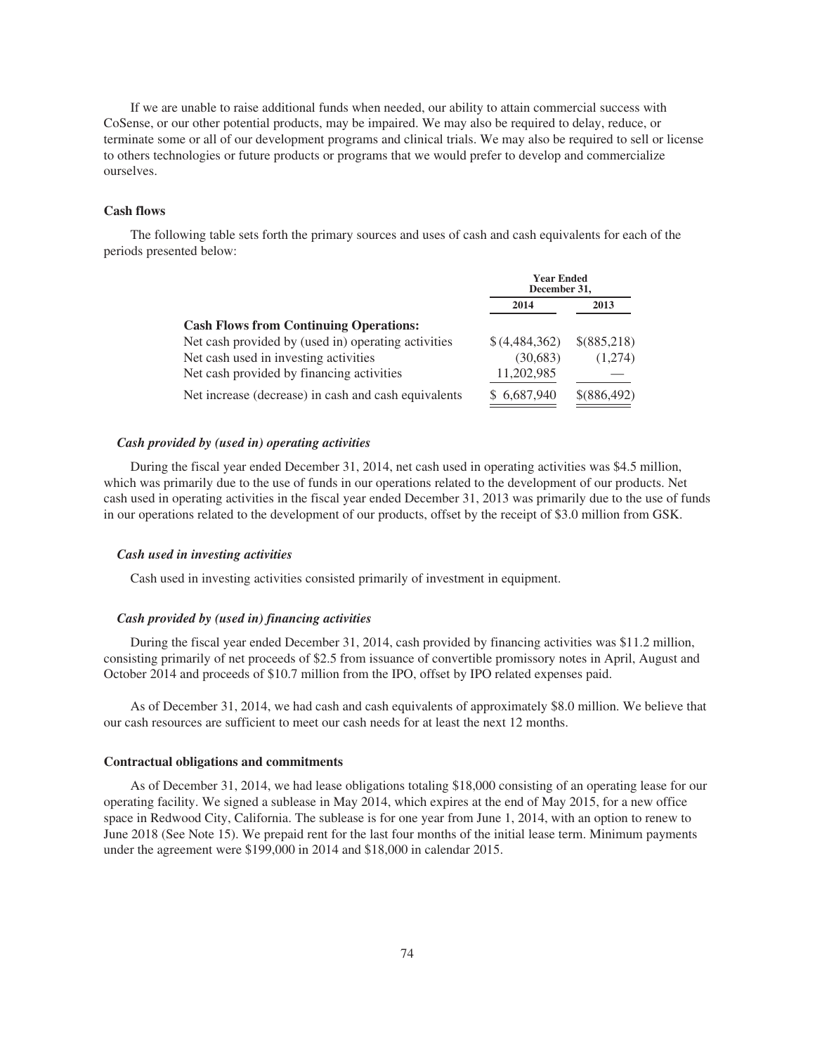If we are unable to raise additional funds when needed, our ability to attain commercial success with CoSense, or our other potential products, may be impaired. We may also be required to delay, reduce, or terminate some or all of our development programs and clinical trials. We may also be required to sell or license to others technologies or future products or programs that we would prefer to develop and commercialize ourselves.

## **Cash flows**

The following table sets forth the primary sources and uses of cash and cash equivalents for each of the periods presented below:

|                                                      | <b>Year Ended</b><br>December 31, |             |
|------------------------------------------------------|-----------------------------------|-------------|
|                                                      | 2014                              | 2013        |
| <b>Cash Flows from Continuing Operations:</b>        |                                   |             |
| Net cash provided by (used in) operating activities  | \$(4,484,362)                     | \$(885,218) |
| Net cash used in investing activities                | (30,683)                          | (1,274)     |
| Net cash provided by financing activities            | 11,202,985                        |             |
| Net increase (decrease) in cash and cash equivalents | \$6,687,940                       | \$(886,492) |

# *Cash provided by (used in) operating activities*

During the fiscal year ended December 31, 2014, net cash used in operating activities was \$4.5 million, which was primarily due to the use of funds in our operations related to the development of our products. Net cash used in operating activities in the fiscal year ended December 31, 2013 was primarily due to the use of funds in our operations related to the development of our products, offset by the receipt of \$3.0 million from GSK.

### *Cash used in investing activities*

Cash used in investing activities consisted primarily of investment in equipment.

### *Cash provided by (used in) financing activities*

During the fiscal year ended December 31, 2014, cash provided by financing activities was \$11.2 million, consisting primarily of net proceeds of \$2.5 from issuance of convertible promissory notes in April, August and October 2014 and proceeds of \$10.7 million from the IPO, offset by IPO related expenses paid.

As of December 31, 2014, we had cash and cash equivalents of approximately \$8.0 million. We believe that our cash resources are sufficient to meet our cash needs for at least the next 12 months.

### **Contractual obligations and commitments**

As of December 31, 2014, we had lease obligations totaling \$18,000 consisting of an operating lease for our operating facility. We signed a sublease in May 2014, which expires at the end of May 2015, for a new office space in Redwood City, California. The sublease is for one year from June 1, 2014, with an option to renew to June 2018 (See Note 15). We prepaid rent for the last four months of the initial lease term. Minimum payments under the agreement were \$199,000 in 2014 and \$18,000 in calendar 2015.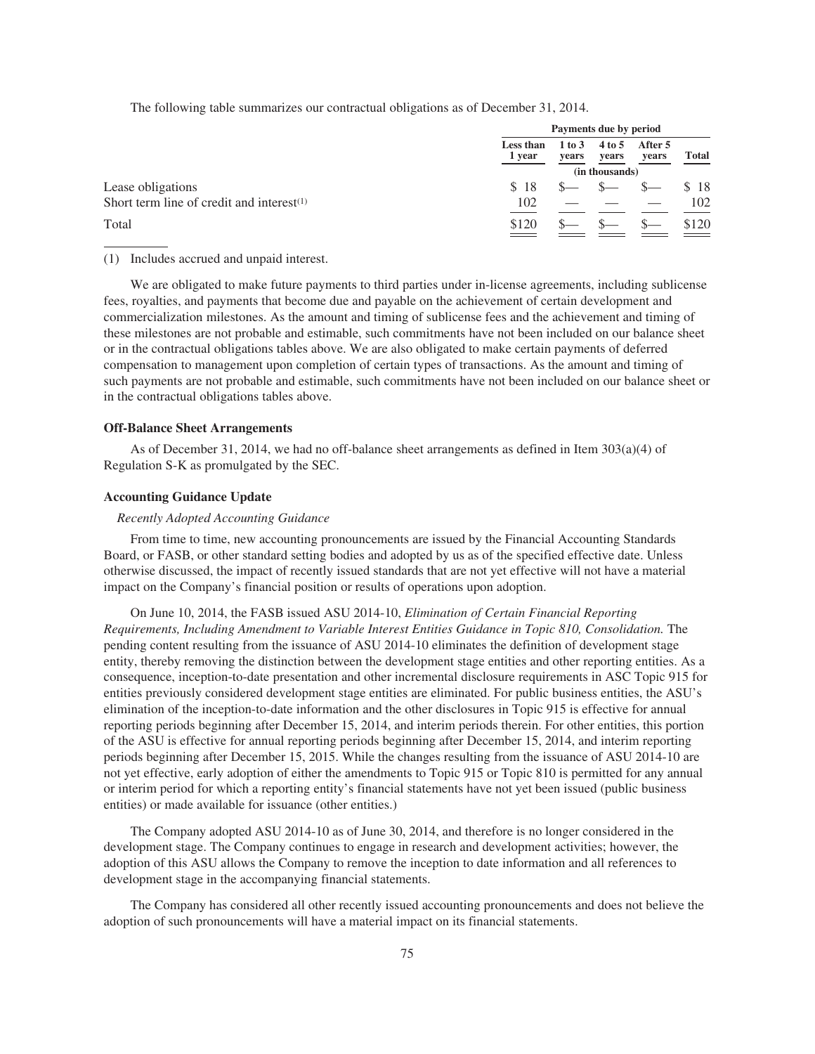The following table summarizes our contractual obligations as of December 31, 2014.

|                                              |                     | Payments due by period |                 |                  |              |
|----------------------------------------------|---------------------|------------------------|-----------------|------------------|--------------|
|                                              | Less than<br>1 year | 1 to 3<br>years        | 4 to 5<br>years | After 5<br>years | <b>Total</b> |
|                                              |                     |                        | (in thousands)  |                  |              |
| Lease obligations                            | S 18                |                        |                 |                  | \$18         |
| Short term line of credit and interest $(1)$ | 102                 |                        |                 |                  | 102          |
| Total                                        | \$120               |                        |                 |                  | \$120        |

#### (1) Includes accrued and unpaid interest.

We are obligated to make future payments to third parties under in-license agreements, including sublicense fees, royalties, and payments that become due and payable on the achievement of certain development and commercialization milestones. As the amount and timing of sublicense fees and the achievement and timing of these milestones are not probable and estimable, such commitments have not been included on our balance sheet or in the contractual obligations tables above. We are also obligated to make certain payments of deferred compensation to management upon completion of certain types of transactions. As the amount and timing of such payments are not probable and estimable, such commitments have not been included on our balance sheet or in the contractual obligations tables above.

#### **Off-Balance Sheet Arrangements**

As of December 31, 2014, we had no off-balance sheet arrangements as defined in Item 303(a)(4) of Regulation S-K as promulgated by the SEC.

## **Accounting Guidance Update**

### *Recently Adopted Accounting Guidance*

From time to time, new accounting pronouncements are issued by the Financial Accounting Standards Board, or FASB, or other standard setting bodies and adopted by us as of the specified effective date. Unless otherwise discussed, the impact of recently issued standards that are not yet effective will not have a material impact on the Company's financial position or results of operations upon adoption.

On June 10, 2014, the FASB issued ASU 2014-10, *Elimination of Certain Financial Reporting Requirements, Including Amendment to Variable Interest Entities Guidance in Topic 810, Consolidation.* The pending content resulting from the issuance of ASU 2014-10 eliminates the definition of development stage entity, thereby removing the distinction between the development stage entities and other reporting entities. As a consequence, inception-to-date presentation and other incremental disclosure requirements in ASC Topic 915 for entities previously considered development stage entities are eliminated. For public business entities, the ASU's elimination of the inception-to-date information and the other disclosures in Topic 915 is effective for annual reporting periods beginning after December 15, 2014, and interim periods therein. For other entities, this portion of the ASU is effective for annual reporting periods beginning after December 15, 2014, and interim reporting periods beginning after December 15, 2015. While the changes resulting from the issuance of ASU 2014-10 are not yet effective, early adoption of either the amendments to Topic 915 or Topic 810 is permitted for any annual or interim period for which a reporting entity's financial statements have not yet been issued (public business entities) or made available for issuance (other entities.)

The Company adopted ASU 2014-10 as of June 30, 2014, and therefore is no longer considered in the development stage. The Company continues to engage in research and development activities; however, the adoption of this ASU allows the Company to remove the inception to date information and all references to development stage in the accompanying financial statements.

The Company has considered all other recently issued accounting pronouncements and does not believe the adoption of such pronouncements will have a material impact on its financial statements.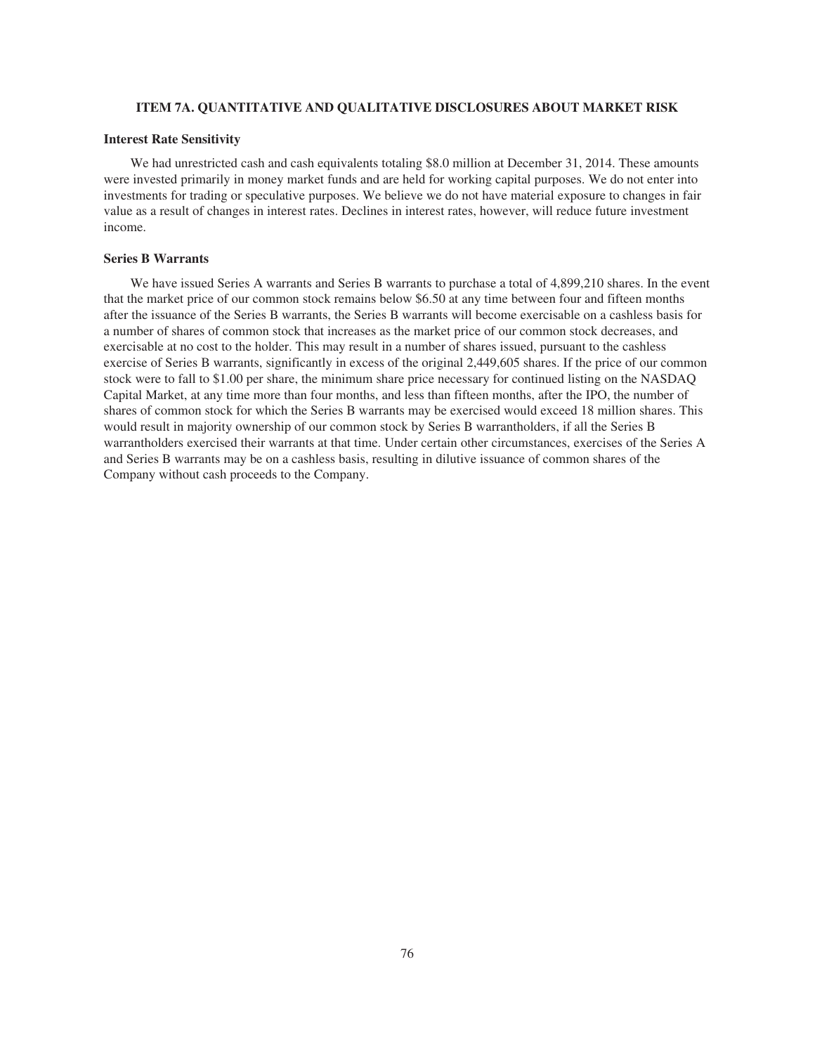# **ITEM 7A. QUANTITATIVE AND QUALITATIVE DISCLOSURES ABOUT MARKET RISK**

### **Interest Rate Sensitivity**

We had unrestricted cash and cash equivalents totaling \$8.0 million at December 31, 2014. These amounts were invested primarily in money market funds and are held for working capital purposes. We do not enter into investments for trading or speculative purposes. We believe we do not have material exposure to changes in fair value as a result of changes in interest rates. Declines in interest rates, however, will reduce future investment income.

### **Series B Warrants**

We have issued Series A warrants and Series B warrants to purchase a total of 4,899,210 shares. In the event that the market price of our common stock remains below \$6.50 at any time between four and fifteen months after the issuance of the Series B warrants, the Series B warrants will become exercisable on a cashless basis for a number of shares of common stock that increases as the market price of our common stock decreases, and exercisable at no cost to the holder. This may result in a number of shares issued, pursuant to the cashless exercise of Series B warrants, significantly in excess of the original 2,449,605 shares. If the price of our common stock were to fall to \$1.00 per share, the minimum share price necessary for continued listing on the NASDAQ Capital Market, at any time more than four months, and less than fifteen months, after the IPO, the number of shares of common stock for which the Series B warrants may be exercised would exceed 18 million shares. This would result in majority ownership of our common stock by Series B warrantholders, if all the Series B warrantholders exercised their warrants at that time. Under certain other circumstances, exercises of the Series A and Series B warrants may be on a cashless basis, resulting in dilutive issuance of common shares of the Company without cash proceeds to the Company.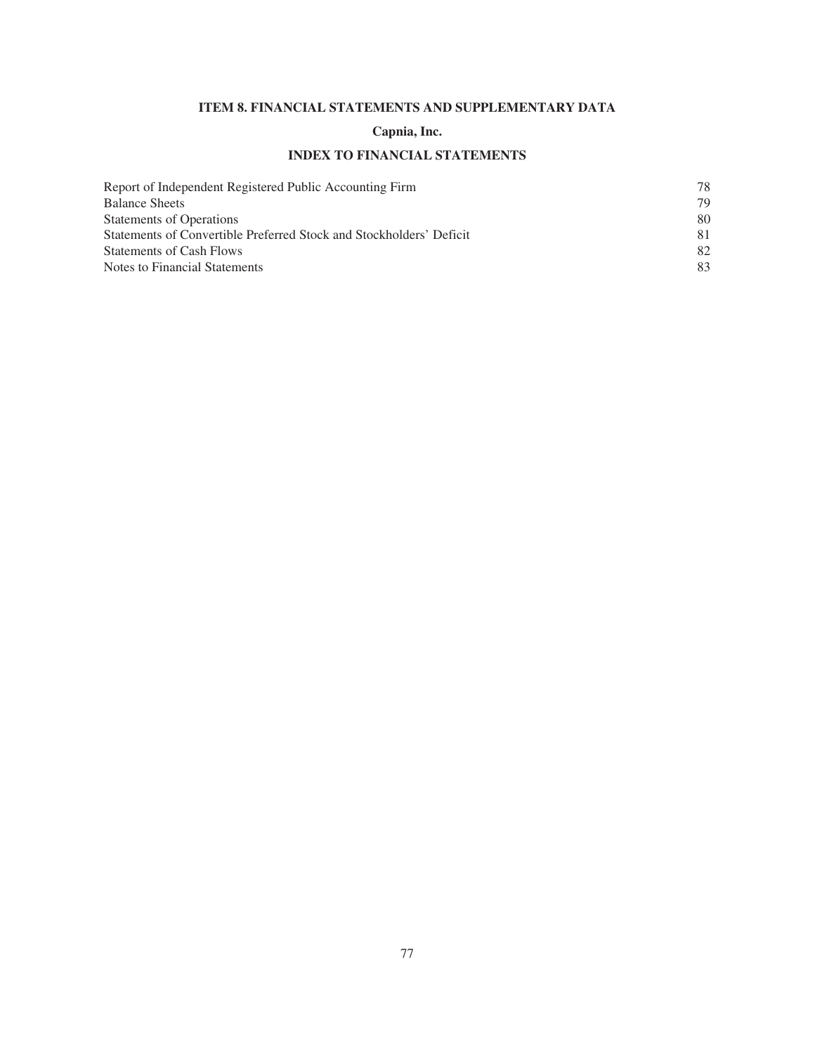# **ITEM 8. FINANCIAL STATEMENTS AND SUPPLEMENTARY DATA**

# **Capnia, Inc.**

# **INDEX TO FINANCIAL STATEMENTS**

| Report of Independent Registered Public Accounting Firm             | 78 |
|---------------------------------------------------------------------|----|
| <b>Balance Sheets</b>                                               | 79 |
| <b>Statements of Operations</b>                                     | 80 |
| Statements of Convertible Preferred Stock and Stockholders' Deficit | 81 |
| <b>Statements of Cash Flows</b>                                     | 82 |
| Notes to Financial Statements                                       | 83 |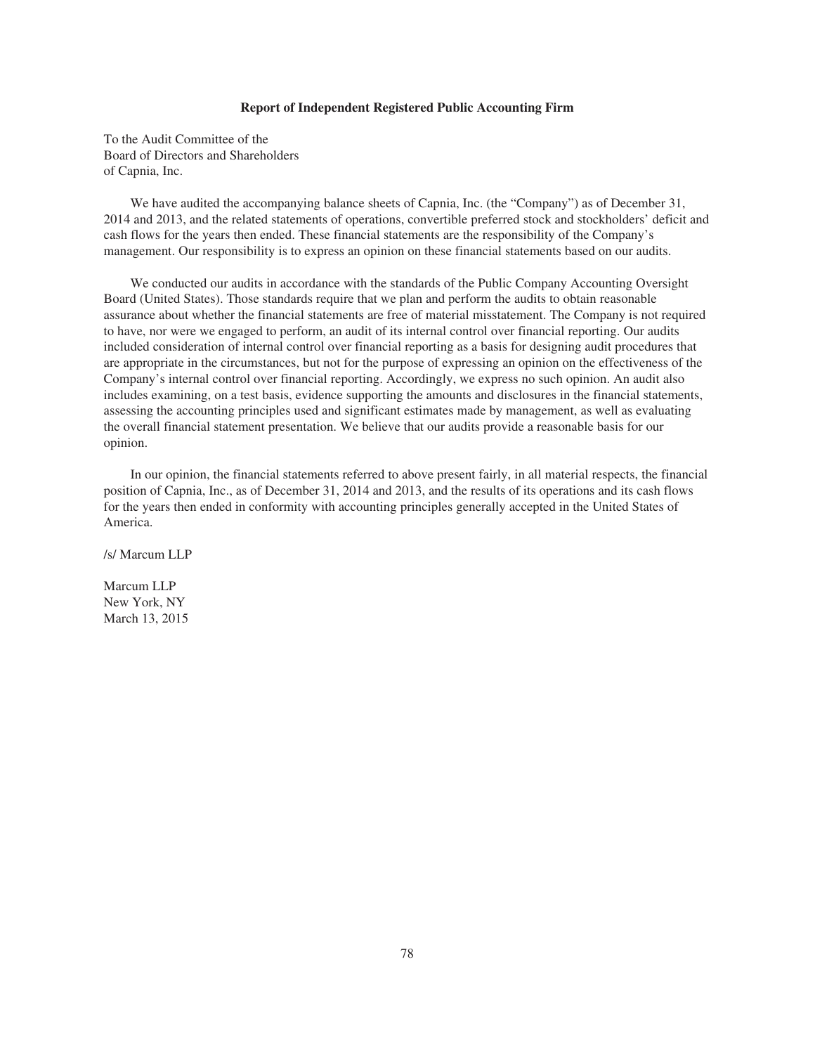### **Report of Independent Registered Public Accounting Firm**

To the Audit Committee of the Board of Directors and Shareholders of Capnia, Inc.

We have audited the accompanying balance sheets of Capnia, Inc. (the "Company") as of December 31, 2014 and 2013, and the related statements of operations, convertible preferred stock and stockholders' deficit and cash flows for the years then ended. These financial statements are the responsibility of the Company's management. Our responsibility is to express an opinion on these financial statements based on our audits.

We conducted our audits in accordance with the standards of the Public Company Accounting Oversight Board (United States). Those standards require that we plan and perform the audits to obtain reasonable assurance about whether the financial statements are free of material misstatement. The Company is not required to have, nor were we engaged to perform, an audit of its internal control over financial reporting. Our audits included consideration of internal control over financial reporting as a basis for designing audit procedures that are appropriate in the circumstances, but not for the purpose of expressing an opinion on the effectiveness of the Company's internal control over financial reporting. Accordingly, we express no such opinion. An audit also includes examining, on a test basis, evidence supporting the amounts and disclosures in the financial statements, assessing the accounting principles used and significant estimates made by management, as well as evaluating the overall financial statement presentation. We believe that our audits provide a reasonable basis for our opinion.

In our opinion, the financial statements referred to above present fairly, in all material respects, the financial position of Capnia, Inc., as of December 31, 2014 and 2013, and the results of its operations and its cash flows for the years then ended in conformity with accounting principles generally accepted in the United States of America.

/s/ Marcum LLP

Marcum LLP New York, NY March 13, 2015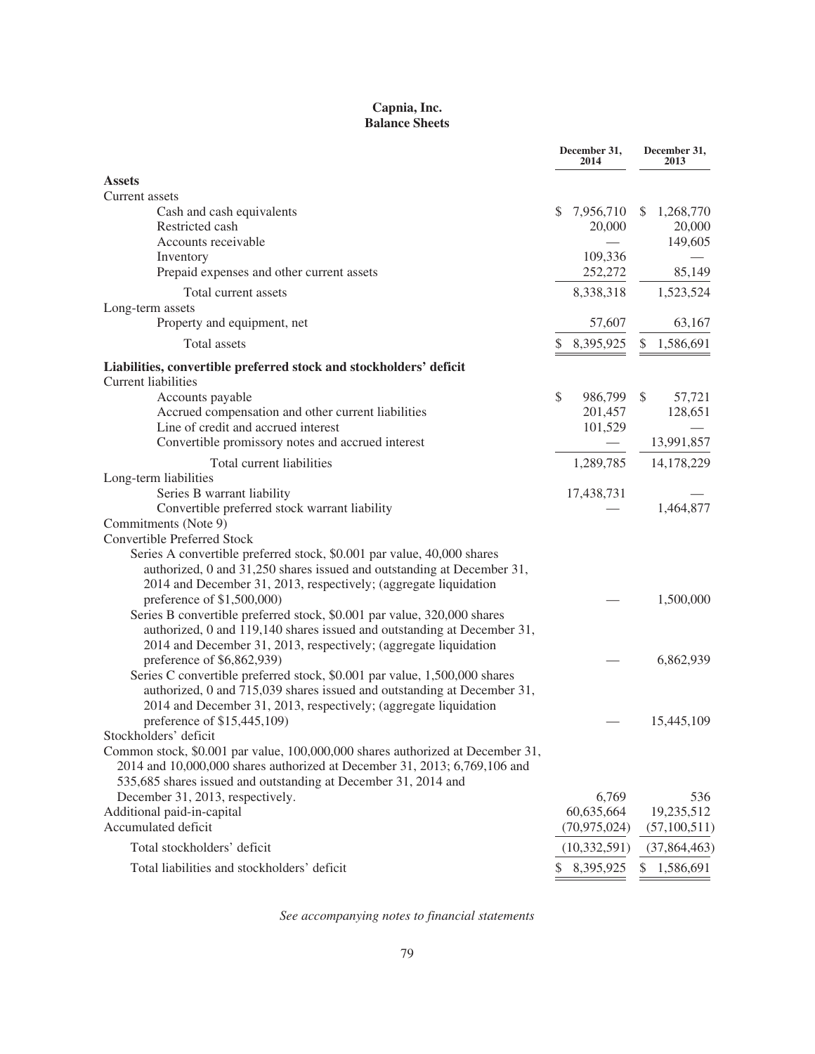# **Capnia, Inc. Balance Sheets**

|                                                                                                         | December 31,<br>2014 | December 31,<br>2013 |
|---------------------------------------------------------------------------------------------------------|----------------------|----------------------|
| <b>Assets</b>                                                                                           |                      |                      |
| Current assets                                                                                          |                      |                      |
| Cash and cash equivalents                                                                               | 7,956,710<br>S       | 1,268,770<br>S       |
| Restricted cash                                                                                         | 20,000               | 20,000               |
| Accounts receivable                                                                                     |                      | 149,605              |
| Inventory                                                                                               | 109,336              |                      |
| Prepaid expenses and other current assets                                                               | 252,272              | 85,149               |
| Total current assets                                                                                    | 8,338,318            | 1,523,524            |
| Long-term assets                                                                                        |                      |                      |
| Property and equipment, net                                                                             | 57,607               | 63,167               |
| Total assets                                                                                            | 8,395,925            | 1,586,691<br>\$      |
| Liabilities, convertible preferred stock and stockholders' deficit<br><b>Current liabilities</b>        |                      |                      |
| Accounts payable                                                                                        | \$<br>986,799        | \$<br>57,721         |
| Accrued compensation and other current liabilities                                                      | 201,457              | 128,651              |
| Line of credit and accrued interest                                                                     | 101,529              |                      |
| Convertible promissory notes and accrued interest                                                       |                      | 13,991,857           |
| Total current liabilities                                                                               | 1,289,785            | 14,178,229           |
| Long-term liabilities                                                                                   |                      |                      |
| Series B warrant liability                                                                              | 17,438,731           |                      |
| Convertible preferred stock warrant liability                                                           |                      | 1,464,877            |
| Commitments (Note 9)<br><b>Convertible Preferred Stock</b>                                              |                      |                      |
| Series A convertible preferred stock, \$0.001 par value, 40,000 shares                                  |                      |                      |
| authorized, 0 and 31,250 shares issued and outstanding at December 31,                                  |                      |                      |
| 2014 and December 31, 2013, respectively; (aggregate liquidation                                        |                      |                      |
| preference of \$1,500,000)                                                                              |                      | 1,500,000            |
| Series B convertible preferred stock, \$0.001 par value, 320,000 shares                                 |                      |                      |
| authorized, 0 and 119,140 shares issued and outstanding at December 31,                                 |                      |                      |
| 2014 and December 31, 2013, respectively; (aggregate liquidation                                        |                      |                      |
| preference of \$6,862,939)                                                                              |                      | 6,862,939            |
| Series C convertible preferred stock, \$0.001 par value, 1,500,000 shares                               |                      |                      |
| authorized, 0 and 715,039 shares issued and outstanding at December 31,                                 |                      |                      |
| 2014 and December 31, 2013, respectively; (aggregate liquidation                                        |                      |                      |
| preference of \$15,445,109)                                                                             |                      | 15,445,109           |
| Stockholders' deficit<br>Common stock, \$0.001 par value, 100,000,000 shares authorized at December 31, |                      |                      |
| 2014 and 10,000,000 shares authorized at December 31, 2013; 6,769,106 and                               |                      |                      |
| 535,685 shares issued and outstanding at December 31, 2014 and                                          |                      |                      |
| December 31, 2013, respectively.                                                                        | 6,769                | 536                  |
| Additional paid-in-capital                                                                              | 60,635,664           | 19,235,512           |
| Accumulated deficit                                                                                     | (70, 975, 024)       | (57,100,511)         |
| Total stockholders' deficit                                                                             | (10, 332, 591)       | (37,864,463)         |
| Total liabilities and stockholders' deficit                                                             | \$ 8,395,925         | 1,586,691<br>\$      |

*See accompanying notes to financial statements*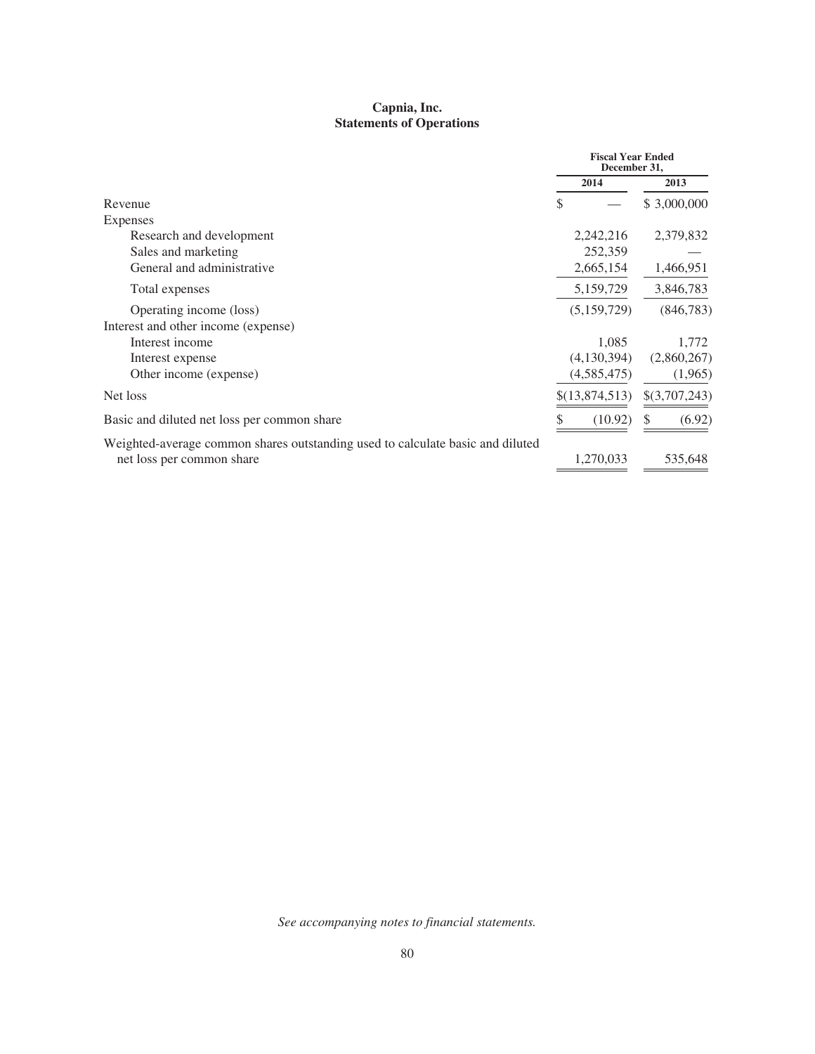# **Capnia, Inc. Statements of Operations**

|                                                                                |                | <b>Fiscal Year Ended</b><br>December 31, |
|--------------------------------------------------------------------------------|----------------|------------------------------------------|
|                                                                                | 2014           | 2013                                     |
| Revenue                                                                        | S              | \$3,000,000                              |
| Expenses                                                                       |                |                                          |
| Research and development                                                       | 2,242,216      | 2,379,832                                |
| Sales and marketing                                                            | 252,359        |                                          |
| General and administrative                                                     | 2,665,154      | 1,466,951                                |
| Total expenses                                                                 | 5,159,729      | 3,846,783                                |
| Operating income (loss)                                                        | (5,159,729)    | (846, 783)                               |
| Interest and other income (expense)                                            |                |                                          |
| Interest income                                                                | 1,085          | 1,772                                    |
| Interest expense                                                               | (4,130,394)    | (2,860,267)                              |
| Other income (expense)                                                         | (4,585,475)    | (1,965)                                  |
| Net loss                                                                       | \$(13,874,513) | \$(3,707,243)                            |
| Basic and diluted net loss per common share                                    | (10.92)        | (6.92)<br>S.                             |
| Weighted-average common shares outstanding used to calculate basic and diluted |                |                                          |
| net loss per common share                                                      | 1,270,033      | 535,648                                  |
|                                                                                |                |                                          |

*See accompanying notes to financial statements.*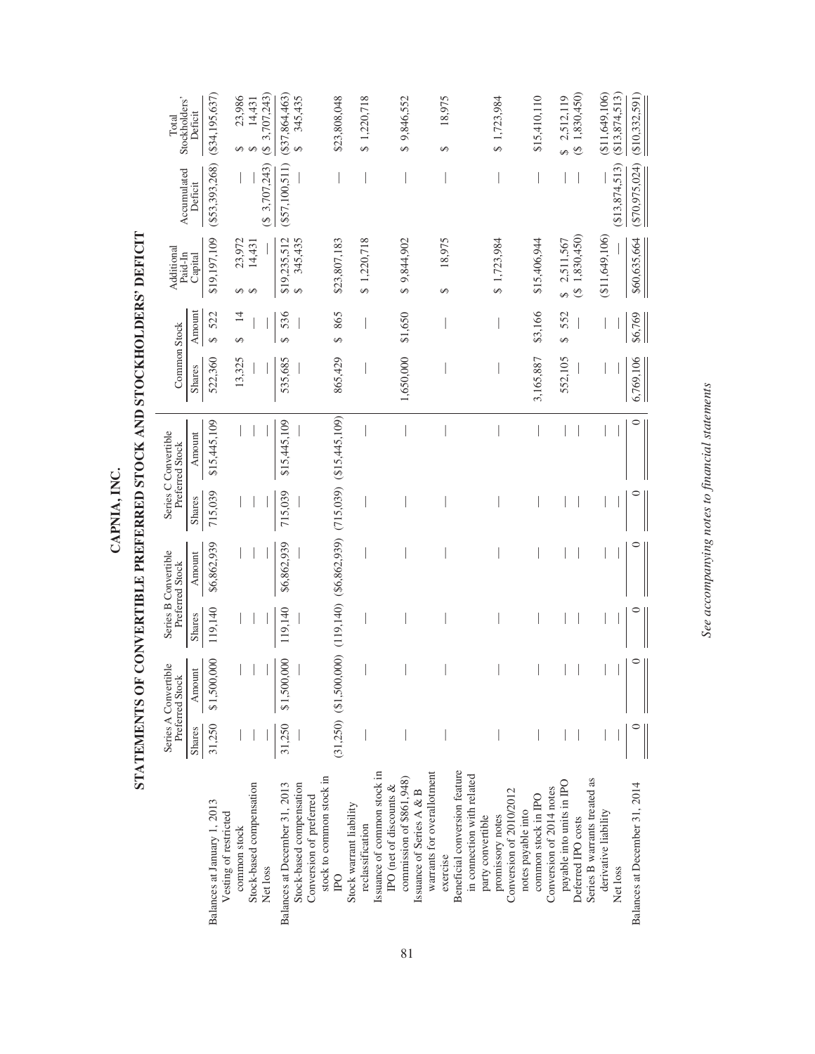|                                                      |        | Series A Convertible<br>Preferred Stock                                          |         | Series B Convertible<br>Preferred Stock |         | Series C Convertible<br>Preferred Stock | Common Stock |                          | Additional<br>Paid-In | Accumulated      | Stockholders'<br>Total                  |
|------------------------------------------------------|--------|----------------------------------------------------------------------------------|---------|-----------------------------------------|---------|-----------------------------------------|--------------|--------------------------|-----------------------|------------------|-----------------------------------------|
|                                                      | Shares | Amount                                                                           | Shares  | Amount                                  | Shares  | Amount                                  | Shares       | Amount                   | Capital               | Deficit          | Deficit                                 |
| Balances at January 1, 2013<br>Vesting of restricted | 31,250 | \$1,500,000                                                                      | 119,140 | \$6,862,939                             | 715,039 | \$15,445,109                            | 522,360      | 522<br>$\Theta$          | \$19,197,109          | (S53, 393, 268)  | $($ \$34,195,637)                       |
| common stock                                         |        |                                                                                  |         |                                         |         |                                         | 13,325       | $\overline{14}$<br>S     | 23,972<br>↮           |                  | 23,986                                  |
| Stock-based compensation                             |        |                                                                                  |         |                                         |         |                                         |              |                          | 14,431                |                  | 14,431                                  |
| Net loss                                             |        |                                                                                  |         |                                         |         |                                         |              |                          |                       | (8, 3, 707, 243) | 3,707,243)<br>G                         |
| Balances at December 31, 2013                        | 31,250 | \$1,500,000                                                                      | 119,140 | \$6,862,939                             | 715,039 | \$15,445,109                            | 535,685      | 536<br>$\Theta$          | \$19,235,512          | $(\$57,100,511)$ | (337,864,463)                           |
| Stock-based compensation                             |        |                                                                                  |         |                                         |         |                                         |              |                          | 345,435<br>S)         |                  | 345,435<br>$\Theta$                     |
| stock to common stock in<br>Conversion of preferred  |        |                                                                                  |         |                                         |         |                                         |              |                          |                       |                  |                                         |
| <b>PO</b>                                            |        | $(31,250)$ $(31,500,000)$ $(119,140)$ $(86,862,939)$ $(715,039)$ $(815,445,109)$ |         |                                         |         |                                         | 865,429      | 865<br>$\leftrightarrow$ | \$23,807,183          |                  | \$23,808,048                            |
| Stock warrant liability                              |        |                                                                                  |         |                                         |         |                                         |              |                          |                       |                  |                                         |
| reclassification                                     |        |                                                                                  |         |                                         |         |                                         |              |                          | \$1,220,718           |                  | \$1,220,718                             |
| Issuance of common stock in                          |        |                                                                                  |         |                                         |         |                                         |              |                          |                       |                  |                                         |
| IPO (net of discounts &                              |        |                                                                                  |         |                                         |         |                                         |              |                          |                       |                  |                                         |
| commission of $$861,948$                             |        |                                                                                  |         |                                         |         |                                         | 1,650,000    | \$1,650                  | \$9,844,902           |                  | \$9,846,552                             |
| Issuance of Series A & B                             |        |                                                                                  |         |                                         |         |                                         |              |                          |                       |                  |                                         |
| warrants for overallotment                           |        |                                                                                  |         |                                         |         |                                         |              |                          |                       |                  |                                         |
| exercise                                             |        |                                                                                  |         |                                         |         |                                         |              |                          | 18,975<br>$\Theta$    |                  | 18,975<br>↮                             |
| Beneficial conversion feature                        |        |                                                                                  |         |                                         |         |                                         |              |                          |                       |                  |                                         |
| in connection with related                           |        |                                                                                  |         |                                         |         |                                         |              |                          |                       |                  |                                         |
| party convertible                                    |        |                                                                                  |         |                                         |         |                                         |              |                          |                       |                  |                                         |
| promissory notes                                     |        |                                                                                  |         |                                         |         |                                         |              |                          | \$1,723,984           |                  | \$1,723,984                             |
| Conversion of 2010/2012                              |        |                                                                                  |         |                                         |         |                                         |              |                          |                       |                  |                                         |
| notes payable into                                   |        |                                                                                  |         |                                         |         |                                         |              |                          |                       |                  |                                         |
| common stock in IPO                                  |        |                                                                                  |         |                                         |         |                                         | 3,165,887    | \$3,166                  | \$15,406,944          |                  | \$15,410,110                            |
| Conversion of 2014 notes                             |        |                                                                                  |         |                                         |         |                                         |              |                          |                       |                  |                                         |
| payable into units in IPO                            |        |                                                                                  |         |                                         |         |                                         | 552,105      | 552<br>S                 | 2,511,567<br>Ø        |                  | 2,512,119<br>S                          |
| Deferred IPO costs                                   |        |                                                                                  |         |                                         |         |                                         |              |                          | 1,830,450)<br>G       |                  | 1,830,450)<br>$\overline{\mathfrak{G}}$ |
| Series B warrants treated as                         |        |                                                                                  |         |                                         |         |                                         |              |                          |                       |                  |                                         |
| derivative liability                                 |        |                                                                                  |         |                                         |         |                                         |              |                          | $(\$11,649,106)$      |                  | $(\$11,649,106)$                        |
| Net loss                                             |        |                                                                                  |         |                                         |         |                                         |              |                          |                       | (\$13,874,513)   | (\$13,874,513)                          |
| Balances at December 31, 2014                        |        |                                                                                  | $\circ$ |                                         |         | $\circ$                                 | 6,769,106    | \$6,769                  | \$60,635,664          | (S70, 975, 024)  | $(\$10,332,591)$                        |
|                                                      |        |                                                                                  |         |                                         |         |                                         |              |                          |                       |                  |                                         |

STATEMENTS OF CONVERTIBLE PREFERRED STOCK AND STOCKHOLDERS' DEFICIT **STATEMENTS OF CONVERTIBLE PREFERRED STOCK AND STOCKHOLDERS' DEFICIT** CAPNIA, INC. **CAPNIA, INC.**

See accompanying notes to financial statements *See accompanying notes to financial statements*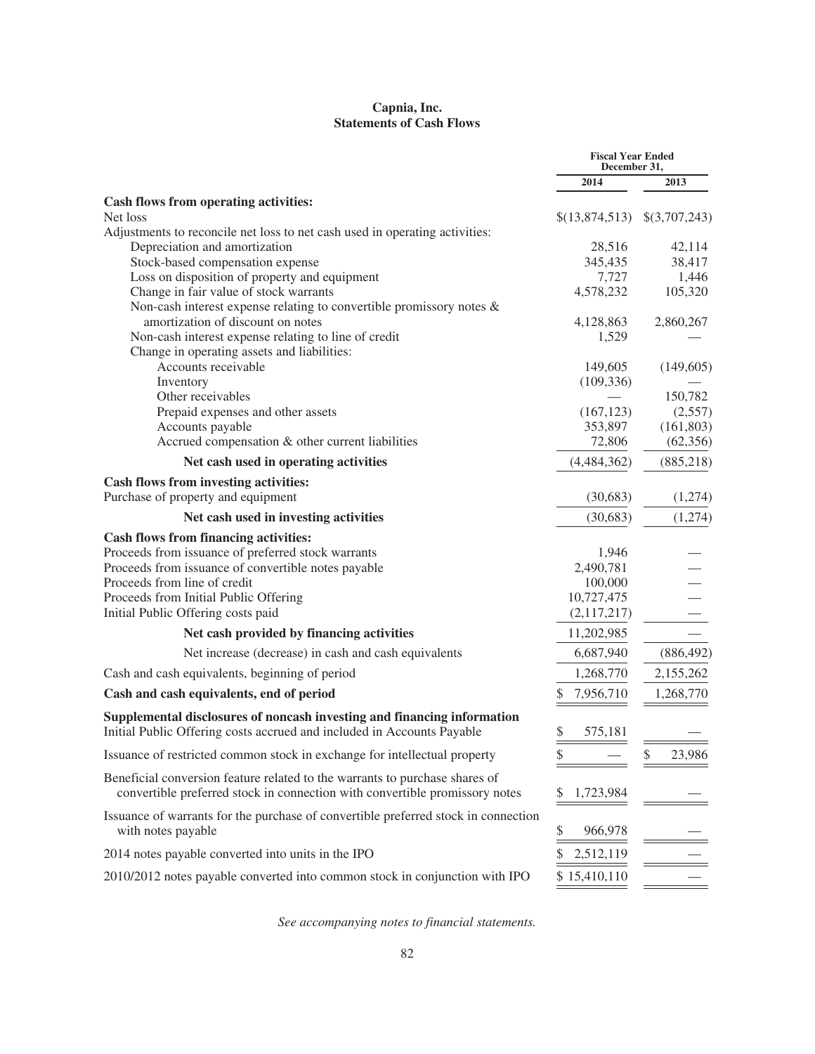# **Capnia, Inc. Statements of Cash Flows**

|                                                                                                          | <b>Fiscal Year Ended</b><br>December 31, |               |
|----------------------------------------------------------------------------------------------------------|------------------------------------------|---------------|
|                                                                                                          | 2014                                     | 2013          |
| Cash flows from operating activities:                                                                    |                                          |               |
| Net loss                                                                                                 | \$(13,874,513)                           | \$(3,707,243) |
| Adjustments to reconcile net loss to net cash used in operating activities:                              |                                          |               |
| Depreciation and amortization                                                                            | 28,516                                   | 42,114        |
| Stock-based compensation expense                                                                         | 345,435                                  | 38,417        |
| Loss on disposition of property and equipment                                                            | 7,727                                    | 1,446         |
| Change in fair value of stock warrants                                                                   | 4,578,232                                | 105,320       |
| Non-cash interest expense relating to convertible promissory notes $\&$                                  |                                          |               |
| amortization of discount on notes                                                                        | 4,128,863                                | 2,860,267     |
| Non-cash interest expense relating to line of credit                                                     | 1,529                                    |               |
| Change in operating assets and liabilities:                                                              |                                          |               |
| Accounts receivable                                                                                      | 149,605                                  | (149,605)     |
| Inventory                                                                                                | (109, 336)                               |               |
| Other receivables                                                                                        |                                          | 150,782       |
| Prepaid expenses and other assets                                                                        | (167, 123)                               | (2,557)       |
| Accounts payable                                                                                         | 353,897                                  | (161, 803)    |
| Accrued compensation & other current liabilities                                                         | 72,806                                   | (62, 356)     |
| Net cash used in operating activities                                                                    | (4,484,362)                              | (885, 218)    |
| Cash flows from investing activities:                                                                    |                                          |               |
| Purchase of property and equipment                                                                       | (30,683)                                 | (1,274)       |
| Net cash used in investing activities                                                                    | (30,683)                                 | (1,274)       |
| <b>Cash flows from financing activities:</b>                                                             |                                          |               |
| Proceeds from issuance of preferred stock warrants                                                       | 1,946                                    |               |
| Proceeds from issuance of convertible notes payable                                                      | 2,490,781                                |               |
| Proceeds from line of credit                                                                             | 100,000                                  |               |
| Proceeds from Initial Public Offering                                                                    | 10,727,475                               |               |
| Initial Public Offering costs paid                                                                       | (2,117,217)                              |               |
| Net cash provided by financing activities                                                                | 11,202,985                               |               |
| Net increase (decrease) in cash and cash equivalents                                                     | 6,687,940                                | (886, 492)    |
| Cash and cash equivalents, beginning of period                                                           | 1,268,770                                | 2,155,262     |
| Cash and cash equivalents, end of period                                                                 | \$<br>7,956,710                          | 1,268,770     |
| Supplemental disclosures of noncash investing and financing information                                  |                                          |               |
| Initial Public Offering costs accrued and included in Accounts Payable                                   | \$<br>575,181                            |               |
| Issuance of restricted common stock in exchange for intellectual property                                | \$                                       | \$<br>23,986  |
| Beneficial conversion feature related to the warrants to purchase shares of                              |                                          |               |
| convertible preferred stock in connection with convertible promissory notes                              | 1,723,984<br>S                           |               |
| Issuance of warrants for the purchase of convertible preferred stock in connection<br>with notes payable | \$<br>966,978                            |               |
| 2014 notes payable converted into units in the IPO                                                       | \$<br>2,512,119                          |               |
| 2010/2012 notes payable converted into common stock in conjunction with IPO                              | \$15,410,110                             |               |

*See accompanying notes to financial statements.*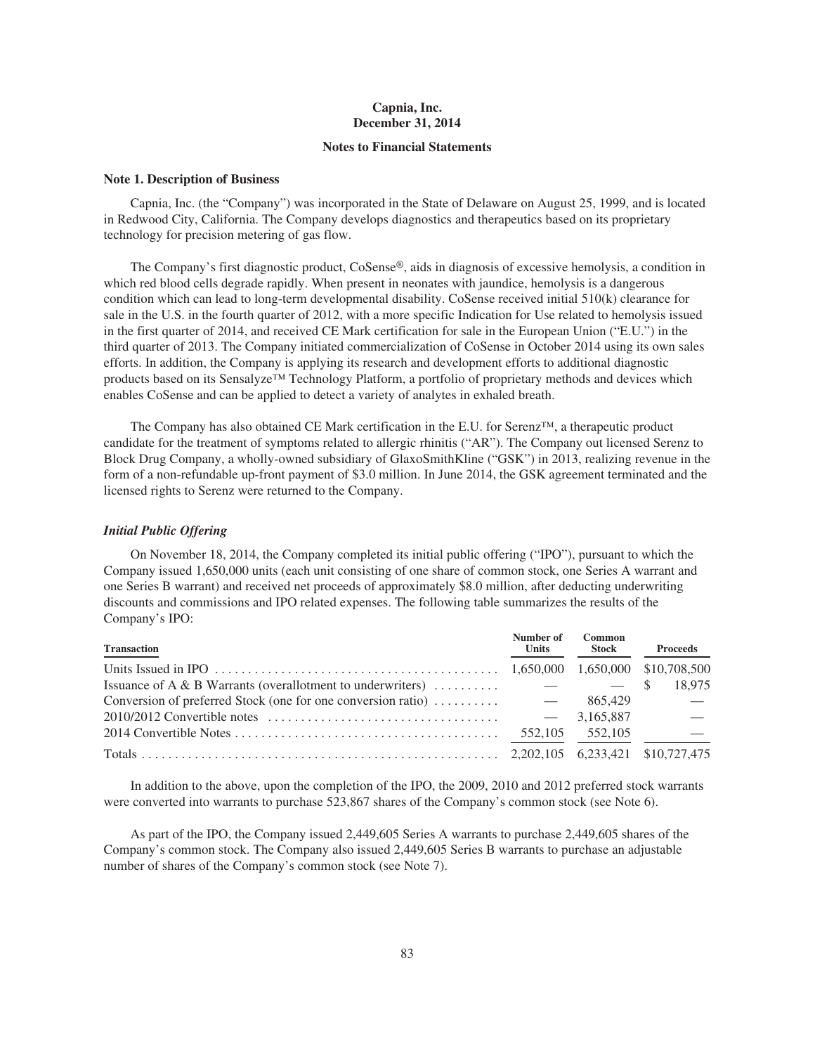# **Capnia, Inc. December 31, 2014**

### **Notes to Financial Statements**

### **Note 1. Description of Business**

Capnia, Inc. (the "Company") was incorporated in the State of Delaware on August 25, 1999, and is located in Redwood City, California. The Company develops diagnostics and therapeutics based on its proprietary technology for precision metering of gas flow.

The Company's first diagnostic product, CoSense®, aids in diagnosis of excessive hemolysis, a condition in which red blood cells degrade rapidly. When present in neonates with jaundice, hemolysis is a dangerous condition which can lead to long-term developmental disability. CoSense received initial 510(k) clearance for sale in the U.S. in the fourth quarter of 2012, with a more specific Indication for Use related to hemolysis issued in the first quarter of 2014, and received CE Mark certification for sale in the European Union ("E.U.") in the third quarter of 2013. The Company initiated commercialization of CoSense in October 2014 using its own sales efforts. In addition, the Company is applying its research and development efforts to additional diagnostic products based on its Sensalyze™ Technology Platform, a portfolio of proprietary methods and devices which enables CoSense and can be applied to detect a variety of analytes in exhaled breath.

The Company has also obtained CE Mark certification in the E.U. for Serenz™, a therapeutic product candidate for the treatment of symptoms related to allergic rhinitis ("AR"). The Company out licensed Serenz to Block Drug Company, a wholly-owned subsidiary of GlaxoSmithKline ("GSK") in 2013, realizing revenue in the form of a non-refundable up-front payment of \$3.0 million. In June 2014, the GSK agreement terminated and the licensed rights to Serenz were returned to the Company.

### *Initial Public Offering*

On November 18, 2014, the Company completed its initial public offering ("IPO"), pursuant to which the Company issued 1,650,000 units (each unit consisting of one share of common stock, one Series A warrant and one Series B warrant) and received net proceeds of approximately \$8.0 million, after deducting underwriting discounts and commissions and IPO related expenses. The following table summarizes the results of the Company's IPO:

| <b>Transaction</b>                                                                                                            | Number of<br>Units | <b>Common</b><br>Stock | <b>Proceeds</b> |
|-------------------------------------------------------------------------------------------------------------------------------|--------------------|------------------------|-----------------|
|                                                                                                                               |                    |                        |                 |
| Issuance of A & B Warrants (overallotment to underwriters) $\ldots \ldots \ldots$ $\qquad  \qquad$ $\qquad$ $\qquad$ $\qquad$ |                    |                        | 18.975          |
|                                                                                                                               |                    |                        |                 |
|                                                                                                                               |                    |                        |                 |
|                                                                                                                               | 552,105 552,105    |                        |                 |
|                                                                                                                               |                    |                        |                 |

In addition to the above, upon the completion of the IPO, the 2009, 2010 and 2012 preferred stock warrants were converted into warrants to purchase 523,867 shares of the Company's common stock (see Note 6).

As part of the IPO, the Company issued 2,449,605 Series A warrants to purchase 2,449,605 shares of the Company's common stock. The Company also issued 2,449,605 Series B warrants to purchase an adjustable number of shares of the Company's common stock (see Note 7).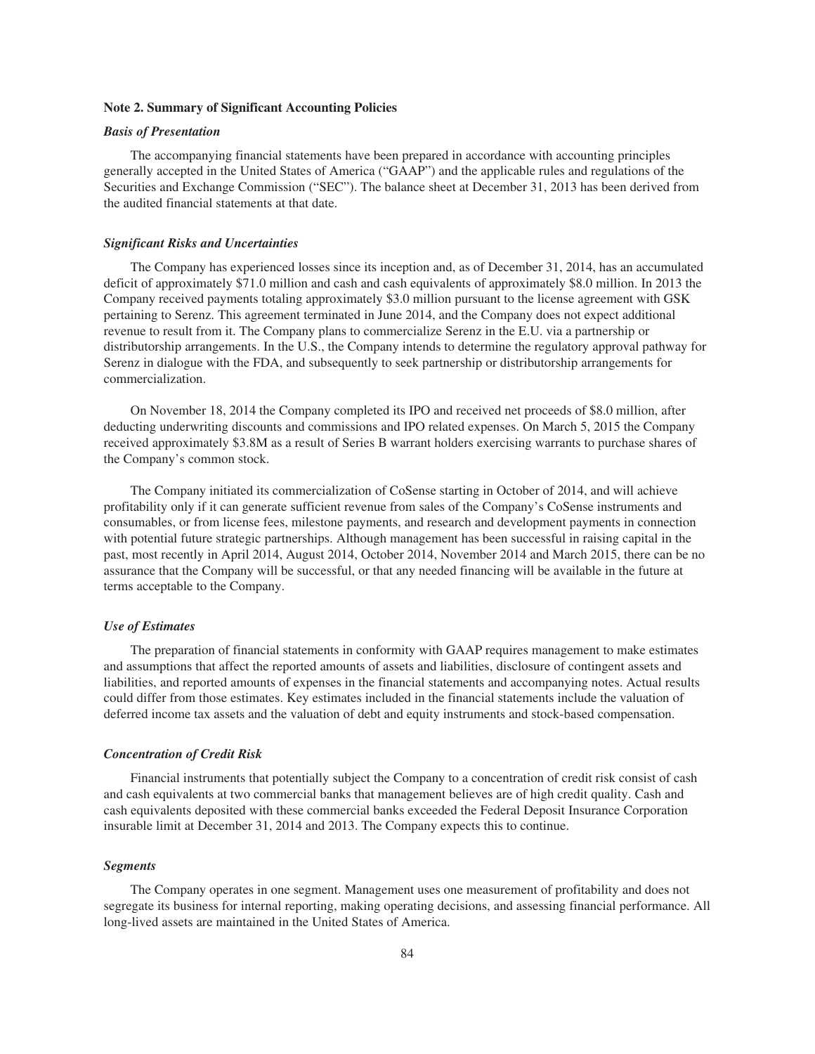### **Note 2. Summary of Significant Accounting Policies**

### *Basis of Presentation*

The accompanying financial statements have been prepared in accordance with accounting principles generally accepted in the United States of America ("GAAP") and the applicable rules and regulations of the Securities and Exchange Commission ("SEC"). The balance sheet at December 31, 2013 has been derived from the audited financial statements at that date.

### *Significant Risks and Uncertainties*

The Company has experienced losses since its inception and, as of December 31, 2014, has an accumulated deficit of approximately \$71.0 million and cash and cash equivalents of approximately \$8.0 million. In 2013 the Company received payments totaling approximately \$3.0 million pursuant to the license agreement with GSK pertaining to Serenz. This agreement terminated in June 2014, and the Company does not expect additional revenue to result from it. The Company plans to commercialize Serenz in the E.U. via a partnership or distributorship arrangements. In the U.S., the Company intends to determine the regulatory approval pathway for Serenz in dialogue with the FDA, and subsequently to seek partnership or distributorship arrangements for commercialization.

On November 18, 2014 the Company completed its IPO and received net proceeds of \$8.0 million, after deducting underwriting discounts and commissions and IPO related expenses. On March 5, 2015 the Company received approximately \$3.8M as a result of Series B warrant holders exercising warrants to purchase shares of the Company's common stock.

The Company initiated its commercialization of CoSense starting in October of 2014, and will achieve profitability only if it can generate sufficient revenue from sales of the Company's CoSense instruments and consumables, or from license fees, milestone payments, and research and development payments in connection with potential future strategic partnerships. Although management has been successful in raising capital in the past, most recently in April 2014, August 2014, October 2014, November 2014 and March 2015, there can be no assurance that the Company will be successful, or that any needed financing will be available in the future at terms acceptable to the Company.

#### *Use of Estimates*

The preparation of financial statements in conformity with GAAP requires management to make estimates and assumptions that affect the reported amounts of assets and liabilities, disclosure of contingent assets and liabilities, and reported amounts of expenses in the financial statements and accompanying notes. Actual results could differ from those estimates. Key estimates included in the financial statements include the valuation of deferred income tax assets and the valuation of debt and equity instruments and stock-based compensation.

### *Concentration of Credit Risk*

Financial instruments that potentially subject the Company to a concentration of credit risk consist of cash and cash equivalents at two commercial banks that management believes are of high credit quality. Cash and cash equivalents deposited with these commercial banks exceeded the Federal Deposit Insurance Corporation insurable limit at December 31, 2014 and 2013. The Company expects this to continue.

#### *Segments*

The Company operates in one segment. Management uses one measurement of profitability and does not segregate its business for internal reporting, making operating decisions, and assessing financial performance. All long-lived assets are maintained in the United States of America.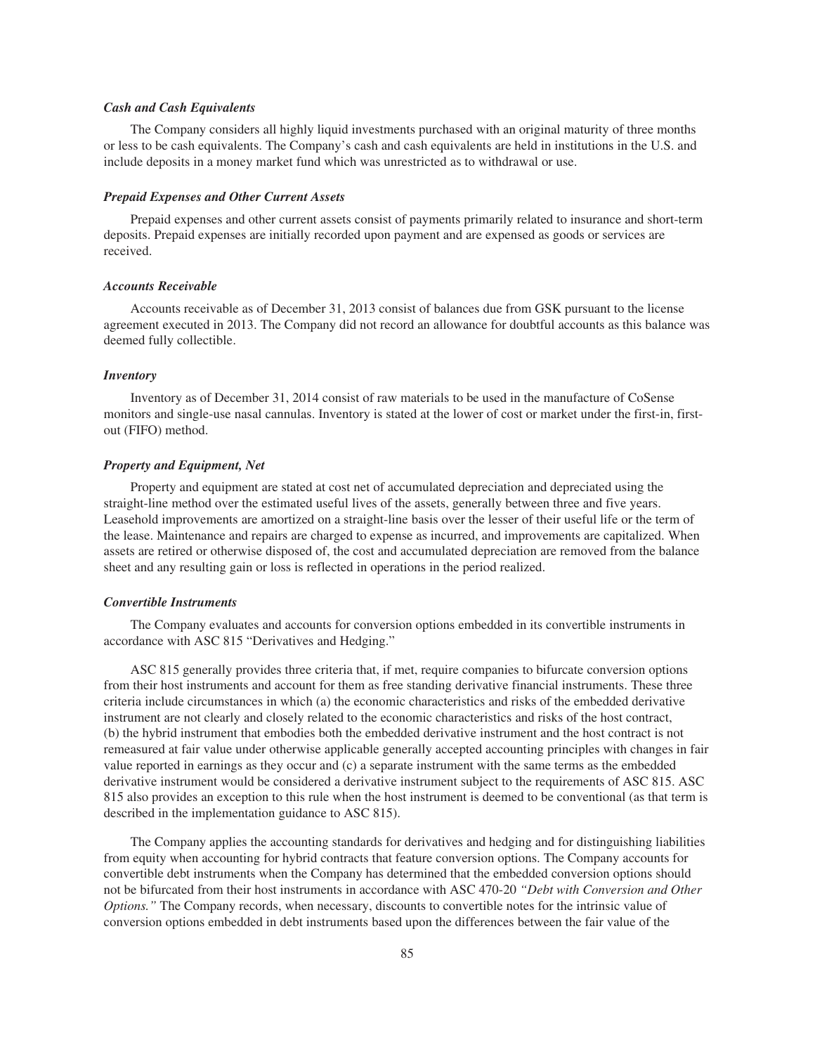### *Cash and Cash Equivalents*

The Company considers all highly liquid investments purchased with an original maturity of three months or less to be cash equivalents. The Company's cash and cash equivalents are held in institutions in the U.S. and include deposits in a money market fund which was unrestricted as to withdrawal or use.

### *Prepaid Expenses and Other Current Assets*

Prepaid expenses and other current assets consist of payments primarily related to insurance and short-term deposits. Prepaid expenses are initially recorded upon payment and are expensed as goods or services are received.

### *Accounts Receivable*

Accounts receivable as of December 31, 2013 consist of balances due from GSK pursuant to the license agreement executed in 2013. The Company did not record an allowance for doubtful accounts as this balance was deemed fully collectible.

### *Inventory*

Inventory as of December 31, 2014 consist of raw materials to be used in the manufacture of CoSense monitors and single-use nasal cannulas. Inventory is stated at the lower of cost or market under the first-in, firstout (FIFO) method.

### *Property and Equipment, Net*

Property and equipment are stated at cost net of accumulated depreciation and depreciated using the straight-line method over the estimated useful lives of the assets, generally between three and five years. Leasehold improvements are amortized on a straight-line basis over the lesser of their useful life or the term of the lease. Maintenance and repairs are charged to expense as incurred, and improvements are capitalized. When assets are retired or otherwise disposed of, the cost and accumulated depreciation are removed from the balance sheet and any resulting gain or loss is reflected in operations in the period realized.

### *Convertible Instruments*

The Company evaluates and accounts for conversion options embedded in its convertible instruments in accordance with ASC 815 "Derivatives and Hedging."

ASC 815 generally provides three criteria that, if met, require companies to bifurcate conversion options from their host instruments and account for them as free standing derivative financial instruments. These three criteria include circumstances in which (a) the economic characteristics and risks of the embedded derivative instrument are not clearly and closely related to the economic characteristics and risks of the host contract, (b) the hybrid instrument that embodies both the embedded derivative instrument and the host contract is not remeasured at fair value under otherwise applicable generally accepted accounting principles with changes in fair value reported in earnings as they occur and (c) a separate instrument with the same terms as the embedded derivative instrument would be considered a derivative instrument subject to the requirements of ASC 815. ASC 815 also provides an exception to this rule when the host instrument is deemed to be conventional (as that term is described in the implementation guidance to ASC 815).

The Company applies the accounting standards for derivatives and hedging and for distinguishing liabilities from equity when accounting for hybrid contracts that feature conversion options. The Company accounts for convertible debt instruments when the Company has determined that the embedded conversion options should not be bifurcated from their host instruments in accordance with ASC 470-20 *"Debt with Conversion and Other Options.*" The Company records, when necessary, discounts to convertible notes for the intrinsic value of conversion options embedded in debt instruments based upon the differences between the fair value of the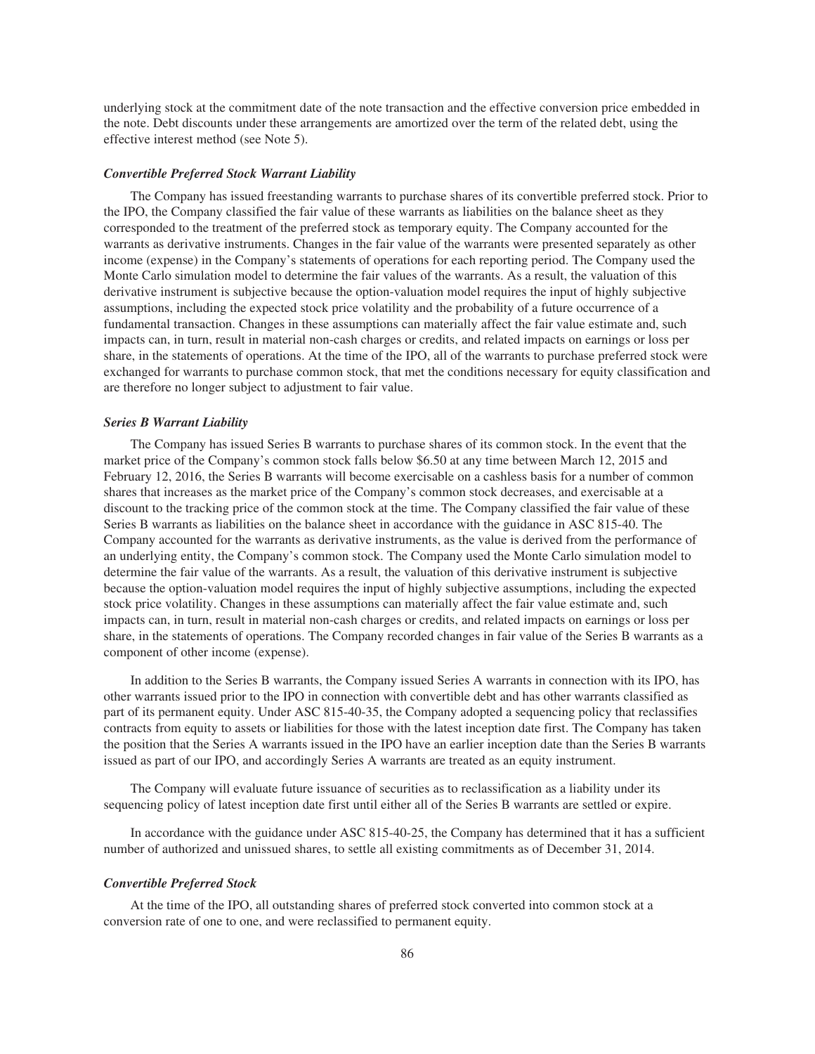underlying stock at the commitment date of the note transaction and the effective conversion price embedded in the note. Debt discounts under these arrangements are amortized over the term of the related debt, using the effective interest method (see Note 5).

### *Convertible Preferred Stock Warrant Liability*

The Company has issued freestanding warrants to purchase shares of its convertible preferred stock. Prior to the IPO, the Company classified the fair value of these warrants as liabilities on the balance sheet as they corresponded to the treatment of the preferred stock as temporary equity. The Company accounted for the warrants as derivative instruments. Changes in the fair value of the warrants were presented separately as other income (expense) in the Company's statements of operations for each reporting period. The Company used the Monte Carlo simulation model to determine the fair values of the warrants. As a result, the valuation of this derivative instrument is subjective because the option-valuation model requires the input of highly subjective assumptions, including the expected stock price volatility and the probability of a future occurrence of a fundamental transaction. Changes in these assumptions can materially affect the fair value estimate and, such impacts can, in turn, result in material non-cash charges or credits, and related impacts on earnings or loss per share, in the statements of operations. At the time of the IPO, all of the warrants to purchase preferred stock were exchanged for warrants to purchase common stock, that met the conditions necessary for equity classification and are therefore no longer subject to adjustment to fair value.

#### *Series B Warrant Liability*

The Company has issued Series B warrants to purchase shares of its common stock. In the event that the market price of the Company's common stock falls below \$6.50 at any time between March 12, 2015 and February 12, 2016, the Series B warrants will become exercisable on a cashless basis for a number of common shares that increases as the market price of the Company's common stock decreases, and exercisable at a discount to the tracking price of the common stock at the time. The Company classified the fair value of these Series B warrants as liabilities on the balance sheet in accordance with the guidance in ASC 815-40. The Company accounted for the warrants as derivative instruments, as the value is derived from the performance of an underlying entity, the Company's common stock. The Company used the Monte Carlo simulation model to determine the fair value of the warrants. As a result, the valuation of this derivative instrument is subjective because the option-valuation model requires the input of highly subjective assumptions, including the expected stock price volatility. Changes in these assumptions can materially affect the fair value estimate and, such impacts can, in turn, result in material non-cash charges or credits, and related impacts on earnings or loss per share, in the statements of operations. The Company recorded changes in fair value of the Series B warrants as a component of other income (expense).

In addition to the Series B warrants, the Company issued Series A warrants in connection with its IPO, has other warrants issued prior to the IPO in connection with convertible debt and has other warrants classified as part of its permanent equity. Under ASC 815-40-35, the Company adopted a sequencing policy that reclassifies contracts from equity to assets or liabilities for those with the latest inception date first. The Company has taken the position that the Series A warrants issued in the IPO have an earlier inception date than the Series B warrants issued as part of our IPO, and accordingly Series A warrants are treated as an equity instrument.

The Company will evaluate future issuance of securities as to reclassification as a liability under its sequencing policy of latest inception date first until either all of the Series B warrants are settled or expire.

In accordance with the guidance under ASC 815-40-25, the Company has determined that it has a sufficient number of authorized and unissued shares, to settle all existing commitments as of December 31, 2014.

# *Convertible Preferred Stock*

At the time of the IPO, all outstanding shares of preferred stock converted into common stock at a conversion rate of one to one, and were reclassified to permanent equity.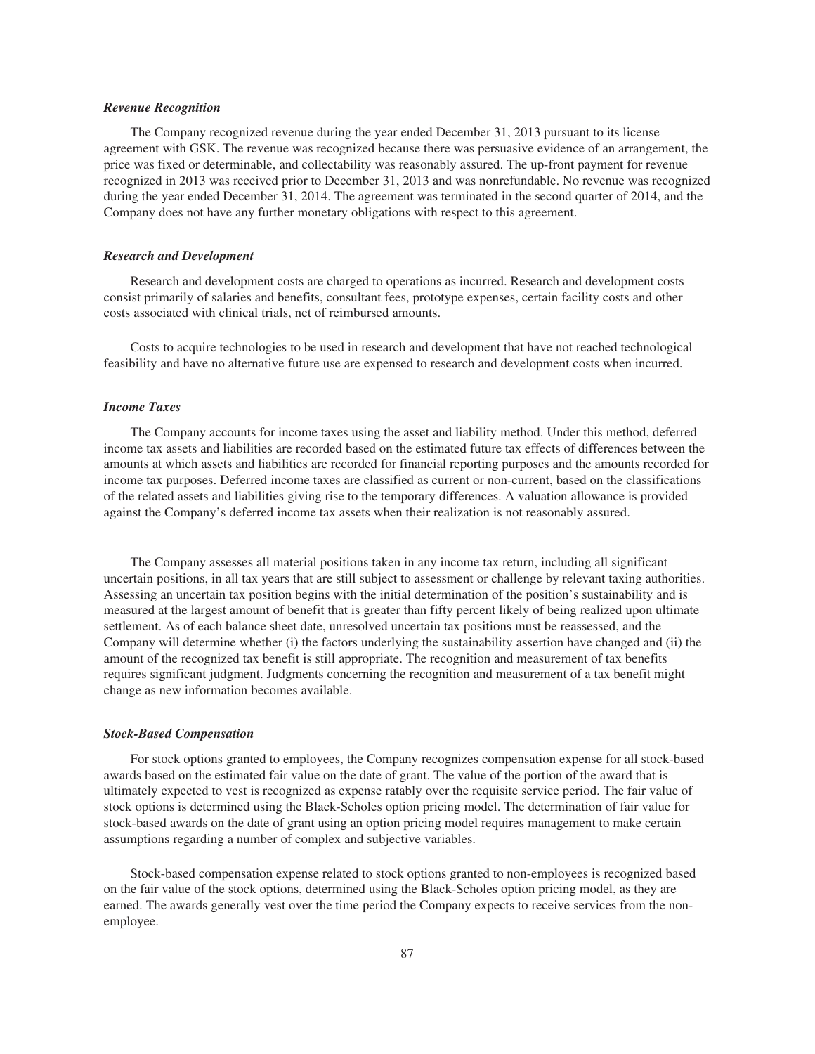### *Revenue Recognition*

The Company recognized revenue during the year ended December 31, 2013 pursuant to its license agreement with GSK. The revenue was recognized because there was persuasive evidence of an arrangement, the price was fixed or determinable, and collectability was reasonably assured. The up-front payment for revenue recognized in 2013 was received prior to December 31, 2013 and was nonrefundable. No revenue was recognized during the year ended December 31, 2014. The agreement was terminated in the second quarter of 2014, and the Company does not have any further monetary obligations with respect to this agreement.

### *Research and Development*

Research and development costs are charged to operations as incurred. Research and development costs consist primarily of salaries and benefits, consultant fees, prototype expenses, certain facility costs and other costs associated with clinical trials, net of reimbursed amounts.

Costs to acquire technologies to be used in research and development that have not reached technological feasibility and have no alternative future use are expensed to research and development costs when incurred.

#### *Income Taxes*

The Company accounts for income taxes using the asset and liability method. Under this method, deferred income tax assets and liabilities are recorded based on the estimated future tax effects of differences between the amounts at which assets and liabilities are recorded for financial reporting purposes and the amounts recorded for income tax purposes. Deferred income taxes are classified as current or non-current, based on the classifications of the related assets and liabilities giving rise to the temporary differences. A valuation allowance is provided against the Company's deferred income tax assets when their realization is not reasonably assured.

The Company assesses all material positions taken in any income tax return, including all significant uncertain positions, in all tax years that are still subject to assessment or challenge by relevant taxing authorities. Assessing an uncertain tax position begins with the initial determination of the position's sustainability and is measured at the largest amount of benefit that is greater than fifty percent likely of being realized upon ultimate settlement. As of each balance sheet date, unresolved uncertain tax positions must be reassessed, and the Company will determine whether (i) the factors underlying the sustainability assertion have changed and (ii) the amount of the recognized tax benefit is still appropriate. The recognition and measurement of tax benefits requires significant judgment. Judgments concerning the recognition and measurement of a tax benefit might change as new information becomes available.

#### *Stock-Based Compensation*

For stock options granted to employees, the Company recognizes compensation expense for all stock-based awards based on the estimated fair value on the date of grant. The value of the portion of the award that is ultimately expected to vest is recognized as expense ratably over the requisite service period. The fair value of stock options is determined using the Black-Scholes option pricing model. The determination of fair value for stock-based awards on the date of grant using an option pricing model requires management to make certain assumptions regarding a number of complex and subjective variables.

Stock-based compensation expense related to stock options granted to non-employees is recognized based on the fair value of the stock options, determined using the Black-Scholes option pricing model, as they are earned. The awards generally vest over the time period the Company expects to receive services from the nonemployee.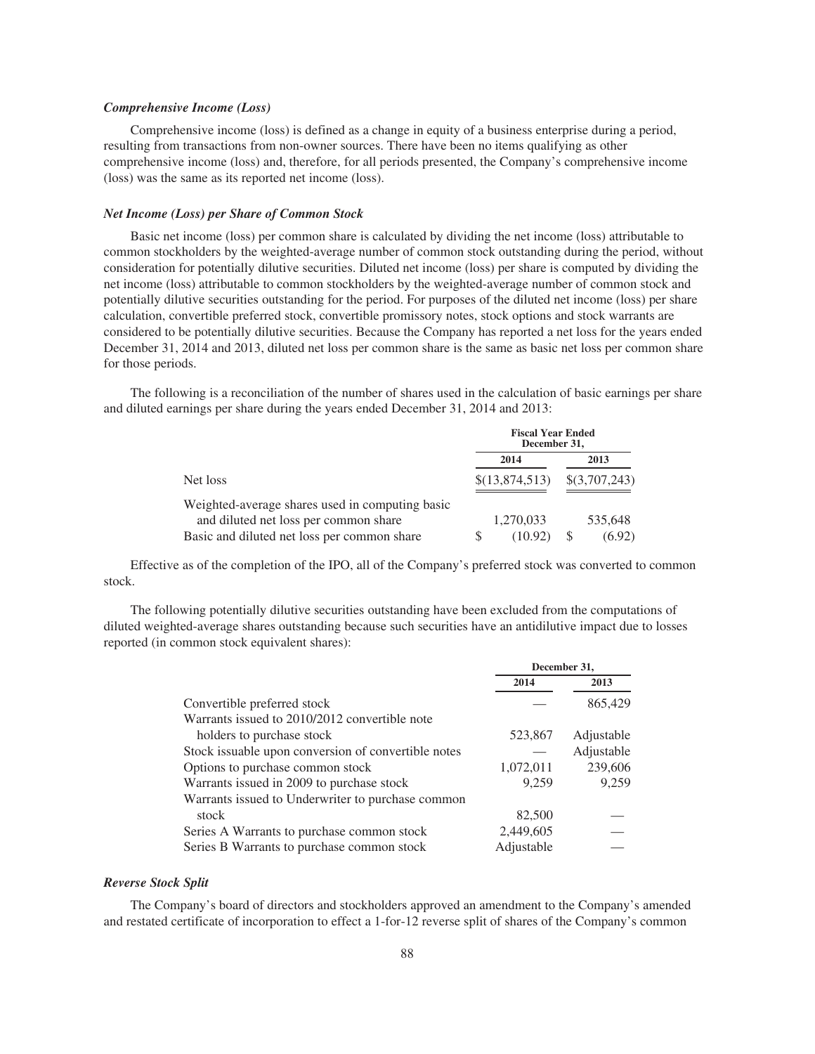### *Comprehensive Income (Loss)*

Comprehensive income (loss) is defined as a change in equity of a business enterprise during a period, resulting from transactions from non-owner sources. There have been no items qualifying as other comprehensive income (loss) and, therefore, for all periods presented, the Company's comprehensive income (loss) was the same as its reported net income (loss).

#### *Net Income (Loss) per Share of Common Stock*

Basic net income (loss) per common share is calculated by dividing the net income (loss) attributable to common stockholders by the weighted-average number of common stock outstanding during the period, without consideration for potentially dilutive securities. Diluted net income (loss) per share is computed by dividing the net income (loss) attributable to common stockholders by the weighted-average number of common stock and potentially dilutive securities outstanding for the period. For purposes of the diluted net income (loss) per share calculation, convertible preferred stock, convertible promissory notes, stock options and stock warrants are considered to be potentially dilutive securities. Because the Company has reported a net loss for the years ended December 31, 2014 and 2013, diluted net loss per common share is the same as basic net loss per common share for those periods.

The following is a reconciliation of the number of shares used in the calculation of basic earnings per share and diluted earnings per share during the years ended December 31, 2014 and 2013:

|                                                 | <b>Fiscal Year Ended</b><br>December 31, |   |               |
|-------------------------------------------------|------------------------------------------|---|---------------|
|                                                 | 2014                                     |   | 2013          |
| Net loss                                        | \$(13,874,513)                           |   | \$(3,707,243) |
| Weighted-average shares used in computing basic |                                          |   |               |
| and diluted net loss per common share           | 1,270,033                                |   | 535,648       |
| Basic and diluted net loss per common share     | (10.92)                                  | S | (6.92)        |

Effective as of the completion of the IPO, all of the Company's preferred stock was converted to common stock.

The following potentially dilutive securities outstanding have been excluded from the computations of diluted weighted-average shares outstanding because such securities have an antidilutive impact due to losses reported (in common stock equivalent shares):

|                                                     |            | December 31, |
|-----------------------------------------------------|------------|--------------|
|                                                     | 2014       | 2013         |
| Convertible preferred stock                         |            | 865,429      |
| Warrants issued to 2010/2012 convertible note       |            |              |
| holders to purchase stock                           | 523,867    | Adjustable   |
| Stock issuable upon conversion of convertible notes |            | Adjustable   |
| Options to purchase common stock                    | 1,072,011  | 239,606      |
| Warrants issued in 2009 to purchase stock           | 9,259      | 9,259        |
| Warrants issued to Underwriter to purchase common   |            |              |
| stock                                               | 82,500     |              |
| Series A Warrants to purchase common stock          | 2,449,605  |              |
| Series B Warrants to purchase common stock          | Adjustable |              |

### *Reverse Stock Split*

The Company's board of directors and stockholders approved an amendment to the Company's amended and restated certificate of incorporation to effect a 1-for-12 reverse split of shares of the Company's common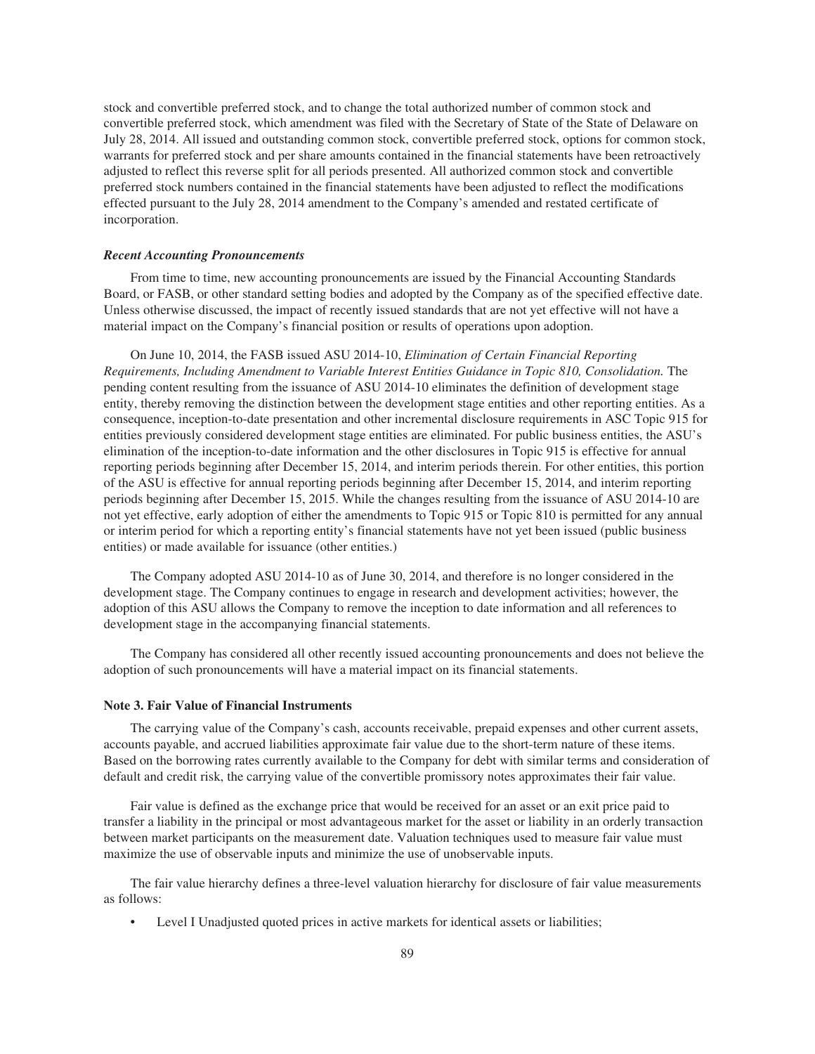stock and convertible preferred stock, and to change the total authorized number of common stock and convertible preferred stock, which amendment was filed with the Secretary of State of the State of Delaware on July 28, 2014. All issued and outstanding common stock, convertible preferred stock, options for common stock, warrants for preferred stock and per share amounts contained in the financial statements have been retroactively adjusted to reflect this reverse split for all periods presented. All authorized common stock and convertible preferred stock numbers contained in the financial statements have been adjusted to reflect the modifications effected pursuant to the July 28, 2014 amendment to the Company's amended and restated certificate of incorporation.

### *Recent Accounting Pronouncements*

From time to time, new accounting pronouncements are issued by the Financial Accounting Standards Board, or FASB, or other standard setting bodies and adopted by the Company as of the specified effective date. Unless otherwise discussed, the impact of recently issued standards that are not yet effective will not have a material impact on the Company's financial position or results of operations upon adoption.

On June 10, 2014, the FASB issued ASU 2014-10, *Elimination of Certain Financial Reporting Requirements, Including Amendment to Variable Interest Entities Guidance in Topic 810, Consolidation.* The pending content resulting from the issuance of ASU 2014-10 eliminates the definition of development stage entity, thereby removing the distinction between the development stage entities and other reporting entities. As a consequence, inception-to-date presentation and other incremental disclosure requirements in ASC Topic 915 for entities previously considered development stage entities are eliminated. For public business entities, the ASU's elimination of the inception-to-date information and the other disclosures in Topic 915 is effective for annual reporting periods beginning after December 15, 2014, and interim periods therein. For other entities, this portion of the ASU is effective for annual reporting periods beginning after December 15, 2014, and interim reporting periods beginning after December 15, 2015. While the changes resulting from the issuance of ASU 2014-10 are not yet effective, early adoption of either the amendments to Topic 915 or Topic 810 is permitted for any annual or interim period for which a reporting entity's financial statements have not yet been issued (public business entities) or made available for issuance (other entities.)

The Company adopted ASU 2014-10 as of June 30, 2014, and therefore is no longer considered in the development stage. The Company continues to engage in research and development activities; however, the adoption of this ASU allows the Company to remove the inception to date information and all references to development stage in the accompanying financial statements.

The Company has considered all other recently issued accounting pronouncements and does not believe the adoption of such pronouncements will have a material impact on its financial statements.

### **Note 3. Fair Value of Financial Instruments**

The carrying value of the Company's cash, accounts receivable, prepaid expenses and other current assets, accounts payable, and accrued liabilities approximate fair value due to the short-term nature of these items. Based on the borrowing rates currently available to the Company for debt with similar terms and consideration of default and credit risk, the carrying value of the convertible promissory notes approximates their fair value.

Fair value is defined as the exchange price that would be received for an asset or an exit price paid to transfer a liability in the principal or most advantageous market for the asset or liability in an orderly transaction between market participants on the measurement date. Valuation techniques used to measure fair value must maximize the use of observable inputs and minimize the use of unobservable inputs.

The fair value hierarchy defines a three-level valuation hierarchy for disclosure of fair value measurements as follows:

• Level I Unadjusted quoted prices in active markets for identical assets or liabilities;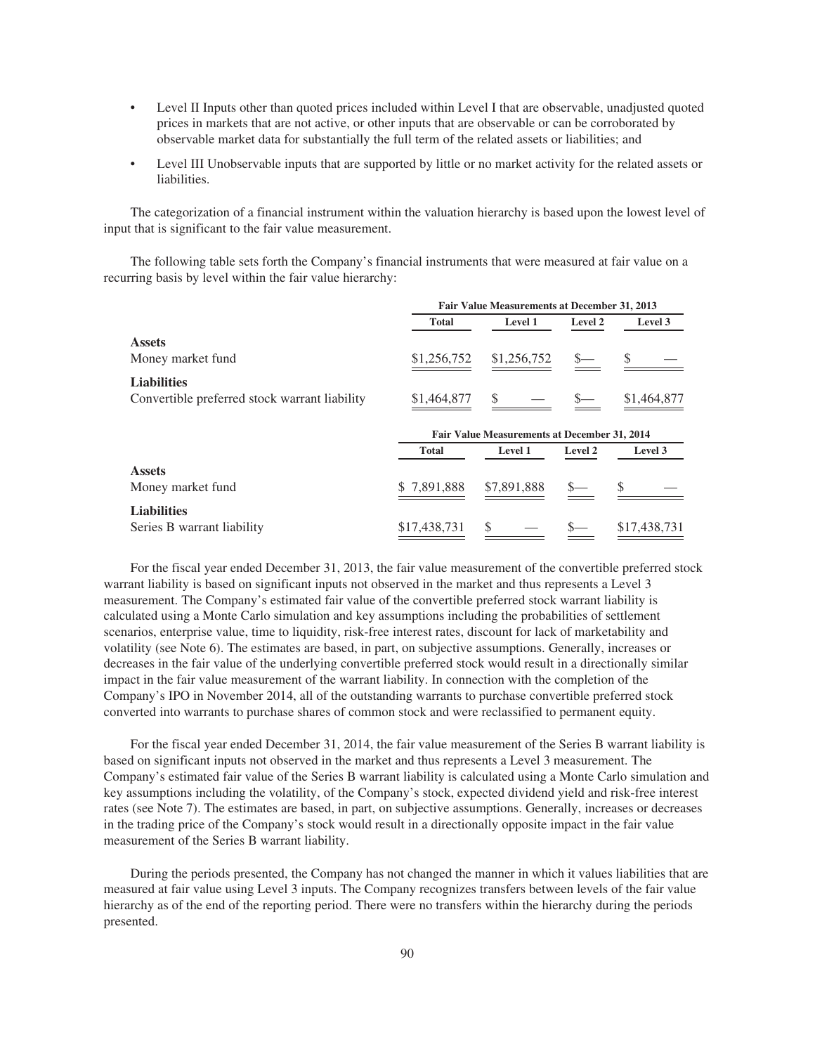- Level II Inputs other than quoted prices included within Level I that are observable, unadjusted quoted prices in markets that are not active, or other inputs that are observable or can be corroborated by observable market data for substantially the full term of the related assets or liabilities; and
- Level III Unobservable inputs that are supported by little or no market activity for the related assets or liabilities.

The categorization of a financial instrument within the valuation hierarchy is based upon the lowest level of input that is significant to the fair value measurement.

The following table sets forth the Company's financial instruments that were measured at fair value on a recurring basis by level within the fair value hierarchy:

|                                               |              | Fair Value Measurements at December 31, 2013 |         |              |
|-----------------------------------------------|--------------|----------------------------------------------|---------|--------------|
|                                               | <b>Total</b> | Level 1                                      | Level 2 | Level 3      |
| <b>Assets</b>                                 |              |                                              |         |              |
| Money market fund                             | \$1,256,752  | \$1,256,752                                  | $S-$    | \$           |
| <b>Liabilities</b>                            |              |                                              |         |              |
| Convertible preferred stock warrant liability | \$1,464,877  | \$.                                          |         | \$1,464,877  |
|                                               |              | Fair Value Measurements at December 31, 2014 |         |              |
|                                               | <b>Total</b> | Level 1                                      | Level 2 | Level 3      |
| <b>Assets</b>                                 |              |                                              |         |              |
| Money market fund                             | \$7,891,888  | \$7,891,888                                  |         |              |
| <b>Liabilities</b>                            |              |                                              |         |              |
| Series B warrant liability                    | \$17,438,731 | \$                                           |         | \$17,438,731 |

For the fiscal year ended December 31, 2013, the fair value measurement of the convertible preferred stock warrant liability is based on significant inputs not observed in the market and thus represents a Level 3 measurement. The Company's estimated fair value of the convertible preferred stock warrant liability is calculated using a Monte Carlo simulation and key assumptions including the probabilities of settlement scenarios, enterprise value, time to liquidity, risk-free interest rates, discount for lack of marketability and volatility (see Note 6). The estimates are based, in part, on subjective assumptions. Generally, increases or decreases in the fair value of the underlying convertible preferred stock would result in a directionally similar impact in the fair value measurement of the warrant liability. In connection with the completion of the Company's IPO in November 2014, all of the outstanding warrants to purchase convertible preferred stock converted into warrants to purchase shares of common stock and were reclassified to permanent equity.

For the fiscal year ended December 31, 2014, the fair value measurement of the Series B warrant liability is based on significant inputs not observed in the market and thus represents a Level 3 measurement. The Company's estimated fair value of the Series B warrant liability is calculated using a Monte Carlo simulation and key assumptions including the volatility, of the Company's stock, expected dividend yield and risk-free interest rates (see Note 7). The estimates are based, in part, on subjective assumptions. Generally, increases or decreases in the trading price of the Company's stock would result in a directionally opposite impact in the fair value measurement of the Series B warrant liability.

During the periods presented, the Company has not changed the manner in which it values liabilities that are measured at fair value using Level 3 inputs. The Company recognizes transfers between levels of the fair value hierarchy as of the end of the reporting period. There were no transfers within the hierarchy during the periods presented.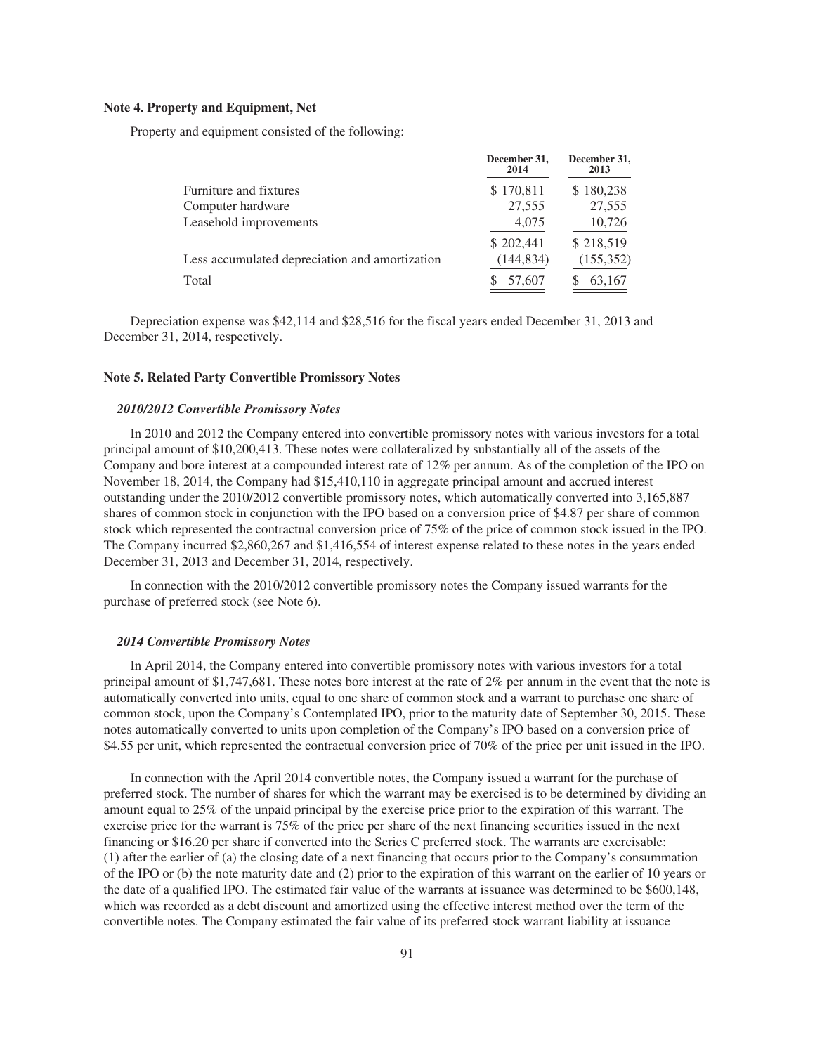### **Note 4. Property and Equipment, Net**

Property and equipment consisted of the following:

|                                                | December 31,<br>2014 | December 31,<br>2013 |
|------------------------------------------------|----------------------|----------------------|
| Furniture and fixtures                         | \$170,811            | \$180,238            |
| Computer hardware                              | 27,555               | 27,555               |
| Leasehold improvements                         | 4,075                | 10,726               |
|                                                | \$202,441            | \$218,519            |
| Less accumulated depreciation and amortization | (144, 834)           | (155, 352)           |
| Total                                          | 57,607               | 63,167               |

Depreciation expense was \$42,114 and \$28,516 for the fiscal years ended December 31, 2013 and December 31, 2014, respectively.

### **Note 5. Related Party Convertible Promissory Notes**

### *2010/2012 Convertible Promissory Notes*

In 2010 and 2012 the Company entered into convertible promissory notes with various investors for a total principal amount of \$10,200,413. These notes were collateralized by substantially all of the assets of the Company and bore interest at a compounded interest rate of 12% per annum. As of the completion of the IPO on November 18, 2014, the Company had \$15,410,110 in aggregate principal amount and accrued interest outstanding under the 2010/2012 convertible promissory notes, which automatically converted into 3,165,887 shares of common stock in conjunction with the IPO based on a conversion price of \$4.87 per share of common stock which represented the contractual conversion price of 75% of the price of common stock issued in the IPO. The Company incurred \$2,860,267 and \$1,416,554 of interest expense related to these notes in the years ended December 31, 2013 and December 31, 2014, respectively.

In connection with the 2010/2012 convertible promissory notes the Company issued warrants for the purchase of preferred stock (see Note 6).

### *2014 Convertible Promissory Notes*

In April 2014, the Company entered into convertible promissory notes with various investors for a total principal amount of \$1,747,681. These notes bore interest at the rate of 2% per annum in the event that the note is automatically converted into units, equal to one share of common stock and a warrant to purchase one share of common stock, upon the Company's Contemplated IPO, prior to the maturity date of September 30, 2015. These notes automatically converted to units upon completion of the Company's IPO based on a conversion price of \$4.55 per unit, which represented the contractual conversion price of 70% of the price per unit issued in the IPO.

In connection with the April 2014 convertible notes, the Company issued a warrant for the purchase of preferred stock. The number of shares for which the warrant may be exercised is to be determined by dividing an amount equal to 25% of the unpaid principal by the exercise price prior to the expiration of this warrant. The exercise price for the warrant is 75% of the price per share of the next financing securities issued in the next financing or \$16.20 per share if converted into the Series C preferred stock. The warrants are exercisable: (1) after the earlier of (a) the closing date of a next financing that occurs prior to the Company's consummation of the IPO or (b) the note maturity date and (2) prior to the expiration of this warrant on the earlier of 10 years or the date of a qualified IPO. The estimated fair value of the warrants at issuance was determined to be \$600,148, which was recorded as a debt discount and amortized using the effective interest method over the term of the convertible notes. The Company estimated the fair value of its preferred stock warrant liability at issuance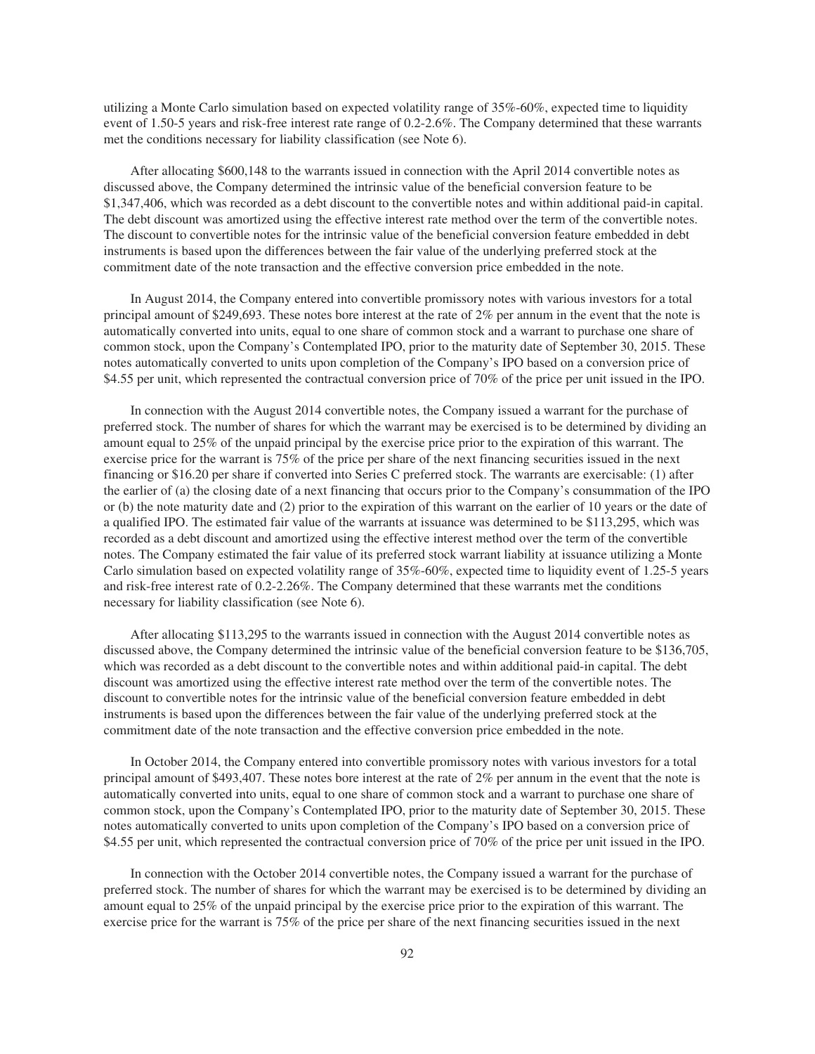utilizing a Monte Carlo simulation based on expected volatility range of 35%-60%, expected time to liquidity event of 1.50-5 years and risk-free interest rate range of 0.2-2.6%. The Company determined that these warrants met the conditions necessary for liability classification (see Note 6).

After allocating \$600,148 to the warrants issued in connection with the April 2014 convertible notes as discussed above, the Company determined the intrinsic value of the beneficial conversion feature to be \$1,347,406, which was recorded as a debt discount to the convertible notes and within additional paid-in capital. The debt discount was amortized using the effective interest rate method over the term of the convertible notes. The discount to convertible notes for the intrinsic value of the beneficial conversion feature embedded in debt instruments is based upon the differences between the fair value of the underlying preferred stock at the commitment date of the note transaction and the effective conversion price embedded in the note.

In August 2014, the Company entered into convertible promissory notes with various investors for a total principal amount of \$249,693. These notes bore interest at the rate of 2% per annum in the event that the note is automatically converted into units, equal to one share of common stock and a warrant to purchase one share of common stock, upon the Company's Contemplated IPO, prior to the maturity date of September 30, 2015. These notes automatically converted to units upon completion of the Company's IPO based on a conversion price of \$4.55 per unit, which represented the contractual conversion price of 70% of the price per unit issued in the IPO.

In connection with the August 2014 convertible notes, the Company issued a warrant for the purchase of preferred stock. The number of shares for which the warrant may be exercised is to be determined by dividing an amount equal to 25% of the unpaid principal by the exercise price prior to the expiration of this warrant. The exercise price for the warrant is 75% of the price per share of the next financing securities issued in the next financing or \$16.20 per share if converted into Series C preferred stock. The warrants are exercisable: (1) after the earlier of (a) the closing date of a next financing that occurs prior to the Company's consummation of the IPO or (b) the note maturity date and (2) prior to the expiration of this warrant on the earlier of 10 years or the date of a qualified IPO. The estimated fair value of the warrants at issuance was determined to be \$113,295, which was recorded as a debt discount and amortized using the effective interest method over the term of the convertible notes. The Company estimated the fair value of its preferred stock warrant liability at issuance utilizing a Monte Carlo simulation based on expected volatility range of 35%-60%, expected time to liquidity event of 1.25-5 years and risk-free interest rate of 0.2-2.26%. The Company determined that these warrants met the conditions necessary for liability classification (see Note 6).

After allocating \$113,295 to the warrants issued in connection with the August 2014 convertible notes as discussed above, the Company determined the intrinsic value of the beneficial conversion feature to be \$136,705, which was recorded as a debt discount to the convertible notes and within additional paid-in capital. The debt discount was amortized using the effective interest rate method over the term of the convertible notes. The discount to convertible notes for the intrinsic value of the beneficial conversion feature embedded in debt instruments is based upon the differences between the fair value of the underlying preferred stock at the commitment date of the note transaction and the effective conversion price embedded in the note.

In October 2014, the Company entered into convertible promissory notes with various investors for a total principal amount of \$493,407. These notes bore interest at the rate of 2% per annum in the event that the note is automatically converted into units, equal to one share of common stock and a warrant to purchase one share of common stock, upon the Company's Contemplated IPO, prior to the maturity date of September 30, 2015. These notes automatically converted to units upon completion of the Company's IPO based on a conversion price of \$4.55 per unit, which represented the contractual conversion price of 70% of the price per unit issued in the IPO.

In connection with the October 2014 convertible notes, the Company issued a warrant for the purchase of preferred stock. The number of shares for which the warrant may be exercised is to be determined by dividing an amount equal to 25% of the unpaid principal by the exercise price prior to the expiration of this warrant. The exercise price for the warrant is 75% of the price per share of the next financing securities issued in the next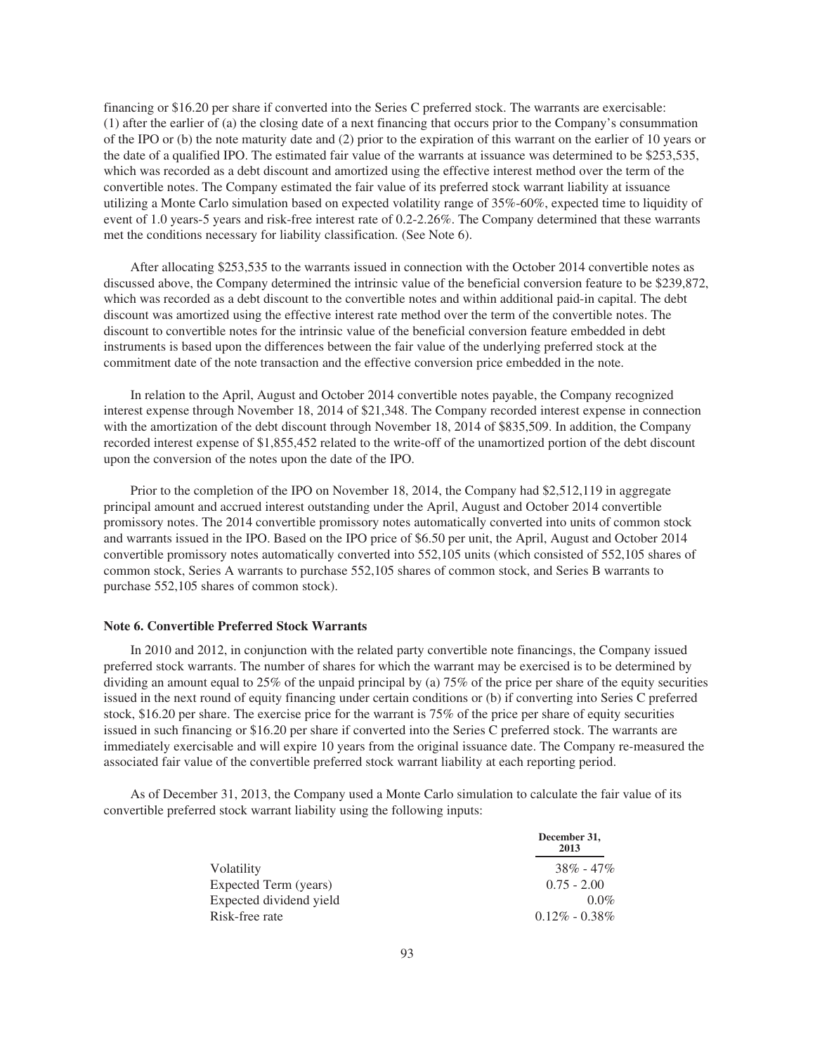financing or \$16.20 per share if converted into the Series C preferred stock. The warrants are exercisable: (1) after the earlier of (a) the closing date of a next financing that occurs prior to the Company's consummation of the IPO or (b) the note maturity date and (2) prior to the expiration of this warrant on the earlier of 10 years or the date of a qualified IPO. The estimated fair value of the warrants at issuance was determined to be \$253,535, which was recorded as a debt discount and amortized using the effective interest method over the term of the convertible notes. The Company estimated the fair value of its preferred stock warrant liability at issuance utilizing a Monte Carlo simulation based on expected volatility range of 35%-60%, expected time to liquidity of event of 1.0 years-5 years and risk-free interest rate of 0.2-2.26%. The Company determined that these warrants met the conditions necessary for liability classification. (See Note 6).

After allocating \$253,535 to the warrants issued in connection with the October 2014 convertible notes as discussed above, the Company determined the intrinsic value of the beneficial conversion feature to be \$239,872, which was recorded as a debt discount to the convertible notes and within additional paid-in capital. The debt discount was amortized using the effective interest rate method over the term of the convertible notes. The discount to convertible notes for the intrinsic value of the beneficial conversion feature embedded in debt instruments is based upon the differences between the fair value of the underlying preferred stock at the commitment date of the note transaction and the effective conversion price embedded in the note.

In relation to the April, August and October 2014 convertible notes payable, the Company recognized interest expense through November 18, 2014 of \$21,348. The Company recorded interest expense in connection with the amortization of the debt discount through November 18, 2014 of \$835,509. In addition, the Company recorded interest expense of \$1,855,452 related to the write-off of the unamortized portion of the debt discount upon the conversion of the notes upon the date of the IPO.

Prior to the completion of the IPO on November 18, 2014, the Company had \$2,512,119 in aggregate principal amount and accrued interest outstanding under the April, August and October 2014 convertible promissory notes. The 2014 convertible promissory notes automatically converted into units of common stock and warrants issued in the IPO. Based on the IPO price of \$6.50 per unit, the April, August and October 2014 convertible promissory notes automatically converted into 552,105 units (which consisted of 552,105 shares of common stock, Series A warrants to purchase 552,105 shares of common stock, and Series B warrants to purchase 552,105 shares of common stock).

### **Note 6. Convertible Preferred Stock Warrants**

In 2010 and 2012, in conjunction with the related party convertible note financings, the Company issued preferred stock warrants. The number of shares for which the warrant may be exercised is to be determined by dividing an amount equal to 25% of the unpaid principal by (a) 75% of the price per share of the equity securities issued in the next round of equity financing under certain conditions or (b) if converting into Series C preferred stock, \$16.20 per share. The exercise price for the warrant is 75% of the price per share of equity securities issued in such financing or \$16.20 per share if converted into the Series C preferred stock. The warrants are immediately exercisable and will expire 10 years from the original issuance date. The Company re-measured the associated fair value of the convertible preferred stock warrant liability at each reporting period.

As of December 31, 2013, the Company used a Monte Carlo simulation to calculate the fair value of its convertible preferred stock warrant liability using the following inputs:

|                         | December 31,<br>2013 |
|-------------------------|----------------------|
| Volatility              | $38\% - 47\%$        |
| Expected Term (years)   | $0.75 - 2.00$        |
| Expected dividend yield | $0.0\%$              |
| Risk-free rate          | $0.12\% - 0.38\%$    |
|                         |                      |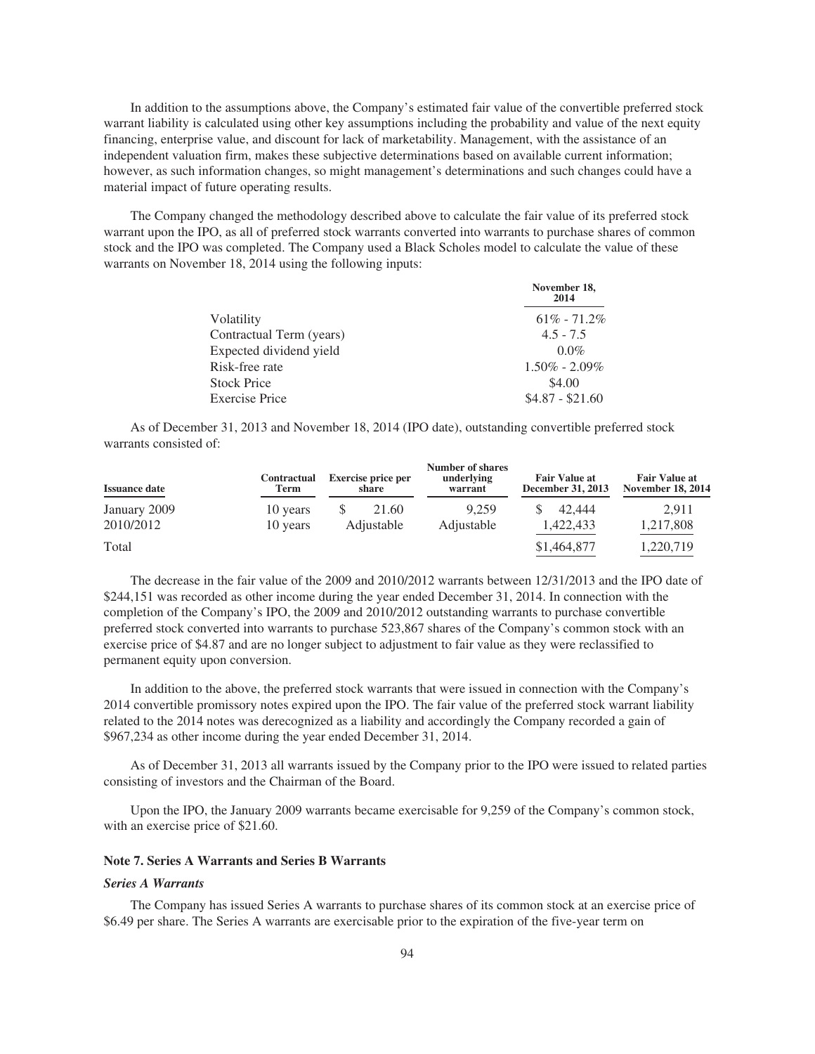In addition to the assumptions above, the Company's estimated fair value of the convertible preferred stock warrant liability is calculated using other key assumptions including the probability and value of the next equity financing, enterprise value, and discount for lack of marketability. Management, with the assistance of an independent valuation firm, makes these subjective determinations based on available current information; however, as such information changes, so might management's determinations and such changes could have a material impact of future operating results.

The Company changed the methodology described above to calculate the fair value of its preferred stock warrant upon the IPO, as all of preferred stock warrants converted into warrants to purchase shares of common stock and the IPO was completed. The Company used a Black Scholes model to calculate the value of these warrants on November 18, 2014 using the following inputs:

|                          | November 18,<br>2014 |
|--------------------------|----------------------|
| Volatility               | $61\% - 71.2\%$      |
| Contractual Term (years) | $4.5 - 7.5$          |
| Expected dividend yield  | $0.0\%$              |
| Risk-free rate           | $1.50\% - 2.09\%$    |
| <b>Stock Price</b>       | \$4.00               |
| <b>Exercise Price</b>    | $$4.87 - $21.60$     |

As of December 31, 2013 and November 18, 2014 (IPO date), outstanding convertible preferred stock warrants consisted of:

| <b>Issuance date</b> | <b>Contractual</b><br>Term | <b>Exercise price per</b><br>share | <b>Number of shares</b><br>underlying<br>warrant | <b>Fair Value at</b><br>December 31, 2013 | <b>Fair Value at</b><br><b>November 18, 2014</b> |
|----------------------|----------------------------|------------------------------------|--------------------------------------------------|-------------------------------------------|--------------------------------------------------|
| January 2009         | 10 years                   | 21.60                              | 9.259                                            | 42.444                                    | 2.911                                            |
| 2010/2012            | 10 years                   | Adjustable                         | Adjustable                                       | 1,422,433                                 | 1,217,808                                        |
| Total                |                            |                                    |                                                  | \$1,464,877                               | 1,220,719                                        |

The decrease in the fair value of the 2009 and 2010/2012 warrants between 12/31/2013 and the IPO date of \$244,151 was recorded as other income during the year ended December 31, 2014. In connection with the completion of the Company's IPO, the 2009 and 2010/2012 outstanding warrants to purchase convertible preferred stock converted into warrants to purchase 523,867 shares of the Company's common stock with an exercise price of \$4.87 and are no longer subject to adjustment to fair value as they were reclassified to permanent equity upon conversion.

In addition to the above, the preferred stock warrants that were issued in connection with the Company's 2014 convertible promissory notes expired upon the IPO. The fair value of the preferred stock warrant liability related to the 2014 notes was derecognized as a liability and accordingly the Company recorded a gain of \$967,234 as other income during the year ended December 31, 2014.

As of December 31, 2013 all warrants issued by the Company prior to the IPO were issued to related parties consisting of investors and the Chairman of the Board.

Upon the IPO, the January 2009 warrants became exercisable for 9,259 of the Company's common stock, with an exercise price of \$21.60.

### **Note 7. Series A Warrants and Series B Warrants**

### *Series A Warrants*

The Company has issued Series A warrants to purchase shares of its common stock at an exercise price of \$6.49 per share. The Series A warrants are exercisable prior to the expiration of the five-year term on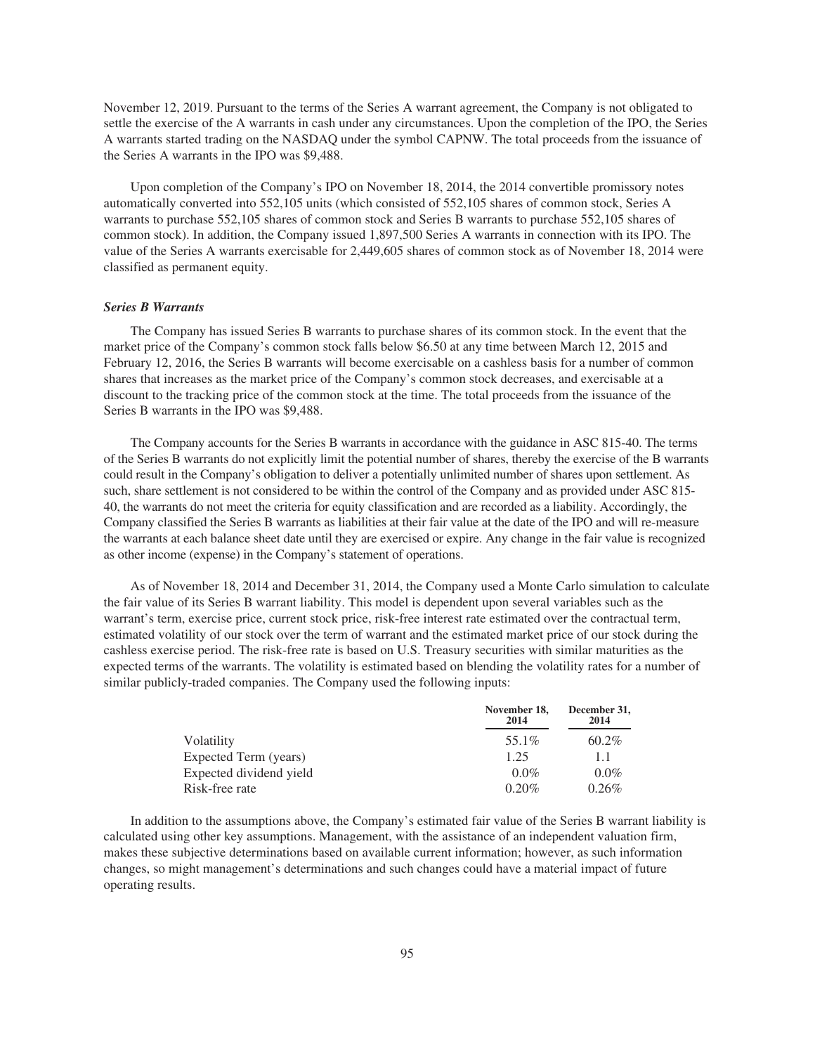November 12, 2019. Pursuant to the terms of the Series A warrant agreement, the Company is not obligated to settle the exercise of the A warrants in cash under any circumstances. Upon the completion of the IPO, the Series A warrants started trading on the NASDAQ under the symbol CAPNW. The total proceeds from the issuance of the Series A warrants in the IPO was \$9,488.

Upon completion of the Company's IPO on November 18, 2014, the 2014 convertible promissory notes automatically converted into 552,105 units (which consisted of 552,105 shares of common stock, Series A warrants to purchase 552,105 shares of common stock and Series B warrants to purchase 552,105 shares of common stock). In addition, the Company issued 1,897,500 Series A warrants in connection with its IPO. The value of the Series A warrants exercisable for 2,449,605 shares of common stock as of November 18, 2014 were classified as permanent equity.

# *Series B Warrants*

The Company has issued Series B warrants to purchase shares of its common stock. In the event that the market price of the Company's common stock falls below \$6.50 at any time between March 12, 2015 and February 12, 2016, the Series B warrants will become exercisable on a cashless basis for a number of common shares that increases as the market price of the Company's common stock decreases, and exercisable at a discount to the tracking price of the common stock at the time. The total proceeds from the issuance of the Series B warrants in the IPO was \$9,488.

The Company accounts for the Series B warrants in accordance with the guidance in ASC 815-40. The terms of the Series B warrants do not explicitly limit the potential number of shares, thereby the exercise of the B warrants could result in the Company's obligation to deliver a potentially unlimited number of shares upon settlement. As such, share settlement is not considered to be within the control of the Company and as provided under ASC 815- 40, the warrants do not meet the criteria for equity classification and are recorded as a liability. Accordingly, the Company classified the Series B warrants as liabilities at their fair value at the date of the IPO and will re-measure the warrants at each balance sheet date until they are exercised or expire. Any change in the fair value is recognized as other income (expense) in the Company's statement of operations.

As of November 18, 2014 and December 31, 2014, the Company used a Monte Carlo simulation to calculate the fair value of its Series B warrant liability. This model is dependent upon several variables such as the warrant's term, exercise price, current stock price, risk-free interest rate estimated over the contractual term, estimated volatility of our stock over the term of warrant and the estimated market price of our stock during the cashless exercise period. The risk-free rate is based on U.S. Treasury securities with similar maturities as the expected terms of the warrants. The volatility is estimated based on blending the volatility rates for a number of similar publicly-traded companies. The Company used the following inputs:

|                         | November 18,<br>2014 | December 31,<br>2014 |
|-------------------------|----------------------|----------------------|
| Volatility              | 55.1%                | $60.2\%$             |
| Expected Term (years)   | 1.25                 | 1.1                  |
| Expected dividend yield | $0.0\%$              | $0.0\%$              |
| Risk-free rate          | $0.20\%$             | 0.26%                |

In addition to the assumptions above, the Company's estimated fair value of the Series B warrant liability is calculated using other key assumptions. Management, with the assistance of an independent valuation firm, makes these subjective determinations based on available current information; however, as such information changes, so might management's determinations and such changes could have a material impact of future operating results.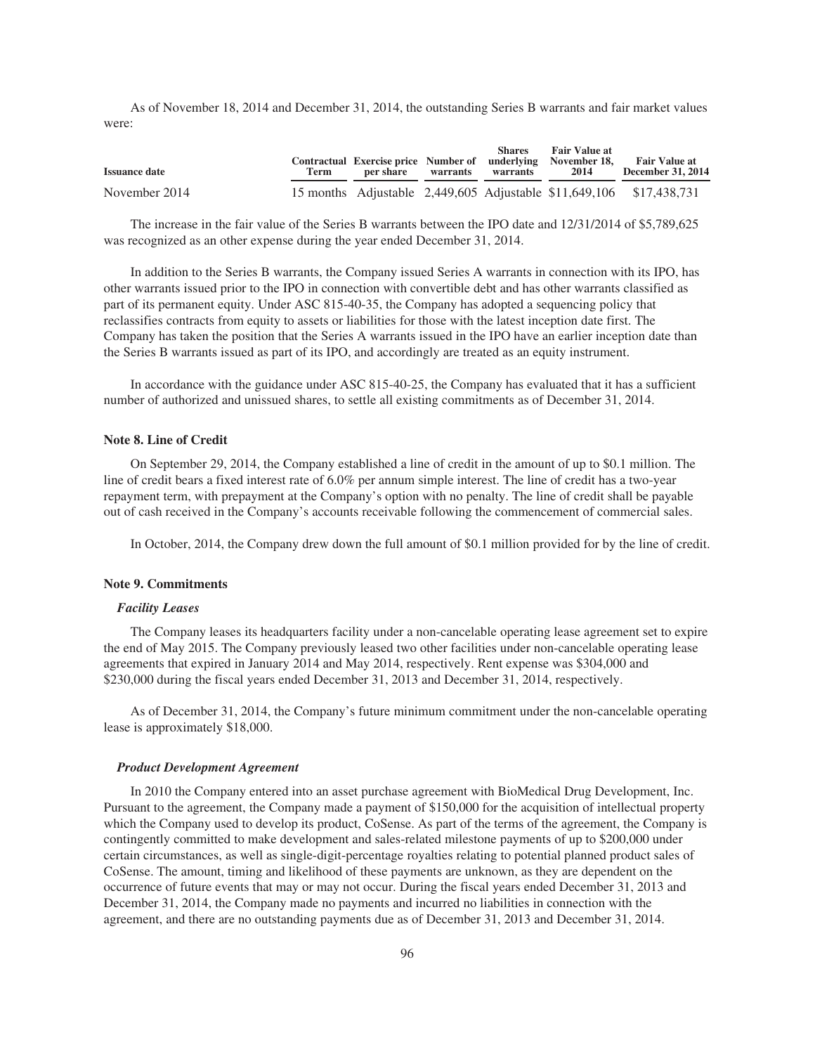As of November 18, 2014 and December 31, 2014, the outstanding Series B warrants and fair market values were:

| <b>Issuance date</b> | Term | per share | warrants | <b>Shares</b><br>warrants | <b>Fair Value at</b><br>Contractual Exercise price Number of underlying November 18,<br>2014 | <b>Fair Value at</b><br><b>December 31, 2014</b>                    |
|----------------------|------|-----------|----------|---------------------------|----------------------------------------------------------------------------------------------|---------------------------------------------------------------------|
| November 2014        |      |           |          |                           |                                                                                              | 15 months Adjustable 2,449,605 Adjustable \$11,649,106 \$17,438,731 |

The increase in the fair value of the Series B warrants between the IPO date and 12/31/2014 of \$5,789,625 was recognized as an other expense during the year ended December 31, 2014.

In addition to the Series B warrants, the Company issued Series A warrants in connection with its IPO, has other warrants issued prior to the IPO in connection with convertible debt and has other warrants classified as part of its permanent equity. Under ASC 815-40-35, the Company has adopted a sequencing policy that reclassifies contracts from equity to assets or liabilities for those with the latest inception date first. The Company has taken the position that the Series A warrants issued in the IPO have an earlier inception date than the Series B warrants issued as part of its IPO, and accordingly are treated as an equity instrument.

In accordance with the guidance under ASC 815-40-25, the Company has evaluated that it has a sufficient number of authorized and unissued shares, to settle all existing commitments as of December 31, 2014.

# **Note 8. Line of Credit**

On September 29, 2014, the Company established a line of credit in the amount of up to \$0.1 million. The line of credit bears a fixed interest rate of 6.0% per annum simple interest. The line of credit has a two-year repayment term, with prepayment at the Company's option with no penalty. The line of credit shall be payable out of cash received in the Company's accounts receivable following the commencement of commercial sales.

In October, 2014, the Company drew down the full amount of \$0.1 million provided for by the line of credit.

#### **Note 9. Commitments**

### *Facility Leases*

The Company leases its headquarters facility under a non-cancelable operating lease agreement set to expire the end of May 2015. The Company previously leased two other facilities under non-cancelable operating lease agreements that expired in January 2014 and May 2014, respectively. Rent expense was \$304,000 and \$230,000 during the fiscal years ended December 31, 2013 and December 31, 2014, respectively.

As of December 31, 2014, the Company's future minimum commitment under the non-cancelable operating lease is approximately \$18,000.

#### *Product Development Agreement*

In 2010 the Company entered into an asset purchase agreement with BioMedical Drug Development, Inc. Pursuant to the agreement, the Company made a payment of \$150,000 for the acquisition of intellectual property which the Company used to develop its product, CoSense. As part of the terms of the agreement, the Company is contingently committed to make development and sales-related milestone payments of up to \$200,000 under certain circumstances, as well as single-digit-percentage royalties relating to potential planned product sales of CoSense. The amount, timing and likelihood of these payments are unknown, as they are dependent on the occurrence of future events that may or may not occur. During the fiscal years ended December 31, 2013 and December 31, 2014, the Company made no payments and incurred no liabilities in connection with the agreement, and there are no outstanding payments due as of December 31, 2013 and December 31, 2014.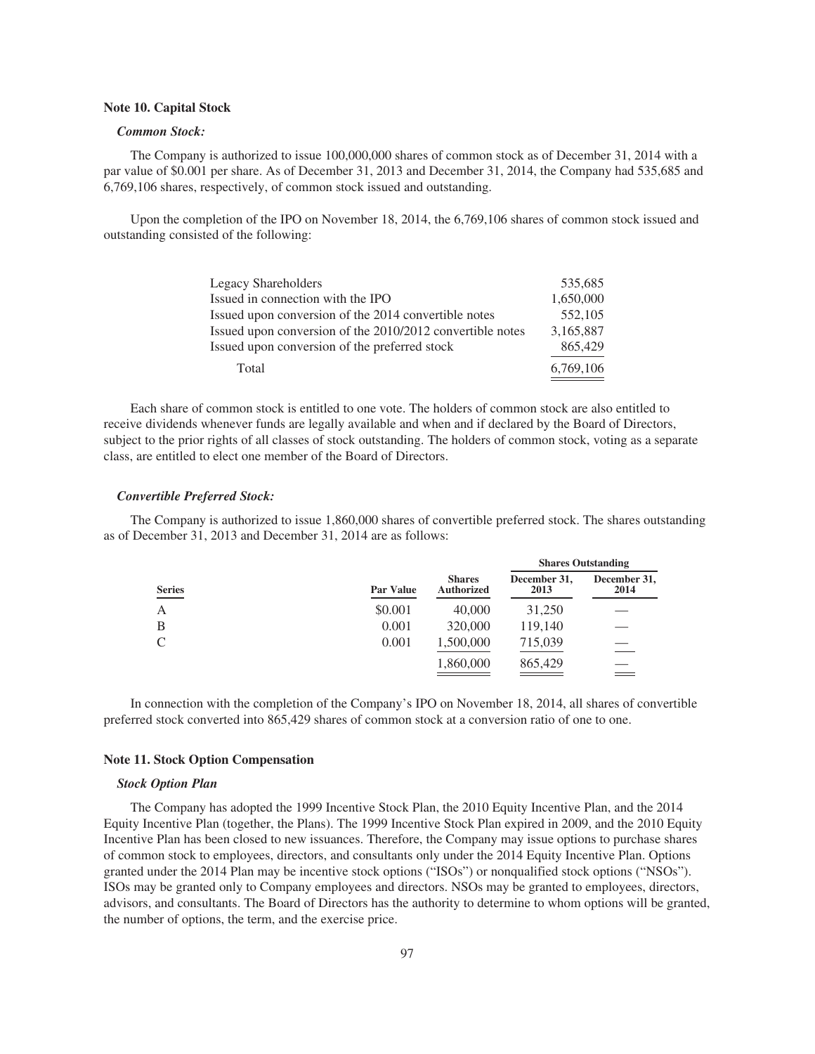### **Note 10. Capital Stock**

### *Common Stock:*

The Company is authorized to issue 100,000,000 shares of common stock as of December 31, 2014 with a par value of \$0.001 per share. As of December 31, 2013 and December 31, 2014, the Company had 535,685 and 6,769,106 shares, respectively, of common stock issued and outstanding.

Upon the completion of the IPO on November 18, 2014, the 6,769,106 shares of common stock issued and outstanding consisted of the following:

| 535.685   |
|-----------|
| 1.650,000 |
| 552,105   |
| 3.165.887 |
| 865,429   |
| 6,769,106 |
|           |

Each share of common stock is entitled to one vote. The holders of common stock are also entitled to receive dividends whenever funds are legally available and when and if declared by the Board of Directors, subject to the prior rights of all classes of stock outstanding. The holders of common stock, voting as a separate class, are entitled to elect one member of the Board of Directors.

### *Convertible Preferred Stock:*

The Company is authorized to issue 1,860,000 shares of convertible preferred stock. The shares outstanding as of December 31, 2013 and December 31, 2014 are as follows:

|               |                  |                                    | <b>Shares Outstanding</b> |                      |  |
|---------------|------------------|------------------------------------|---------------------------|----------------------|--|
| <b>Series</b> | <b>Par Value</b> | <b>Shares</b><br><b>Authorized</b> | December 31,<br>2013      | December 31,<br>2014 |  |
| А             | \$0.001          | 40,000                             | 31,250                    |                      |  |
| B             | 0.001            | 320,000                            | 119,140                   |                      |  |
|               | 0.001            | 1,500,000                          | 715,039                   |                      |  |
|               |                  | 1,860,000                          | 865,429                   |                      |  |

In connection with the completion of the Company's IPO on November 18, 2014, all shares of convertible preferred stock converted into 865,429 shares of common stock at a conversion ratio of one to one.

### **Note 11. Stock Option Compensation**

### *Stock Option Plan*

The Company has adopted the 1999 Incentive Stock Plan, the 2010 Equity Incentive Plan, and the 2014 Equity Incentive Plan (together, the Plans). The 1999 Incentive Stock Plan expired in 2009, and the 2010 Equity Incentive Plan has been closed to new issuances. Therefore, the Company may issue options to purchase shares of common stock to employees, directors, and consultants only under the 2014 Equity Incentive Plan. Options granted under the 2014 Plan may be incentive stock options ("ISOs") or nonqualified stock options ("NSOs"). ISOs may be granted only to Company employees and directors. NSOs may be granted to employees, directors, advisors, and consultants. The Board of Directors has the authority to determine to whom options will be granted, the number of options, the term, and the exercise price.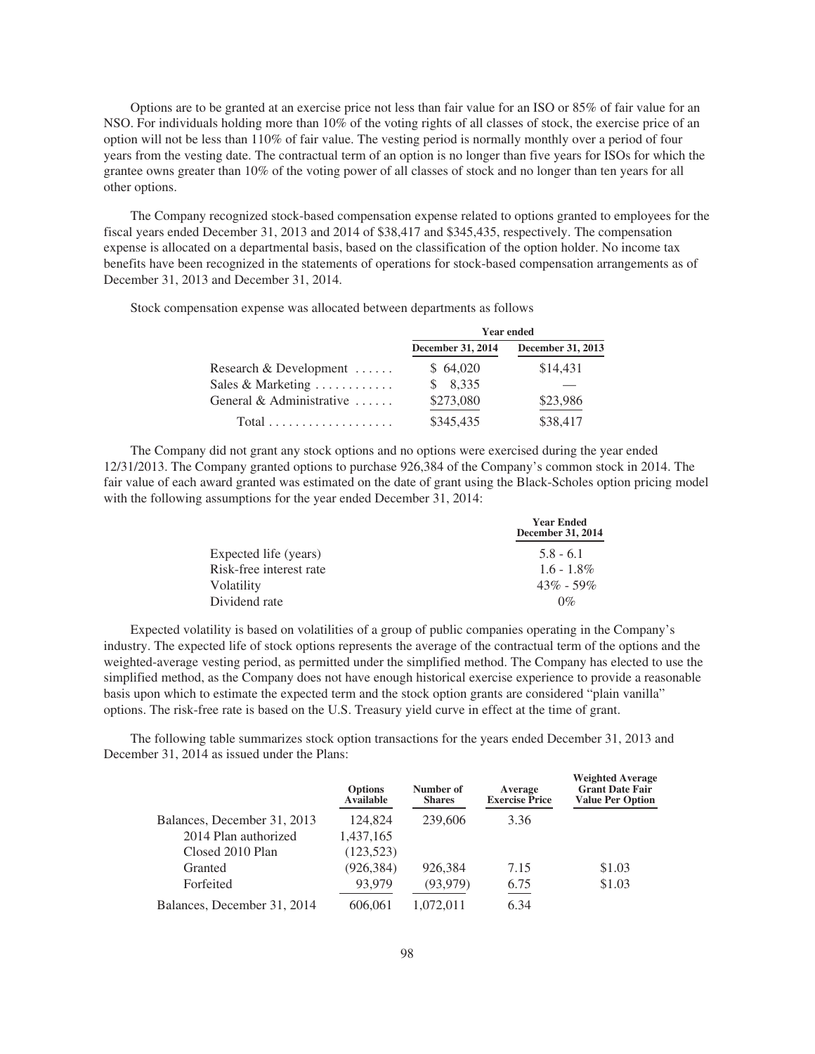Options are to be granted at an exercise price not less than fair value for an ISO or 85% of fair value for an NSO. For individuals holding more than 10% of the voting rights of all classes of stock, the exercise price of an option will not be less than 110% of fair value. The vesting period is normally monthly over a period of four years from the vesting date. The contractual term of an option is no longer than five years for ISOs for which the grantee owns greater than 10% of the voting power of all classes of stock and no longer than ten years for all other options.

The Company recognized stock-based compensation expense related to options granted to employees for the fiscal years ended December 31, 2013 and 2014 of \$38,417 and \$345,435, respectively. The compensation expense is allocated on a departmental basis, based on the classification of the option holder. No income tax benefits have been recognized in the statements of operations for stock-based compensation arrangements as of December 31, 2013 and December 31, 2014.

Stock compensation expense was allocated between departments as follows

|                                             | <b>Year ended</b> |                   |  |
|---------------------------------------------|-------------------|-------------------|--|
|                                             | December 31, 2014 | December 31, 2013 |  |
| Research & Development                      | \$64,020          | \$14,431          |  |
| Sales & Marketing $\dots \dots \dots$       | \$8,335           |                   |  |
| General & Administrative                    | \$273,080         | \$23,986          |  |
| $Total \dots \dots \dots \dots \dots \dots$ | \$345,435         | \$38,417          |  |

The Company did not grant any stock options and no options were exercised during the year ended 12/31/2013. The Company granted options to purchase 926,384 of the Company's common stock in 2014. The fair value of each award granted was estimated on the date of grant using the Black-Scholes option pricing model with the following assumptions for the year ended December 31, 2014:

|                         | <b>Year Ended</b><br>December 31, 2014 |
|-------------------------|----------------------------------------|
| Expected life (years)   | $5.8 - 6.1$                            |
| Risk-free interest rate | $1.6 - 1.8\%$                          |
| Volatility              | $43\% - 59\%$                          |
| Dividend rate           | $0\%$                                  |

Expected volatility is based on volatilities of a group of public companies operating in the Company's industry. The expected life of stock options represents the average of the contractual term of the options and the weighted-average vesting period, as permitted under the simplified method. The Company has elected to use the simplified method, as the Company does not have enough historical exercise experience to provide a reasonable basis upon which to estimate the expected term and the stock option grants are considered "plain vanilla" options. The risk-free rate is based on the U.S. Treasury yield curve in effect at the time of grant.

The following table summarizes stock option transactions for the years ended December 31, 2013 and December 31, 2014 as issued under the Plans:

|                             | <b>Options</b><br>Available | Number of<br><b>Shares</b> | Average<br><b>Exercise Price</b> | <b>Weighted Average</b><br><b>Grant Date Fair</b><br><b>Value Per Option</b> |
|-----------------------------|-----------------------------|----------------------------|----------------------------------|------------------------------------------------------------------------------|
| Balances, December 31, 2013 | 124,824                     | 239,606                    | 3.36                             |                                                                              |
| 2014 Plan authorized        | 1,437,165                   |                            |                                  |                                                                              |
| Closed 2010 Plan            | (123, 523)                  |                            |                                  |                                                                              |
| Granted                     | (926, 384)                  | 926.384                    | 7.15                             | \$1.03                                                                       |
| Forfeited                   | 93.979                      | (93, 979)                  | 6.75                             | \$1.03                                                                       |
| Balances, December 31, 2014 | 606,061                     | 1.072.011                  | 6.34                             |                                                                              |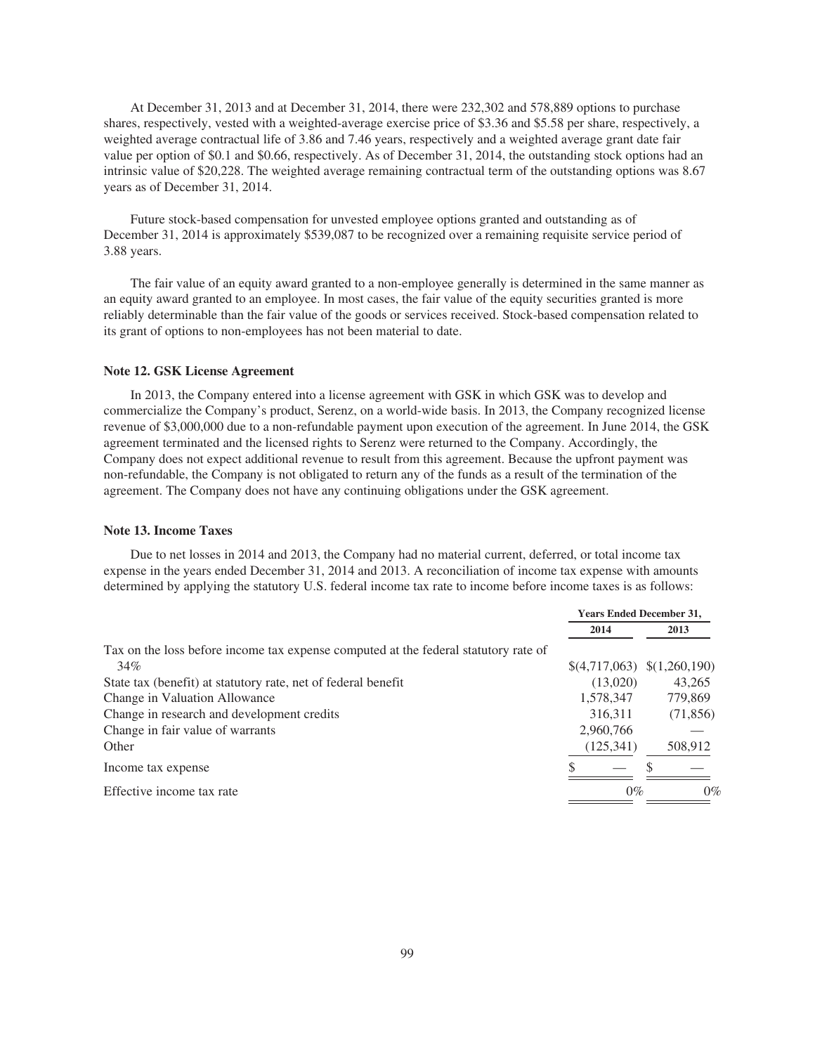At December 31, 2013 and at December 31, 2014, there were 232,302 and 578,889 options to purchase shares, respectively, vested with a weighted-average exercise price of \$3.36 and \$5.58 per share, respectively, a weighted average contractual life of 3.86 and 7.46 years, respectively and a weighted average grant date fair value per option of \$0.1 and \$0.66, respectively. As of December 31, 2014, the outstanding stock options had an intrinsic value of \$20,228. The weighted average remaining contractual term of the outstanding options was 8.67 years as of December 31, 2014.

Future stock-based compensation for unvested employee options granted and outstanding as of December 31, 2014 is approximately \$539,087 to be recognized over a remaining requisite service period of 3.88 years.

The fair value of an equity award granted to a non-employee generally is determined in the same manner as an equity award granted to an employee. In most cases, the fair value of the equity securities granted is more reliably determinable than the fair value of the goods or services received. Stock-based compensation related to its grant of options to non-employees has not been material to date.

### **Note 12. GSK License Agreement**

In 2013, the Company entered into a license agreement with GSK in which GSK was to develop and commercialize the Company's product, Serenz, on a world-wide basis. In 2013, the Company recognized license revenue of \$3,000,000 due to a non-refundable payment upon execution of the agreement. In June 2014, the GSK agreement terminated and the licensed rights to Serenz were returned to the Company. Accordingly, the Company does not expect additional revenue to result from this agreement. Because the upfront payment was non-refundable, the Company is not obligated to return any of the funds as a result of the termination of the agreement. The Company does not have any continuing obligations under the GSK agreement.

### **Note 13. Income Taxes**

Due to net losses in 2014 and 2013, the Company had no material current, deferred, or total income tax expense in the years ended December 31, 2014 and 2013. A reconciliation of income tax expense with amounts determined by applying the statutory U.S. federal income tax rate to income before income taxes is as follows:

|                                                                                     | <b>Years Ended December 31,</b> |                              |
|-------------------------------------------------------------------------------------|---------------------------------|------------------------------|
|                                                                                     | 2014                            | 2013                         |
| Tax on the loss before income tax expense computed at the federal statutory rate of |                                 |                              |
| 34%                                                                                 |                                 | $$(4,717,063) \$(1,260,190)$ |
| State tax (benefit) at statutory rate, net of federal benefit                       | (13,020)                        | 43,265                       |
| Change in Valuation Allowance                                                       | 1,578,347                       | 779,869                      |
| Change in research and development credits                                          | 316,311                         | (71, 856)                    |
| Change in fair value of warrants                                                    | 2,960,766                       |                              |
| Other                                                                               | (125, 341)                      | 508,912                      |
| Income tax expense                                                                  |                                 |                              |
| Effective income tax rate                                                           | $0\%$                           | $0\%$                        |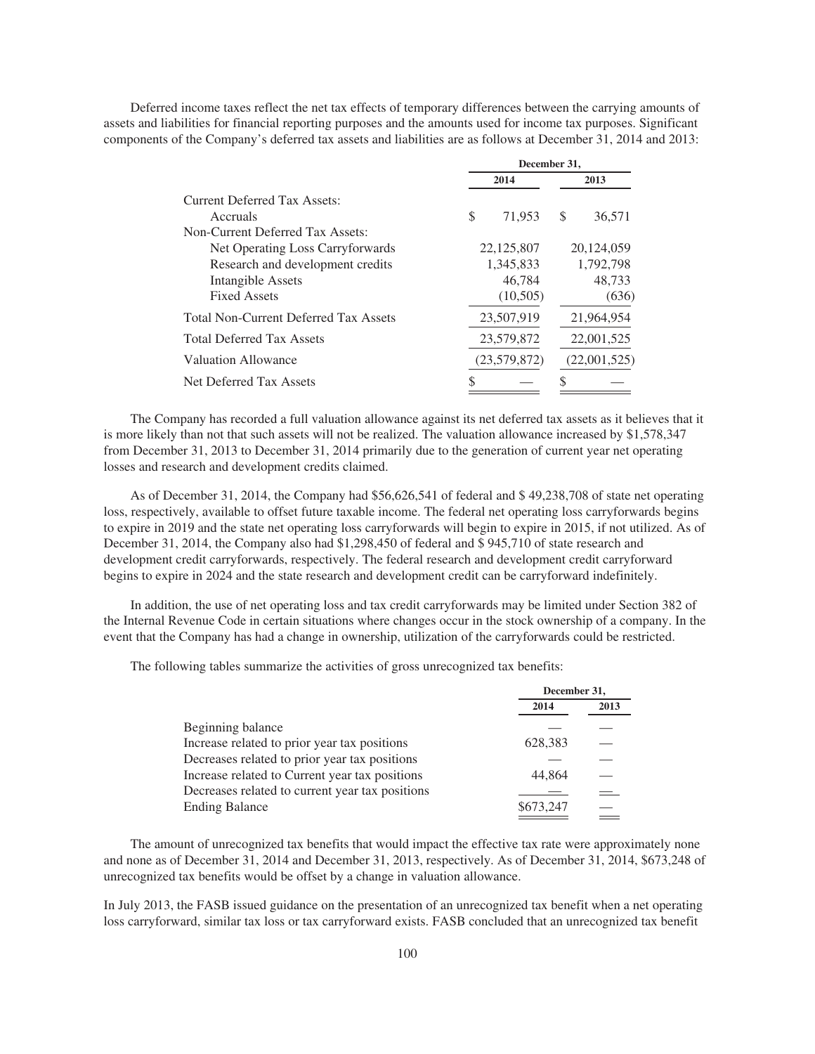Deferred income taxes reflect the net tax effects of temporary differences between the carrying amounts of assets and liabilities for financial reporting purposes and the amounts used for income tax purposes. Significant components of the Company's deferred tax assets and liabilities are as follows at December 31, 2014 and 2013:

|                                              | December 31, |            |              |            |
|----------------------------------------------|--------------|------------|--------------|------------|
|                                              | 2014         |            | 2013         |            |
| Current Deferred Tax Assets:                 |              |            |              |            |
| Accruals                                     | S            | 71,953     | S            | 36,571     |
| Non-Current Deferred Tax Assets:             |              |            |              |            |
| Net Operating Loss Carryforwards             | 22,125,807   |            | 20,124,059   |            |
| Research and development credits             | 1,345,833    |            | 1,792,798    |            |
| Intangible Assets                            | 46,784       |            | 48,733       |            |
| <b>Fixed Assets</b>                          |              | (10,505)   |              | (636)      |
| <b>Total Non-Current Deferred Tax Assets</b> |              | 23,507,919 |              | 21,964,954 |
| <b>Total Deferred Tax Assets</b>             | 23,579,872   |            | 22,001,525   |            |
| <b>Valuation Allowance</b>                   | (23,579,872) |            | (22,001,525) |            |
| Net Deferred Tax Assets                      |              |            |              |            |

The Company has recorded a full valuation allowance against its net deferred tax assets as it believes that it is more likely than not that such assets will not be realized. The valuation allowance increased by \$1,578,347 from December 31, 2013 to December 31, 2014 primarily due to the generation of current year net operating losses and research and development credits claimed.

As of December 31, 2014, the Company had \$56,626,541 of federal and \$ 49,238,708 of state net operating loss, respectively, available to offset future taxable income. The federal net operating loss carryforwards begins to expire in 2019 and the state net operating loss carryforwards will begin to expire in 2015, if not utilized. As of December 31, 2014, the Company also had \$1,298,450 of federal and \$ 945,710 of state research and development credit carryforwards, respectively. The federal research and development credit carryforward begins to expire in 2024 and the state research and development credit can be carryforward indefinitely.

In addition, the use of net operating loss and tax credit carryforwards may be limited under Section 382 of the Internal Revenue Code in certain situations where changes occur in the stock ownership of a company. In the event that the Company has had a change in ownership, utilization of the carryforwards could be restricted.

The following tables summarize the activities of gross unrecognized tax benefits:

|                                                 | December 31, |      |
|-------------------------------------------------|--------------|------|
|                                                 | 2014         | 2013 |
| Beginning balance                               |              |      |
| Increase related to prior year tax positions    | 628,383      |      |
| Decreases related to prior year tax positions   |              |      |
| Increase related to Current year tax positions  | 44,864       |      |
| Decreases related to current year tax positions |              |      |
| <b>Ending Balance</b>                           | \$673,247    |      |
|                                                 |              |      |

The amount of unrecognized tax benefits that would impact the effective tax rate were approximately none and none as of December 31, 2014 and December 31, 2013, respectively. As of December 31, 2014, \$673,248 of unrecognized tax benefits would be offset by a change in valuation allowance.

In July 2013, the FASB issued guidance on the presentation of an unrecognized tax benefit when a net operating loss carryforward, similar tax loss or tax carryforward exists. FASB concluded that an unrecognized tax benefit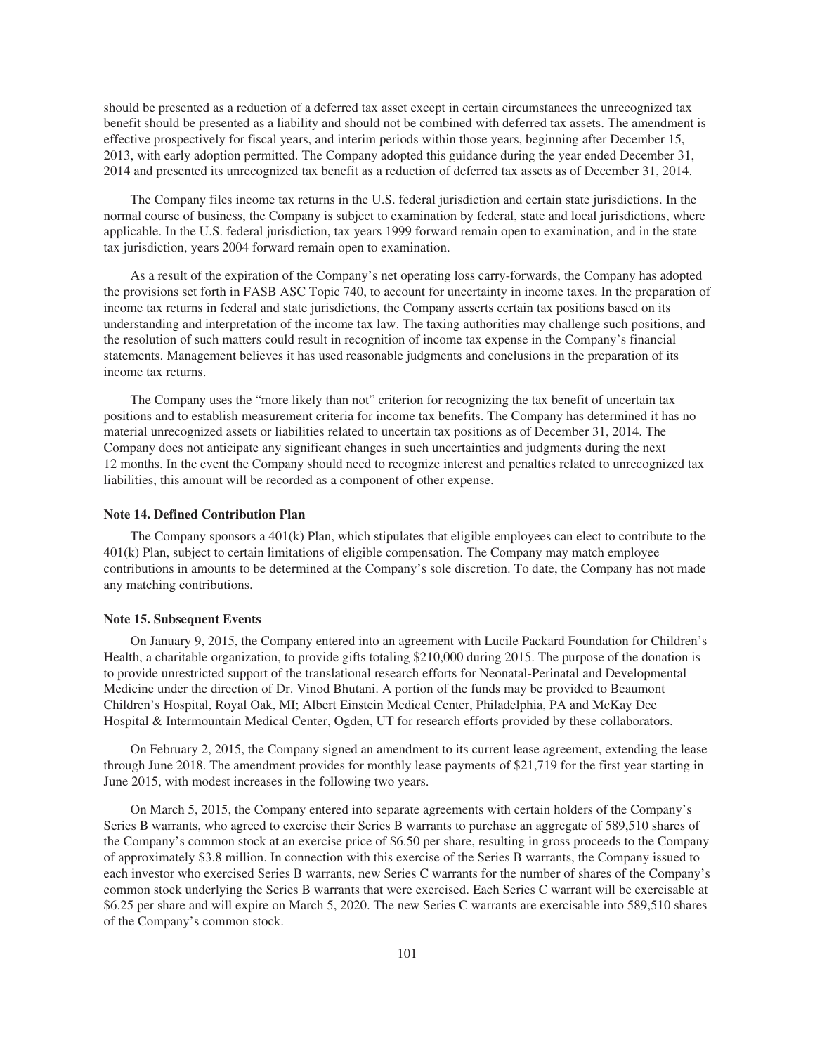should be presented as a reduction of a deferred tax asset except in certain circumstances the unrecognized tax benefit should be presented as a liability and should not be combined with deferred tax assets. The amendment is effective prospectively for fiscal years, and interim periods within those years, beginning after December 15, 2013, with early adoption permitted. The Company adopted this guidance during the year ended December 31, 2014 and presented its unrecognized tax benefit as a reduction of deferred tax assets as of December 31, 2014.

The Company files income tax returns in the U.S. federal jurisdiction and certain state jurisdictions. In the normal course of business, the Company is subject to examination by federal, state and local jurisdictions, where applicable. In the U.S. federal jurisdiction, tax years 1999 forward remain open to examination, and in the state tax jurisdiction, years 2004 forward remain open to examination.

As a result of the expiration of the Company's net operating loss carry-forwards, the Company has adopted the provisions set forth in FASB ASC Topic 740, to account for uncertainty in income taxes. In the preparation of income tax returns in federal and state jurisdictions, the Company asserts certain tax positions based on its understanding and interpretation of the income tax law. The taxing authorities may challenge such positions, and the resolution of such matters could result in recognition of income tax expense in the Company's financial statements. Management believes it has used reasonable judgments and conclusions in the preparation of its income tax returns.

The Company uses the "more likely than not" criterion for recognizing the tax benefit of uncertain tax positions and to establish measurement criteria for income tax benefits. The Company has determined it has no material unrecognized assets or liabilities related to uncertain tax positions as of December 31, 2014. The Company does not anticipate any significant changes in such uncertainties and judgments during the next 12 months. In the event the Company should need to recognize interest and penalties related to unrecognized tax liabilities, this amount will be recorded as a component of other expense.

#### **Note 14. Defined Contribution Plan**

The Company sponsors a 401(k) Plan, which stipulates that eligible employees can elect to contribute to the 401(k) Plan, subject to certain limitations of eligible compensation. The Company may match employee contributions in amounts to be determined at the Company's sole discretion. To date, the Company has not made any matching contributions.

#### **Note 15. Subsequent Events**

On January 9, 2015, the Company entered into an agreement with Lucile Packard Foundation for Children's Health, a charitable organization, to provide gifts totaling \$210,000 during 2015. The purpose of the donation is to provide unrestricted support of the translational research efforts for Neonatal-Perinatal and Developmental Medicine under the direction of Dr. Vinod Bhutani. A portion of the funds may be provided to Beaumont Children's Hospital, Royal Oak, MI; Albert Einstein Medical Center, Philadelphia, PA and McKay Dee Hospital & Intermountain Medical Center, Ogden, UT for research efforts provided by these collaborators.

On February 2, 2015, the Company signed an amendment to its current lease agreement, extending the lease through June 2018. The amendment provides for monthly lease payments of \$21,719 for the first year starting in June 2015, with modest increases in the following two years.

On March 5, 2015, the Company entered into separate agreements with certain holders of the Company's Series B warrants, who agreed to exercise their Series B warrants to purchase an aggregate of 589,510 shares of the Company's common stock at an exercise price of \$6.50 per share, resulting in gross proceeds to the Company of approximately \$3.8 million. In connection with this exercise of the Series B warrants, the Company issued to each investor who exercised Series B warrants, new Series C warrants for the number of shares of the Company's common stock underlying the Series B warrants that were exercised. Each Series C warrant will be exercisable at \$6.25 per share and will expire on March 5, 2020. The new Series C warrants are exercisable into 589,510 shares of the Company's common stock.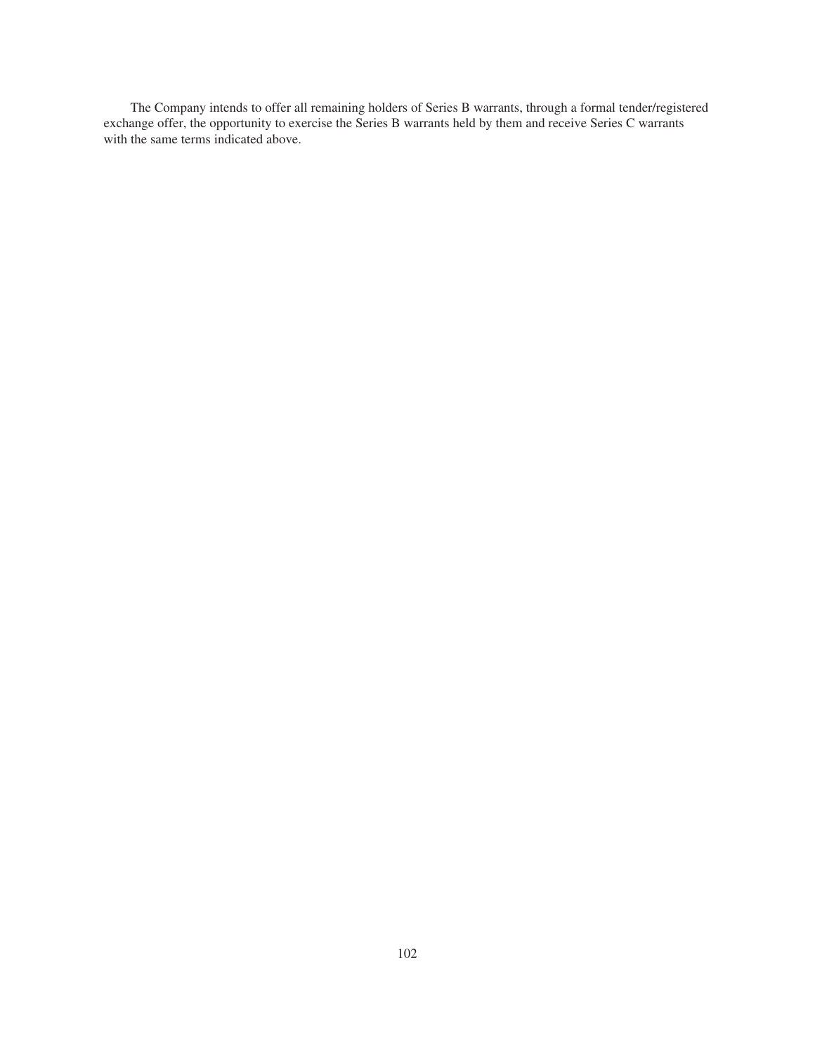The Company intends to offer all remaining holders of Series B warrants, through a formal tender/registered exchange offer, the opportunity to exercise the Series B warrants held by them and receive Series C warrants with the same terms indicated above.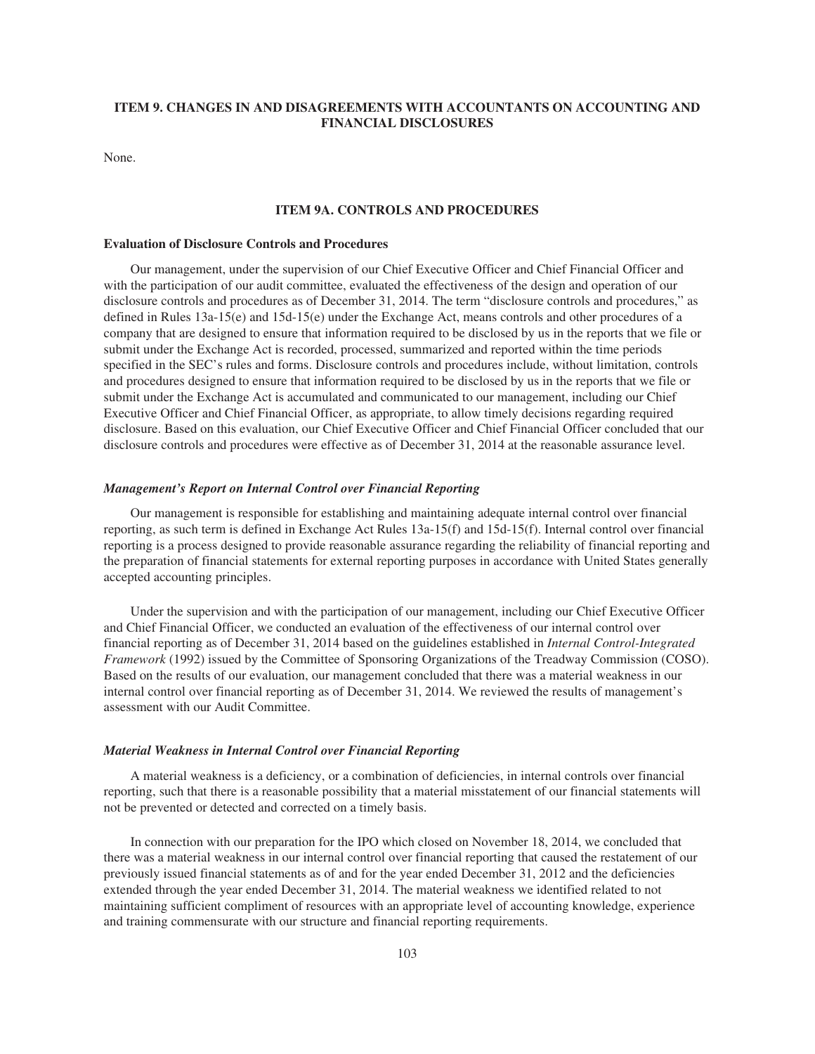# **ITEM 9. CHANGES IN AND DISAGREEMENTS WITH ACCOUNTANTS ON ACCOUNTING AND FINANCIAL DISCLOSURES**

None.

### **ITEM 9A. CONTROLS AND PROCEDURES**

## **Evaluation of Disclosure Controls and Procedures**

Our management, under the supervision of our Chief Executive Officer and Chief Financial Officer and with the participation of our audit committee, evaluated the effectiveness of the design and operation of our disclosure controls and procedures as of December 31, 2014. The term "disclosure controls and procedures," as defined in Rules 13a-15(e) and 15d-15(e) under the Exchange Act, means controls and other procedures of a company that are designed to ensure that information required to be disclosed by us in the reports that we file or submit under the Exchange Act is recorded, processed, summarized and reported within the time periods specified in the SEC's rules and forms. Disclosure controls and procedures include, without limitation, controls and procedures designed to ensure that information required to be disclosed by us in the reports that we file or submit under the Exchange Act is accumulated and communicated to our management, including our Chief Executive Officer and Chief Financial Officer, as appropriate, to allow timely decisions regarding required disclosure. Based on this evaluation, our Chief Executive Officer and Chief Financial Officer concluded that our disclosure controls and procedures were effective as of December 31, 2014 at the reasonable assurance level.

### *Management's Report on Internal Control over Financial Reporting*

Our management is responsible for establishing and maintaining adequate internal control over financial reporting, as such term is defined in Exchange Act Rules 13a-15(f) and 15d-15(f). Internal control over financial reporting is a process designed to provide reasonable assurance regarding the reliability of financial reporting and the preparation of financial statements for external reporting purposes in accordance with United States generally accepted accounting principles.

Under the supervision and with the participation of our management, including our Chief Executive Officer and Chief Financial Officer, we conducted an evaluation of the effectiveness of our internal control over financial reporting as of December 31, 2014 based on the guidelines established in *Internal Control-Integrated Framework* (1992) issued by the Committee of Sponsoring Organizations of the Treadway Commission (COSO). Based on the results of our evaluation, our management concluded that there was a material weakness in our internal control over financial reporting as of December 31, 2014. We reviewed the results of management's assessment with our Audit Committee.

#### *Material Weakness in Internal Control over Financial Reporting*

A material weakness is a deficiency, or a combination of deficiencies, in internal controls over financial reporting, such that there is a reasonable possibility that a material misstatement of our financial statements will not be prevented or detected and corrected on a timely basis.

In connection with our preparation for the IPO which closed on November 18, 2014, we concluded that there was a material weakness in our internal control over financial reporting that caused the restatement of our previously issued financial statements as of and for the year ended December 31, 2012 and the deficiencies extended through the year ended December 31, 2014. The material weakness we identified related to not maintaining sufficient compliment of resources with an appropriate level of accounting knowledge, experience and training commensurate with our structure and financial reporting requirements.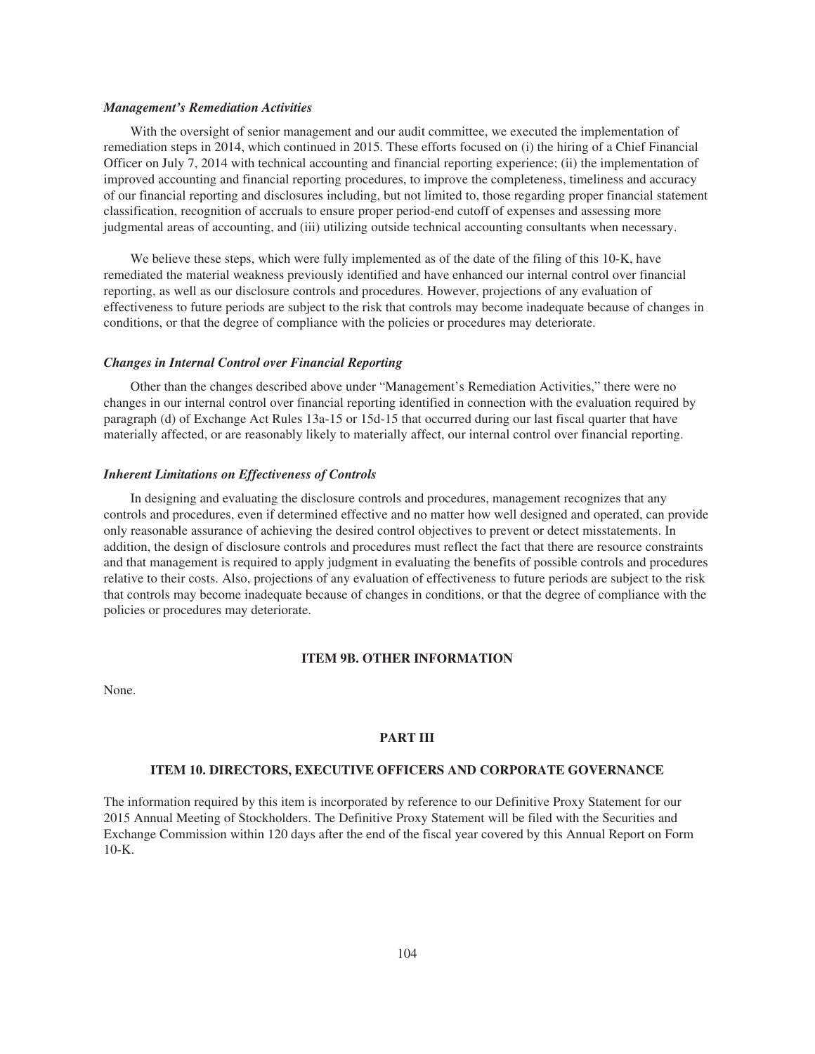### *Management's Remediation Activities*

With the oversight of senior management and our audit committee, we executed the implementation of remediation steps in 2014, which continued in 2015. These efforts focused on (i) the hiring of a Chief Financial Officer on July 7, 2014 with technical accounting and financial reporting experience; (ii) the implementation of improved accounting and financial reporting procedures, to improve the completeness, timeliness and accuracy of our financial reporting and disclosures including, but not limited to, those regarding proper financial statement classification, recognition of accruals to ensure proper period-end cutoff of expenses and assessing more judgmental areas of accounting, and (iii) utilizing outside technical accounting consultants when necessary.

We believe these steps, which were fully implemented as of the date of the filing of this 10-K, have remediated the material weakness previously identified and have enhanced our internal control over financial reporting, as well as our disclosure controls and procedures. However, projections of any evaluation of effectiveness to future periods are subject to the risk that controls may become inadequate because of changes in conditions, or that the degree of compliance with the policies or procedures may deteriorate.

### *Changes in Internal Control over Financial Reporting*

Other than the changes described above under "Management's Remediation Activities," there were no changes in our internal control over financial reporting identified in connection with the evaluation required by paragraph (d) of Exchange Act Rules 13a-15 or 15d-15 that occurred during our last fiscal quarter that have materially affected, or are reasonably likely to materially affect, our internal control over financial reporting.

### *Inherent Limitations on Effectiveness of Controls*

In designing and evaluating the disclosure controls and procedures, management recognizes that any controls and procedures, even if determined effective and no matter how well designed and operated, can provide only reasonable assurance of achieving the desired control objectives to prevent or detect misstatements. In addition, the design of disclosure controls and procedures must reflect the fact that there are resource constraints and that management is required to apply judgment in evaluating the benefits of possible controls and procedures relative to their costs. Also, projections of any evaluation of effectiveness to future periods are subject to the risk that controls may become inadequate because of changes in conditions, or that the degree of compliance with the policies or procedures may deteriorate.

# **ITEM 9B. OTHER INFORMATION**

None.

# **PART III**

# **ITEM 10. DIRECTORS, EXECUTIVE OFFICERS AND CORPORATE GOVERNANCE**

The information required by this item is incorporated by reference to our Definitive Proxy Statement for our 2015 Annual Meeting of Stockholders. The Definitive Proxy Statement will be filed with the Securities and Exchange Commission within 120 days after the end of the fiscal year covered by this Annual Report on Form 10-K.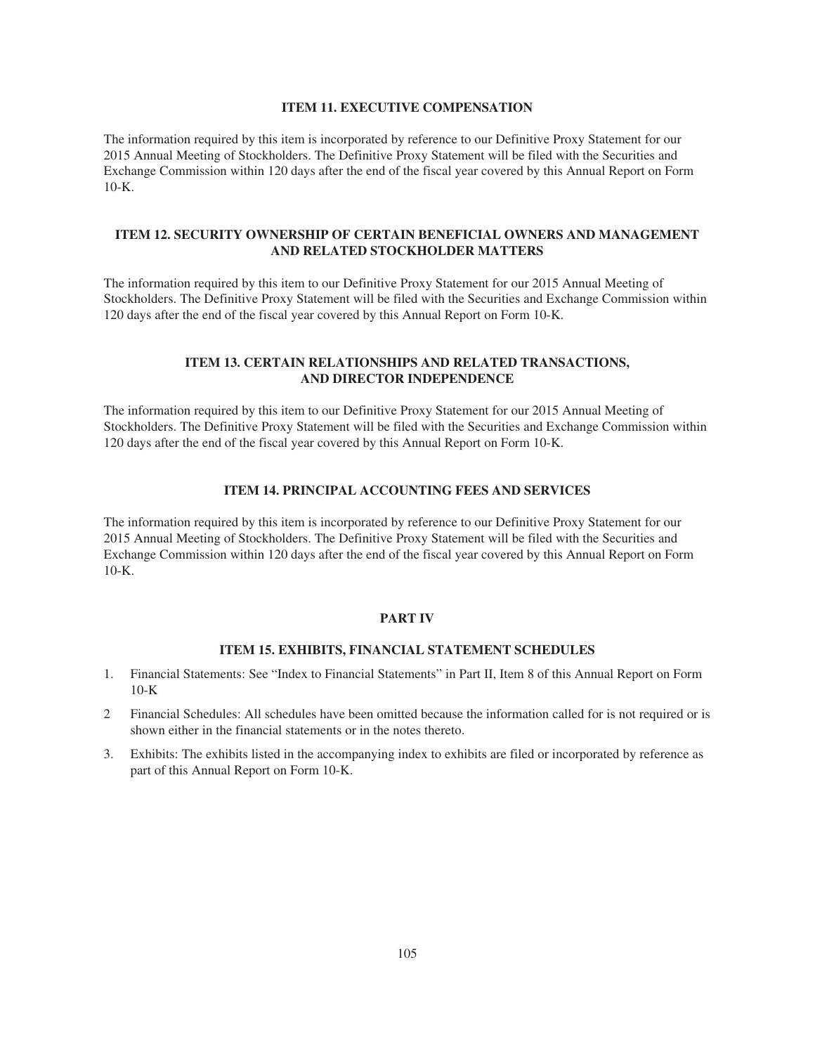### **ITEM 11. EXECUTIVE COMPENSATION**

The information required by this item is incorporated by reference to our Definitive Proxy Statement for our 2015 Annual Meeting of Stockholders. The Definitive Proxy Statement will be filed with the Securities and Exchange Commission within 120 days after the end of the fiscal year covered by this Annual Report on Form  $10-K$ .

# **ITEM 12. SECURITY OWNERSHIP OF CERTAIN BENEFICIAL OWNERS AND MANAGEMENT AND RELATED STOCKHOLDER MATTERS**

The information required by this item to our Definitive Proxy Statement for our 2015 Annual Meeting of Stockholders. The Definitive Proxy Statement will be filed with the Securities and Exchange Commission within 120 days after the end of the fiscal year covered by this Annual Report on Form 10-K.

# **ITEM 13. CERTAIN RELATIONSHIPS AND RELATED TRANSACTIONS, AND DIRECTOR INDEPENDENCE**

The information required by this item to our Definitive Proxy Statement for our 2015 Annual Meeting of Stockholders. The Definitive Proxy Statement will be filed with the Securities and Exchange Commission within 120 days after the end of the fiscal year covered by this Annual Report on Form 10-K.

# **ITEM 14. PRINCIPAL ACCOUNTING FEES AND SERVICES**

The information required by this item is incorporated by reference to our Definitive Proxy Statement for our 2015 Annual Meeting of Stockholders. The Definitive Proxy Statement will be filed with the Securities and Exchange Commission within 120 days after the end of the fiscal year covered by this Annual Report on Form  $10-K$ .

### **PART IV**

# **ITEM 15. EXHIBITS, FINANCIAL STATEMENT SCHEDULES**

- 1. Financial Statements: See "Index to Financial Statements" in Part II, Item 8 of this Annual Report on Form 10-K
- 2 Financial Schedules: All schedules have been omitted because the information called for is not required or is shown either in the financial statements or in the notes thereto.
- 3. Exhibits: The exhibits listed in the accompanying index to exhibits are filed or incorporated by reference as part of this Annual Report on Form 10-K.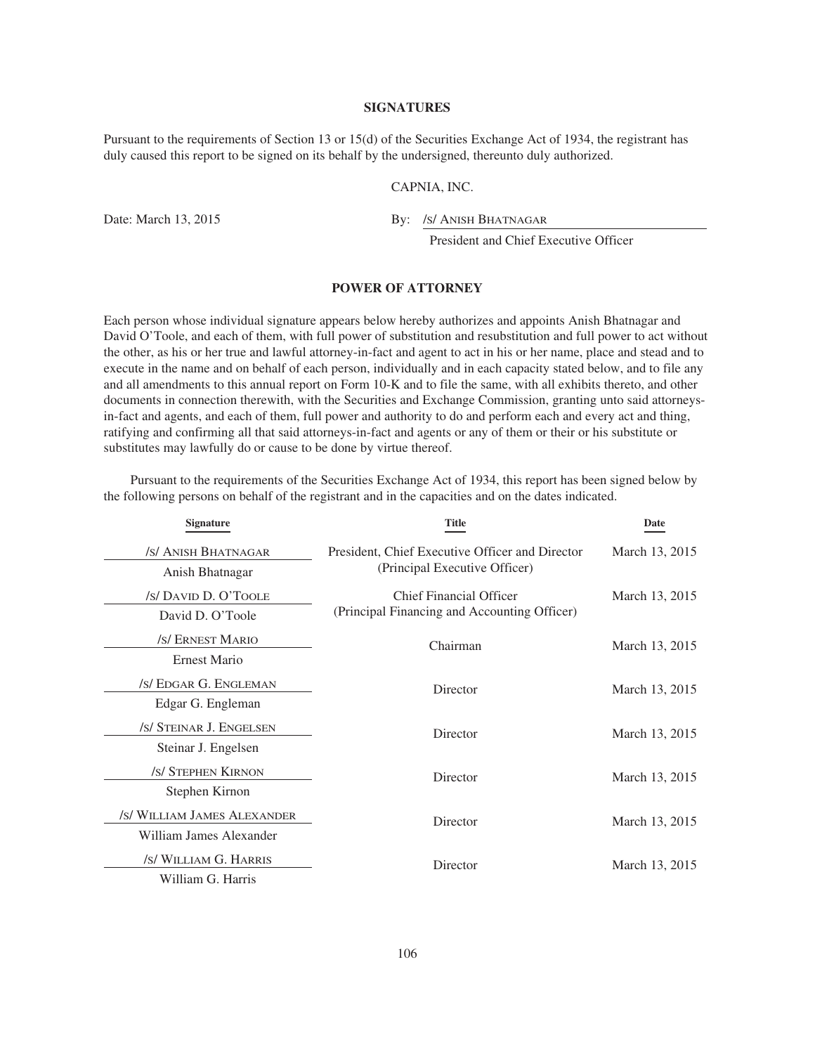## **SIGNATURES**

Pursuant to the requirements of Section 13 or 15(d) of the Securities Exchange Act of 1934, the registrant has duly caused this report to be signed on its behalf by the undersigned, thereunto duly authorized.

### CAPNIA, INC.

Date: March 13, 2015 By: /s/ ANISH BHATNAGAR

President and Chief Executive Officer

# **POWER OF ATTORNEY**

Each person whose individual signature appears below hereby authorizes and appoints Anish Bhatnagar and David O'Toole, and each of them, with full power of substitution and resubstitution and full power to act without the other, as his or her true and lawful attorney-in-fact and agent to act in his or her name, place and stead and to execute in the name and on behalf of each person, individually and in each capacity stated below, and to file any and all amendments to this annual report on Form 10-K and to file the same, with all exhibits thereto, and other documents in connection therewith, with the Securities and Exchange Commission, granting unto said attorneysin-fact and agents, and each of them, full power and authority to do and perform each and every act and thing, ratifying and confirming all that said attorneys-in-fact and agents or any of them or their or his substitute or substitutes may lawfully do or cause to be done by virtue thereof.

**Signature Title Date** /S/ ANISH BHATNAGAR Anish Bhatnagar President, Chief Executive Officer and Director (Principal Executive Officer) March 13, 2015 /S/ DAVID D. O'TOOLE David D. O'Toole Chief Financial Officer (Principal Financing and Accounting Officer) March 13, 2015 /S/ ERNEST MARIO Ernest Mario Chairman March 13, 2015 /S/ EDGAR G. ENGLEMAN Edgar G. Engleman Director March 13, 2015 /S/ STEINAR J. ENGELSEN Steinar J. Engelsen Director March 13, 2015 /S/ STEPHEN KIRNON Stephen Kirnon Director March 13, 2015 /S/ WILLIAM JAMES ALEXANDER William James Alexander Director March 13, 2015 /S/ WILLIAM G. HARRIS William G. Harris Director March 13, 2015

Pursuant to the requirements of the Securities Exchange Act of 1934, this report has been signed below by the following persons on behalf of the registrant and in the capacities and on the dates indicated.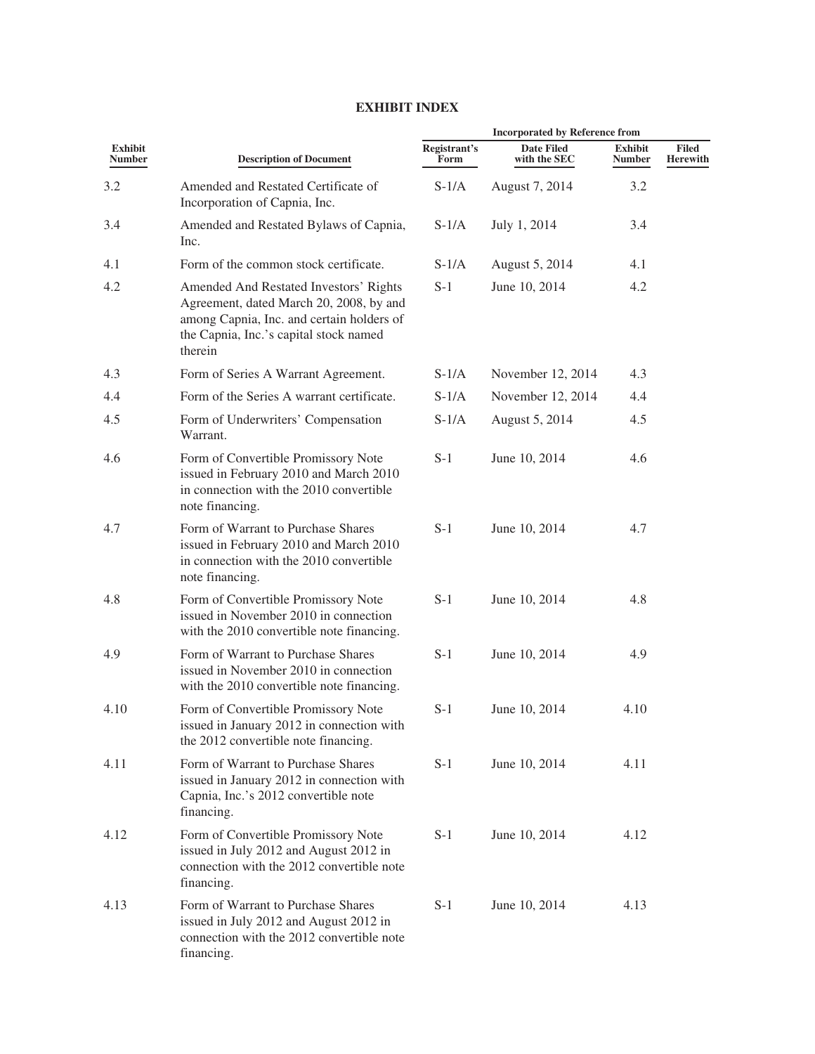#### **Incorporated by Reference from Exhibit Description of Document Registrant's Form Date Filed with the SEC Exhibit Number Filed Herewith** 3.2 Amended and Restated Certificate of Incorporation of Capnia, Inc. S-1/A August 7, 2014 3.2 3.4 Amended and Restated Bylaws of Capnia, Inc. S-1/A July 1, 2014 3.4 4.1 Form of the common stock certificate. S-1/A August 5, 2014 4.1 4.2 Amended And Restated Investors' Rights Agreement, dated March 20, 2008, by and among Capnia, Inc. and certain holders of the Capnia, Inc.'s capital stock named therein S-1 June 10, 2014 4.2 4.3 Form of Series A Warrant Agreement. S-1/A November 12, 2014 4.3 4.4 Form of the Series A warrant certificate. S-1/A November 12, 2014 4.4 4.5 Form of Underwriters' Compensation Warrant. S-1/A August 5, 2014 4.5 4.6 Form of Convertible Promissory Note issued in February 2010 and March 2010 in connection with the 2010 convertible note financing. S-1 June 10, 2014 4.6 4.7 Form of Warrant to Purchase Shares issued in February 2010 and March 2010 in connection with the 2010 convertible note financing. S-1 June 10, 2014 4.7 4.8 Form of Convertible Promissory Note issued in November 2010 in connection with the 2010 convertible note financing. S-1 June 10, 2014 4.8 4.9 Form of Warrant to Purchase Shares issued in November 2010 in connection with the 2010 convertible note financing. S-1 June 10, 2014 4.9 4.10 Form of Convertible Promissory Note issued in January 2012 in connection with the 2012 convertible note financing. S-1 June 10, 2014 4.10 4.11 Form of Warrant to Purchase Shares issued in January 2012 in connection with Capnia, Inc.'s 2012 convertible note financing. S-1 June 10, 2014 4.11 4.12 Form of Convertible Promissory Note issued in July 2012 and August 2012 in connection with the 2012 convertible note financing. S-1 June 10, 2014 4.12 4.13 Form of Warrant to Purchase Shares issued in July 2012 and August 2012 in connection with the 2012 convertible note financing. S-1 June 10, 2014 4.13

## **EXHIBIT INDEX**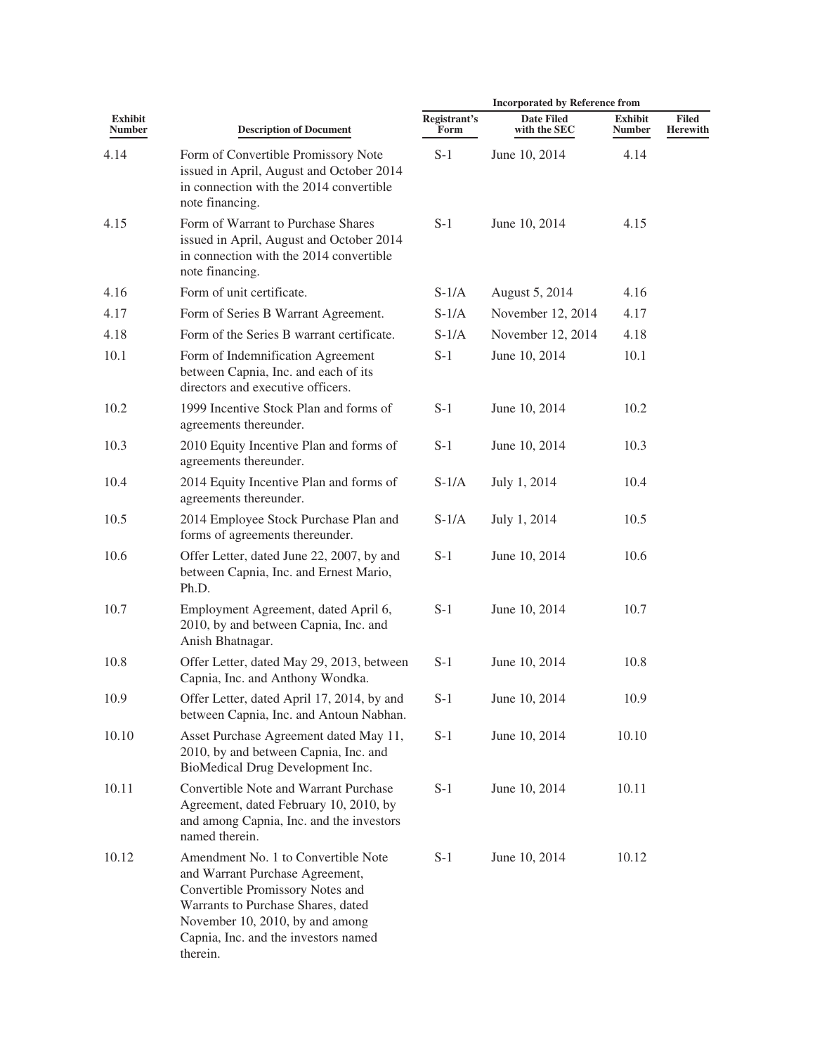|                                 |                                                                                                                                                                                                                                         | <b>Incorporated by Reference from</b> |                                   |                                 |                                 |  |
|---------------------------------|-----------------------------------------------------------------------------------------------------------------------------------------------------------------------------------------------------------------------------------------|---------------------------------------|-----------------------------------|---------------------------------|---------------------------------|--|
| <b>Exhibit</b><br><b>Number</b> | <b>Description of Document</b>                                                                                                                                                                                                          | Registrant's<br>Form                  | <b>Date Filed</b><br>with the SEC | <b>Exhibit</b><br><b>Number</b> | <b>Filed</b><br><b>Herewith</b> |  |
| 4.14                            | Form of Convertible Promissory Note<br>issued in April, August and October 2014<br>in connection with the 2014 convertible<br>note financing.                                                                                           | $S-1$                                 | June 10, 2014                     | 4.14                            |                                 |  |
| 4.15                            | Form of Warrant to Purchase Shares<br>issued in April, August and October 2014<br>in connection with the 2014 convertible<br>note financing.                                                                                            | $S-1$                                 | June 10, 2014                     | 4.15                            |                                 |  |
| 4.16                            | Form of unit certificate.                                                                                                                                                                                                               | $S-1/A$                               | August 5, 2014                    | 4.16                            |                                 |  |
| 4.17                            | Form of Series B Warrant Agreement.                                                                                                                                                                                                     | $S-1/A$                               | November 12, 2014                 | 4.17                            |                                 |  |
| 4.18                            | Form of the Series B warrant certificate.                                                                                                                                                                                               | $S-1/A$                               | November 12, 2014                 | 4.18                            |                                 |  |
| 10.1                            | Form of Indemnification Agreement<br>between Capnia, Inc. and each of its<br>directors and executive officers.                                                                                                                          | $S-1$                                 | June 10, 2014                     | 10.1                            |                                 |  |
| 10.2                            | 1999 Incentive Stock Plan and forms of<br>agreements thereunder.                                                                                                                                                                        | $S-1$                                 | June 10, 2014                     | 10.2                            |                                 |  |
| 10.3                            | 2010 Equity Incentive Plan and forms of<br>agreements thereunder.                                                                                                                                                                       | $S-1$                                 | June 10, 2014                     | 10.3                            |                                 |  |
| 10.4                            | 2014 Equity Incentive Plan and forms of<br>agreements thereunder.                                                                                                                                                                       | $S-1/A$                               | July 1, 2014                      | 10.4                            |                                 |  |
| 10.5                            | 2014 Employee Stock Purchase Plan and<br>forms of agreements thereunder.                                                                                                                                                                | $S-1/A$                               | July 1, 2014                      | 10.5                            |                                 |  |
| 10.6                            | Offer Letter, dated June 22, 2007, by and<br>between Capnia, Inc. and Ernest Mario,<br>Ph.D.                                                                                                                                            | $S-1$                                 | June 10, 2014                     | 10.6                            |                                 |  |
| 10.7                            | Employment Agreement, dated April 6,<br>2010, by and between Capnia, Inc. and<br>Anish Bhatnagar.                                                                                                                                       | $S-1$                                 | June 10, 2014                     | 10.7                            |                                 |  |
| 10.8                            | Offer Letter, dated May 29, 2013, between<br>Capnia, Inc. and Anthony Wondka.                                                                                                                                                           | $S-1$                                 | June 10, 2014                     | 10.8                            |                                 |  |
| 10.9                            | Offer Letter, dated April 17, 2014, by and<br>between Capnia, Inc. and Antoun Nabhan.                                                                                                                                                   | $S-1$                                 | June 10, 2014                     | 10.9                            |                                 |  |
| 10.10                           | Asset Purchase Agreement dated May 11,<br>2010, by and between Capnia, Inc. and<br>BioMedical Drug Development Inc.                                                                                                                     | $S-1$                                 | June 10, 2014                     | 10.10                           |                                 |  |
| 10.11                           | Convertible Note and Warrant Purchase<br>Agreement, dated February 10, 2010, by<br>and among Capnia, Inc. and the investors<br>named therein.                                                                                           | $S-1$                                 | June 10, 2014                     | 10.11                           |                                 |  |
| 10.12                           | Amendment No. 1 to Convertible Note<br>and Warrant Purchase Agreement,<br>Convertible Promissory Notes and<br>Warrants to Purchase Shares, dated<br>November 10, 2010, by and among<br>Capnia, Inc. and the investors named<br>therein. | $S-1$                                 | June 10, 2014                     | 10.12                           |                                 |  |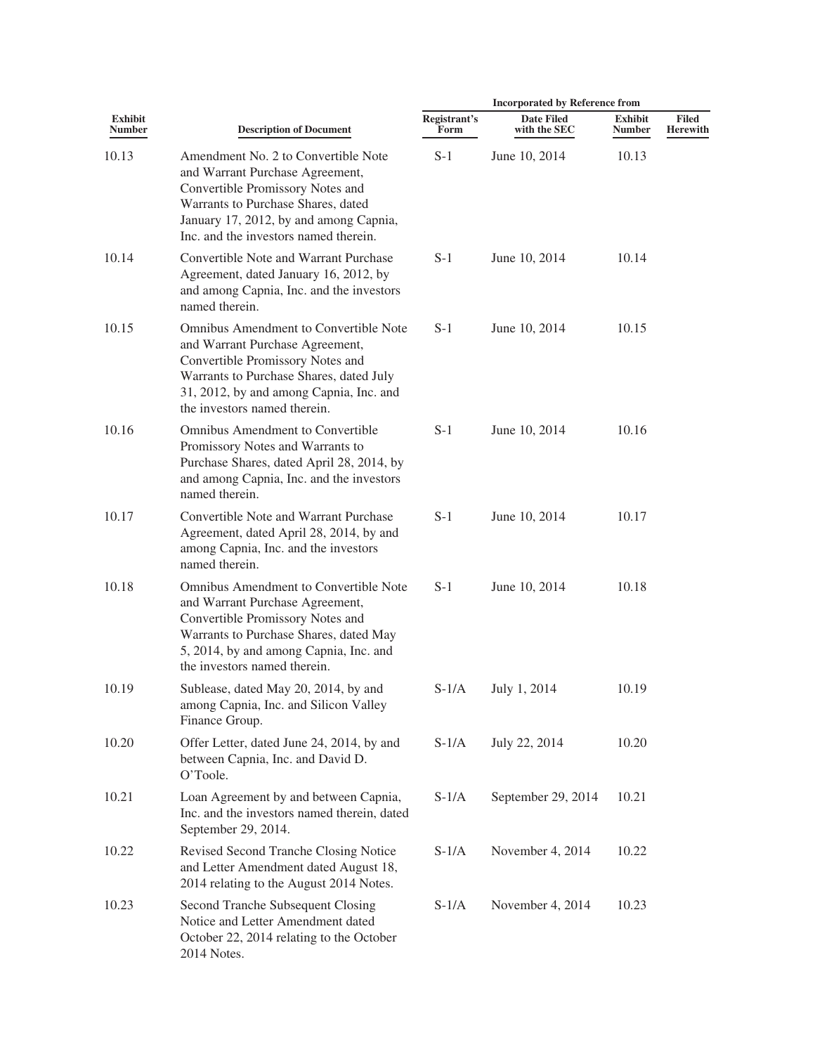| <b>Exhibit</b><br><b>Number</b> | <b>Description of Document</b>                                                                                                                                                                                                            | <b>Incorporated by Reference from</b> |                                   |                                 |                                 |
|---------------------------------|-------------------------------------------------------------------------------------------------------------------------------------------------------------------------------------------------------------------------------------------|---------------------------------------|-----------------------------------|---------------------------------|---------------------------------|
|                                 |                                                                                                                                                                                                                                           | Registrant's<br>Form                  | <b>Date Filed</b><br>with the SEC | <b>Exhibit</b><br><b>Number</b> | <b>Filed</b><br><b>Herewith</b> |
| 10.13                           | Amendment No. 2 to Convertible Note<br>and Warrant Purchase Agreement,<br>Convertible Promissory Notes and<br>Warrants to Purchase Shares, dated<br>January 17, 2012, by and among Capnia,<br>Inc. and the investors named therein.       | $S-1$                                 | June 10, 2014                     | 10.13                           |                                 |
| 10.14                           | Convertible Note and Warrant Purchase<br>Agreement, dated January 16, 2012, by<br>and among Capnia, Inc. and the investors<br>named therein.                                                                                              | $S-1$                                 | June 10, 2014                     | 10.14                           |                                 |
| 10.15                           | <b>Omnibus Amendment to Convertible Note</b><br>and Warrant Purchase Agreement,<br>Convertible Promissory Notes and<br>Warrants to Purchase Shares, dated July<br>31, 2012, by and among Capnia, Inc. and<br>the investors named therein. | $S-1$                                 | June 10, 2014                     | 10.15                           |                                 |
| 10.16                           | Omnibus Amendment to Convertible<br>Promissory Notes and Warrants to<br>Purchase Shares, dated April 28, 2014, by<br>and among Capnia, Inc. and the investors<br>named therein.                                                           | $S-1$                                 | June 10, 2014                     | 10.16                           |                                 |
| 10.17                           | Convertible Note and Warrant Purchase<br>Agreement, dated April 28, 2014, by and<br>among Capnia, Inc. and the investors<br>named therein.                                                                                                | $S-1$                                 | June 10, 2014                     | 10.17                           |                                 |
| 10.18                           | <b>Omnibus Amendment to Convertible Note</b><br>and Warrant Purchase Agreement,<br>Convertible Promissory Notes and<br>Warrants to Purchase Shares, dated May<br>5, 2014, by and among Capnia, Inc. and<br>the investors named therein.   | $S-1$                                 | June 10, 2014                     | 10.18                           |                                 |
| 10.19                           | Sublease, dated May 20, 2014, by and<br>among Capnia, Inc. and Silicon Valley<br>Finance Group.                                                                                                                                           | $S-1/A$                               | July 1, 2014                      | 10.19                           |                                 |
| 10.20                           | Offer Letter, dated June 24, 2014, by and<br>between Capnia, Inc. and David D.<br>O'Toole.                                                                                                                                                | $S-1/A$                               | July 22, 2014                     | 10.20                           |                                 |
| 10.21                           | Loan Agreement by and between Capnia,<br>Inc. and the investors named therein, dated<br>September 29, 2014.                                                                                                                               | $S-1/A$                               | September 29, 2014                | 10.21                           |                                 |
| 10.22                           | Revised Second Tranche Closing Notice<br>and Letter Amendment dated August 18,<br>2014 relating to the August 2014 Notes.                                                                                                                 | $S-1/A$                               | November 4, 2014                  | 10.22                           |                                 |
| 10.23                           | Second Tranche Subsequent Closing<br>Notice and Letter Amendment dated<br>October 22, 2014 relating to the October<br>2014 Notes.                                                                                                         | $S-1/A$                               | November 4, 2014                  | 10.23                           |                                 |